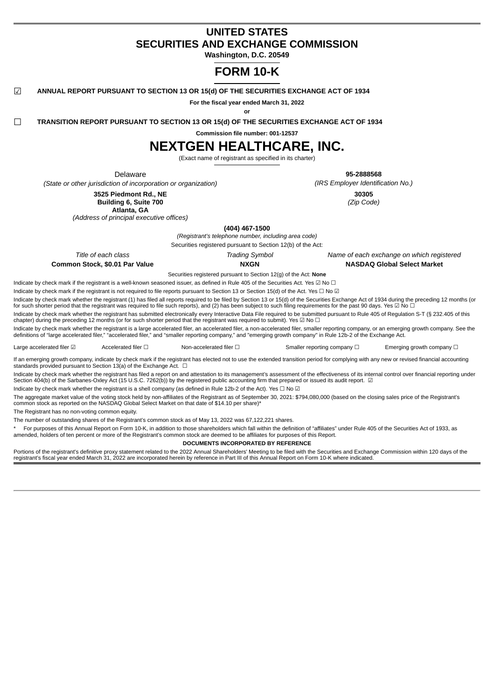# **UNITED STATES SECURITIES AND EXCHANGE COMMISSION**

**Washington, D.C. 20549**

# **FORM 10-K**

# ☑ **ANNUAL REPORT PURSUANT TO SECTION 13 OR 15(d) OF THE SECURITIES EXCHANGE ACT OF 1934**

**For the fiscal year ended March 31, 2022**

**or**

☐ **TRANSITION REPORT PURSUANT TO SECTION 13 OR 15(d) OF THE SECURITIES EXCHANGE ACT OF 1934**

**Commission file number: 001-12537**

# **NEXTGEN HEALTHCARE, INC.**

(Exact name of registrant as specified in its charter)

Delaware

*(State or other jurisdiction of incorporation or organization)*

**95-2888568**

*(IRS Employer Identification No.)*

**30305** *(Zip Code)*

**3525 Piedmont Rd., NE Building 6, Suite 700 Atlanta, GA**

*(Address of principal executive offices)*

**(404) 467-1500**

*(Registrant's telephone number, including area code)*

Securities registered pursuant to Section 12(b) of the Act:

*Title of each class Trading Symbol Name of each exchange on which registered*

**Common Stock, \$0.01 Par Value NXGN NASDAQ Global Select Market**

Securities registered pursuant to Section 12(g) of the Act: **None**

Indicate by check mark if the registrant is a well-known seasoned issuer, as defined in Rule 405 of the Securities Act. Yes  $\Box$  No  $\Box$ 

Indicate by check mark if the registrant is not required to file reports pursuant to Section 13 or Section 15(d) of the Act. Yes  $\Box$  No  $\Box$ 

Indicate by check mark whether the registrant (1) has filed all reports required to be filed by Section 13 or 15(d) of the Securities Exchange Act of 1934 during the preceding 12 months (or for such shorter period that the registrant was required to file such reports), and (2) has been subject to such filing requirements for the past 90 days. Yes ☑ No □ Indicate by check mark whether the registrant has submitted electronically every Interactive Data File required to be submitted pursuant to Rule 405 of Regulation S-T (§ 232.405 of this<br>chapter) during the preceding 12 mo

Indicate by check mark whether the registrant is a large accelerated filer, an accelerated filer, a non-accelerated filer, smaller reporting company, or an emerging growth company. See the<br>definitions of "large accelerated

Large accelerated filer **☑** Accelerated filer □ Non-accelerated filer □ Smaller reporting company □ Emerging growth company □

If an emerging growth company, indicate by check mark if the registrant has elected not to use the extended transition period for complying with any new or revised financial accounting standards provided pursuant to Section 13(a) of the Exchange Act.  $\Box$ 

Indicate by check mark whether the registrant has filed a report on and attestation to its management's assessment of the effectiveness of its internal control over financial reporting under<br>Section 404(b) of the Sarbanes

Indicate by check mark whether the registrant is a shell company (as defined in Rule 12b-2 of the Act). Yes  $\Box$  No  $\Box$ 

The aggregate market value of the voting stock held by non-affiliates of the Registrant as of September 30, 2021: \$794,080,000 (based on the closing sales price of the Registrant's common stock as reported on the NASDAQ Global Select Market on that date of \$14.10 per share)\*

The Registrant has no non-voting common equity.

The number of outstanding shares of the Registrant's common stock as of May 13, 2022 was 67,122,221 shares.

For purposes of this Annual Report on Form 10-K, in addition to those shareholders which fall within the definition of "affiliates" under Rule 405 of the Securities Act of 1933, as amended, holders of ten percent or more of the Registrant's common stock are deemed to be affiliates for purposes of this Report.

# **DOCUMENTS INCORPORATED BY REFERENCE**

Portions of the registrant's definitive proxy statement related to the 2022 Annual Shareholders' Meeting to be filed with the Securities and Exchange Commission within 120 days of the registrant's fiscal year ended March 31, 2022 are incorporated herein by reference in Part III of this Annual Report on Form 10-K where indicated.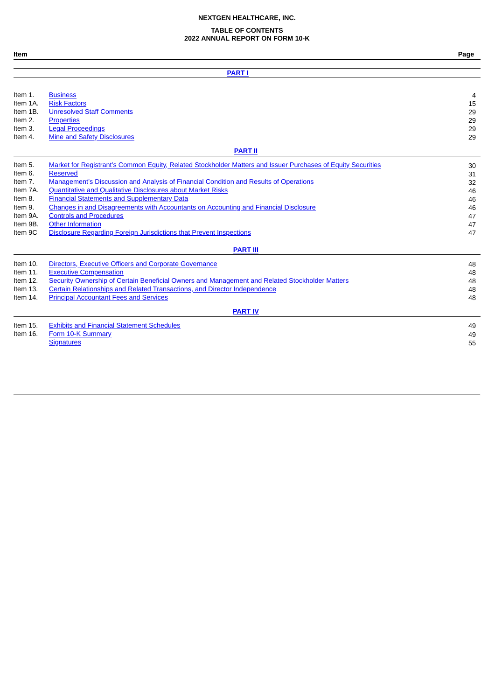# **NEXTGEN HEALTHCARE, INC.**

#### **TABLE OF CONTENTS 2022 ANNUAL REPORT ON FORM 10-K**

<span id="page-1-0"></span>

|                                 | <b>PART I</b>                                                                                                                              |               |
|---------------------------------|--------------------------------------------------------------------------------------------------------------------------------------------|---------------|
| Item 1.<br>Item 1A.<br>Item 1B. | <b>Business</b><br><b>Risk Factors</b><br><b>Unresolved Staff Comments</b>                                                                 | 4<br>15<br>29 |
| Item 2.<br>Item 3.              | <b>Properties</b><br><b>Legal Proceedings</b>                                                                                              | 29<br>29      |
| Item 4.                         | <b>Mine and Safety Disclosures</b>                                                                                                         | 29            |
|                                 | <b>PART II</b>                                                                                                                             |               |
| Item 5.                         | Market for Registrant's Common Equity, Related Stockholder Matters and Issuer Purchases of Equity Securities                               | 30            |
| Item 6.                         | <b>Reserved</b>                                                                                                                            | 31            |
| Item 7.                         | <b>Management's Discussion and Analysis of Financial Condition and Results of Operations</b>                                               | 32            |
| Item 7A.<br>Item 8.             | Quantitative and Qualitative Disclosures about Market Risks                                                                                | 46            |
| Item 9.                         | <b>Financial Statements and Supplementary Data</b><br>Changes in and Disagreements with Accountants on Accounting and Financial Disclosure | 46<br>46      |
| Item 9A.                        | <b>Controls and Procedures</b>                                                                                                             | 47            |
| Item 9B.                        | <b>Other Information</b>                                                                                                                   | 47            |
| Item 9C                         | Disclosure Regarding Foreign Jurisdictions that Prevent Inspections                                                                        | 47            |
|                                 | <b>PART III</b>                                                                                                                            |               |
| Item 10.                        | Directors, Executive Officers and Corporate Governance                                                                                     | 48            |
| Item 11.                        | <b>Executive Compensation</b>                                                                                                              | 48            |
| Item 12.                        | Security Ownership of Certain Beneficial Owners and Management and Related Stockholder Matters                                             | 48            |
| Item 13.                        | Certain Relationships and Related Transactions, and Director Independence                                                                  | 48            |
| Item 14.                        | <b>Principal Accountant Fees and Services</b>                                                                                              | 48            |
|                                 | <b>PART IV</b>                                                                                                                             |               |
| Item 15.                        | <b>Exhibits and Financial Statement Schedules</b>                                                                                          | 49            |
| Item 16.                        | Form 10-K Summary                                                                                                                          | 49            |
|                                 | <b>Signatures</b>                                                                                                                          | 55            |
|                                 |                                                                                                                                            |               |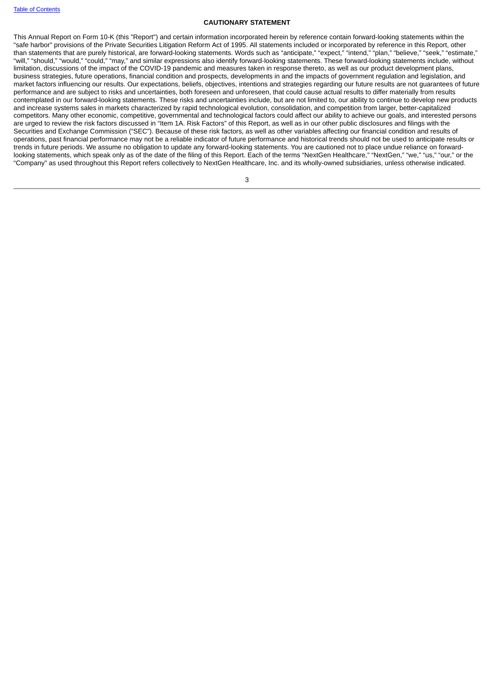# **CAUTIONARY STATEMENT**

This Annual Report on Form 10-K (this "Report") and certain information incorporated herein by reference contain forward-looking statements within the "safe harbor" provisions of the Private Securities Litigation Reform Act of 1995. All statements included or incorporated by reference in this Report, other than statements that are purely historical, are forward-looking statements. Words such as "anticipate," "expect," "intend," "plan," "believe," "seek," "estimate," "will," "should," "would," "could," "may," and similar expressions also identify forward-looking statements. These forward-looking statements include, without limitation, discussions of the impact of the COVID-19 pandemic and measures taken in response thereto, as well as our product development plans, business strategies, future operations, financial condition and prospects, developments in and the impacts of government regulation and legislation, and market factors influencing our results. Our expectations, beliefs, objectives, intentions and strategies regarding our future results are not guarantees of future performance and are subject to risks and uncertainties, both foreseen and unforeseen, that could cause actual results to differ materially from results contemplated in our forward-looking statements. These risks and uncertainties include, but are not limited to, our ability to continue to develop new products and increase systems sales in markets characterized by rapid technological evolution, consolidation, and competition from larger, better-capitalized competitors. Many other economic, competitive, governmental and technological factors could affect our ability to achieve our goals, and interested persons are urged to review the risk factors discussed in "Item 1A. Risk Factors" of this Report, as well as in our other public disclosures and filings with the Securities and Exchange Commission ("SEC"). Because of these risk factors, as well as other variables affecting our financial condition and results of operations, past financial performance may not be a reliable indicator of future performance and historical trends should not be used to anticipate results or trends in future periods. We assume no obligation to update any forward-looking statements. You are cautioned not to place undue reliance on forwardlooking statements, which speak only as of the date of the filing of this Report. Each of the terms "NextGen Healthcare," "NextGen," "we," "us," "our," or the "Company" as used throughout this Report refers collectively to NextGen Healthcare, Inc. and its wholly-owned subsidiaries, unless otherwise indicated.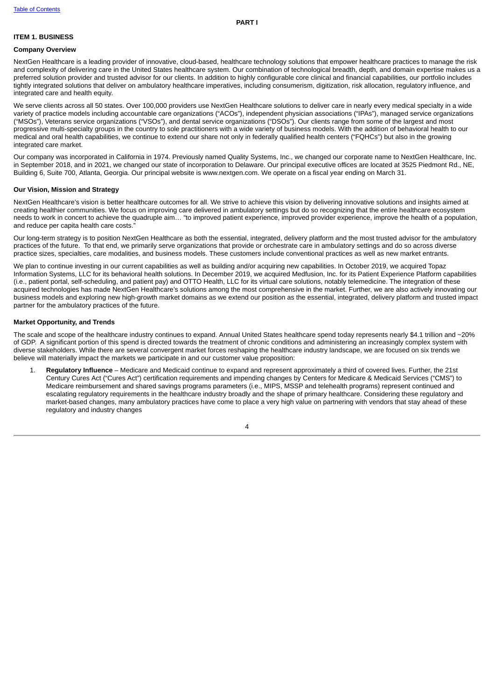# <span id="page-3-0"></span>**ITEM 1. BUSINESS**

# <span id="page-3-1"></span>**Company Overview**

NextGen Healthcare is a leading provider of innovative, cloud-based, healthcare technology solutions that empower healthcare practices to manage the risk and complexity of delivering care in the United States healthcare system. Our combination of technological breadth, depth, and domain expertise makes us a preferred solution provider and trusted advisor for our clients. In addition to highly configurable core clinical and financial capabilities, our portfolio includes tightly integrated solutions that deliver on ambulatory healthcare imperatives, including consumerism, digitization, risk allocation, regulatory influence, and integrated care and health equity.

We serve clients across all 50 states. Over 100,000 providers use NextGen Healthcare solutions to deliver care in nearly every medical specialty in a wide variety of practice models including accountable care organizations ("ACOs"), independent physician associations ("IPAs"), managed service organizations ("MSOs"), Veterans service organizations ("VSOs"), and dental service organizations ("DSOs"). Our clients range from some of the largest and most progressive multi-specialty groups in the country to sole practitioners with a wide variety of business models. With the addition of behavioral health to our medical and oral health capabilities, we continue to extend our share not only in federally qualified health centers ("FQHCs") but also in the growing integrated care market.

Our company was incorporated in California in 1974. Previously named Quality Systems, Inc., we changed our corporate name to NextGen Healthcare, Inc. in September 2018, and in 2021, we changed our state of incorporation to Delaware. Our principal executive offices are located at 3525 Piedmont Rd., NE, Building 6, Suite 700, Atlanta, Georgia. Our principal website is www.nextgen.com. We operate on a fiscal year ending on March 31.

# **Our Vision, Mission and Strategy**

NextGen Healthcare's vision is better healthcare outcomes for all. We strive to achieve this vision by delivering innovative solutions and insights aimed at creating healthier communities. We focus on improving care delivered in ambulatory settings but do so recognizing that the entire healthcare ecosystem needs to work in concert to achieve the quadruple aim… "to improved patient experience, improved provider experience, improve the health of a population, and reduce per capita health care costs."

Our long-term strategy is to position NextGen Healthcare as both the essential, integrated, delivery platform and the most trusted advisor for the ambulatory practices of the future. To that end, we primarily serve organizations that provide or orchestrate care in ambulatory settings and do so across diverse practice sizes, specialties, care modalities, and business models. These customers include conventional practices as well as new market entrants.

We plan to continue investing in our current capabilities as well as building and/or acquiring new capabilities. In October 2019, we acquired Topaz Information Systems, LLC for its behavioral health solutions. In December 2019, we acquired Medfusion, Inc. for its Patient Experience Platform capabilities (i.e., patient portal, self-scheduling, and patient pay) and OTTO Health, LLC for its virtual care solutions, notably telemedicine. The integration of these acquired technologies has made NextGen Healthcare's solutions among the most comprehensive in the market. Further, we are also actively innovating our business models and exploring new high-growth market domains as we extend our position as the essential, integrated, delivery platform and trusted impact partner for the ambulatory practices of the future.

# **Market Opportunity, and Trends**

The scale and scope of the healthcare industry continues to expand. Annual United States healthcare spend today represents nearly \$4.1 trillion and ~20% of GDP. A significant portion of this spend is directed towards the treatment of chronic conditions and administering an increasingly complex system with diverse stakeholders. While there are several convergent market forces reshaping the healthcare industry landscape, we are focused on six trends we believe will materially impact the markets we participate in and our customer value proposition:

1. **Regulatory Influence** – Medicare and Medicaid continue to expand and represent approximately a third of covered lives. Further, the 21st Century Cures Act ("Cures Act") certification requirements and impending changes by Centers for Medicare & Medicaid Services ("CMS") to Medicare reimbursement and shared savings programs parameters (i.e., MIPS, MSSP and telehealth programs) represent continued and escalating regulatory requirements in the healthcare industry broadly and the shape of primary healthcare. Considering these regulatory and market-based changes, many ambulatory practices have come to place a very high value on partnering with vendors that stay ahead of these regulatory and industry changes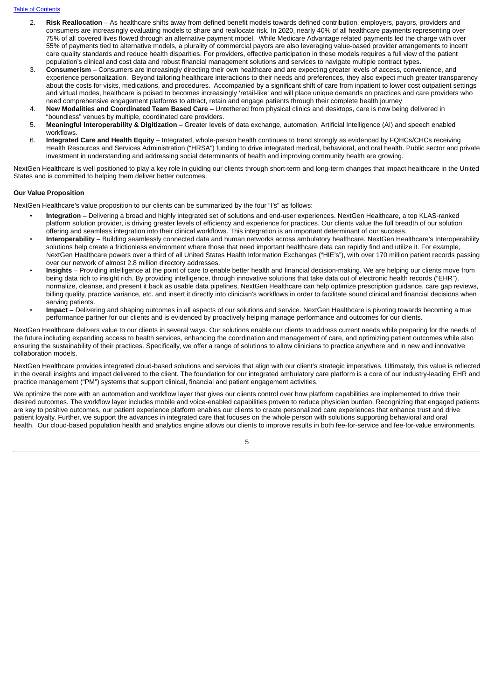- 2. **Risk Reallocation** As healthcare shifts away from defined benefit models towards defined contribution, employers, payors, providers and consumers are increasingly evaluating models to share and reallocate risk. In 2020, nearly 40% of all healthcare payments representing over 75% of all covered lives flowed through an alternative payment model. While Medicare Advantage related payments led the charge with over 55% of payments tied to alternative models, a plurality of commercial payors are also leveraging value-based provider arrangements to incent care quality standards and reduce health disparities. For providers, effective participation in these models requires a full view of the patient population's clinical and cost data and robust financial management solutions and services to navigate multiple contract types.
- 3. **Consumerism** Consumers are increasingly directing their own healthcare and are expecting greater levels of access, convenience, and experience personalization. Beyond tailoring healthcare interactions to their needs and preferences, they also expect much greater transparency about the costs for visits, medications, and procedures. Accompanied by a significant shift of care from inpatient to lower cost outpatient settings and virtual modes, healthcare is poised to becomes increasingly 'retail-like' and will place unique demands on practices and care providers who need comprehensive engagement platforms to attract, retain and engage patients through their complete health journey
- 4. **New Modalities and Coordinated Team Based Care** Untethered from physical clinics and desktops, care is now being delivered in "boundless" venues by multiple, coordinated care providers.
- 5. **Meaningful Interoperability & Digitization** Greater levels of data exchange, automation, Artificial Intelligence (AI) and speech enabled workflows.
- 6. **Integrated Care and Health Equity** Integrated, whole-person health continues to trend strongly as evidenced by FQHCs/CHCs receiving Health Resources and Services Administration ("HRSA") funding to drive integrated medical, behavioral, and oral health. Public sector and private investment in understanding and addressing social determinants of health and improving community health are growing.

NextGen Healthcare is well positioned to play a key role in guiding our clients through short-term and long-term changes that impact healthcare in the United States and is committed to helping them deliver better outcomes.

# **Our Value Proposition**

NextGen Healthcare's value proposition to our clients can be summarized by the four "I's" as follows:

- **Integration** Delivering a broad and highly integrated set of solutions and end-user experiences. NextGen Healthcare, a top KLAS-ranked platform solution provider, is driving greater levels of efficiency and experience for practices. Our clients value the full breadth of our solution offering and seamless integration into their clinical workflows. This integration is an important determinant of our success.
- **Interoperability** Building seamlessly connected data and human networks across ambulatory healthcare. NextGen Healthcare's Interoperability solutions help create a frictionless environment where those that need important healthcare data can rapidly find and utilize it. For example, NextGen Healthcare powers over a third of all United States Health Information Exchanges ("HIE's"), with over 170 million patient records passing over our network of almost 2.8 million directory addresses.
- **Insights** Providing intelligence at the point of care to enable better health and financial decision-making. We are helping our clients move from being data rich to insight rich. By providing intelligence, through innovative solutions that take data out of electronic health records ("EHR"), normalize, cleanse, and present it back as usable data pipelines, NextGen Healthcare can help optimize prescription guidance, care gap reviews, billing quality, practice variance, etc. and insert it directly into clinician's workflows in order to facilitate sound clinical and financial decisions when serving patients.
- **Impact** Delivering and shaping outcomes in all aspects of our solutions and service. NextGen Healthcare is pivoting towards becoming a true performance partner for our clients and is evidenced by proactively helping manage performance and outcomes for our clients.

NextGen Healthcare delivers value to our clients in several ways. Our solutions enable our clients to address current needs while preparing for the needs of the future including expanding access to health services, enhancing the coordination and management of care, and optimizing patient outcomes while also ensuring the sustainability of their practices. Specifically, we offer a range of solutions to allow clinicians to practice anywhere and in new and innovative collaboration models.

NextGen Healthcare provides integrated cloud-based solutions and services that align with our client's strategic imperatives. Ultimately, this value is reflected in the overall insights and impact delivered to the client. The foundation for our integrated ambulatory care platform is a core of our industry-leading EHR and practice management ("PM") systems that support clinical, financial and patient engagement activities.

We optimize the core with an automation and workflow layer that gives our clients control over how platform capabilities are implemented to drive their desired outcomes. The workflow layer includes mobile and voice-enabled capabilities proven to reduce physician burden. Recognizing that engaged patients are key to positive outcomes, our patient experience platform enables our clients to create personalized care experiences that enhance trust and drive patient loyalty. Further, we support the advances in integrated care that focuses on the whole person with solutions supporting behavioral and oral health. Our cloud-based population health and analytics engine allows our clients to improve results in both fee-for-service and fee-for-value environments.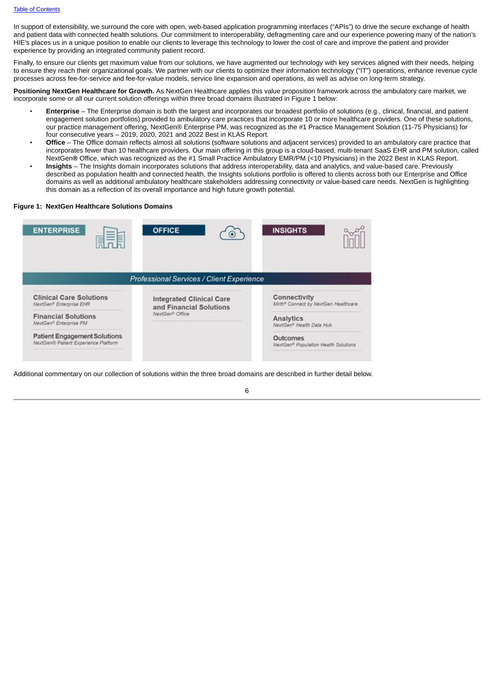In support of extensibility, we surround the core with open, web-based application programming interfaces ("APIs") to drive the secure exchange of health and patient data with connected health solutions. Our commitment to interoperability, defragmenting care and our experience powering many of the nation's HIE's places us in a unique position to enable our clients to leverage this technology to lower the cost of care and improve the patient and provider experience by providing an integrated community patient record.

Finally, to ensure our clients get maximum value from our solutions, we have augmented our technology with key services aligned with their needs, helping to ensure they reach their organizational goals. We partner with our clients to optimize their information technology ("IT") operations, enhance revenue cycle processes across fee-for-service and fee-for-value models, service line expansion and operations, as well as advise on long-term strategy.

**Positioning NextGen Healthcare for Growth.** As NextGen Healthcare applies this value proposition framework across the ambulatory care market, we incorporate some or all our current solution offerings within three broad domains illustrated in Figure 1 below:

- **Enterprise** The Enterprise domain is both the largest and incorporates our broadest portfolio of solutions (e.g., clinical, financial, and patient engagement solution portfolios) provided to ambulatory care practices that incorporate 10 or more healthcare providers. One of these solutions, our practice management offering, NextGen® Enterprise PM, was recognized as the #1 Practice Management Solution (11-75 Physicians) for four consecutive years – 2019, 2020, 2021 and 2022 Best in KLAS Report.
- **Office** The Office domain reflects almost all solutions (software solutions and adjacent services) provided to an ambulatory care practice that incorporates fewer than 10 healthcare providers. Our main offering in this group is a cloud-based, multi-tenant SaaS EHR and PM solution, called NextGen*®* Office, which was recognized as the #1 Small Practice Ambulatory EMR/PM (<10 Physicians) in the 2022 Best in KLAS Report.
- **Insights** The Insights domain incorporates solutions that address interoperability, data and analytics, and value-based care. Previously described as population health and connected health, the Insights solutions portfolio is offered to clients across both our Enterprise and Office domains as well as additional ambulatory healthcare stakeholders addressing connectivity or value-based care needs. NextGen is highlighting this domain as a reflection of its overall importance and high future growth potential.

# **Figure 1: NextGen Healthcare Solutions Domains**

| <b>ENTERPRISE</b><br><b>EEE</b>                                             | <b>OFFICE</b><br>О                                         | <b>INSIGHTS</b>                                                     |  |  |  |  |  |
|-----------------------------------------------------------------------------|------------------------------------------------------------|---------------------------------------------------------------------|--|--|--|--|--|
| Professional Services / Client Experience                                   |                                                            |                                                                     |  |  |  |  |  |
| <b>Clinical Care Solutions</b><br>NextGen <sup>®</sup> Enterprise EHR       | <b>Integrated Clinical Care</b><br>and Financial Solutions | Connectivity<br>Mirth® Connect by NextGen Healthcare                |  |  |  |  |  |
| <b>Financial Solutions</b><br>NextGen <sup>®</sup> Enterprise PM            | NextGen® Office                                            | Analytics<br>NextGen® Health Data Hub                               |  |  |  |  |  |
| <b>Patient Engagement Solutions</b><br>NextGen® Patient Experience Platform |                                                            | <b>Outcomes</b><br>NextGen <sup>®</sup> Population Health Solutions |  |  |  |  |  |

Additional commentary on our collection of solutions within the three broad domains are described in further detail below.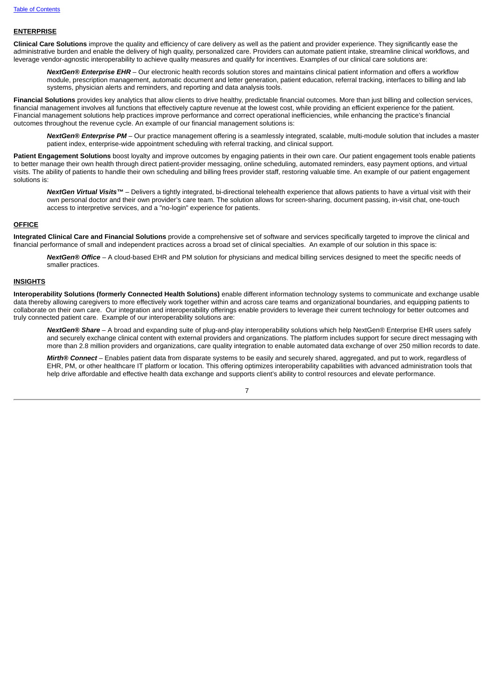# **ENTERPRISE**

**Clinical Care Solutions** improve the quality and efficiency of care delivery as well as the patient and provider experience. They significantly ease the administrative burden and enable the delivery of high quality, personalized care. Providers can automate patient intake, streamline clinical workflows, and leverage vendor-agnostic interoperability to achieve quality measures and qualify for incentives. Examples of our clinical care solutions are:

*NextGen® Enterprise EHR* – Our electronic health records solution stores and maintains clinical patient information and offers a workflow module, prescription management, automatic document and letter generation, patient education, referral tracking, interfaces to billing and lab systems, physician alerts and reminders, and reporting and data analysis tools.

**Financial Solutions** provides key analytics that allow clients to drive healthy, predictable financial outcomes. More than just billing and collection services, financial management involves all functions that effectively capture revenue at the lowest cost, while providing an efficient experience for the patient. Financial management solutions help practices improve performance and correct operational inefficiencies, while enhancing the practice's financial outcomes throughout the revenue cycle. An example of our financial management solutions is:

*NextGen® Enterprise PM* – Our practice management offering is a seamlessly integrated, scalable, multi-module solution that includes a master patient index, enterprise-wide appointment scheduling with referral tracking, and clinical support.

**Patient Engagement Solutions** boost loyalty and improve outcomes by engaging patients in their own care. Our patient engagement tools enable patients to better manage their own health through direct patient-provider messaging, online scheduling, automated reminders, easy payment options, and virtual visits. The ability of patients to handle their own scheduling and billing frees provider staff, restoring valuable time. An example of our patient engagement solutions is:

*NextGen Virtual Visits™* – Delivers a tightly integrated, bi-directional telehealth experience that allows patients to have a virtual visit with their own personal doctor and their own provider's care team. The solution allows for screen-sharing, document passing, in-visit chat, one-touch access to interpretive services, and a "no-login" experience for patients.

# **OFFICE**

**Integrated Clinical Care and Financial Solutions** provide a comprehensive set of software and services specifically targeted to improve the clinical and financial performance of small and independent practices across a broad set of clinical specialties. An example of our solution in this space is:

*NextGen® Office* – A cloud-based EHR and PM solution for physicians and medical billing services designed to meet the specific needs of smaller practices.

# **INSIGHTS**

**Interoperability Solutions (formerly Connected Health Solutions)** enable different information technology systems to communicate and exchange usable data thereby allowing caregivers to more effectively work together within and across care teams and organizational boundaries, and equipping patients to collaborate on their own care. Our integration and interoperability offerings enable providers to leverage their current technology for better outcomes and truly connected patient care. Example of our interoperability solutions are:

*NextGen® Share* – A broad and expanding suite of plug-and-play interoperability solutions which help NextGen® Enterprise EHR users safely and securely exchange clinical content with external providers and organizations. The platform includes support for secure direct messaging with more than 2.8 million providers and organizations, care quality integration to enable automated data exchange of over 250 million records to date.

*Mirth® Connect* – Enables patient data from disparate systems to be easily and securely shared, aggregated, and put to work, regardless of EHR, PM, or other healthcare IT platform or location. This offering optimizes interoperability capabilities with advanced administration tools that help drive affordable and effective health data exchange and supports client's ability to control resources and elevate performance.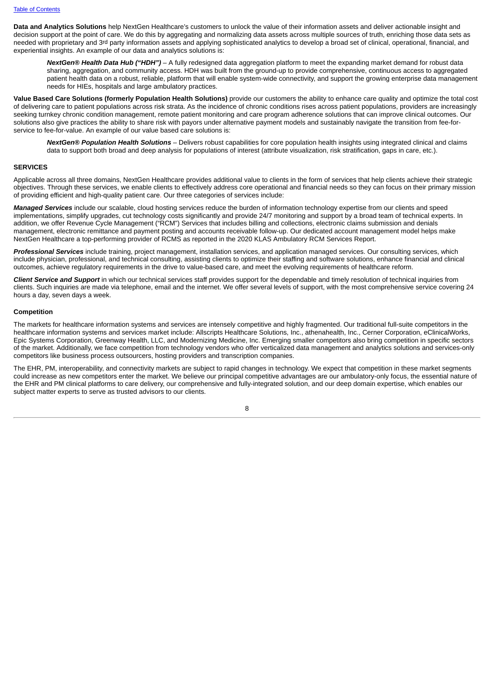**Data and Analytics Solutions** help NextGen Healthcare's customers to unlock the value of their information assets and deliver actionable insight and decision support at the point of care. We do this by aggregating and normalizing data assets across multiple sources of truth, enriching those data sets as needed with proprietary and 3rd party information assets and applying sophisticated analytics to develop a broad set of clinical, operational, financial, and experiential insights. An example of our data and analytics solutions is:

*NextGen® Health Data Hub ("HDH")* – A fully redesigned data aggregation platform to meet the expanding market demand for robust data sharing, aggregation, and community access. HDH was built from the ground-up to provide comprehensive, continuous access to aggregated patient health data on a robust, reliable, platform that will enable system-wide connectivity, and support the growing enterprise data management needs for HIEs, hospitals and large ambulatory practices.

**Value Based Care Solutions (formerly Population Health Solutions)** provide our customers the ability to enhance care quality and optimize the total cost of delivering care to patient populations across risk strata. As the incidence of chronic conditions rises across patient populations, providers are increasingly seeking turnkey chronic condition management, remote patient monitoring and care program adherence solutions that can improve clinical outcomes. Our solutions also give practices the ability to share risk with payors under alternative payment models and sustainably navigate the transition from fee-forservice to fee-for-value. An example of our value based care solutions is:

*NextGen® Population Health Solutions* – Delivers robust capabilities for core population health insights using integrated clinical and claims data to support both broad and deep analysis for populations of interest (attribute visualization, risk stratification, gaps in care, etc.).

#### **SERVICES**

Applicable across all three domains, NextGen Healthcare provides additional value to clients in the form of services that help clients achieve their strategic objectives. Through these services, we enable clients to effectively address core operational and financial needs so they can focus on their primary mission of providing efficient and high-quality patient care. Our three categories of services include:

*Managed Services* include our scalable, cloud hosting services reduce the burden of information technology expertise from our clients and speed implementations, simplify upgrades, cut technology costs significantly and provide 24/7 monitoring and support by a broad team of technical experts. In addition, we offer Revenue Cycle Management ("RCM") Services that includes billing and collections, electronic claims submission and denials management, electronic remittance and payment posting and accounts receivable follow-up. Our dedicated account management model helps make NextGen Healthcare a top-performing provider of RCMS as reported in the 2020 KLAS Ambulatory RCM Services Report.

*Professional Services* include training, project management, installation services, and application managed services. Our consulting services, which include physician, professional, and technical consulting, assisting clients to optimize their staffing and software solutions, enhance financial and clinical outcomes, achieve regulatory requirements in the drive to value-based care, and meet the evolving requirements of healthcare reform.

*Client Service and Support* in which our technical services staff provides support for the dependable and timely resolution of technical inquiries from clients. Such inquiries are made via telephone, email and the internet. We offer several levels of support, with the most comprehensive service covering 24 hours a day, seven days a week.

# **Competition**

The markets for healthcare information systems and services are intensely competitive and highly fragmented. Our traditional full-suite competitors in the healthcare information systems and services market include: Allscripts Healthcare Solutions, Inc., athenahealth, Inc., Cerner Corporation, eClinicalWorks, Epic Systems Corporation, Greenway Health, LLC, and Modernizing Medicine, Inc. Emerging smaller competitors also bring competition in specific sectors of the market. Additionally, we face competition from technology vendors who offer verticalized data management and analytics solutions and services-only competitors like business process outsourcers, hosting providers and transcription companies.

The EHR, PM, interoperability, and connectivity markets are subject to rapid changes in technology. We expect that competition in these market segments could increase as new competitors enter the market. We believe our principal competitive advantages are our ambulatory-only focus, the essential nature of the EHR and PM clinical platforms to care delivery, our comprehensive and fully-integrated solution, and our deep domain expertise, which enables our subject matter experts to serve as trusted advisors to our clients.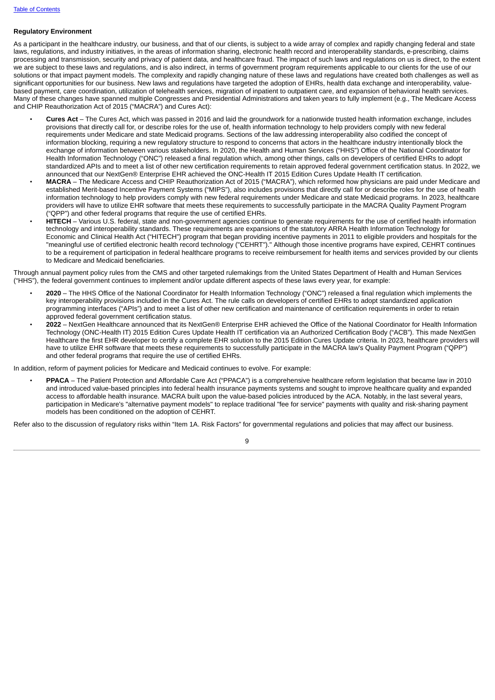# **Regulatory Environment**

As a participant in the healthcare industry, our business, and that of our clients, is subject to a wide array of complex and rapidly changing federal and state laws, regulations, and industry initiatives, in the areas of information sharing, electronic health record and interoperability standards, e-prescribing, claims processing and transmission, security and privacy of patient data, and healthcare fraud. The impact of such laws and regulations on us is direct, to the extent we are subject to these laws and regulations, and is also indirect, in terms of government program requirements applicable to our clients for the use of our solutions or that impact payment models. The complexity and rapidly changing nature of these laws and regulations have created both challenges as well as significant opportunities for our business. New laws and regulations have targeted the adoption of EHRs, health data exchange and interoperability, valuebased payment, care coordination, utilization of telehealth services, migration of inpatient to outpatient care, and expansion of behavioral health services. Many of these changes have spanned multiple Congresses and Presidential Administrations and taken years to fully implement (e.g., The Medicare Access and CHIP Reauthorization Act of 2015 ("MACRA") and Cures Act):

- **Cures Act** The Cures Act, which was passed in 2016 and laid the groundwork for a nationwide trusted health information exchange, includes provisions that directly call for, or describe roles for the use of, health information technology to help providers comply with new federal requirements under Medicare and state Medicaid programs. Sections of the law addressing interoperability also codified the concept of information blocking, requiring a new regulatory structure to respond to concerns that actors in the healthcare industry intentionally block the exchange of information between various stakeholders. In 2020, the Health and Human Services ("HHS") Office of the National Coordinator for Health Information Technology ("ONC") released a final regulation which, among other things, calls on developers of certified EHRs to adopt standardized APIs and to meet a list of other new certification requirements to retain approved federal government certification status. In 2022, we announced that our NextGen® Enterprise EHR achieved the ONC-Health IT 2015 Edition Cures Update Health IT certification.
- **MACRA** The Medicare Access and CHIP Reauthorization Act of 2015 ("MACRA"), which reformed how physicians are paid under Medicare and established Merit-based Incentive Payment Systems ("MIPS"), also includes provisions that directly call for or describe roles for the use of health information technology to help providers comply with new federal requirements under Medicare and state Medicaid programs. In 2023, healthcare providers will have to utilize EHR software that meets these requirements to successfully participate in the MACRA Quality Payment Program ("QPP") and other federal programs that require the use of certified EHRs.
- **HITECH** Various U.S. federal, state and non-government agencies continue to generate requirements for the use of certified health information technology and interoperability standards. These requirements are expansions of the statutory ARRA Health Information Technology for Economic and Clinical Health Act ("HITECH") program that began providing incentive payments in 2011 to eligible providers and hospitals for the "meaningful use of certified electronic health record technology ("CEHRT")." Although those incentive programs have expired, CEHRT continues to be a requirement of participation in federal healthcare programs to receive reimbursement for health items and services provided by our clients to Medicare and Medicaid beneficiaries.

Through annual payment policy rules from the CMS and other targeted rulemakings from the United States Department of Health and Human Services ("HHS"), the federal government continues to implement and/or update different aspects of these laws every year, for example:

- **2020** The HHS Office of the National Coordinator for Health Information Technology ("ONC") released a final regulation which implements the key interoperability provisions included in the Cures Act. The rule calls on developers of certified EHRs to adopt standardized application programming interfaces ("APIs") and to meet a list of other new certification and maintenance of certification requirements in order to retain approved federal government certification status.
- **2022** NextGen Healthcare announced that its NextGen® Enterprise EHR achieved the Office of the National Coordinator for Health Information Technology (ONC-Health IT) 2015 Edition Cures Update Health IT certification via an Authorized Certification Body ("ACB"). This made NextGen Healthcare the first EHR developer to certify a complete EHR solution to the 2015 Edition Cures Update criteria. In 2023, healthcare providers will have to utilize EHR software that meets these requirements to successfully participate in the MACRA law's Quality Payment Program ("QPP") and other federal programs that require the use of certified EHRs.

In addition, reform of payment policies for Medicare and Medicaid continues to evolve. For example:

• **PPACA** – The Patient Protection and Affordable Care Act ("PPACA") is a comprehensive healthcare reform legislation that became law in 2010 and introduced value-based principles into federal health insurance payments systems and sought to improve healthcare quality and expanded access to affordable health insurance. MACRA built upon the value-based policies introduced by the ACA. Notably, in the last several years, participation in Medicare's "alternative payment models" to replace traditional "fee for service" payments with quality and risk-sharing payment models has been conditioned on the adoption of CEHRT.

Refer also to the discussion of regulatory risks within "Item 1A. Risk Factors" for governmental regulations and policies that may affect our business.

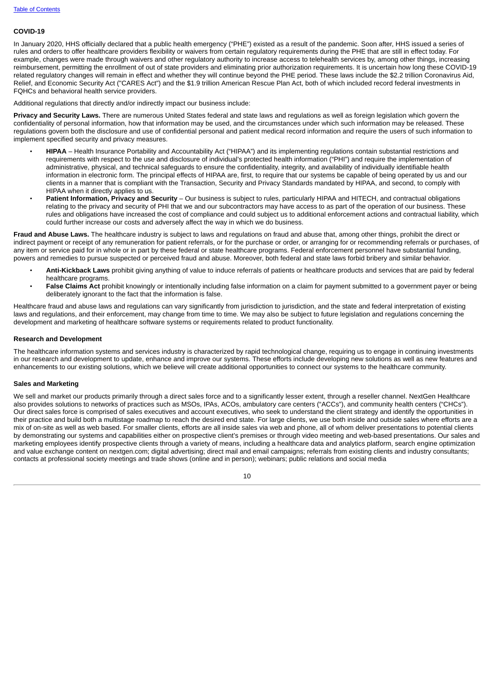# **COVID-19**

In January 2020, HHS officially declared that a public health emergency ("PHE") existed as a result of the pandemic. Soon after, HHS issued a series of rules and orders to offer healthcare providers flexibility or waivers from certain regulatory requirements during the PHE that are still in effect today. For example, changes were made through waivers and other regulatory authority to increase access to telehealth services by, among other things, increasing reimbursement, permitting the enrollment of out of state providers and eliminating prior authorization requirements. It is uncertain how long these COVID-19 related regulatory changes will remain in effect and whether they will continue beyond the PHE period. These laws include the \$2.2 trillion Coronavirus Aid, Relief, and Economic Security Act ("CARES Act") and the \$1.9 trillion American Rescue Plan Act, both of which included record federal investments in FQHCs and behavioral health service providers.

Additional regulations that directly and/or indirectly impact our business include:

**Privacy and Security Laws.** There are numerous United States federal and state laws and regulations as well as foreign legislation which govern the confidentiality of personal information, how that information may be used, and the circumstances under which such information may be released. These regulations govern both the disclosure and use of confidential personal and patient medical record information and require the users of such information to implement specified security and privacy measures.

- **HIPAA** Health Insurance Portability and Accountability Act ("HIPAA") and its implementing regulations contain substantial restrictions and requirements with respect to the use and disclosure of individual's protected health information ("PHI") and require the implementation of administrative, physical, and technical safeguards to ensure the confidentiality, integrity, and availability of individually identifiable health information in electronic form. The principal effects of HIPAA are, first, to require that our systems be capable of being operated by us and our clients in a manner that is compliant with the Transaction, Security and Privacy Standards mandated by HIPAA, and second, to comply with HIPAA when it directly applies to us.
- **Patient Information, Privacy and Security** Our business is subject to rules, particularly HIPAA and HITECH, and contractual obligations relating to the privacy and security of PHI that we and our subcontractors may have access to as part of the operation of our business. These rules and obligations have increased the cost of compliance and could subject us to additional enforcement actions and contractual liability, which could further increase our costs and adversely affect the way in which we do business.

**Fraud and Abuse Laws.** The healthcare industry is subject to laws and regulations on fraud and abuse that, among other things, prohibit the direct or indirect payment or receipt of any remuneration for patient referrals, or for the purchase or order, or arranging for or recommending referrals or purchases, of any item or service paid for in whole or in part by these federal or state healthcare programs. Federal enforcement personnel have substantial funding, powers and remedies to pursue suspected or perceived fraud and abuse. Moreover, both federal and state laws forbid bribery and similar behavior.

- **Anti-Kickback Laws** prohibit giving anything of value to induce referrals of patients or healthcare products and services that are paid by federal healthcare programs.
- **False Claims Act** prohibit knowingly or intentionally including false information on a claim for payment submitted to a government payer or being deliberately ignorant to the fact that the information is false.

Healthcare fraud and abuse laws and regulations can vary significantly from jurisdiction to jurisdiction, and the state and federal interpretation of existing laws and regulations, and their enforcement, may change from time to time. We may also be subject to future legislation and regulations concerning the development and marketing of healthcare software systems or requirements related to product functionality.

# **Research and Development**

The healthcare information systems and services industry is characterized by rapid technological change, requiring us to engage in continuing investments in our research and development to update, enhance and improve our systems. These efforts include developing new solutions as well as new features and enhancements to our existing solutions, which we believe will create additional opportunities to connect our systems to the healthcare community.

# **Sales and Marketing**

We sell and market our products primarily through a direct sales force and to a significantly lesser extent, through a reseller channel. NextGen Healthcare also provides solutions to networks of practices such as MSOs, IPAs, ACOs, ambulatory care centers ("ACCs"), and community health centers ("CHCs"). Our direct sales force is comprised of sales executives and account executives, who seek to understand the client strategy and identify the opportunities in their practice and build both a multistage roadmap to reach the desired end state. For large clients, we use both inside and outside sales where efforts are a mix of on-site as well as web based. For smaller clients, efforts are all inside sales via web and phone, all of whom deliver presentations to potential clients by demonstrating our systems and capabilities either on prospective client's premises or through video meeting and web-based presentations. Our sales and marketing employees identify prospective clients through a variety of means, including a healthcare data and analytics platform, search engine optimization and value exchange content on nextgen.com; digital advertising; direct mail and email campaigns; referrals from existing clients and industry consultants; contacts at professional society meetings and trade shows (online and in person); webinars; public relations and social media

 $1<sub>0</sub>$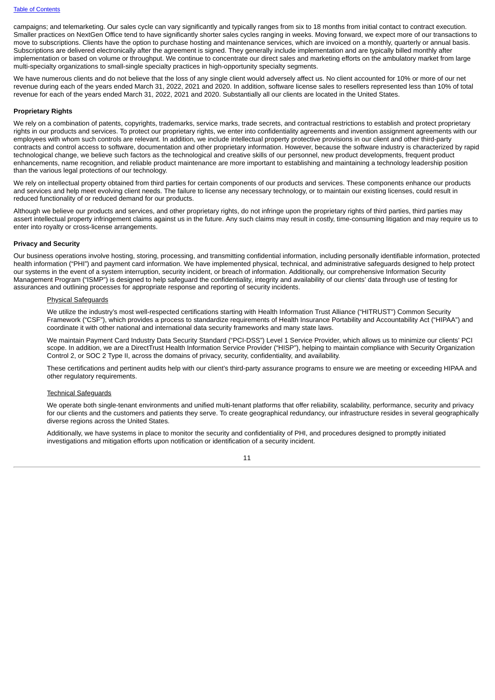campaigns; and telemarketing. Our sales cycle can vary significantly and typically ranges from six to 18 months from initial contact to contract execution. Smaller practices on NextGen Office tend to have significantly shorter sales cycles ranging in weeks. Moving forward, we expect more of our transactions to move to subscriptions. Clients have the option to purchase hosting and maintenance services, which are invoiced on a monthly, quarterly or annual basis. Subscriptions are delivered electronically after the agreement is signed. They generally include implementation and are typically billed monthly after implementation or based on volume or throughput. We continue to concentrate our direct sales and marketing efforts on the ambulatory market from large multi-specialty organizations to small-single specialty practices in high-opportunity specialty segments.

We have numerous clients and do not believe that the loss of any single client would adversely affect us. No client accounted for 10% or more of our net revenue during each of the years ended March 31, 2022, 2021 and 2020. In addition, software license sales to resellers represented less than 10% of total revenue for each of the years ended March 31, 2022, 2021 and 2020. Substantially all our clients are located in the United States.

# **Proprietary Rights**

We rely on a combination of patents, copyrights, trademarks, service marks, trade secrets, and contractual restrictions to establish and protect proprietary rights in our products and services. To protect our proprietary rights, we enter into confidentiality agreements and invention assignment agreements with our employees with whom such controls are relevant. In addition, we include intellectual property protective provisions in our client and other third-party contracts and control access to software, documentation and other proprietary information. However, because the software industry is characterized by rapid technological change, we believe such factors as the technological and creative skills of our personnel, new product developments, frequent product enhancements, name recognition, and reliable product maintenance are more important to establishing and maintaining a technology leadership position than the various legal protections of our technology.

We rely on intellectual property obtained from third parties for certain components of our products and services. These components enhance our products and services and help meet evolving client needs. The failure to license any necessary technology, or to maintain our existing licenses, could result in reduced functionality of or reduced demand for our products.

Although we believe our products and services, and other proprietary rights, do not infringe upon the proprietary rights of third parties, third parties may assert intellectual property infringement claims against us in the future. Any such claims may result in costly, time-consuming litigation and may require us to enter into royalty or cross-license arrangements.

#### **Privacy and Security**

Our business operations involve hosting, storing, processing, and transmitting confidential information, including personally identifiable information, protected health information ("PHI") and payment card information. We have implemented physical, technical, and administrative safeguards designed to help protect our systems in the event of a system interruption, security incident, or breach of information. Additionally, our comprehensive Information Security Management Program ("ISMP") is designed to help safeguard the confidentiality, integrity and availability of our clients' data through use of testing for assurances and outlining processes for appropriate response and reporting of security incidents.

### Physical Safeguards

We utilize the industry's most well-respected certifications starting with Health Information Trust Alliance ("HITRUST") Common Security Framework ("CSF"), which provides a process to standardize requirements of Health Insurance Portability and Accountability Act ("HIPAA") and coordinate it with other national and international data security frameworks and many state laws.

We maintain Payment Card Industry Data Security Standard ("PCI-DSS") Level 1 Service Provider, which allows us to minimize our clients' PCI scope. In addition, we are a DirectTrust Health Information Service Provider ("HISP"), helping to maintain compliance with Security Organization Control 2, or SOC 2 Type II, across the domains of privacy, security, confidentiality, and availability.

These certifications and pertinent audits help with our client's third-party assurance programs to ensure we are meeting or exceeding HIPAA and other regulatory requirements.

#### Technical Safeguards

We operate both single-tenant environments and unified multi-tenant platforms that offer reliability, scalability, performance, security and privacy for our clients and the customers and patients they serve. To create geographical redundancy, our infrastructure resides in several geographically diverse regions across the United States.

Additionally, we have systems in place to monitor the security and confidentiality of PHI, and procedures designed to promptly initiated investigations and mitigation efforts upon notification or identification of a security incident.

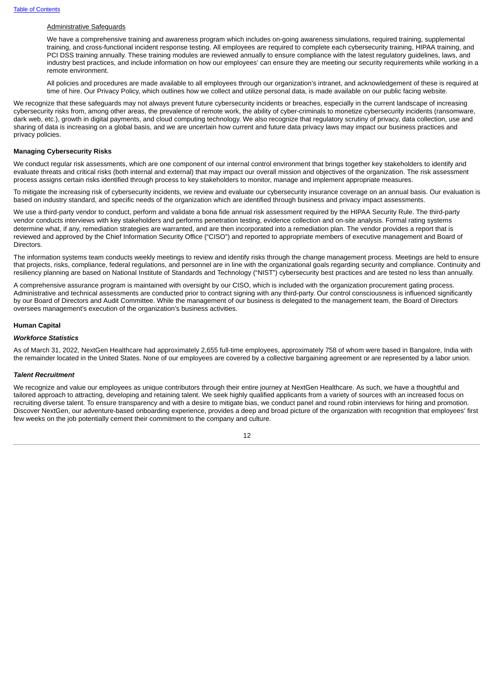# Administrative Safeguards

We have a comprehensive training and awareness program which includes on-going awareness simulations, required training, supplemental training, and cross-functional incident response testing. All employees are required to complete each cybersecurity training, HIPAA training, and PCI DSS training annually. These training modules are reviewed annually to ensure compliance with the latest regulatory guidelines, laws, and industry best practices, and include information on how our employees' can ensure they are meeting our security requirements while working in a remote environment.

All policies and procedures are made available to all employees through our organization's intranet, and acknowledgement of these is required at time of hire. Our Privacy Policy, which outlines how we collect and utilize personal data, is made available on our public facing website.

We recognize that these safeguards may not always prevent future cybersecurity incidents or breaches, especially in the current landscape of increasing cybersecurity risks from, among other areas, the prevalence of remote work, the ability of cyber-criminals to monetize cybersecurity incidents (ransomware, dark web, etc.), growth in digital payments, and cloud computing technology. We also recognize that regulatory scrutiny of privacy, data collection, use and sharing of data is increasing on a global basis, and we are uncertain how current and future data privacy laws may impact our business practices and privacy policies.

# **Managing Cybersecurity Risks**

We conduct regular risk assessments, which are one component of our internal control environment that brings together key stakeholders to identify and evaluate threats and critical risks (both internal and external) that may impact our overall mission and objectives of the organization. The risk assessment process assigns certain risks identified through process to key stakeholders to monitor, manage and implement appropriate measures.

To mitigate the increasing risk of cybersecurity incidents, we review and evaluate our cybersecurity insurance coverage on an annual basis. Our evaluation is based on industry standard, and specific needs of the organization which are identified through business and privacy impact assessments.

We use a third-party vendor to conduct, perform and validate a bona fide annual risk assessment required by the HIPAA Security Rule. The third‐party vendor conducts interviews with key stakeholders and performs penetration testing, evidence collection and on-site analysis. Formal rating systems determine what, if any, remediation strategies are warranted, and are then incorporated into a remediation plan. The vendor provides a report that is reviewed and approved by the Chief Information Security Office ("CISO") and reported to appropriate members of executive management and Board of **Directors** 

The information systems team conducts weekly meetings to review and identify risks through the change management process. Meetings are held to ensure that projects, risks, compliance, federal regulations, and personnel are in line with the organizational goals regarding security and compliance. Continuity and resiliency planning are based on National Institute of Standards and Technology ("NIST") cybersecurity best practices and are tested no less than annually.

A comprehensive assurance program is maintained with oversight by our CISO, which is included with the organization procurement gating process. Administrative and technical assessments are conducted prior to contract signing with any third-party. Our control consciousness is influenced significantly by our Board of Directors and Audit Committee. While the management of our business is delegated to the management team, the Board of Directors oversees management's execution of the organization's business activities.

# **Human Capital**

# *Workforce Statistics*

As of March 31, 2022, NextGen Healthcare had approximately 2,655 full-time employees, approximately 758 of whom were based in Bangalore, India with the remainder located in the United States. None of our employees are covered by a collective bargaining agreement or are represented by a labor union.

#### *Talent Recruitment*

We recognize and value our employees as unique contributors through their entire journey at NextGen Healthcare. As such, we have a thoughtful and tailored approach to attracting, developing and retaining talent. We seek highly qualified applicants from a variety of sources with an increased focus on recruiting diverse talent. To ensure transparency and with a desire to mitigate bias, we conduct panel and round robin interviews for hiring and promotion. Discover NextGen, our adventure-based onboarding experience, provides a deep and broad picture of the organization with recognition that employees' first few weeks on the job potentially cement their commitment to the company and culture.

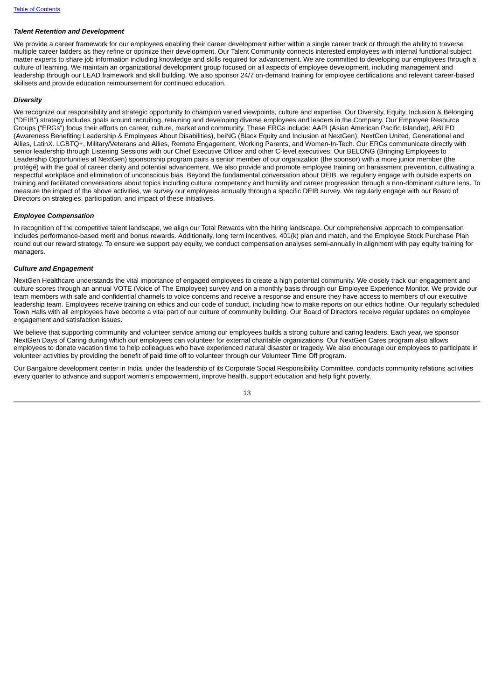# *Talent Retention and Development*

We provide a career framework for our employees enabling their career development either within a single career track or through the ability to traverse multiple career ladders as they refine or optimize their development. Our Talent Community connects interested employees with internal functional subject matter experts to share job information including knowledge and skills required for advancement. We are committed to developing our employees through a culture of learning. We maintain an organizational development group focused on all aspects of employee development, including management and leadership through our LEAD framework and skill building. We also sponsor 24/7 on-demand training for employee certifications and relevant career-based skillsets and provide education reimbursement for continued education.

# *Diversity*

We recognize our responsibility and strategic opportunity to champion varied viewpoints, culture and expertise. Our Diversity, Equity, Inclusion & Belonging ("DEIB") strategy includes goals around recruiting, retaining and developing diverse employees and leaders in the Company. Our Employee Resource Groups ("ERGs") focus their efforts on career, culture, market and community. These ERGs include: AAPI (Asian American Pacific Islander), ABLED (Awareness Benefiting Leadership & Employees About Disabilities), beiNG (Black Equity and Inclusion at NextGen), NextGen United, Generational and Allies, LatinX. LGBTQ+, Military/Veterans and Allies, Remote Engagement, Working Parents, and Women-In-Tech. Our ERGs communicate directly with senior leadership through Listening Sessions with our Chief Executive Officer and other C-level executives. Our BELONG (Bringing Employees to Leadership Opportunities at NextGen) sponsorship program pairs a senior member of our organization (the sponsor) with a more junior member (the protégé) with the goal of career clarity and potential advancement. We also provide and promote employee training on harassment prevention, cultivating a respectful workplace and elimination of unconscious bias. Beyond the fundamental conversation about DEIB, we regularly engage with outside experts on training and facilitated conversations about topics including cultural competency and humility and career progression through a non-dominant culture lens. To measure the impact of the above activities, we survey our employees annually through a specific DEIB survey. We regularly engage with our Board of Directors on strategies, participation, and impact of these initiatives.

# *Employee Compensation*

In recognition of the competitive talent landscape, we align our Total Rewards with the hiring landscape. Our comprehensive approach to compensation includes performance-based merit and bonus rewards. Additionally, long term incentives, 401(k) plan and match, and the Employee Stock Purchase Plan round out our reward strategy. To ensure we support pay equity, we conduct compensation analyses semi-annually in alignment with pay equity training for managers.

# *Culture and Engagement*

NextGen Healthcare understands the vital importance of engaged employees to create a high potential community. We closely track our engagement and culture scores through an annual VOTE (Voice of The Employee) survey and on a monthly basis through our Employee Experience Monitor. We provide our team members with safe and confidential channels to voice concerns and receive a response and ensure they have access to members of our executive leadership team. Employees receive training on ethics and our code of conduct, including how to make reports on our ethics hotline. Our regularly scheduled Town Halls with all employees have become a vital part of our culture of community building. Our Board of Directors receive regular updates on employee engagement and satisfaction issues.

We believe that supporting community and volunteer service among our employees builds a strong culture and caring leaders. Each year, we sponsor NextGen Days of Caring during which our employees can volunteer for external charitable organizations. Our NextGen Cares program also allows employees to donate vacation time to help colleagues who have experienced natural disaster or tragedy. We also encourage our employees to participate in volunteer activities by providing the benefit of paid time off to volunteer through our Volunteer Time Off program.

Our Bangalore development center in India, under the leadership of its Corporate Social Responsibility Committee, conducts community relations activities every quarter to advance and support women's empowerment, improve health, support education and help fight poverty.

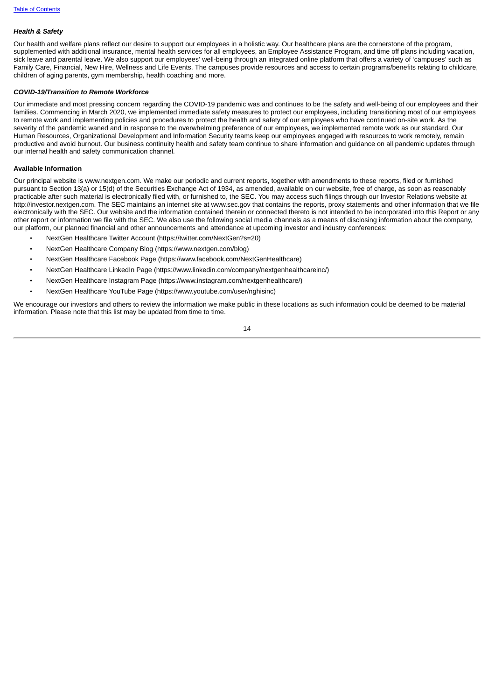# *Health & Safety*

Our health and welfare plans reflect our desire to support our employees in a holistic way. Our healthcare plans are the cornerstone of the program, supplemented with additional insurance, mental health services for all employees, an Employee Assistance Program, and time off plans including vacation, sick leave and parental leave. We also support our employees' well-being through an integrated online platform that offers a variety of 'campuses' such as Family Care, Financial, New Hire, Wellness and Life Events. The campuses provide resources and access to certain programs/benefits relating to childcare, children of aging parents, gym membership, health coaching and more.

# *COVID-19/Transition to Remote Workforce*

Our immediate and most pressing concern regarding the COVID-19 pandemic was and continues to be the safety and well-being of our employees and their families. Commencing in March 2020, we implemented immediate safety measures to protect our employees, including transitioning most of our employees to remote work and implementing policies and procedures to protect the health and safety of our employees who have continued on-site work. As the severity of the pandemic waned and in response to the overwhelming preference of our employees, we implemented remote work as our standard. Our Human Resources, Organizational Development and Information Security teams keep our employees engaged with resources to work remotely, remain productive and avoid burnout. Our business continuity health and safety team continue to share information and guidance on all pandemic updates through our internal health and safety communication channel.

# **Available Information**

Our principal website is www.nextgen.com. We make our periodic and current reports, together with amendments to these reports, filed or furnished pursuant to Section 13(a) or 15(d) of the Securities Exchange Act of 1934, as amended, available on our website, free of charge, as soon as reasonably practicable after such material is electronically filed with, or furnished to, the SEC. You may access such filings through our Investor Relations website at http://investor.nextgen.com. The SEC maintains an internet site at www.sec.gov that contains the reports, proxy statements and other information that we file electronically with the SEC. Our website and the information contained therein or connected thereto is not intended to be incorporated into this Report or any other report or information we file with the SEC. We also use the following social media channels as a means of disclosing information about the company, our platform, our planned financial and other announcements and attendance at upcoming investor and industry conferences:

- NextGen Healthcare Twitter Account (https://twitter.com/NextGen?s=20)
- NextGen Healthcare Company Blog (https://www.nextgen.com/blog)
- NextGen Healthcare Facebook Page (https://www.facebook.com/NextGenHealthcare)
- NextGen Healthcare LinkedIn Page (https://www.linkedin.com/company/nextgenhealthcareinc/)
- NextGen Healthcare Instagram Page (https://www.instagram.com/nextgenhealthcare/)
- NextGen Healthcare YouTube Page (https://www.youtube.com/user/nghisinc)

We encourage our investors and others to review the information we make public in these locations as such information could be deemed to be material information. Please note that this list may be updated from time to time.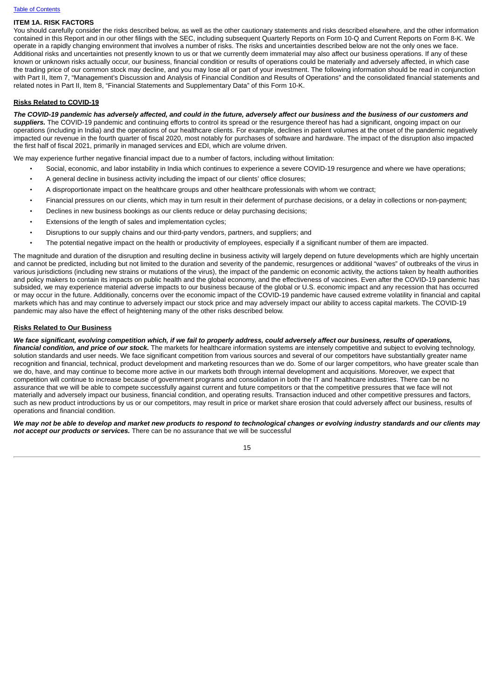# <span id="page-14-0"></span>**ITEM 1A. RISK FACTORS**

You should carefully consider the risks described below, as well as the other cautionary statements and risks described elsewhere, and the other information contained in this Report and in our other filings with the SEC, including subsequent Quarterly Reports on Form 10-Q and Current Reports on Form 8-K. We operate in a rapidly changing environment that involves a number of risks. The risks and uncertainties described below are not the only ones we face. Additional risks and uncertainties not presently known to us or that we currently deem immaterial may also affect our business operations. If any of these known or unknown risks actually occur, our business, financial condition or results of operations could be materially and adversely affected, in which case the trading price of our common stock may decline, and you may lose all or part of your investment. The following information should be read in conjunction with Part II, Item 7, "Management's Discussion and Analysis of Financial Condition and Results of Operations" and the consolidated financial statements and related notes in Part II, Item 8, "Financial Statements and Supplementary Data" of this Form 10-K.

# **Risks Related to COVID-19**

*The COVID-19 pandemic has adversely affected, and could in the future, adversely affect our business and the business of our customers and* suppliers. The COVID-19 pandemic and continuing efforts to control its spread or the resurgence thereof has had a significant, ongoing impact on our operations (including in India) and the operations of our healthcare clients. For example, declines in patient volumes at the onset of the pandemic negatively impacted our revenue in the fourth quarter of fiscal 2020, most notably for purchases of software and hardware. The impact of the disruption also impacted the first half of fiscal 2021, primarily in managed services and EDI, which are volume driven.

We may experience further negative financial impact due to a number of factors, including without limitation:

- Social, economic, and labor instability in India which continues to experience a severe COVID-19 resurgence and where we have operations;
- A general decline in business activity including the impact of our clients' office closures;
- A disproportionate impact on the healthcare groups and other healthcare professionals with whom we contract;
- Financial pressures on our clients, which may in turn result in their deferment of purchase decisions, or a delay in collections or non-payment;
- Declines in new business bookings as our clients reduce or delay purchasing decisions;
- Extensions of the length of sales and implementation cycles;
- Disruptions to our supply chains and our third-party vendors, partners, and suppliers; and
- The potential negative impact on the health or productivity of employees, especially if a significant number of them are impacted.

The magnitude and duration of the disruption and resulting decline in business activity will largely depend on future developments which are highly uncertain and cannot be predicted, including but not limited to the duration and severity of the pandemic, resurgences or additional "waves" of outbreaks of the virus in various jurisdictions (including new strains or mutations of the virus), the impact of the pandemic on economic activity, the actions taken by health authorities and policy makers to contain its impacts on public health and the global economy, and the effectiveness of vaccines. Even after the COVID-19 pandemic has subsided, we may experience material adverse impacts to our business because of the global or U.S. economic impact and any recession that has occurred or may occur in the future. Additionally, concerns over the economic impact of the COVID-19 pandemic have caused extreme volatility in financial and capital markets which has and may continue to adversely impact our stock price and may adversely impact our ability to access capital markets. The COVID-19 pandemic may also have the effect of heightening many of the other risks described below.

#### **Risks Related to Our Business**

*We face significant, evolving competition which, if we fail to properly address, could adversely affect our business, results of operations, financial condition, and price of our stock.* The markets for healthcare information systems are intensely competitive and subject to evolving technology, solution standards and user needs. We face significant competition from various sources and several of our competitors have substantially greater name recognition and financial, technical, product development and marketing resources than we do. Some of our larger competitors, who have greater scale than we do, have, and may continue to become more active in our markets both through internal development and acquisitions. Moreover, we expect that competition will continue to increase because of government programs and consolidation in both the IT and healthcare industries. There can be no assurance that we will be able to compete successfully against current and future competitors or that the competitive pressures that we face will not materially and adversely impact our business, financial condition, and operating results. Transaction induced and other competitive pressures and factors, such as new product introductions by us or our competitors, may result in price or market share erosion that could adversely affect our business, results of operations and financial condition.

*We may not be able to develop and market new products to respond to technological changes or evolving industry standards and our clients may not accept our products or services.* There can be no assurance that we will be successful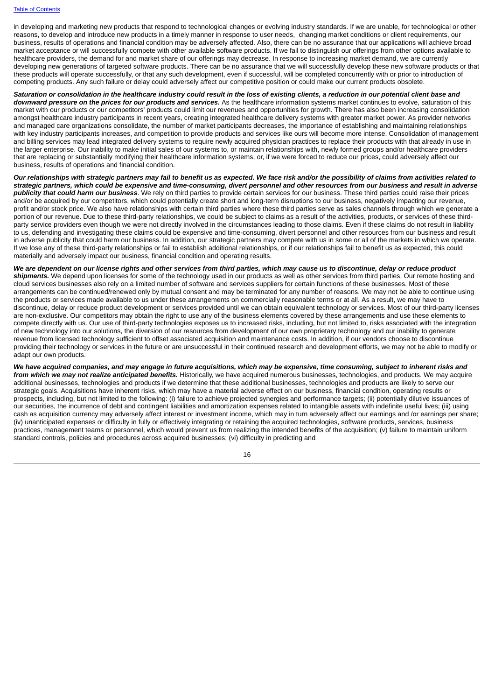in developing and marketing new products that respond to technological changes or evolving industry standards. If we are unable, for technological or other reasons, to develop and introduce new products in a timely manner in response to user needs, changing market conditions or client requirements, our business, results of operations and financial condition may be adversely affected. Also, there can be no assurance that our applications will achieve broad market acceptance or will successfully compete with other available software products. If we fail to distinguish our offerings from other options available to healthcare providers, the demand for and market share of our offerings may decrease. In response to increasing market demand, we are currently developing new generations of targeted software products. There can be no assurance that we will successfully develop these new software products or that these products will operate successfully, or that any such development, even if successful, will be completed concurrently with or prior to introduction of competing products. Any such failure or delay could adversely affect our competitive position or could make our current products obsolete.

*Saturation or consolidation in the healthcare industry could result in the loss of existing clients, a reduction in our potential client base and downward pressure on the prices for our products and services.* As the healthcare information systems market continues to evolve, saturation of this market with our products or our competitors' products could limit our revenues and opportunities for growth. There has also been increasing consolidation amongst healthcare industry participants in recent years, creating integrated healthcare delivery systems with greater market power. As provider networks and managed care organizations consolidate, the number of market participants decreases, the importance of establishing and maintaining relationships with key industry participants increases, and competition to provide products and services like ours will become more intense. Consolidation of management and billing services may lead integrated delivery systems to require newly acquired physician practices to replace their products with that already in use in the larger enterprise. Our inability to make initial sales of our systems to, or maintain relationships with, newly formed groups and/or healthcare providers that are replacing or substantially modifying their healthcare information systems, or, if we were forced to reduce our prices, could adversely affect our business, results of operations and financial condition.

*Our relationships with strategic partners may fail to benefit us as expected. We face risk and/or the possibility of claims from activities related to strategic partners, which could be expensive and time-consuming, divert personnel and other resources from our business and result in adverse publicity that could harm our business*. We rely on third parties to provide certain services for our business. These third parties could raise their prices and/or be acquired by our competitors, which could potentially create short and long-term disruptions to our business, negatively impacting our revenue, profit and/or stock price. We also have relationships with certain third parties where these third parties serve as sales channels through which we generate a portion of our revenue. Due to these third-party relationships, we could be subject to claims as a result of the activities, products, or services of these thirdparty service providers even though we were not directly involved in the circumstances leading to those claims. Even if these claims do not result in liability to us, defending and investigating these claims could be expensive and time-consuming, divert personnel and other resources from our business and result in adverse publicity that could harm our business. In addition, our strategic partners may compete with us in some or all of the markets in which we operate. If we lose any of these third-party relationships or fail to establish additional relationships, or if our relationships fail to benefit us as expected, this could materially and adversely impact our business, financial condition and operating results.

*We are dependent on our license rights and other services from third parties, which may cause us to discontinue, delay or reduce product* shipments. We depend upon licenses for some of the technology used in our products as well as other services from third parties. Our remote hosting and cloud services businesses also rely on a limited number of software and services suppliers for certain functions of these businesses. Most of these arrangements can be continued/renewed only by mutual consent and may be terminated for any number of reasons. We may not be able to continue using the products or services made available to us under these arrangements on commercially reasonable terms or at all. As a result, we may have to discontinue, delay or reduce product development or services provided until we can obtain equivalent technology or services. Most of our third-party licenses are non-exclusive. Our competitors may obtain the right to use any of the business elements covered by these arrangements and use these elements to compete directly with us. Our use of third-party technologies exposes us to increased risks, including, but not limited to, risks associated with the integration of new technology into our solutions, the diversion of our resources from development of our own proprietary technology and our inability to generate revenue from licensed technology sufficient to offset associated acquisition and maintenance costs. In addition, if our vendors choose to discontinue providing their technology or services in the future or are unsuccessful in their continued research and development efforts, we may not be able to modify or adapt our own products.

*We have acquired companies, and may engage in future acquisitions, which may be expensive, time consuming, subject to inherent risks and from which we may not realize anticipated benefits.* Historically, we have acquired numerous businesses, technologies, and products. We may acquire additional businesses, technologies and products if we determine that these additional businesses, technologies and products are likely to serve our strategic goals. Acquisitions have inherent risks, which may have a material adverse effect on our business, financial condition, operating results or prospects, including, but not limited to the following: (i) failure to achieve projected synergies and performance targets; (ii) potentially dilutive issuances of our securities, the incurrence of debt and contingent liabilities and amortization expenses related to intangible assets with indefinite useful lives; (iii) using cash as acquisition currency may adversely affect interest or investment income, which may in turn adversely affect our earnings and /or earnings per share; (iv) unanticipated expenses or difficulty in fully or effectively integrating or retaining the acquired technologies, software products, services, business practices, management teams or personnel, which would prevent us from realizing the intended benefits of the acquisition; (v) failure to maintain uniform standard controls, policies and procedures across acquired businesses; (vi) difficulty in predicting and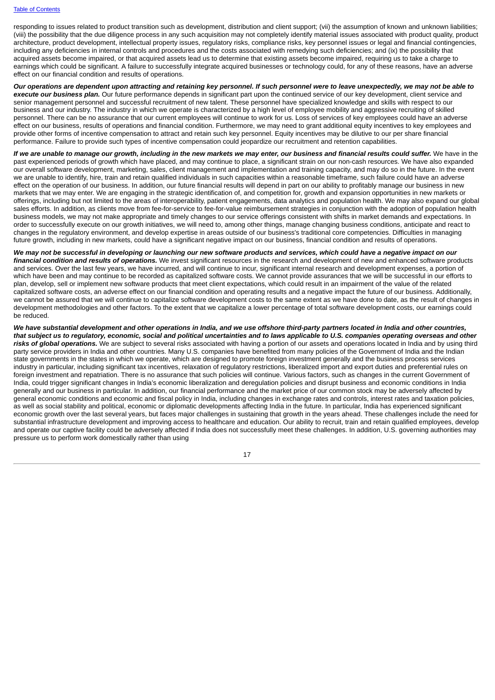responding to issues related to product transition such as development, distribution and client support; (vii) the assumption of known and unknown liabilities; (viii) the possibility that the due diligence process in any such acquisition may not completely identify material issues associated with product quality, product architecture, product development, intellectual property issues, regulatory risks, compliance risks, key personnel issues or legal and financial contingencies, including any deficiencies in internal controls and procedures and the costs associated with remedying such deficiencies; and (ix) the possibility that acquired assets become impaired, or that acquired assets lead us to determine that existing assets become impaired, requiring us to take a charge to earnings which could be significant. A failure to successfully integrate acquired businesses or technology could, for any of these reasons, have an adverse effect on our financial condition and results of operations.

*Our operations are dependent upon attracting and retaining key personnel. If such personnel were to leave unexpectedly, we may not be able to execute our business plan.* Our future performance depends in significant part upon the continued service of our key development, client service and senior management personnel and successful recruitment of new talent. These personnel have specialized knowledge and skills with respect to our business and our industry. The industry in which we operate is characterized by a high level of employee mobility and aggressive recruiting of skilled personnel. There can be no assurance that our current employees will continue to work for us. Loss of services of key employees could have an adverse effect on our business, results of operations and financial condition. Furthermore, we may need to grant additional equity incentives to key employees and provide other forms of incentive compensation to attract and retain such key personnel. Equity incentives may be dilutive to our per share financial performance. Failure to provide such types of incentive compensation could jeopardize our recruitment and retention capabilities.

*If we are unable to manage our growth, including in the new markets we may enter, our business and financial results could suffer.* We have in the past experienced periods of growth which have placed, and may continue to place, a significant strain on our non-cash resources. We have also expanded our overall software development, marketing, sales, client management and implementation and training capacity, and may do so in the future. In the event we are unable to identify, hire, train and retain qualified individuals in such capacities within a reasonable timeframe, such failure could have an adverse effect on the operation of our business. In addition, our future financial results will depend in part on our ability to profitably manage our business in new markets that we may enter. We are engaging in the strategic identification of, and competition for, growth and expansion opportunities in new markets or offerings, including but not limited to the areas of interoperability, patient engagements, data analytics and population health. We may also expand our global sales efforts. In addition, as clients move from fee-for-service to fee-for-value reimbursement strategies in conjunction with the adoption of population health business models, we may not make appropriate and timely changes to our service offerings consistent with shifts in market demands and expectations. In order to successfully execute on our growth initiatives, we will need to, among other things, manage changing business conditions, anticipate and react to changes in the regulatory environment, and develop expertise in areas outside of our business's traditional core competencies. Difficulties in managing future growth, including in new markets, could have a significant negative impact on our business, financial condition and results of operations.

*We may not be successful in developing or launching our new software products and services, which could have a negative impact on our financial condition and results of operations.* We invest significant resources in the research and development of new and enhanced software products and services. Over the last few years, we have incurred, and will continue to incur, significant internal research and development expenses, a portion of which have been and may continue to be recorded as capitalized software costs. We cannot provide assurances that we will be successful in our efforts to plan, develop, sell or implement new software products that meet client expectations, which could result in an impairment of the value of the related capitalized software costs, an adverse effect on our financial condition and operating results and a negative impact the future of our business. Additionally, we cannot be assured that we will continue to capitalize software development costs to the same extent as we have done to date, as the result of changes in development methodologies and other factors. To the extent that we capitalize a lower percentage of total software development costs, our earnings could be reduced.

*We have substantial development and other operations in India, and we use offshore third-party partners located in India and other countries, that subject us to regulatory, economic, social and political uncertainties and to laws applicable to U.S. companies operating overseas and other risks of global operations.* We are subject to several risks associated with having a portion of our assets and operations located in India and by using third party service providers in India and other countries. Many U.S. companies have benefited from many policies of the Government of India and the Indian state governments in the states in which we operate, which are designed to promote foreign investment generally and the business process services industry in particular, including significant tax incentives, relaxation of regulatory restrictions, liberalized import and export duties and preferential rules on foreign investment and repatriation. There is no assurance that such policies will continue. Various factors, such as changes in the current Government of India, could trigger significant changes in India's economic liberalization and deregulation policies and disrupt business and economic conditions in India generally and our business in particular. In addition, our financial performance and the market price of our common stock may be adversely affected by general economic conditions and economic and fiscal policy in India, including changes in exchange rates and controls, interest rates and taxation policies, as well as social stability and political, economic or diplomatic developments affecting India in the future. In particular, India has experienced significant economic growth over the last several years, but faces major challenges in sustaining that growth in the years ahead. These challenges include the need for substantial infrastructure development and improving access to healthcare and education. Our ability to recruit, train and retain qualified employees, develop and operate our captive facility could be adversely affected if India does not successfully meet these challenges. In addition, U.S. governing authorities may pressure us to perform work domestically rather than using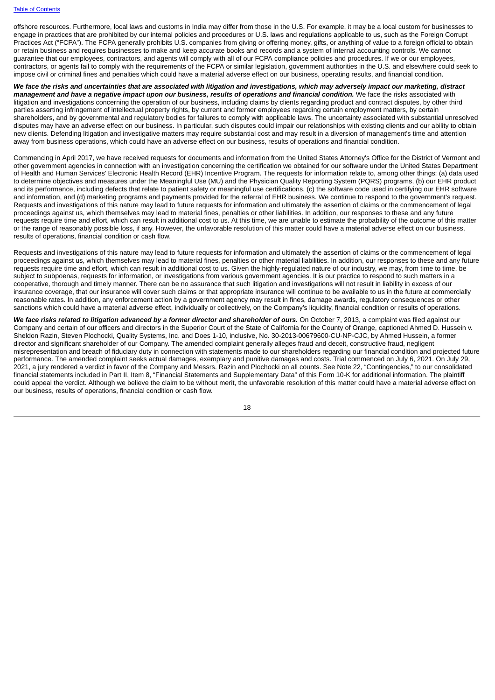offshore resources. Furthermore, local laws and customs in India may differ from those in the U.S. For example, it may be a local custom for businesses to engage in practices that are prohibited by our internal policies and procedures or U.S. laws and regulations applicable to us, such as the Foreign Corrupt Practices Act ("FCPA"). The FCPA generally prohibits U.S. companies from giving or offering money, gifts, or anything of value to a foreign official to obtain or retain business and requires businesses to make and keep accurate books and records and a system of internal accounting controls. We cannot guarantee that our employees, contractors, and agents will comply with all of our FCPA compliance policies and procedures. If we or our employees, contractors, or agents fail to comply with the requirements of the FCPA or similar legislation, government authorities in the U.S. and elsewhere could seek to impose civil or criminal fines and penalties which could have a material adverse effect on our business, operating results, and financial condition.

*We face the risks and uncertainties that are associated with litigation and investigations, which may adversely impact our marketing, distract management and have a negative impact upon our business, results of operations and financial condition.* We face the risks associated with litigation and investigations concerning the operation of our business, including claims by clients regarding product and contract disputes, by other third parties asserting infringement of intellectual property rights, by current and former employees regarding certain employment matters, by certain shareholders, and by governmental and regulatory bodies for failures to comply with applicable laws. The uncertainty associated with substantial unresolved disputes may have an adverse effect on our business. In particular, such disputes could impair our relationships with existing clients and our ability to obtain new clients. Defending litigation and investigative matters may require substantial cost and may result in a diversion of management's time and attention away from business operations, which could have an adverse effect on our business, results of operations and financial condition.

Commencing in April 2017, we have received requests for documents and information from the United States Attorney's Office for the District of Vermont and other government agencies in connection with an investigation concerning the certification we obtained for our software under the United States Department of Health and Human Services' Electronic Health Record (EHR) Incentive Program. The requests for information relate to, among other things: (a) data used to determine objectives and measures under the Meaningful Use (MU) and the Physician Quality Reporting System (PQRS) programs, (b) our EHR product and its performance, including defects that relate to patient safety or meaningful use certifications, (c) the software code used in certifying our EHR software and information, and (d) marketing programs and payments provided for the referral of EHR business. We continue to respond to the government's request. Requests and investigations of this nature may lead to future requests for information and ultimately the assertion of claims or the commencement of legal proceedings against us, which themselves may lead to material fines, penalties or other liabilities. In addition, our responses to these and any future requests require time and effort, which can result in additional cost to us. At this time, we are unable to estimate the probability of the outcome of this matter or the range of reasonably possible loss, if any. However, the unfavorable resolution of this matter could have a material adverse effect on our business, results of operations, financial condition or cash flow.

Requests and investigations of this nature may lead to future requests for information and ultimately the assertion of claims or the commencement of legal proceedings against us, which themselves may lead to material fines, penalties or other material liabilities. In addition, our responses to these and any future requests require time and effort, which can result in additional cost to us. Given the highly-regulated nature of our industry, we may, from time to time, be subject to subpoenas, requests for information, or investigations from various government agencies. It is our practice to respond to such matters in a cooperative, thorough and timely manner. There can be no assurance that such litigation and investigations will not result in liability in excess of our insurance coverage, that our insurance will cover such claims or that appropriate insurance will continue to be available to us in the future at commercially reasonable rates. In addition, any enforcement action by a government agency may result in fines, damage awards, regulatory consequences or other sanctions which could have a material adverse effect, individually or collectively, on the Company's liquidity, financial condition or results of operations.

*We face risks related to litigation advanced by a former director and shareholder of ours.* On October 7, 2013, a complaint was filed against our Company and certain of our officers and directors in the Superior Court of the State of California for the County of Orange, captioned Ahmed D. Hussein v. Sheldon Razin, Steven Plochocki, Quality Systems, Inc. and Does 1-10, inclusive, No. 30-2013-00679600-CU-NP-CJC, by Ahmed Hussein, a former director and significant shareholder of our Company. The amended complaint generally alleges fraud and deceit, constructive fraud, negligent misrepresentation and breach of fiduciary duty in connection with statements made to our shareholders regarding our financial condition and projected future performance. The amended complaint seeks actual damages, exemplary and punitive damages and costs. Trial commenced on July 6, 2021. On July 29, 2021, a jury rendered a verdict in favor of the Company and Messrs. Razin and Plochocki on all counts. See Note 22, "Contingencies," to our consolidated financial statements included in Part II, Item 8, "Financial Statements and Supplementary Data" of this Form 10-K for additional information. The plaintiff could appeal the verdict. Although we believe the claim to be without merit, the unfavorable resolution of this matter could have a material adverse effect on our business, results of operations, financial condition or cash flow.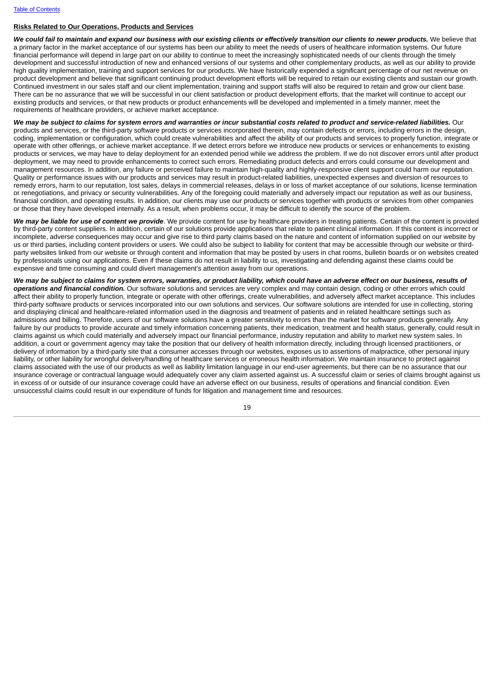# **Risks Related to Our Operations, Products and Services**

*We could fail to maintain and expand our business with our existing clients or effectively transition our clients to newer products.* We believe that a primary factor in the market acceptance of our systems has been our ability to meet the needs of users of healthcare information systems. Our future financial performance will depend in large part on our ability to continue to meet the increasingly sophisticated needs of our clients through the timely development and successful introduction of new and enhanced versions of our systems and other complementary products, as well as our ability to provide high quality implementation, training and support services for our products. We have historically expended a significant percentage of our net revenue on product development and believe that significant continuing product development efforts will be required to retain our existing clients and sustain our growth. Continued investment in our sales staff and our client implementation, training and support staffs will also be required to retain and grow our client base. There can be no assurance that we will be successful in our client satisfaction or product development efforts, that the market will continue to accept our existing products and services, or that new products or product enhancements will be developed and implemented in a timely manner, meet the requirements of healthcare providers, or achieve market acceptance.

*We may be subject to claims for system errors and warranties or incur substantial costs related to product and service-related liabilities.* Our

products and services, or the third-party software products or services incorporated therein, may contain defects or errors, including errors in the design, coding, implementation or configuration, which could create vulnerabilities and affect the ability of our products and services to properly function, integrate or operate with other offerings, or achieve market acceptance. If we detect errors before we introduce new products or services or enhancements to existing products or services, we may have to delay deployment for an extended period while we address the problem. If we do not discover errors until after product deployment, we may need to provide enhancements to correct such errors. Remediating product defects and errors could consume our development and management resources. In addition, any failure or perceived failure to maintain high-quality and highly-responsive client support could harm our reputation. Quality or performance issues with our products and services may result in product-related liabilities, unexpected expenses and diversion of resources to remedy errors, harm to our reputation, lost sales, delays in commercial releases, delays in or loss of market acceptance of our solutions, license termination or renegotiations, and privacy or security vulnerabilities. Any of the foregoing could materially and adversely impact our reputation as well as our business, financial condition, and operating results. In addition, our clients may use our products or services together with products or services from other companies or those that they have developed internally. As a result, when problems occur, it may be difficult to identify the source of the problem.

*We may be liable for use of content we provide*. We provide content for use by healthcare providers in treating patients. Certain of the content is provided by third-party content suppliers. In addition, certain of our solutions provide applications that relate to patient clinical information. If this content is incorrect or incomplete, adverse consequences may occur and give rise to third party claims based on the nature and content of information supplied on our website by us or third parties, including content providers or users. We could also be subject to liability for content that may be accessible through our website or thirdparty websites linked from our website or through content and information that may be posted by users in chat rooms, bulletin boards or on websites created by professionals using our applications. Even if these claims do not result in liability to us, investigating and defending against these claims could be expensive and time consuming and could divert management's attention away from our operations.

*We may be subject to claims for system errors, warranties, or product liability, which could have an adverse effect on our business, results of operations and financial condition.* Our software solutions and services are very complex and may contain design, coding or other errors which could affect their ability to properly function, integrate or operate with other offerings, create vulnerabilities, and adversely affect market acceptance. This includes third-party software products or services incorporated into our own solutions and services. Our software solutions are intended for use in collecting, storing and displaying clinical and healthcare-related information used in the diagnosis and treatment of patients and in related healthcare settings such as admissions and billing. Therefore, users of our software solutions have a greater sensitivity to errors than the market for software products generally. Any failure by our products to provide accurate and timely information concerning patients, their medication, treatment and health status, generally, could result in claims against us which could materially and adversely impact our financial performance, industry reputation and ability to market new system sales. In addition, a court or government agency may take the position that our delivery of health information directly, including through licensed practitioners, or delivery of information by a third-party site that a consumer accesses through our websites, exposes us to assertions of malpractice, other personal injury liability, or other liability for wrongful delivery/handling of healthcare services or erroneous health information. We maintain insurance to protect against claims associated with the use of our products as well as liability limitation language in our end-user agreements, but there can be no assurance that our insurance coverage or contractual language would adequately cover any claim asserted against us. A successful claim or series of claims brought against us in excess of or outside of our insurance coverage could have an adverse effect on our business, results of operations and financial condition. Even unsuccessful claims could result in our expenditure of funds for litigation and management time and resources.

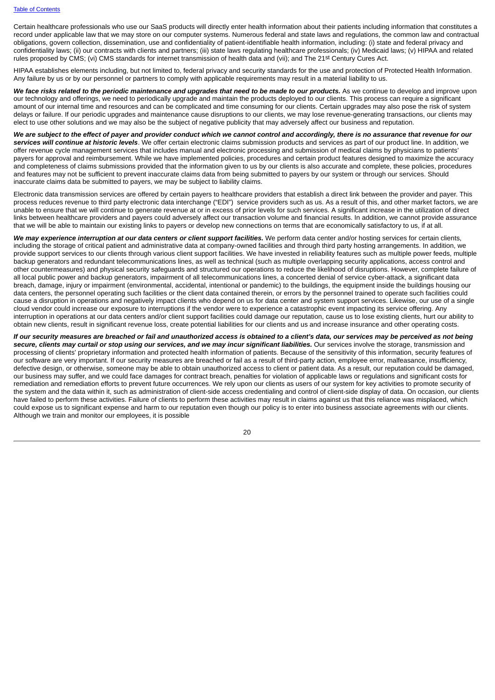Certain healthcare professionals who use our SaaS products will directly enter health information about their patients including information that constitutes a record under applicable law that we may store on our computer systems. Numerous federal and state laws and regulations, the common law and contractual obligations, govern collection, dissemination, use and confidentiality of patient-identifiable health information, including: (i) state and federal privacy and confidentiality laws; (ii) our contracts with clients and partners; (iii) state laws regulating healthcare professionals; (iv) Medicaid laws; (v) HIPAA and related rules proposed by CMS; (vi) CMS standards for internet transmission of health data and (vii); and The 21st Century Cures Act.

HIPAA establishes elements including, but not limited to, federal privacy and security standards for the use and protection of Protected Health Information. Any failure by us or by our personnel or partners to comply with applicable requirements may result in a material liability to us.

*We face risks related to the periodic maintenance and upgrades that need to be made to our products.* As we continue to develop and improve upon our technology and offerings, we need to periodically upgrade and maintain the products deployed to our clients. This process can require a significant amount of our internal time and resources and can be complicated and time consuming for our clients. Certain upgrades may also pose the risk of system delays or failure. If our periodic upgrades and maintenance cause disruptions to our clients, we may lose revenue-generating transactions, our clients may elect to use other solutions and we may also be the subject of negative publicity that may adversely affect our business and reputation.

*We are subject to the effect of payer and provider conduct which we cannot control and accordingly, there is no assurance that revenue for our services will continue at historic levels*. We offer certain electronic claims submission products and services as part of our product line. In addition, we offer revenue cycle management services that includes manual and electronic processing and submission of medical claims by physicians to patients' payers for approval and reimbursement. While we have implemented policies, procedures and certain product features designed to maximize the accuracy and completeness of claims submissions provided that the information given to us by our clients is also accurate and complete, these policies, procedures and features may not be sufficient to prevent inaccurate claims data from being submitted to payers by our system or through our services. Should inaccurate claims data be submitted to payers, we may be subject to liability claims.

Electronic data transmission services are offered by certain payers to healthcare providers that establish a direct link between the provider and payer. This process reduces revenue to third party electronic data interchange ("EDI") service providers such as us. As a result of this, and other market factors, we are unable to ensure that we will continue to generate revenue at or in excess of prior levels for such services. A significant increase in the utilization of direct links between healthcare providers and payers could adversely affect our transaction volume and financial results. In addition, we cannot provide assurance that we will be able to maintain our existing links to payers or develop new connections on terms that are economically satisfactory to us, if at all.

*We may experience interruption at our data centers or client support facilities.* We perform data center and/or hosting services for certain clients, including the storage of critical patient and administrative data at company-owned facilities and through third party hosting arrangements. In addition, we provide support services to our clients through various client support facilities. We have invested in reliability features such as multiple power feeds, multiple backup generators and redundant telecommunications lines, as well as technical (such as multiple overlapping security applications, access control and other countermeasures) and physical security safeguards and structured our operations to reduce the likelihood of disruptions. However, complete failure of all local public power and backup generators, impairment of all telecommunications lines, a concerted denial of service cyber-attack, a significant data breach, damage, injury or impairment (environmental, accidental, intentional or pandemic) to the buildings, the equipment inside the buildings housing our data centers, the personnel operating such facilities or the client data contained therein, or errors by the personnel trained to operate such facilities could cause a disruption in operations and negatively impact clients who depend on us for data center and system support services. Likewise, our use of a single cloud vendor could increase our exposure to interruptions if the vendor were to experience a catastrophic event impacting its service offering. Any interruption in operations at our data centers and/or client support facilities could damage our reputation, cause us to lose existing clients, hurt our ability to obtain new clients, result in significant revenue loss, create potential liabilities for our clients and us and increase insurance and other operating costs.

*If our security measures are breached or fail and unauthorized access is obtained to a client's data, our services may be perceived as not being secure, clients may curtail or stop using our services, and we may incur significant liabilities.* Our services involve the storage, transmission and processing of clients' proprietary information and protected health information of patients. Because of the sensitivity of this information, security features of our software are very important. If our security measures are breached or fail as a result of third-party action, employee error, malfeasance, insufficiency, defective design, or otherwise, someone may be able to obtain unauthorized access to client or patient data. As a result, our reputation could be damaged, our business may suffer, and we could face damages for contract breach, penalties for violation of applicable laws or regulations and significant costs for remediation and remediation efforts to prevent future occurrences. We rely upon our clients as users of our system for key activities to promote security of the system and the data within it, such as administration of client-side access credentialing and control of client-side display of data. On occasion, our clients have failed to perform these activities. Failure of clients to perform these activities may result in claims against us that this reliance was misplaced, which could expose us to significant expense and harm to our reputation even though our policy is to enter into business associate agreements with our clients. Although we train and monitor our employees, it is possible

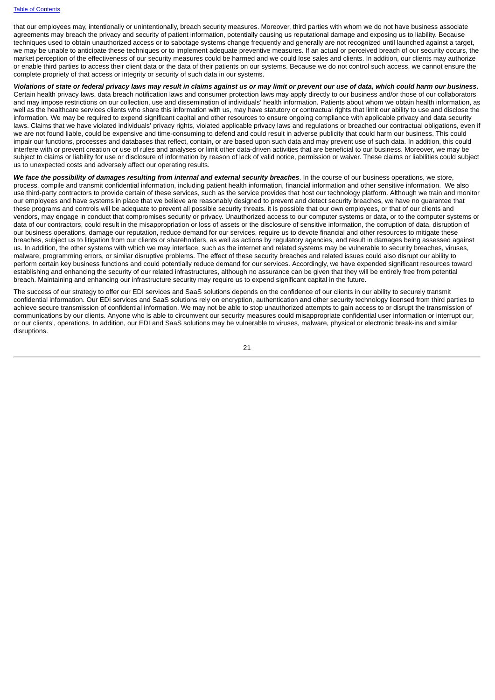that our employees may, intentionally or unintentionally, breach security measures. Moreover, third parties with whom we do not have business associate agreements may breach the privacy and security of patient information, potentially causing us reputational damage and exposing us to liability. Because techniques used to obtain unauthorized access or to sabotage systems change frequently and generally are not recognized until launched against a target, we may be unable to anticipate these techniques or to implement adequate preventive measures. If an actual or perceived breach of our security occurs, the market perception of the effectiveness of our security measures could be harmed and we could lose sales and clients. In addition, our clients may authorize or enable third parties to access their client data or the data of their patients on our systems. Because we do not control such access, we cannot ensure the complete propriety of that access or integrity or security of such data in our systems.

*Violations of state or federal privacy laws may result in claims against us or may limit or prevent our use of data, which could harm our business.* Certain health privacy laws, data breach notification laws and consumer protection laws may apply directly to our business and/or those of our collaborators and may impose restrictions on our collection, use and dissemination of individuals' health information. Patients about whom we obtain health information, as well as the healthcare services clients who share this information with us, may have statutory or contractual rights that limit our ability to use and disclose the information. We may be required to expend significant capital and other resources to ensure ongoing compliance with applicable privacy and data security laws. Claims that we have violated individuals' privacy rights, violated applicable privacy laws and regulations or breached our contractual obligations, even if we are not found liable, could be expensive and time-consuming to defend and could result in adverse publicity that could harm our business. This could impair our functions, processes and databases that reflect, contain, or are based upon such data and may prevent use of such data. In addition, this could interfere with or prevent creation or use of rules and analyses or limit other data-driven activities that are beneficial to our business. Moreover, we may be subject to claims or liability for use or disclosure of information by reason of lack of valid notice, permission or waiver. These claims or liabilities could subject us to unexpected costs and adversely affect our operating results.

We face the possibility of damages resulting from internal and external security breaches. In the course of our business operations, we store, process, compile and transmit confidential information, including patient health information, financial information and other sensitive information. We also use third-party contractors to provide certain of these services, such as the service provides that host our technology platform. Although we train and monitor our employees and have systems in place that we believe are reasonably designed to prevent and detect security breaches, we have no guarantee that these programs and controls will be adequate to prevent all possible security threats. it is possible that our own employees, or that of our clients and vendors, may engage in conduct that compromises security or privacy. Unauthorized access to our computer systems or data, or to the computer systems or data of our contractors, could result in the misappropriation or loss of assets or the disclosure of sensitive information, the corruption of data, disruption of our business operations, damage our reputation, reduce demand for our services, require us to devote financial and other resources to mitigate these breaches, subject us to litigation from our clients or shareholders, as well as actions by regulatory agencies, and result in damages being assessed against us. In addition, the other systems with which we may interface, such as the internet and related systems may be vulnerable to security breaches, viruses, malware, programming errors, or similar disruptive problems. The effect of these security breaches and related issues could also disrupt our ability to perform certain key business functions and could potentially reduce demand for our services. Accordingly, we have expended significant resources toward establishing and enhancing the security of our related infrastructures, although no assurance can be given that they will be entirely free from potential breach. Maintaining and enhancing our infrastructure security may require us to expend significant capital in the future.

The success of our strategy to offer our EDI services and SaaS solutions depends on the confidence of our clients in our ability to securely transmit confidential information. Our EDI services and SaaS solutions rely on encryption, authentication and other security technology licensed from third parties to achieve secure transmission of confidential information. We may not be able to stop unauthorized attempts to gain access to or disrupt the transmission of communications by our clients. Anyone who is able to circumvent our security measures could misappropriate confidential user information or interrupt our, or our clients', operations. In addition, our EDI and SaaS solutions may be vulnerable to viruses, malware, physical or electronic break-ins and similar disruptions.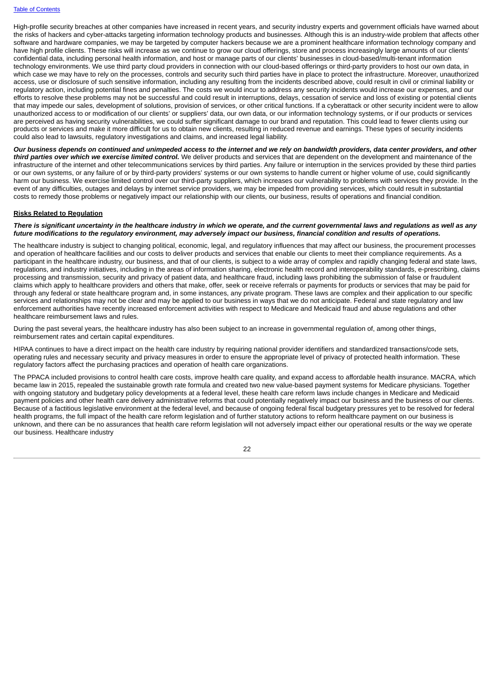High-profile security breaches at other companies have increased in recent years, and security industry experts and government officials have warned about the risks of hackers and cyber-attacks targeting information technology products and businesses. Although this is an industry-wide problem that affects other software and hardware companies, we may be targeted by computer hackers because we are a prominent healthcare information technology company and have high profile clients. These risks will increase as we continue to grow our cloud offerings, store and process increasingly large amounts of our clients' confidential data, including personal health information, and host or manage parts of our clients' businesses in cloud-based/multi-tenant information technology environments. We use third party cloud providers in connection with our cloud-based offerings or third-party providers to host our own data, in which case we may have to rely on the processes, controls and security such third parties have in place to protect the infrastructure. Moreover, unauthorized access, use or disclosure of such sensitive information, including any resulting from the incidents described above, could result in civil or criminal liability or regulatory action, including potential fines and penalties. The costs we would incur to address any security incidents would increase our expenses, and our efforts to resolve these problems may not be successful and could result in interruptions, delays, cessation of service and loss of existing or potential clients that may impede our sales, development of solutions, provision of services, or other critical functions. If a cyberattack or other security incident were to allow unauthorized access to or modification of our clients' or suppliers' data, our own data, or our information technology systems, or if our products or services are perceived as having security vulnerabilities, we could suffer significant damage to our brand and reputation. This could lead to fewer clients using our products or services and make it more difficult for us to obtain new clients, resulting in reduced revenue and earnings. These types of security incidents could also lead to lawsuits, regulatory investigations and claims, and increased legal liability.

*Our business depends on continued and unimpeded access to the internet and we rely on bandwidth providers, data center providers, and other third parties over which we exercise limited control.* We deliver products and services that are dependent on the development and maintenance of the infrastructure of the internet and other telecommunications services by third parties. Any failure or interruption in the services provided by these third parties or our own systems, or any failure of or by third-party providers' systems or our own systems to handle current or higher volume of use, could significantly harm our business. We exercise limited control over our third-party suppliers, which increases our vulnerability to problems with services they provide. In the event of any difficulties, outages and delays by internet service providers, we may be impeded from providing services, which could result in substantial costs to remedy those problems or negatively impact our relationship with our clients, our business, results of operations and financial condition.

#### **Risks Related to Regulation**

# *There is significant uncertainty in the healthcare industry in which we operate, and the current governmental laws and regulations as well as any future modifications to the regulatory environment, may adversely impact our business, financial condition and results of operations.*

The healthcare industry is subject to changing political, economic, legal, and regulatory influences that may affect our business, the procurement processes and operation of healthcare facilities and our costs to deliver products and services that enable our clients to meet their compliance requirements. As a participant in the healthcare industry, our business, and that of our clients, is subject to a wide array of complex and rapidly changing federal and state laws, regulations, and industry initiatives, including in the areas of information sharing, electronic health record and interoperability standards, e-prescribing, claims processing and transmission, security and privacy of patient data, and healthcare fraud, including laws prohibiting the submission of false or fraudulent claims which apply to healthcare providers and others that make, offer, seek or receive referrals or payments for products or services that may be paid for through any federal or state healthcare program and, in some instances, any private program. These laws are complex and their application to our specific services and relationships may not be clear and may be applied to our business in ways that we do not anticipate. Federal and state regulatory and law enforcement authorities have recently increased enforcement activities with respect to Medicare and Medicaid fraud and abuse regulations and other healthcare reimbursement laws and rules.

During the past several years, the healthcare industry has also been subject to an increase in governmental regulation of, among other things, reimbursement rates and certain capital expenditures.

HIPAA continues to have a direct impact on the health care industry by requiring national provider identifiers and standardized transactions/code sets, operating rules and necessary security and privacy measures in order to ensure the appropriate level of privacy of protected health information. These regulatory factors affect the purchasing practices and operation of health care organizations.

The PPACA included provisions to control health care costs, improve health care quality, and expand access to affordable health insurance. MACRA, which became law in 2015, repealed the sustainable growth rate formula and created two new value-based payment systems for Medicare physicians. Together with ongoing statutory and budgetary policy developments at a federal level, these health care reform laws include changes in Medicare and Medicaid payment policies and other health care delivery administrative reforms that could potentially negatively impact our business and the business of our clients. Because of a factitious legislative environment at the federal level, and because of ongoing federal fiscal budgetary pressures yet to be resolved for federal health programs, the full impact of the health care reform legislation and of further statutory actions to reform healthcare payment on our business is unknown, and there can be no assurances that health care reform legislation will not adversely impact either our operational results or the way we operate our business. Healthcare industry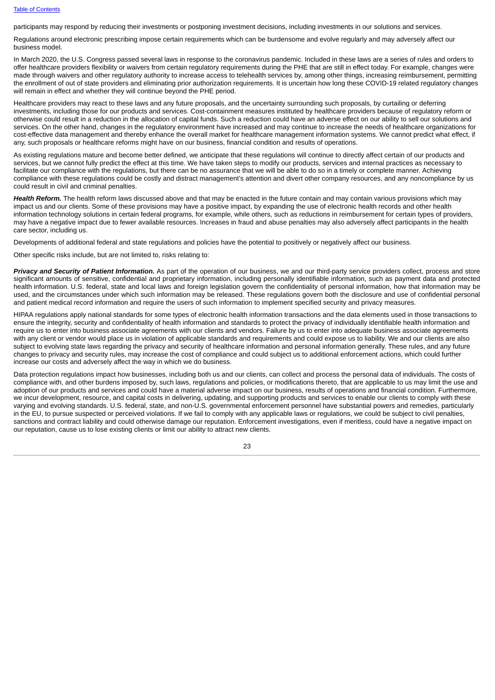participants may respond by reducing their investments or postponing investment decisions, including investments in our solutions and services.

Regulations around electronic prescribing impose certain requirements which can be burdensome and evolve regularly and may adversely affect our business model.

In March 2020, the U.S. Congress passed several laws in response to the coronavirus pandemic. Included in these laws are a series of rules and orders to offer healthcare providers flexibility or waivers from certain regulatory requirements during the PHE that are still in effect today. For example, changes were made through waivers and other regulatory authority to increase access to telehealth services by, among other things, increasing reimbursement, permitting the enrollment of out of state providers and eliminating prior authorization requirements. It is uncertain how long these COVID-19 related regulatory changes will remain in effect and whether they will continue beyond the PHE period.

Healthcare providers may react to these laws and any future proposals, and the uncertainty surrounding such proposals, by curtailing or deferring investments, including those for our products and services. Cost-containment measures instituted by healthcare providers because of regulatory reform or otherwise could result in a reduction in the allocation of capital funds. Such a reduction could have an adverse effect on our ability to sell our solutions and services. On the other hand, changes in the regulatory environment have increased and may continue to increase the needs of healthcare organizations for cost-effective data management and thereby enhance the overall market for healthcare management information systems. We cannot predict what effect, if any, such proposals or healthcare reforms might have on our business, financial condition and results of operations.

As existing regulations mature and become better defined, we anticipate that these regulations will continue to directly affect certain of our products and services, but we cannot fully predict the effect at this time. We have taken steps to modify our products, services and internal practices as necessary to facilitate our compliance with the regulations, but there can be no assurance that we will be able to do so in a timely or complete manner. Achieving compliance with these regulations could be costly and distract management's attention and divert other company resources, and any noncompliance by us could result in civil and criminal penalties.

*Health Reform.* The health reform laws discussed above and that may be enacted in the future contain and may contain various provisions which may impact us and our clients. Some of these provisions may have a positive impact, by expanding the use of electronic health records and other health information technology solutions in certain federal programs, for example, while others, such as reductions in reimbursement for certain types of providers, may have a negative impact due to fewer available resources. Increases in fraud and abuse penalties may also adversely affect participants in the health care sector, including us.

Developments of additional federal and state regulations and policies have the potential to positively or negatively affect our business.

Other specific risks include, but are not limited to, risks relating to:

**Privacy and Security of Patient Information.** As part of the operation of our business, we and our third-party service providers collect, process and store significant amounts of sensitive, confidential and proprietary information, including personally identifiable information, such as payment data and protected health information. U.S. federal, state and local laws and foreign legislation govern the confidentiality of personal information, how that information may be used, and the circumstances under which such information may be released. These regulations govern both the disclosure and use of confidential personal and patient medical record information and require the users of such information to implement specified security and privacy measures.

HIPAA regulations apply national standards for some types of electronic health information transactions and the data elements used in those transactions to ensure the integrity, security and confidentiality of health information and standards to protect the privacy of individually identifiable health information and require us to enter into business associate agreements with our clients and vendors. Failure by us to enter into adequate business associate agreements with any client or vendor would place us in violation of applicable standards and requirements and could expose us to liability. We and our clients are also subject to evolving state laws regarding the privacy and security of healthcare information and personal information generally. These rules, and any future changes to privacy and security rules, may increase the cost of compliance and could subject us to additional enforcement actions, which could further increase our costs and adversely affect the way in which we do business.

Data protection regulations impact how businesses, including both us and our clients, can collect and process the personal data of individuals. The costs of compliance with, and other burdens imposed by, such laws, regulations and policies, or modifications thereto, that are applicable to us may limit the use and adoption of our products and services and could have a material adverse impact on our business, results of operations and financial condition. Furthermore, we incur development, resource, and capital costs in delivering, updating, and supporting products and services to enable our clients to comply with these varying and evolving standards. U.S. federal, state, and non-U.S. governmental enforcement personnel have substantial powers and remedies, particularly in the EU, to pursue suspected or perceived violations. If we fail to comply with any applicable laws or regulations, we could be subject to civil penalties, sanctions and contract liability and could otherwise damage our reputation. Enforcement investigations, even if meritless, could have a negative impact on our reputation, cause us to lose existing clients or limit our ability to attract new clients.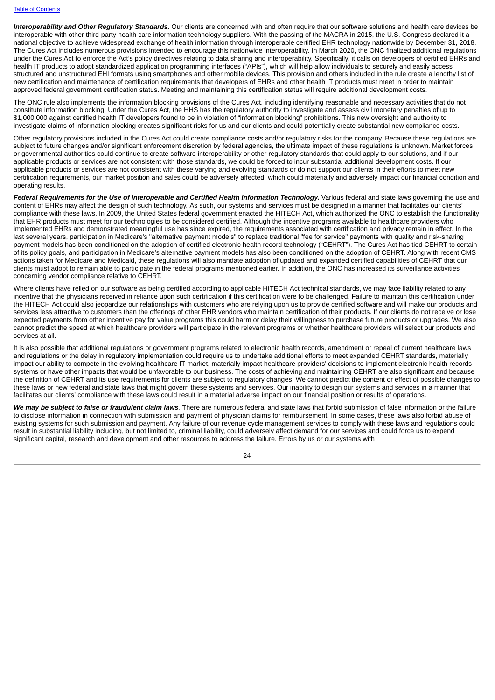*Interoperability and Other Regulatory Standards.* Our clients are concerned with and often require that our software solutions and health care devices be interoperable with other third-party health care information technology suppliers. With the passing of the MACRA in 2015, the U.S. Congress declared it a national objective to achieve widespread exchange of health information through interoperable certified EHR technology nationwide by December 31, 2018. The Cures Act includes numerous provisions intended to encourage this nationwide interoperability. In March 2020, the ONC finalized additional regulations under the Cures Act to enforce the Act's policy directives relating to data sharing and interoperability. Specifically, it calls on developers of certified EHRs and health IT products to adopt standardized application programming interfaces ("APIs"), which will help allow individuals to securely and easily access structured and unstructured EHI formats using smartphones and other mobile devices. This provision and others included in the rule create a lengthy list of new certification and maintenance of certification requirements that developers of EHRs and other health IT products must meet in order to maintain approved federal government certification status. Meeting and maintaining this certification status will require additional development costs.

The ONC rule also implements the information blocking provisions of the Cures Act, including identifying reasonable and necessary activities that do not constitute information blocking. Under the Cures Act, the HHS has the regulatory authority to investigate and assess civil monetary penalties of up to \$1,000,000 against certified health IT developers found to be in violation of "information blocking" prohibitions. This new oversight and authority to investigate claims of information blocking creates significant risks for us and our clients and could potentially create substantial new compliance costs.

Other regulatory provisions included in the Cures Act could create compliance costs and/or regulatory risks for the company. Because these regulations are subject to future changes and/or significant enforcement discretion by federal agencies, the ultimate impact of these regulations is unknown. Market forces or governmental authorities could continue to create software interoperability or other regulatory standards that could apply to our solutions, and if our applicable products or services are not consistent with those standards, we could be forced to incur substantial additional development costs. If our applicable products or services are not consistent with these varying and evolving standards or do not support our clients in their efforts to meet new certification requirements, our market position and sales could be adversely affected, which could materially and adversely impact our financial condition and operating results.

Federal Requirements for the Use of Interoperable and Certified Health Information Technology. Various federal and state laws governing the use and content of EHRs may affect the design of such technology. As such, our systems and services must be designed in a manner that facilitates our clients' compliance with these laws. In 2009, the United States federal government enacted the HITECH Act, which authorized the ONC to establish the functionality that EHR products must meet for our technologies to be considered certified. Although the incentive programs available to healthcare providers who implemented EHRs and demonstrated meaningful use has since expired, the requirements associated with certification and privacy remain in effect. In the last several years, participation in Medicare's "alternative payment models" to replace traditional "fee for service" payments with quality and risk-sharing payment models has been conditioned on the adoption of certified electronic health record technology ("CEHRT"). The Cures Act has tied CEHRT to certain of its policy goals, and participation in Medicare's alternative payment models has also been conditioned on the adoption of CEHRT. Along with recent CMS actions taken for Medicare and Medicaid, these regulations will also mandate adoption of updated and expanded certified capabilities of CEHRT that our clients must adopt to remain able to participate in the federal programs mentioned earlier. In addition, the ONC has increased its surveillance activities concerning vendor compliance relative to CEHRT.

Where clients have relied on our software as being certified according to applicable HITECH Act technical standards, we may face liability related to any incentive that the physicians received in reliance upon such certification if this certification were to be challenged. Failure to maintain this certification under the HITECH Act could also jeopardize our relationships with customers who are relying upon us to provide certified software and will make our products and services less attractive to customers than the offerings of other EHR vendors who maintain certification of their products. If our clients do not receive or lose expected payments from other incentive pay for value programs this could harm or delay their willingness to purchase future products or upgrades. We also cannot predict the speed at which healthcare providers will participate in the relevant programs or whether healthcare providers will select our products and services at all.

It is also possible that additional regulations or government programs related to electronic health records, amendment or repeal of current healthcare laws and regulations or the delay in regulatory implementation could require us to undertake additional efforts to meet expanded CEHRT standards, materially impact our ability to compete in the evolving healthcare IT market, materially impact healthcare providers' decisions to implement electronic health records systems or have other impacts that would be unfavorable to our business. The costs of achieving and maintaining CEHRT are also significant and because the definition of CEHRT and its use requirements for clients are subject to regulatory changes. We cannot predict the content or effect of possible changes to these laws or new federal and state laws that might govern these systems and services. Our inability to design our systems and services in a manner that facilitates our clients' compliance with these laws could result in a material adverse impact on our financial position or results of operations.

*We may be subject to false or fraudulent claim laws.* There are numerous federal and state laws that forbid submission of false information or the failure to disclose information in connection with submission and payment of physician claims for reimbursement. In some cases, these laws also forbid abuse of existing systems for such submission and payment. Any failure of our revenue cycle management services to comply with these laws and regulations could result in substantial liability including, but not limited to, criminal liability, could adversely affect demand for our services and could force us to expend significant capital, research and development and other resources to address the failure. Errors by us or our systems with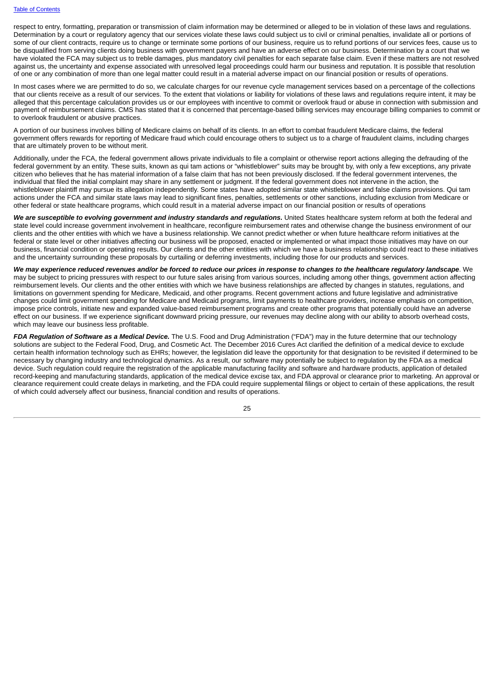respect to entry, formatting, preparation or transmission of claim information may be determined or alleged to be in violation of these laws and regulations. Determination by a court or regulatory agency that our services violate these laws could subject us to civil or criminal penalties, invalidate all or portions of some of our client contracts, require us to change or terminate some portions of our business, require us to refund portions of our services fees, cause us to be disqualified from serving clients doing business with government payers and have an adverse effect on our business. Determination by a court that we have violated the FCA may subject us to treble damages, plus mandatory civil penalties for each separate false claim. Even if these matters are not resolved against us, the uncertainty and expense associated with unresolved legal proceedings could harm our business and reputation. It is possible that resolution of one or any combination of more than one legal matter could result in a material adverse impact on our financial position or results of operations.

In most cases where we are permitted to do so, we calculate charges for our revenue cycle management services based on a percentage of the collections that our clients receive as a result of our services. To the extent that violations or liability for violations of these laws and regulations require intent, it may be alleged that this percentage calculation provides us or our employees with incentive to commit or overlook fraud or abuse in connection with submission and payment of reimbursement claims. CMS has stated that it is concerned that percentage-based billing services may encourage billing companies to commit or to overlook fraudulent or abusive practices.

A portion of our business involves billing of Medicare claims on behalf of its clients. In an effort to combat fraudulent Medicare claims, the federal government offers rewards for reporting of Medicare fraud which could encourage others to subject us to a charge of fraudulent claims, including charges that are ultimately proven to be without merit.

Additionally, under the FCA, the federal government allows private individuals to file a complaint or otherwise report actions alleging the defrauding of the federal government by an entity. These suits, known as qui tam actions or "whistleblower" suits may be brought by, with only a few exceptions, any private citizen who believes that he has material information of a false claim that has not been previously disclosed. If the federal government intervenes, the individual that filed the initial complaint may share in any settlement or judgment. If the federal government does not intervene in the action, the whistleblower plaintiff may pursue its allegation independently. Some states have adopted similar state whistleblower and false claims provisions. Qui tam actions under the FCA and similar state laws may lead to significant fines, penalties, settlements or other sanctions, including exclusion from Medicare or other federal or state healthcare programs, which could result in a material adverse impact on our financial position or results of operations

*We are susceptible to evolving government and industry standards and regulations.* United States healthcare system reform at both the federal and state level could increase government involvement in healthcare, reconfigure reimbursement rates and otherwise change the business environment of our clients and the other entities with which we have a business relationship. We cannot predict whether or when future healthcare reform initiatives at the federal or state level or other initiatives affecting our business will be proposed, enacted or implemented or what impact those initiatives may have on our business, financial condition or operating results. Our clients and the other entities with which we have a business relationship could react to these initiatives and the uncertainty surrounding these proposals by curtailing or deferring investments, including those for our products and services.

*We may experience reduced revenues and/or be forced to reduce our prices in response to changes to the healthcare regulatory landscape*. We may be subject to pricing pressures with respect to our future sales arising from various sources, including among other things, government action affecting reimbursement levels. Our clients and the other entities with which we have business relationships are affected by changes in statutes, regulations, and limitations on government spending for Medicare, Medicaid, and other programs. Recent government actions and future legislative and administrative changes could limit government spending for Medicare and Medicaid programs, limit payments to healthcare providers, increase emphasis on competition, impose price controls, initiate new and expanded value-based reimbursement programs and create other programs that potentially could have an adverse effect on our business. If we experience significant downward pricing pressure, our revenues may decline along with our ability to absorb overhead costs, which may leave our business less profitable.

*FDA Regulation of Software as a Medical Device.* The U.S. Food and Drug Administration ("FDA") may in the future determine that our technology solutions are subject to the Federal Food, Drug, and Cosmetic Act. The December 2016 Cures Act clarified the definition of a medical device to exclude certain health information technology such as EHRs; however, the legislation did leave the opportunity for that designation to be revisited if determined to be necessary by changing industry and technological dynamics. As a result, our software may potentially be subject to regulation by the FDA as a medical device. Such regulation could require the registration of the applicable manufacturing facility and software and hardware products, application of detailed record-keeping and manufacturing standards, application of the medical device excise tax, and FDA approval or clearance prior to marketing. An approval or clearance requirement could create delays in marketing, and the FDA could require supplemental filings or object to certain of these applications, the result of which could adversely affect our business, financial condition and results of operations.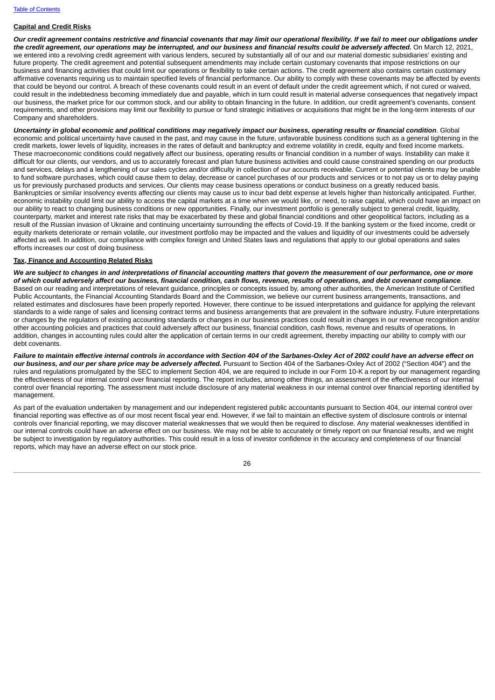# **Capital and Credit Risks**

*Our credit agreement contains restrictive and financial covenants that may limit our operational flexibility. If we fail to meet our obligations under the credit agreement, our operations may be interrupted, and our business and financial results could be adversely affected.* On March 12, 2021, we entered into a revolving credit agreement with various lenders, secured by substantially all of our and our material domestic subsidiaries' existing and future property. The credit agreement and potential subsequent amendments may include certain customary covenants that impose restrictions on our business and financing activities that could limit our operations or flexibility to take certain actions. The credit agreement also contains certain customary affirmative covenants requiring us to maintain specified levels of financial performance. Our ability to comply with these covenants may be affected by events that could be beyond our control. A breach of these covenants could result in an event of default under the credit agreement which, if not cured or waived, could result in the indebtedness becoming immediately due and payable, which in turn could result in material adverse consequences that negatively impact our business, the market price for our common stock, and our ability to obtain financing in the future. In addition, our credit agreement's covenants, consent requirements, and other provisions may limit our flexibility to pursue or fund strategic initiatives or acquisitions that might be in the long-term interests of our Company and shareholders.

*Uncertainty in global economic and political conditions may negatively impact our business, operating results or financial condition*. Global economic and political uncertainty have caused in the past, and may cause in the future, unfavorable business conditions such as a general tightening in the credit markets, lower levels of liquidity, increases in the rates of default and bankruptcy and extreme volatility in credit, equity and fixed income markets. These macroeconomic conditions could negatively affect our business, operating results or financial condition in a number of ways. Instability can make it difficult for our clients, our vendors, and us to accurately forecast and plan future business activities and could cause constrained spending on our products and services, delays and a lengthening of our sales cycles and/or difficulty in collection of our accounts receivable. Current or potential clients may be unable to fund software purchases, which could cause them to delay, decrease or cancel purchases of our products and services or to not pay us or to delay paying us for previously purchased products and services. Our clients may cease business operations or conduct business on a greatly reduced basis. Bankruptcies or similar insolvency events affecting our clients may cause us to incur bad debt expense at levels higher than historically anticipated. Further, economic instability could limit our ability to access the capital markets at a time when we would like, or need, to raise capital, which could have an impact on our ability to react to changing business conditions or new opportunities. Finally, our investment portfolio is generally subject to general credit, liquidity, counterparty, market and interest rate risks that may be exacerbated by these and global financial conditions and other geopolitical factors, including as a result of the Russian invasion of Ukraine and continuing uncertainty surrounding the effects of Covid-19. If the banking system or the fixed income, credit or equity markets deteriorate or remain volatile, our investment portfolio may be impacted and the values and liquidity of our investments could be adversely affected as well. In addition, our compliance with complex foreign and United States laws and regulations that apply to our global operations and sales efforts increases our cost of doing business.

# **Tax, Finance and Accounting Related Risks**

*We are subject to changes in and interpretations of financial accounting matters that govern the measurement of our performance, one or more of which could adversely affect our business, financial condition, cash flows, revenue, results of operations, and debt covenant compliance*. Based on our reading and interpretations of relevant guidance, principles or concepts issued by, among other authorities, the American Institute of Certified Public Accountants, the Financial Accounting Standards Board and the Commission, we believe our current business arrangements, transactions, and related estimates and disclosures have been properly reported. However, there continue to be issued interpretations and guidance for applying the relevant standards to a wide range of sales and licensing contract terms and business arrangements that are prevalent in the software industry. Future interpretations or changes by the regulators of existing accounting standards or changes in our business practices could result in changes in our revenue recognition and/or other accounting policies and practices that could adversely affect our business, financial condition, cash flows, revenue and results of operations. In addition, changes in accounting rules could alter the application of certain terms in our credit agreement, thereby impacting our ability to comply with our debt covenants.

*Failure to maintain effective internal controls in accordance with Section 404 of the Sarbanes-Oxley Act of 2002 could have an adverse effect on our business, and our per share price may be adversely affected.* Pursuant to Section 404 of the Sarbanes-Oxley Act of 2002 ("Section 404") and the rules and regulations promulgated by the SEC to implement Section 404, we are required to include in our Form 10-K a report by our management regarding the effectiveness of our internal control over financial reporting. The report includes, among other things, an assessment of the effectiveness of our internal control over financial reporting. The assessment must include disclosure of any material weakness in our internal control over financial reporting identified by management.

As part of the evaluation undertaken by management and our independent registered public accountants pursuant to Section 404, our internal control over financial reporting was effective as of our most recent fiscal year end. However, if we fail to maintain an effective system of disclosure controls or internal controls over financial reporting, we may discover material weaknesses that we would then be required to disclose. Any material weaknesses identified in our internal controls could have an adverse effect on our business. We may not be able to accurately or timely report on our financial results, and we might be subject to investigation by regulatory authorities. This could result in a loss of investor confidence in the accuracy and completeness of our financial reports, which may have an adverse effect on our stock price.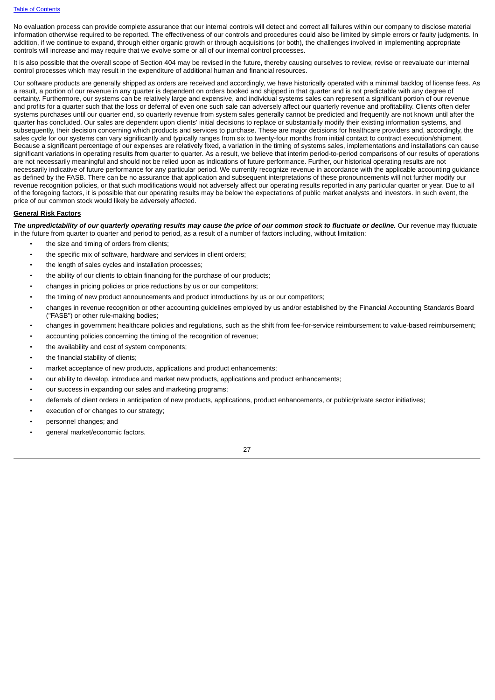No evaluation process can provide complete assurance that our internal controls will detect and correct all failures within our company to disclose material information otherwise required to be reported. The effectiveness of our controls and procedures could also be limited by simple errors or faulty judgments. In addition, if we continue to expand, through either organic growth or through acquisitions (or both), the challenges involved in implementing appropriate controls will increase and may require that we evolve some or all of our internal control processes.

It is also possible that the overall scope of Section 404 may be revised in the future, thereby causing ourselves to review, revise or reevaluate our internal control processes which may result in the expenditure of additional human and financial resources.

Our software products are generally shipped as orders are received and accordingly, we have historically operated with a minimal backlog of license fees. As a result, a portion of our revenue in any quarter is dependent on orders booked and shipped in that quarter and is not predictable with any degree of certainty. Furthermore, our systems can be relatively large and expensive, and individual systems sales can represent a significant portion of our revenue and profits for a quarter such that the loss or deferral of even one such sale can adversely affect our quarterly revenue and profitability. Clients often defer systems purchases until our quarter end, so quarterly revenue from system sales generally cannot be predicted and frequently are not known until after the quarter has concluded. Our sales are dependent upon clients' initial decisions to replace or substantially modify their existing information systems, and subsequently, their decision concerning which products and services to purchase. These are major decisions for healthcare providers and, accordingly, the sales cycle for our systems can vary significantly and typically ranges from six to twenty-four months from initial contact to contract execution/shipment. Because a significant percentage of our expenses are relatively fixed, a variation in the timing of systems sales, implementations and installations can cause significant variations in operating results from quarter to quarter. As a result, we believe that interim period-to-period comparisons of our results of operations are not necessarily meaningful and should not be relied upon as indications of future performance. Further, our historical operating results are not necessarily indicative of future performance for any particular period. We currently recognize revenue in accordance with the applicable accounting guidance as defined by the FASB. There can be no assurance that application and subsequent interpretations of these pronouncements will not further modify our revenue recognition policies, or that such modifications would not adversely affect our operating results reported in any particular quarter or year. Due to all of the foregoing factors, it is possible that our operating results may be below the expectations of public market analysts and investors. In such event, the price of our common stock would likely be adversely affected.

# **General Risk Factors**

#### *The unpredictability of our quarterly operating results may cause the price of our common stock to fluctuate or decline.* Our revenue may fluctuate in the future from quarter to quarter and period to period, as a result of a number of factors including, without limitation:

- the size and timing of orders from clients;
- the specific mix of software, hardware and services in client orders;
- the length of sales cycles and installation processes;
- the ability of our clients to obtain financing for the purchase of our products;
- changes in pricing policies or price reductions by us or our competitors;
- the timing of new product announcements and product introductions by us or our competitors;
- changes in revenue recognition or other accounting guidelines employed by us and/or established by the Financial Accounting Standards Board ("FASB") or other rule-making bodies;
- changes in government healthcare policies and regulations, such as the shift from fee-for-service reimbursement to value-based reimbursement;
- accounting policies concerning the timing of the recognition of revenue;
- the availability and cost of system components;
- the financial stability of clients;
- market acceptance of new products, applications and product enhancements;
- our ability to develop, introduce and market new products, applications and product enhancements;
- our success in expanding our sales and marketing programs;
- deferrals of client orders in anticipation of new products, applications, product enhancements, or public/private sector initiatives;
- execution of or changes to our strategy;
- personnel changes; and
- general market/economic factors.

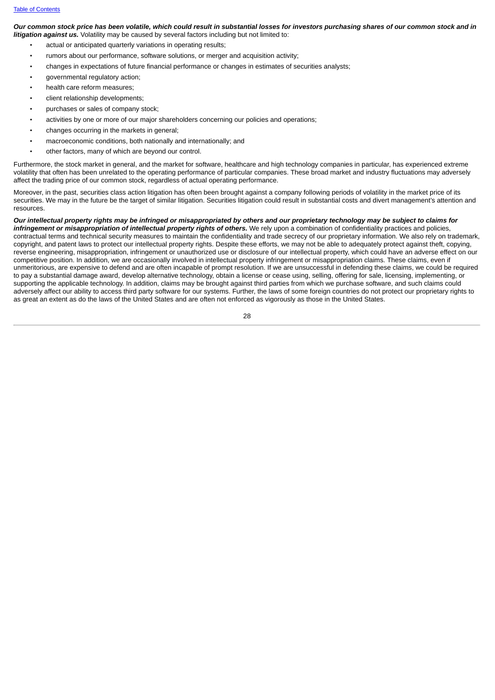*Our common stock price has been volatile, which could result in substantial losses for investors purchasing shares of our common stock and in litigation against us.* Volatility may be caused by several factors including but not limited to:

- actual or anticipated quarterly variations in operating results;
- rumors about our performance, software solutions, or merger and acquisition activity;
- changes in expectations of future financial performance or changes in estimates of securities analysts;
- governmental regulatory action;
- health care reform measures;
- client relationship developments;
- purchases or sales of company stock;
- activities by one or more of our major shareholders concerning our policies and operations;
- changes occurring in the markets in general;
- macroeconomic conditions, both nationally and internationally; and
- other factors, many of which are beyond our control.

Furthermore, the stock market in general, and the market for software, healthcare and high technology companies in particular, has experienced extreme volatility that often has been unrelated to the operating performance of particular companies. These broad market and industry fluctuations may adversely affect the trading price of our common stock, regardless of actual operating performance.

Moreover, in the past, securities class action litigation has often been brought against a company following periods of volatility in the market price of its securities. We may in the future be the target of similar litigation. Securities litigation could result in substantial costs and divert management's attention and resources.

*Our intellectual property rights may be infringed or misappropriated by others and our proprietary technology may be subject to claims for infringement or misappropriation of intellectual property rights of others.* We rely upon a combination of confidentiality practices and policies, contractual terms and technical security measures to maintain the confidentiality and trade secrecy of our proprietary information. We also rely on trademark, copyright, and patent laws to protect our intellectual property rights. Despite these efforts, we may not be able to adequately protect against theft, copying, reverse engineering, misappropriation, infringement or unauthorized use or disclosure of our intellectual property, which could have an adverse effect on our competitive position. In addition, we are occasionally involved in intellectual property infringement or misappropriation claims. These claims, even if unmeritorious, are expensive to defend and are often incapable of prompt resolution. If we are unsuccessful in defending these claims, we could be required to pay a substantial damage award, develop alternative technology, obtain a license or cease using, selling, offering for sale, licensing, implementing, or supporting the applicable technology. In addition, claims may be brought against third parties from which we purchase software, and such claims could adversely affect our ability to access third party software for our systems. Further, the laws of some foreign countries do not protect our proprietary rights to as great an extent as do the laws of the United States and are often not enforced as vigorously as those in the United States.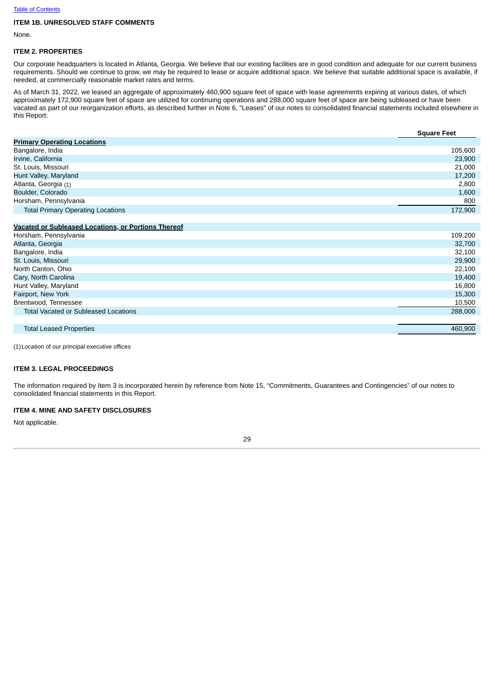#### Table of [Contents](#page-1-0)

# <span id="page-28-0"></span>**ITEM 1B. UNRESOLVED STAFF COMMENTS**

None.

# <span id="page-28-1"></span>**ITEM 2. PROPERTIES**

Our corporate headquarters is located in Atlanta, Georgia. We believe that our existing facilities are in good condition and adequate for our current business requirements. Should we continue to grow, we may be required to lease or acquire additional space. We believe that suitable additional space is available, if needed, at commercially reasonable market rates and terms.

As of March 31, 2022, we leased an aggregate of approximately 460,900 square feet of space with lease agreements expiring at various dates, of which approximately 172,900 square feet of space are utilized for continuing operations and 288,000 square feet of space are being subleased or have been vacated as part of our reorganization efforts, as described further in Note 6, "Leases" of our notes to consolidated financial statements included elsewhere in this Report:

|                                          | <b>Square Feet</b> |
|------------------------------------------|--------------------|
| <b>Primary Operating Locations</b>       |                    |
| Bangalore, India                         | 105,600            |
| Irvine, California                       | 23,900             |
| St. Louis, Missouri                      | 21,000             |
| Hunt Valley, Maryland                    | 17,200             |
| Atlanta, Georgia (1)                     | 2,800              |
| Boulder, Colorado                        | 1,600              |
| Horsham, Pennsylvania                    | 800                |
| <b>Total Primary Operating Locations</b> | 172,900            |
|                                          |                    |

# **Vacated or Subleased Locations, or Portions Thereof**

| Horsham, Pennsylvania                       | 109,200 |
|---------------------------------------------|---------|
| Atlanta, Georgia                            | 32,700  |
| Bangalore, India                            | 32,100  |
| St. Louis, Missouri                         | 29,900  |
| North Canton, Ohio                          | 22,100  |
| Cary, North Carolina                        | 19,400  |
| Hunt Valley, Maryland                       | 16,800  |
| Fairport, New York                          | 15,300  |
| Brentwood, Tennessee                        | 10,500  |
| <b>Total Vacated or Subleased Locations</b> | 288,000 |
|                                             |         |
| <b>Total Leased Properties</b>              | 460.900 |

(1)Location of our principal executive offices

# <span id="page-28-2"></span>**ITEM 3. LEGAL PROCEEDINGS**

The information required by Item 3 is incorporated herein by reference from Note 15, "Commitments, Guarantees and Contingencies" of our notes to consolidated financial statements in this Report.

# <span id="page-28-3"></span>**ITEM 4. MINE AND SAFETY DISCLOSURES**

Not applicable.

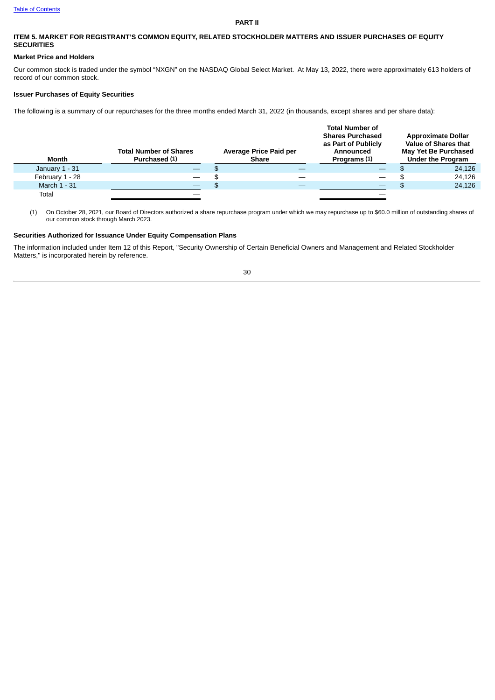# **PART II**

# <span id="page-29-1"></span><span id="page-29-0"></span>**ITEM 5. MARKET FOR REGISTRANT'S COMMON EQUITY, RELATED STOCKHOLDER MATTERS AND ISSUER PURCHASES OF EQUITY SECURITIES**

# **Market Price and Holders**

Our common stock is traded under the symbol "NXGN" on the NASDAQ Global Select Market. At May 13, 2022, there were approximately 613 holders of record of our common stock.

# **Issuer Purchases of Equity Securities**

The following is a summary of our repurchases for the three months ended March 31, 2022 (in thousands, except shares and per share data):

| Month           | <b>Total Number of Shares</b><br>Purchased (1) | Average Price Paid per<br><b>Share</b> |  | <b>Total Number of</b><br><b>Shares Purchased</b><br>as Part of Publicly<br>Announced<br>Programs (1) | <b>Approximate Dollar</b><br><b>Value of Shares that</b><br>May Yet Be Purchased<br><b>Under the Program</b> |        |
|-----------------|------------------------------------------------|----------------------------------------|--|-------------------------------------------------------------------------------------------------------|--------------------------------------------------------------------------------------------------------------|--------|
| January 1 - 31  |                                                | £.                                     |  |                                                                                                       |                                                                                                              | 24.126 |
| February 1 - 28 |                                                | \$                                     |  |                                                                                                       |                                                                                                              | 24.126 |
| March 1 - 31    |                                                | \$                                     |  |                                                                                                       |                                                                                                              | 24.126 |
| Total           |                                                |                                        |  |                                                                                                       |                                                                                                              |        |

(1) On October 28, 2021, our Board of Directors authorized a share repurchase program under which we may repurchase up to \$60.0 million of outstanding shares of our common stock through March 2023.

# **Securities Authorized for Issuance Under Equity Compensation Plans**

The information included under Item 12 of this Report, "Security Ownership of Certain Beneficial Owners and Management and Related Stockholder Matters," is incorporated herein by reference.

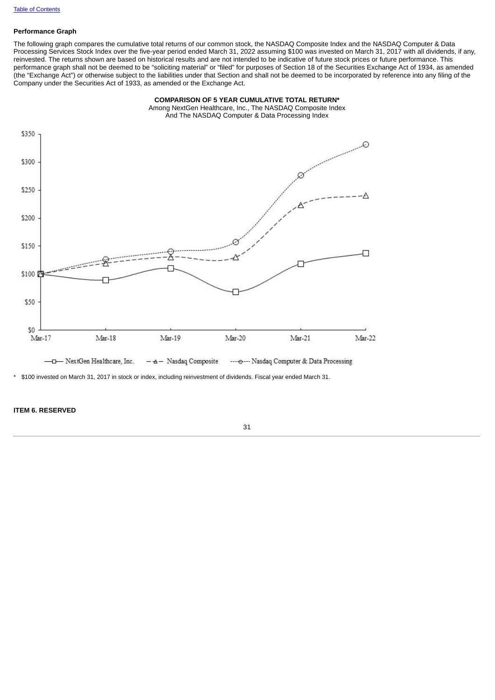# **Performance Graph**

The following graph compares the cumulative total returns of our common stock, the NASDAQ Composite Index and the NASDAQ Computer & Data Processing Services Stock Index over the five-year period ended March 31, 2022 assuming \$100 was invested on March 31, 2017 with all dividends, if any, reinvested. The returns shown are based on historical results and are not intended to be indicative of future stock prices or future performance. This performance graph shall not be deemed to be "soliciting material" or "filed" for purposes of Section 18 of the Securities Exchange Act of 1934, as amended (the "Exchange Act") or otherwise subject to the liabilities under that Section and shall not be deemed to be incorporated by reference into any filing of the Company under the Securities Act of 1933, as amended or the Exchange Act.

# **COMPARISON OF 5 YEAR CUMULATIVE TOTAL RETURN\***

Among NextGen Healthcare, Inc., The NASDAQ Composite Index And The NASDAQ Computer & Data Processing Index



\* \$100 invested on March 31, 2017 in stock or index, including reinvestment of dividends. Fiscal year ended March 31.

<span id="page-30-0"></span>**ITEM 6. RESERVED**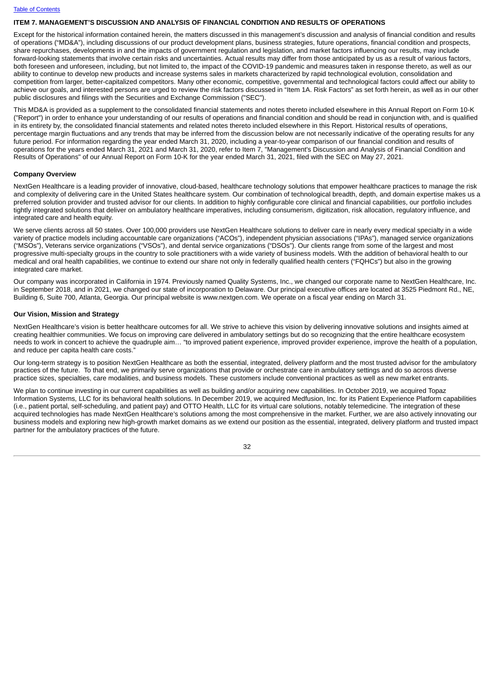#### Table of [Contents](#page-1-0)

# <span id="page-31-0"></span>**ITEM 7. MANAGEMENT'S DISCUSSION AND ANALYSIS OF FINANCIAL CONDITION AND RESULTS OF OPERATIONS**

Except for the historical information contained herein, the matters discussed in this management's discussion and analysis of financial condition and results of operations ("MD&A"), including discussions of our product development plans, business strategies, future operations, financial condition and prospects, share repurchases, developments in and the impacts of government regulation and legislation, and market factors influencing our results, may include forward-looking statements that involve certain risks and uncertainties. Actual results may differ from those anticipated by us as a result of various factors, both foreseen and unforeseen, including, but not limited to, the impact of the COVID-19 pandemic and measures taken in response thereto, as well as our ability to continue to develop new products and increase systems sales in markets characterized by rapid technological evolution, consolidation and competition from larger, better-capitalized competitors. Many other economic, competitive, governmental and technological factors could affect our ability to achieve our goals, and interested persons are urged to review the risk factors discussed in "Item 1A. Risk Factors" as set forth herein, as well as in our other public disclosures and filings with the Securities and Exchange Commission ("SEC").

This MD&A is provided as a supplement to the consolidated financial statements and notes thereto included elsewhere in this Annual Report on Form 10-K ("Report") in order to enhance your understanding of our results of operations and financial condition and should be read in conjunction with, and is qualified in its entirety by, the consolidated financial statements and related notes thereto included elsewhere in this Report. Historical results of operations, percentage margin fluctuations and any trends that may be inferred from the discussion below are not necessarily indicative of the operating results for any future period. For information regarding the year ended March 31, 2020, including a year-to-year comparison of our financial condition and results of operations for the years ended March 31, 2021 and March 31, 2020, refer to Item 7, "Management's Discussion and Analysis of Financial Condition and Results of Operations" of our Annual Report on Form 10-K for the year ended March 31, 2021, filed with the SEC on May 27, 2021.

#### **Company Overview**

NextGen Healthcare is a leading provider of innovative, cloud-based, healthcare technology solutions that empower healthcare practices to manage the risk and complexity of delivering care in the United States healthcare system. Our combination of technological breadth, depth, and domain expertise makes us a preferred solution provider and trusted advisor for our clients. In addition to highly configurable core clinical and financial capabilities, our portfolio includes tightly integrated solutions that deliver on ambulatory healthcare imperatives, including consumerism, digitization, risk allocation, regulatory influence, and integrated care and health equity.

We serve clients across all 50 states. Over 100,000 providers use NextGen Healthcare solutions to deliver care in nearly every medical specialty in a wide variety of practice models including accountable care organizations ("ACOs"), independent physician associations ("IPAs"), managed service organizations ("MSOs"), Veterans service organizations ("VSOs"), and dental service organizations ("DSOs"). Our clients range from some of the largest and most progressive multi-specialty groups in the country to sole practitioners with a wide variety of business models. With the addition of behavioral health to our medical and oral health capabilities, we continue to extend our share not only in federally qualified health centers ("FQHCs") but also in the growing integrated care market.

Our company was incorporated in California in 1974. Previously named Quality Systems, Inc., we changed our corporate name to NextGen Healthcare, Inc. in September 2018, and in 2021, we changed our state of incorporation to Delaware. Our principal executive offices are located at 3525 Piedmont Rd., NE, Building 6, Suite 700, Atlanta, Georgia. Our principal website is www.nextgen.com. We operate on a fiscal year ending on March 31.

# **Our Vision, Mission and Strategy**

NextGen Healthcare's vision is better healthcare outcomes for all. We strive to achieve this vision by delivering innovative solutions and insights aimed at creating healthier communities. We focus on improving care delivered in ambulatory settings but do so recognizing that the entire healthcare ecosystem needs to work in concert to achieve the quadruple aim… "to improved patient experience, improved provider experience, improve the health of a population, and reduce per capita health care costs."

Our long-term strategy is to position NextGen Healthcare as both the essential, integrated, delivery platform and the most trusted advisor for the ambulatory practices of the future. To that end, we primarily serve organizations that provide or orchestrate care in ambulatory settings and do so across diverse practice sizes, specialties, care modalities, and business models. These customers include conventional practices as well as new market entrants.

We plan to continue investing in our current capabilities as well as building and/or acquiring new capabilities. In October 2019, we acquired Topaz Information Systems, LLC for its behavioral health solutions. In December 2019, we acquired Medfusion, Inc. for its Patient Experience Platform capabilities (i.e., patient portal, self-scheduling, and patient pay) and OTTO Health, LLC for its virtual care solutions, notably telemedicine. The integration of these acquired technologies has made NextGen Healthcare's solutions among the most comprehensive in the market. Further, we are also actively innovating our business models and exploring new high-growth market domains as we extend our position as the essential, integrated, delivery platform and trusted impact partner for the ambulatory practices of the future.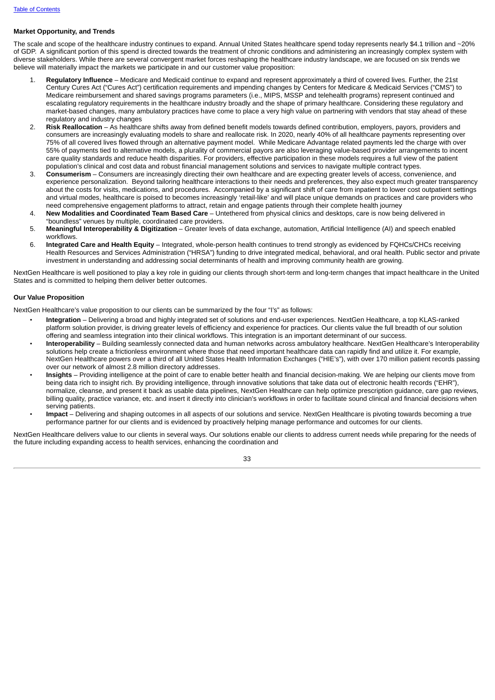# **Market Opportunity, and Trends**

The scale and scope of the healthcare industry continues to expand. Annual United States healthcare spend today represents nearly \$4.1 trillion and ~20% of GDP. A significant portion of this spend is directed towards the treatment of chronic conditions and administering an increasingly complex system with diverse stakeholders. While there are several convergent market forces reshaping the healthcare industry landscape, we are focused on six trends we believe will materially impact the markets we participate in and our customer value proposition:

- 1. **Regulatory Influence** Medicare and Medicaid continue to expand and represent approximately a third of covered lives. Further, the 21st Century Cures Act ("Cures Act") certification requirements and impending changes by Centers for Medicare & Medicaid Services ("CMS") to Medicare reimbursement and shared savings programs parameters (i.e., MIPS, MSSP and telehealth programs) represent continued and escalating regulatory requirements in the healthcare industry broadly and the shape of primary healthcare. Considering these regulatory and market-based changes, many ambulatory practices have come to place a very high value on partnering with vendors that stay ahead of these regulatory and industry changes
- 2. **Risk Reallocation** As healthcare shifts away from defined benefit models towards defined contribution, employers, payors, providers and consumers are increasingly evaluating models to share and reallocate risk. In 2020, nearly 40% of all healthcare payments representing over 75% of all covered lives flowed through an alternative payment model. While Medicare Advantage related payments led the charge with over 55% of payments tied to alternative models, a plurality of commercial payors are also leveraging value-based provider arrangements to incent care quality standards and reduce health disparities. For providers, effective participation in these models requires a full view of the patient population's clinical and cost data and robust financial management solutions and services to navigate multiple contract types.
- 3. **Consumerism** Consumers are increasingly directing their own healthcare and are expecting greater levels of access, convenience, and experience personalization. Beyond tailoring healthcare interactions to their needs and preferences, they also expect much greater transparency about the costs for visits, medications, and procedures. Accompanied by a significant shift of care from inpatient to lower cost outpatient settings and virtual modes, healthcare is poised to becomes increasingly 'retail-like' and will place unique demands on practices and care providers who need comprehensive engagement platforms to attract, retain and engage patients through their complete health journey
- 4. **New Modalities and Coordinated Team Based Care** Untethered from physical clinics and desktops, care is now being delivered in "boundless" venues by multiple, coordinated care providers.
- 5. **Meaningful Interoperability & Digitization** Greater levels of data exchange, automation, Artificial Intelligence (AI) and speech enabled workflows
- 6. **Integrated Care and Health Equity** Integrated, whole-person health continues to trend strongly as evidenced by FQHCs/CHCs receiving Health Resources and Services Administration ("HRSA") funding to drive integrated medical, behavioral, and oral health. Public sector and private investment in understanding and addressing social determinants of health and improving community health are growing.

NextGen Healthcare is well positioned to play a key role in guiding our clients through short-term and long-term changes that impact healthcare in the United States and is committed to helping them deliver better outcomes.

# **Our Value Proposition**

NextGen Healthcare's value proposition to our clients can be summarized by the four "I's" as follows:

- **Integration** Delivering a broad and highly integrated set of solutions and end-user experiences. NextGen Healthcare, a top KLAS-ranked platform solution provider, is driving greater levels of efficiency and experience for practices. Our clients value the full breadth of our solution offering and seamless integration into their clinical workflows. This integration is an important determinant of our success.
- **Interoperability** Building seamlessly connected data and human networks across ambulatory healthcare. NextGen Healthcare's Interoperability solutions help create a frictionless environment where those that need important healthcare data can rapidly find and utilize it. For example, NextGen Healthcare powers over a third of all United States Health Information Exchanges ("HIE's"), with over 170 million patient records passing over our network of almost 2.8 million directory addresses.
- **Insights** Providing intelligence at the point of care to enable better health and financial decision-making. We are helping our clients move from being data rich to insight rich. By providing intelligence, through innovative solutions that take data out of electronic health records ("EHR"), normalize, cleanse, and present it back as usable data pipelines, NextGen Healthcare can help optimize prescription guidance, care gap reviews, billing quality, practice variance, etc. and insert it directly into clinician's workflows in order to facilitate sound clinical and financial decisions when serving patients.
- **Impact** Delivering and shaping outcomes in all aspects of our solutions and service. NextGen Healthcare is pivoting towards becoming a true performance partner for our clients and is evidenced by proactively helping manage performance and outcomes for our clients.

NextGen Healthcare delivers value to our clients in several ways. Our solutions enable our clients to address current needs while preparing for the needs of the future including expanding access to health services, enhancing the coordination and

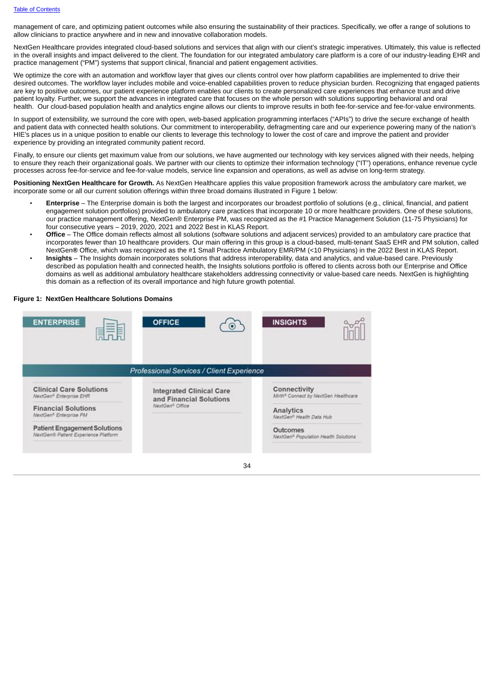management of care, and optimizing patient outcomes while also ensuring the sustainability of their practices. Specifically, we offer a range of solutions to allow clinicians to practice anywhere and in new and innovative collaboration models.

NextGen Healthcare provides integrated cloud-based solutions and services that align with our client's strategic imperatives. Ultimately, this value is reflected in the overall insights and impact delivered to the client. The foundation for our integrated ambulatory care platform is a core of our industry-leading EHR and practice management ("PM") systems that support clinical, financial and patient engagement activities.

We optimize the core with an automation and workflow layer that gives our clients control over how platform capabilities are implemented to drive their desired outcomes. The workflow layer includes mobile and voice-enabled capabilities proven to reduce physician burden. Recognizing that engaged patients are key to positive outcomes, our patient experience platform enables our clients to create personalized care experiences that enhance trust and drive patient loyalty. Further, we support the advances in integrated care that focuses on the whole person with solutions supporting behavioral and oral health. Our cloud-based population health and analytics engine allows our clients to improve results in both fee-for-service and fee-for-value environments.

In support of extensibility, we surround the core with open, web-based application programming interfaces ("APIs") to drive the secure exchange of health and patient data with connected health solutions. Our commitment to interoperability, defragmenting care and our experience powering many of the nation's HIE's places us in a unique position to enable our clients to leverage this technology to lower the cost of care and improve the patient and provider experience by providing an integrated community patient record.

Finally, to ensure our clients get maximum value from our solutions, we have augmented our technology with key services aligned with their needs, helping to ensure they reach their organizational goals. We partner with our clients to optimize their information technology ("IT") operations, enhance revenue cycle processes across fee-for-service and fee-for-value models, service line expansion and operations, as well as advise on long-term strategy.

**Positioning NextGen Healthcare for Growth.** As NextGen Healthcare applies this value proposition framework across the ambulatory care market, we incorporate some or all our current solution offerings within three broad domains illustrated in Figure 1 below:

- **Enterprise** The Enterprise domain is both the largest and incorporates our broadest portfolio of solutions (e.g., clinical, financial, and patient engagement solution portfolios) provided to ambulatory care practices that incorporate 10 or more healthcare providers. One of these solutions, our practice management offering, NextGen® Enterprise PM, was recognized as the #1 Practice Management Solution (11-75 Physicians) for four consecutive years – 2019, 2020, 2021 and 2022 Best in KLAS Report.
- **Office** The Office domain reflects almost all solutions (software solutions and adjacent services) provided to an ambulatory care practice that incorporates fewer than 10 healthcare providers. Our main offering in this group is a cloud-based, multi-tenant SaaS EHR and PM solution, called NextGen*®* Office, which was recognized as the #1 Small Practice Ambulatory EMR/PM (<10 Physicians) in the 2022 Best in KLAS Report.
- **Insights** The Insights domain incorporates solutions that address interoperability, data and analytics, and value-based care. Previously described as population health and connected health, the Insights solutions portfolio is offered to clients across both our Enterprise and Office domains as well as additional ambulatory healthcare stakeholders addressing connectivity or value-based care needs. NextGen is highlighting this domain as a reflection of its overall importance and high future growth potential.

# **Figure 1: NextGen Healthcare Solutions Domains**

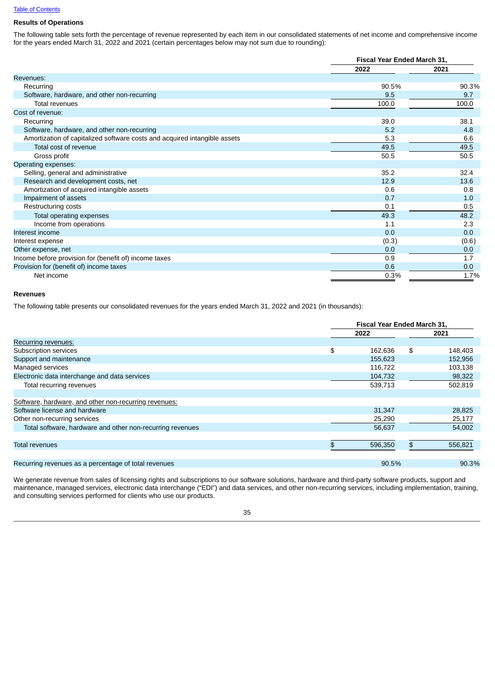# **Results of Operations**

The following table sets forth the percentage of revenue represented by each item in our consolidated statements of net income and comprehensive income for the years ended March 31, 2022 and 2021 (certain percentages below may not sum due to rounding):

|                                                                           | Fiscal Year Ended March 31, |       |
|---------------------------------------------------------------------------|-----------------------------|-------|
|                                                                           | 2022                        | 2021  |
| Revenues:                                                                 |                             |       |
| Recurring                                                                 | 90.5%                       | 90.3% |
| Software, hardware, and other non-recurring                               | 9.5                         | 9.7   |
| Total revenues                                                            | 100.0                       | 100.0 |
| Cost of revenue:                                                          |                             |       |
| Recurring                                                                 | 39.0                        | 38.1  |
| Software, hardware, and other non-recurring                               | 5.2                         | 4.8   |
| Amortization of capitalized software costs and acquired intangible assets | 5.3                         | 6.6   |
| Total cost of revenue                                                     | 49.5                        | 49.5  |
| Gross profit                                                              | 50.5                        | 50.5  |
| Operating expenses:                                                       |                             |       |
| Selling, general and administrative                                       | 35.2                        | 32.4  |
| Research and development costs, net                                       | 12.9                        | 13.6  |
| Amortization of acquired intangible assets                                | 0.6                         | 0.8   |
| Impairment of assets                                                      | 0.7                         | 1.0   |
| Restructuring costs                                                       | 0.1                         | 0.5   |
| Total operating expenses                                                  | 49.3                        | 48.2  |
| Income from operations                                                    | 1.1                         | 2.3   |
| Interest income                                                           | 0.0                         | 0.0   |
| Interest expense                                                          | (0.3)                       | (0.6) |
| Other expense, net                                                        | 0.0                         | 0.0   |
| Income before provision for (benefit of) income taxes                     | 0.9                         | 1.7   |
| Provision for (benefit of) income taxes                                   | 0.6                         | 0.0   |
| Net income                                                                | 0.3%                        | 1.7%  |

# **Revenues**

The following table presents our consolidated revenues for the years ended March 31, 2022 and 2021 (in thousands):

|                                                           | Fiscal Year Ended March 31, |         |    |         |
|-----------------------------------------------------------|-----------------------------|---------|----|---------|
|                                                           |                             | 2022    |    | 2021    |
| Recurring revenues:                                       |                             |         |    |         |
| Subscription services                                     | \$                          | 162,636 | \$ | 148,403 |
| Support and maintenance                                   |                             | 155,623 |    | 152,956 |
| Managed services                                          |                             | 116,722 |    | 103,138 |
| Electronic data interchange and data services             |                             | 104,732 |    | 98,322  |
| Total recurring revenues                                  |                             | 539,713 |    | 502,819 |
|                                                           |                             |         |    |         |
| Software, hardware, and other non-recurring revenues:     |                             |         |    |         |
| Software license and hardware                             |                             | 31,347  |    | 28,825  |
| Other non-recurring services                              |                             | 25,290  |    | 25,177  |
| Total software, hardware and other non-recurring revenues |                             | 56,637  |    | 54,002  |
|                                                           |                             |         |    |         |
| <b>Total revenues</b>                                     |                             | 596,350 |    | 556,821 |
|                                                           |                             |         |    |         |
| Recurring revenues as a percentage of total revenues      |                             | 90.5%   |    | 90.3%   |

We generate revenue from sales of licensing rights and subscriptions to our software solutions, hardware and third-party software products, support and maintenance, managed services, electronic data interchange ("EDI") and data services, and other non-recurring services, including implementation, training, and consulting services performed for clients who use our products.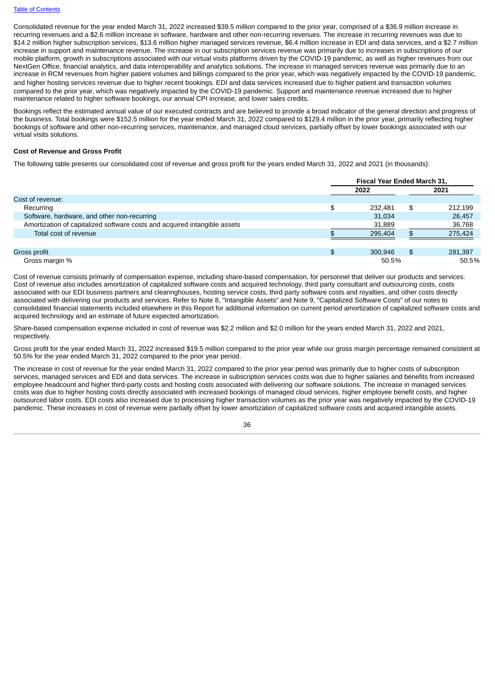Consolidated revenue for the year ended March 31, 2022 increased \$39.5 million compared to the prior year, comprised of a \$36.9 million increase in recurring revenues and a \$2.6 million increase in software, hardware and other non-recurring revenues. The increase in recurring revenues was due to \$14.2 million higher subscription services, \$13.6 million higher managed services revenue, \$6.4 million increase in EDI and data services, and a \$2.7 million increase in support and maintenance revenue. The increase in our subscription services revenue was primarily due to increases in subscriptions of our mobile platform, growth in subscriptions associated with our virtual visits platforms driven by the COVID-19 pandemic, as well as higher revenues from our NextGen Office, financial analytics, and data interoperability and analytics solutions. The increase in managed services revenue was primarily due to an increase in RCM revenues from higher patient volumes and billings compared to the prior year, which was negatively impacted by the COVID-19 pandemic, and higher hosting services revenue due to higher recent bookings. EDI and data services increased due to higher patient and transaction volumes compared to the prior year, which was negatively impacted by the COVID-19 pandemic. Support and maintenance revenue increased due to higher maintenance related to higher software bookings, our annual CPI increase, and lower sales credits.

Bookings reflect the estimated annual value of our executed contracts and are believed to provide a broad indicator of the general direction and progress of the business. Total bookings were \$152.5 million for the year ended March 31, 2022 compared to \$129.4 million in the prior year, primarily reflecting higher bookings of software and other non-recurring services, maintenance, and managed cloud services, partially offset by lower bookings associated with our virtual visits solutions.

# **Cost of Revenue and Gross Profit**

The following table presents our consolidated cost of revenue and gross profit for the years ended March 31, 2022 and 2021 (in thousands):

|                                                                           | Fiscal Year Ended March 31, |         |    |         |  |
|---------------------------------------------------------------------------|-----------------------------|---------|----|---------|--|
|                                                                           |                             | 2022    |    | 2021    |  |
| Cost of revenue:                                                          |                             |         |    |         |  |
| Recurring                                                                 |                             | 232.481 | \$ | 212,199 |  |
| Software, hardware, and other non-recurring                               |                             | 31,034  |    | 26,457  |  |
| Amortization of capitalized software costs and acquired intangible assets |                             | 31,889  |    | 36,768  |  |
| Total cost of revenue                                                     |                             | 295.404 |    | 275,424 |  |
| Gross profit                                                              |                             | 300.946 | \$ | 281,397 |  |
| Gross margin %                                                            |                             | 50.5%   |    | 50.5%   |  |

Cost of revenue consists primarily of compensation expense, including share-based compensation, for personnel that deliver our products and services. Cost of revenue also includes amortization of capitalized software costs and acquired technology, third party consultant and outsourcing costs, costs associated with our EDI business partners and clearinghouses, hosting service costs, third party software costs and royalties, and other costs directly associated with delivering our products and services. Refer to Note 8, "Intangible Assets" and Note 9, "Capitalized Software Costs" of our notes to consolidated financial statements included elsewhere in this Report for additional information on current period amortization of capitalized software costs and acquired technology and an estimate of future expected amortization.

Share-based compensation expense included in cost of revenue was \$2.2 million and \$2.0 million for the years ended March 31, 2022 and 2021, respectively.

Gross profit for the year ended March 31, 2022 increased \$19.5 million compared to the prior year while our gross margin percentage remained consistent at 50.5% for the year ended March 31, 2022 compared to the prior year period.

The increase in cost of revenue for the year ended March 31, 2022 compared to the prior year period was primarily due to higher costs of subscription services, managed services and EDI and data services. The increase in subscription services costs was due to higher salaries and benefits from increased employee headcount and higher third-party costs and hosting costs associated with delivering our software solutions. The increase in managed services costs was due to higher hosting costs directly associated with increased bookings of managed cloud services, higher employee benefit costs, and higher outsourced labor costs. EDI costs also increased due to processing higher transaction volumes as the prior year was negatively impacted by the COVID-19 pandemic. These increases in cost of revenue were partially offset by lower amortization of capitalized software costs and acquired intangible assets.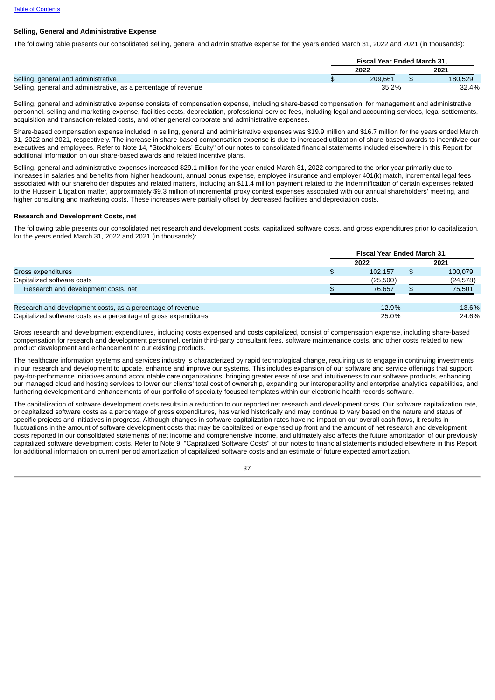# **Selling, General and Administrative Expense**

The following table presents our consolidated selling, general and administrative expense for the years ended March 31, 2022 and 2021 (in thousands):

|                                                                 |  | Fiscal Year Ended March 31. |         |  |
|-----------------------------------------------------------------|--|-----------------------------|---------|--|
|                                                                 |  | 2022                        | 2021    |  |
| Selling, general and administrative                             |  | 209.661                     | 180.529 |  |
| Selling, general and administrative, as a percentage of revenue |  | 35.2%                       | 32.4%   |  |

Selling, general and administrative expense consists of compensation expense, including share-based compensation, for management and administrative personnel, selling and marketing expense, facilities costs, depreciation, professional service fees, including legal and accounting services, legal settlements, acquisition and transaction-related costs, and other general corporate and administrative expenses.

Share-based compensation expense included in selling, general and administrative expenses was \$19.9 million and \$16.7 million for the years ended March 31, 2022 and 2021, respectively. The increase in share-based compensation expense is due to increased utilization of share-based awards to incentivize our executives and employees. Refer to Note 14, "Stockholders' Equity" of our notes to consolidated financial statements included elsewhere in this Report for additional information on our share-based awards and related incentive plans.

Selling, general and administrative expenses increased \$29.1 million for the year ended March 31, 2022 compared to the prior year primarily due to increases in salaries and benefits from higher headcount, annual bonus expense, employee insurance and employer 401(k) match, incremental legal fees associated with our shareholder disputes and related matters, including an \$11.4 million payment related to the indemnification of certain expenses related to the Hussein Litigation matter, approximately \$9.3 million of incremental proxy contest expenses associated with our annual shareholders' meeting, and higher consulting and marketing costs. These increases were partially offset by decreased facilities and depreciation costs.

# **Research and Development Costs, net**

The following table presents our consolidated net research and development costs, capitalized software costs, and gross expenditures prior to capitalization, for the years ended March 31, 2022 and 2021 (in thousands):

|                                                                  | Fiscal Year Ended March 31, |    |           |  |
|------------------------------------------------------------------|-----------------------------|----|-----------|--|
|                                                                  | 2022                        |    | 2021      |  |
| Gross expenditures                                               | 102.157                     | æ. | 100.079   |  |
| Capitalized software costs                                       | (25.500)                    |    | (24, 578) |  |
| Research and development costs, net                              | 76.657                      |    | 75.501    |  |
|                                                                  |                             |    |           |  |
| Research and development costs, as a percentage of revenue       | 12.9%                       |    | 13.6%     |  |
| Capitalized software costs as a percentage of gross expenditures | 25.0%                       |    | 24.6%     |  |

Gross research and development expenditures, including costs expensed and costs capitalized, consist of compensation expense, including share-based compensation for research and development personnel, certain third-party consultant fees, software maintenance costs, and other costs related to new product development and enhancement to our existing products.

The healthcare information systems and services industry is characterized by rapid technological change, requiring us to engage in continuing investments in our research and development to update, enhance and improve our systems. This includes expansion of our software and service offerings that support pay-for-performance initiatives around accountable care organizations, bringing greater ease of use and intuitiveness to our software products, enhancing our managed cloud and hosting services to lower our clients' total cost of ownership, expanding our interoperability and enterprise analytics capabilities, and furthering development and enhancements of our portfolio of specialty-focused templates within our electronic health records software.

The capitalization of software development costs results in a reduction to our reported net research and development costs. Our software capitalization rate, or capitalized software costs as a percentage of gross expenditures, has varied historically and may continue to vary based on the nature and status of specific projects and initiatives in progress. Although changes in software capitalization rates have no impact on our overall cash flows, it results in fluctuations in the amount of software development costs that may be capitalized or expensed up front and the amount of net research and development costs reported in our consolidated statements of net income and comprehensive income, and ultimately also affects the future amortization of our previously capitalized software development costs. Refer to Note 9, "Capitalized Software Costs" of our notes to financial statements included elsewhere in this Report for additional information on current period amortization of capitalized software costs and an estimate of future expected amortization.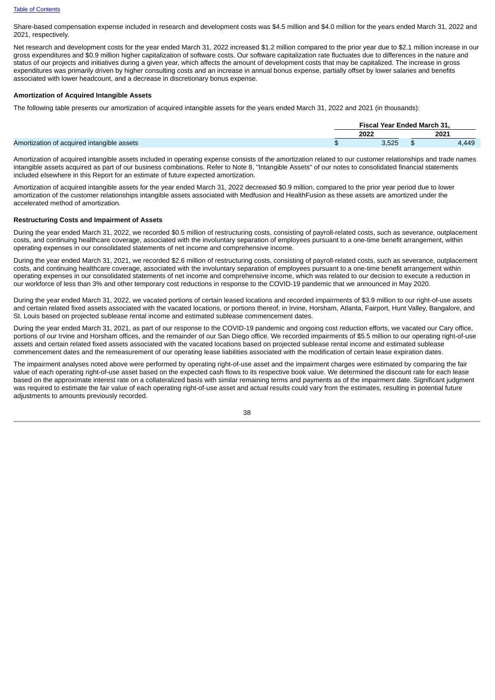Share-based compensation expense included in research and development costs was \$4.5 million and \$4.0 million for the years ended March 31, 2022 and 2021, respectively.

Net research and development costs for the year ended March 31, 2022 increased \$1.2 million compared to the prior year due to \$2.1 million increase in our gross expenditures and \$0.9 million higher capitalization of software costs. Our software capitalization rate fluctuates due to differences in the nature and status of our projects and initiatives during a given year, which affects the amount of development costs that may be capitalized. The increase in gross expenditures was primarily driven by higher consulting costs and an increase in annual bonus expense, partially offset by lower salaries and benefits associated with lower headcount, and a decrease in discretionary bonus expense.

## **Amortization of Acquired Intangible Assets**

The following table presents our amortization of acquired intangible assets for the years ended March 31, 2022 and 2021 (in thousands):

|                                            | Fiscal Year Ended March 31. |      |
|--------------------------------------------|-----------------------------|------|
|                                            | 2022                        | 2021 |
| Amortization of acquired intangible assets | 3.525                       | .449 |

Amortization of acquired intangible assets included in operating expense consists of the amortization related to our customer relationships and trade names intangible assets acquired as part of our business combinations. Refer to Note 8, "Intangible Assets" of our notes to consolidated financial statements included elsewhere in this Report for an estimate of future expected amortization.

Amortization of acquired intangible assets for the year ended March 31, 2022 decreased \$0.9 million, compared to the prior year period due to lower amortization of the customer relationships intangible assets associated with Medfusion and HealthFusion as these assets are amortized under the accelerated method of amortization.

#### **Restructuring Costs and Impairment of Assets**

During the year ended March 31, 2022, we recorded \$0.5 million of restructuring costs, consisting of payroll-related costs, such as severance, outplacement costs, and continuing healthcare coverage, associated with the involuntary separation of employees pursuant to a one-time benefit arrangement, within operating expenses in our consolidated statements of net income and comprehensive income.

During the year ended March 31, 2021, we recorded \$2.6 million of restructuring costs, consisting of payroll-related costs, such as severance, outplacement costs, and continuing healthcare coverage, associated with the involuntary separation of employees pursuant to a one-time benefit arrangement within operating expenses in our consolidated statements of net income and comprehensive income, which was related to our decision to execute a reduction in our workforce of less than 3% and other temporary cost reductions in response to the COVID-19 pandemic that we announced in May 2020.

During the year ended March 31, 2022, we vacated portions of certain leased locations and recorded impairments of \$3.9 million to our right-of-use assets and certain related fixed assets associated with the vacated locations, or portions thereof, in Irvine, Horsham, Atlanta, Fairport, Hunt Valley, Bangalore, and St. Louis based on projected sublease rental income and estimated sublease commencement dates.

During the year ended March 31, 2021, as part of our response to the COVID-19 pandemic and ongoing cost reduction efforts, we vacated our Cary office, portions of our Irvine and Horsham offices, and the remainder of our San Diego office. We recorded impairments of \$5.5 million to our operating right-of-use assets and certain related fixed assets associated with the vacated locations based on projected sublease rental income and estimated sublease commencement dates and the remeasurement of our operating lease liabilities associated with the modification of certain lease expiration dates.

The impairment analyses noted above were performed by operating right-of-use asset and the impairment charges were estimated by comparing the fair value of each operating right-of-use asset based on the expected cash flows to its respective book value. We determined the discount rate for each lease based on the approximate interest rate on a collateralized basis with similar remaining terms and payments as of the impairment date. Significant judgment was required to estimate the fair value of each operating right-of-use asset and actual results could vary from the estimates, resulting in potential future adjustments to amounts previously recorded.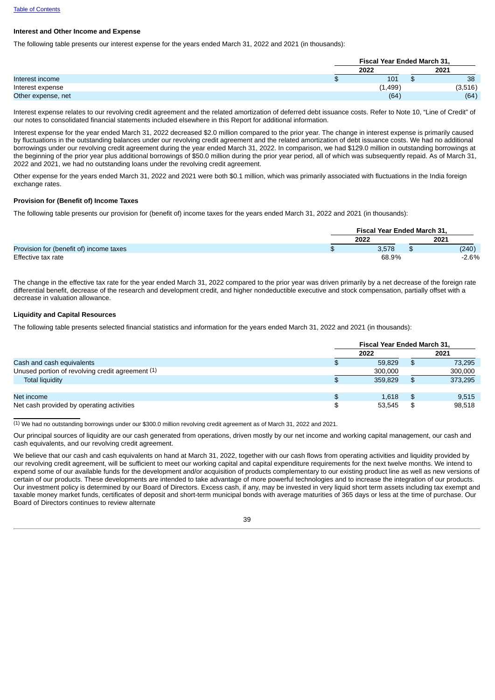# **Interest and Other Income and Expense**

The following table presents our interest expense for the years ended March 31, 2022 and 2021 (in thousands):

|                    |      | Fiscal Year Ended March 31, |  |         |  |
|--------------------|------|-----------------------------|--|---------|--|
|                    | 2022 |                             |  | 2021    |  |
| Interest income    | Ф    | 101                         |  | 38      |  |
| Interest expense   |      | (1,499)                     |  | (3,516) |  |
| Other expense, net |      | (64)                        |  | (64)    |  |

Interest expense relates to our revolving credit agreement and the related amortization of deferred debt issuance costs. Refer to Note 10, "Line of Credit" of our notes to consolidated financial statements included elsewhere in this Report for additional information.

Interest expense for the year ended March 31, 2022 decreased \$2.0 million compared to the prior year. The change in interest expense is primarily caused by fluctuations in the outstanding balances under our revolving credit agreement and the related amortization of debt issuance costs. We had no additional borrowings under our revolving credit agreement during the year ended March 31, 2022. In comparison, we had \$129.0 million in outstanding borrowings at the beginning of the prior year plus additional borrowings of \$50.0 million during the prior year period, all of which was subsequently repaid. As of March 31, 2022 and 2021, we had no outstanding loans under the revolving credit agreement.

Other expense for the years ended March 31, 2022 and 2021 were both \$0.1 million, which was primarily associated with fluctuations in the India foreign exchange rates.

# **Provision for (Benefit of) Income Taxes**

The following table presents our provision for (benefit of) income taxes for the years ended March 31, 2022 and 2021 (in thousands):

|                                         | Fiscal Year Ended March 31, |       |      |          |  |
|-----------------------------------------|-----------------------------|-------|------|----------|--|
|                                         | 2022                        |       | 2021 |          |  |
| Provision for (benefit of) income taxes |                             | 3.578 |      | (240)    |  |
| Effective tax rate                      |                             | 68.9% |      | $-2.6\%$ |  |

The change in the effective tax rate for the year ended March 31, 2022 compared to the prior year was driven primarily by a net decrease of the foreign rate differential benefit, decrease of the research and development credit, and higher nondeductible executive and stock compensation, partially offset with a decrease in valuation allowance.

## **Liquidity and Capital Resources**

The following table presents selected financial statistics and information for the years ended March 31, 2022 and 2021 (in thousands):

|                                                  | Fiscal Year Ended March 31, |                |         |  |
|--------------------------------------------------|-----------------------------|----------------|---------|--|
|                                                  | 2022                        |                | 2021    |  |
| Cash and cash equivalents                        | 59.829                      | $\mathfrak{F}$ | 73.295  |  |
| Unused portion of revolving credit agreement (1) | 300,000                     |                | 300,000 |  |
| <b>Total liquidity</b>                           | \$<br>359,829               | \$             | 373,295 |  |
|                                                  |                             |                |         |  |
| Net income                                       | \$<br>1.618                 | \$             | 9,515   |  |
| Net cash provided by operating activities        | \$<br>53.545                | \$             | 98,518  |  |

(1) We had no outstanding borrowings under our \$300.0 million revolving credit agreement as of March 31, 2022 and 2021.

Our principal sources of liquidity are our cash generated from operations, driven mostly by our net income and working capital management, our cash and cash equivalents, and our revolving credit agreement.

We believe that our cash and cash equivalents on hand at March 31, 2022, together with our cash flows from operating activities and liquidity provided by our revolving credit agreement, will be sufficient to meet our working capital and capital expenditure requirements for the next twelve months. We intend to expend some of our available funds for the development and/or acquisition of products complementary to our existing product line as well as new versions of certain of our products. These developments are intended to take advantage of more powerful technologies and to increase the integration of our products. Our investment policy is determined by our Board of Directors. Excess cash, if any, may be invested in very liquid short term assets including tax exempt and taxable money market funds, certificates of deposit and short-term municipal bonds with average maturities of 365 days or less at the time of purchase. Our Board of Directors continues to review alternate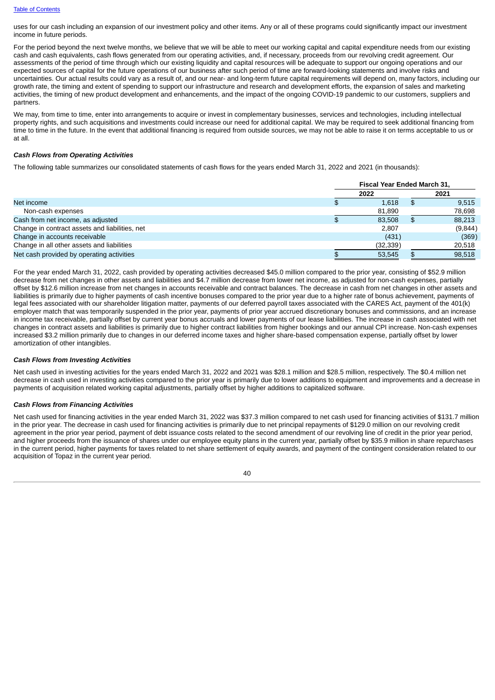uses for our cash including an expansion of our investment policy and other items. Any or all of these programs could significantly impact our investment income in future periods.

For the period beyond the next twelve months, we believe that we will be able to meet our working capital and capital expenditure needs from our existing cash and cash equivalents, cash flows generated from our operating activities, and, if necessary, proceeds from our revolving credit agreement. Our assessments of the period of time through which our existing liquidity and capital resources will be adequate to support our ongoing operations and our expected sources of capital for the future operations of our business after such period of time are forward-looking statements and involve risks and uncertainties. Our actual results could vary as a result of, and our near- and long-term future capital requirements will depend on, many factors, including our growth rate, the timing and extent of spending to support our infrastructure and research and development efforts, the expansion of sales and marketing activities, the timing of new product development and enhancements, and the impact of the ongoing COVID-19 pandemic to our customers, suppliers and partners.

We may, from time to time, enter into arrangements to acquire or invest in complementary businesses, services and technologies, including intellectual property rights, and such acquisitions and investments could increase our need for additional capital. We may be required to seek additional financing from time to time in the future. In the event that additional financing is required from outside sources, we may not be able to raise it on terms acceptable to us or at all.

#### *Cash Flows from Operating Activities*

The following table summarizes our consolidated statements of cash flows for the years ended March 31, 2022 and 2021 (in thousands):

|                                                | <b>Fiscal Year Ended March 31.</b> |    |         |  |
|------------------------------------------------|------------------------------------|----|---------|--|
|                                                | 2022                               |    | 2021    |  |
| Net income                                     | 1.618                              | £. | 9.515   |  |
| Non-cash expenses                              | 81,890                             |    | 78,698  |  |
| Cash from net income, as adjusted              | 83.508                             | \$ | 88.213  |  |
| Change in contract assets and liabilities, net | 2.807                              |    | (9,844) |  |
| Change in accounts receivable                  | (431)                              |    | (369)   |  |
| Change in all other assets and liabilities     | (32,339)                           |    | 20,518  |  |
| Net cash provided by operating activities      | 53,545                             |    | 98,518  |  |

For the year ended March 31, 2022, cash provided by operating activities decreased \$45.0 million compared to the prior year, consisting of \$52.9 million decrease from net changes in other assets and liabilities and \$4.7 million decrease from lower net income, as adjusted for non-cash expenses, partially offset by \$12.6 million increase from net changes in accounts receivable and contract balances. The decrease in cash from net changes in other assets and liabilities is primarily due to higher payments of cash incentive bonuses compared to the prior year due to a higher rate of bonus achievement, payments of legal fees associated with our shareholder litigation matter, payments of our deferred payroll taxes associated with the CARES Act, payment of the 401(k) employer match that was temporarily suspended in the prior year, payments of prior year accrued discretionary bonuses and commissions, and an increase in income tax receivable, partially offset by current year bonus accruals and lower payments of our lease liabilities. The increase in cash associated with net changes in contract assets and liabilities is primarily due to higher contract liabilities from higher bookings and our annual CPI increase. Non-cash expenses increased \$3.2 million primarily due to changes in our deferred income taxes and higher share-based compensation expense, partially offset by lower amortization of other intangibles.

### *Cash Flows from Investing Activities*

Net cash used in investing activities for the years ended March 31, 2022 and 2021 was \$28.1 million and \$28.5 million, respectively. The \$0.4 million net decrease in cash used in investing activities compared to the prior year is primarily due to lower additions to equipment and improvements and a decrease in payments of acquisition related working capital adjustments, partially offset by higher additions to capitalized software.

# *Cash Flows from Financing Activities*

Net cash used for financing activities in the year ended March 31, 2022 was \$37.3 million compared to net cash used for financing activities of \$131.7 million in the prior year. The decrease in cash used for financing activities is primarily due to net principal repayments of \$129.0 million on our revolving credit agreement in the prior year period, payment of debt issuance costs related to the second amendment of our revolving line of credit in the prior year period, and higher proceeds from the issuance of shares under our employee equity plans in the current year, partially offset by \$35.9 million in share repurchases in the current period, higher payments for taxes related to net share settlement of equity awards, and payment of the contingent consideration related to our acquisition of Topaz in the current year period.

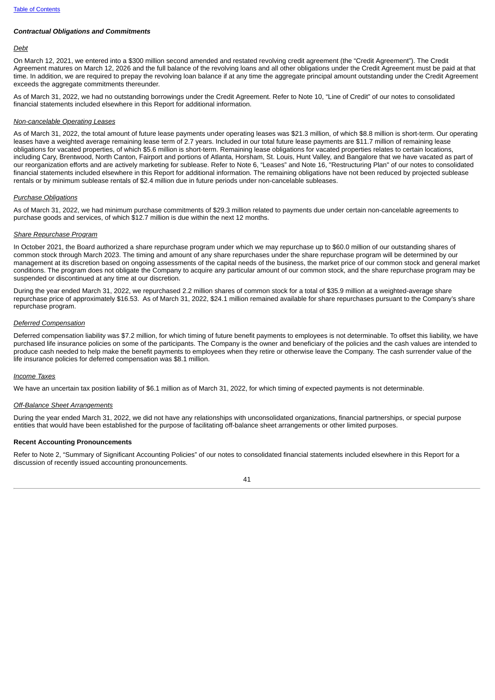## *Contractual Obligations and Commitments*

#### *Debt*

On March 12, 2021, we entered into a \$300 million second amended and restated revolving credit agreement (the "Credit Agreement"). The Credit Agreement matures on March 12, 2026 and the full balance of the revolving loans and all other obligations under the Credit Agreement must be paid at that time. In addition, we are required to prepay the revolving loan balance if at any time the aggregate principal amount outstanding under the Credit Agreement exceeds the aggregate commitments thereunder.

As of March 31, 2022, we had no outstanding borrowings under the Credit Agreement. Refer to Note 10, "Line of Credit" of our notes to consolidated financial statements included elsewhere in this Report for additional information.

#### *Non-cancelable Operating Leases*

As of March 31, 2022, the total amount of future lease payments under operating leases was \$21.3 million, of which \$8.8 million is short-term. Our operating leases have a weighted average remaining lease term of 2.7 years. Included in our total future lease payments are \$11.7 million of remaining lease obligations for vacated properties, of which \$5.6 million is short-term. Remaining lease obligations for vacated properties relates to certain locations, including Cary, Brentwood, North Canton, Fairport and portions of Atlanta, Horsham, St. Louis, Hunt Valley, and Bangalore that we have vacated as part of our reorganization efforts and are actively marketing for sublease. Refer to Note 6, "Leases" and Note 16, "Restructuring Plan" of our notes to consolidated financial statements included elsewhere in this Report for additional information. The remaining obligations have not been reduced by projected sublease rentals or by minimum sublease rentals of \$2.4 million due in future periods under non-cancelable subleases.

#### *Purchase Obligations*

As of March 31, 2022, we had minimum purchase commitments of \$29.3 million related to payments due under certain non-cancelable agreements to purchase goods and services, of which \$12.7 million is due within the next 12 months.

#### *Share Repurchase Program*

In October 2021, the Board authorized a share repurchase program under which we may repurchase up to \$60.0 million of our outstanding shares of common stock through March 2023. The timing and amount of any share repurchases under the share repurchase program will be determined by our management at its discretion based on ongoing assessments of the capital needs of the business, the market price of our common stock and general market conditions. The program does not obligate the Company to acquire any particular amount of our common stock, and the share repurchase program may be suspended or discontinued at any time at our discretion.

During the year ended March 31, 2022, we repurchased 2.2 million shares of common stock for a total of \$35.9 million at a weighted-average share repurchase price of approximately \$16.53. As of March 31, 2022, \$24.1 million remained available for share repurchases pursuant to the Company's share repurchase program.

### *Deferred Compensation*

Deferred compensation liability was \$7.2 million, for which timing of future benefit payments to employees is not determinable. To offset this liability, we have purchased life insurance policies on some of the participants. The Company is the owner and beneficiary of the policies and the cash values are intended to produce cash needed to help make the benefit payments to employees when they retire or otherwise leave the Company. The cash surrender value of the life insurance policies for deferred compensation was \$8.1 million.

## *Income Taxes*

We have an uncertain tax position liability of \$6.1 million as of March 31, 2022, for which timing of expected payments is not determinable.

### *Off-Balance Sheet Arrangements*

During the year ended March 31, 2022, we did not have any relationships with unconsolidated organizations, financial partnerships, or special purpose entities that would have been established for the purpose of facilitating off-balance sheet arrangements or other limited purposes.

#### **Recent Accounting Pronouncements**

Refer to Note 2, "Summary of Significant Accounting Policies" of our notes to consolidated financial statements included elsewhere in this Report for a discussion of recently issued accounting pronouncements.

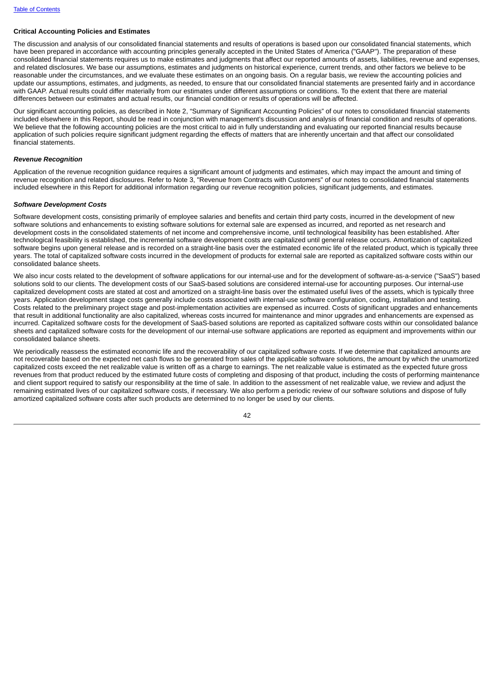# **Critical Accounting Policies and Estimates**

The discussion and analysis of our consolidated financial statements and results of operations is based upon our consolidated financial statements, which have been prepared in accordance with accounting principles generally accepted in the United States of America ("GAAP"). The preparation of these consolidated financial statements requires us to make estimates and judgments that affect our reported amounts of assets, liabilities, revenue and expenses, and related disclosures. We base our assumptions, estimates and judgments on historical experience, current trends, and other factors we believe to be reasonable under the circumstances, and we evaluate these estimates on an ongoing basis. On a regular basis, we review the accounting policies and update our assumptions, estimates, and judgments, as needed, to ensure that our consolidated financial statements are presented fairly and in accordance with GAAP. Actual results could differ materially from our estimates under different assumptions or conditions. To the extent that there are material differences between our estimates and actual results, our financial condition or results of operations will be affected.

Our significant accounting policies, as described in Note 2, "Summary of Significant Accounting Policies" of our notes to consolidated financial statements included elsewhere in this Report, should be read in conjunction with management's discussion and analysis of financial condition and results of operations. We believe that the following accounting policies are the most critical to aid in fully understanding and evaluating our reported financial results because application of such policies require significant judgment regarding the effects of matters that are inherently uncertain and that affect our consolidated financial statements.

#### *Revenue Recognition*

Application of the revenue recognition guidance requires a significant amount of judgments and estimates, which may impact the amount and timing of revenue recognition and related disclosures. Refer to Note 3, "Revenue from Contracts with Customers" of our notes to consolidated financial statements included elsewhere in this Report for additional information regarding our revenue recognition policies, significant judgements, and estimates.

#### *Software Development Costs*

Software development costs, consisting primarily of employee salaries and benefits and certain third party costs, incurred in the development of new software solutions and enhancements to existing software solutions for external sale are expensed as incurred, and reported as net research and development costs in the consolidated statements of net income and comprehensive income, until technological feasibility has been established. After technological feasibility is established, the incremental software development costs are capitalized until general release occurs. Amortization of capitalized software begins upon general release and is recorded on a straight-line basis over the estimated economic life of the related product, which is typically three years. The total of capitalized software costs incurred in the development of products for external sale are reported as capitalized software costs within our consolidated balance sheets.

We also incur costs related to the development of software applications for our internal-use and for the development of software-as-a-service ("SaaS") based solutions sold to our clients. The development costs of our SaaS-based solutions are considered internal-use for accounting purposes. Our internal-use capitalized development costs are stated at cost and amortized on a straight-line basis over the estimated useful lives of the assets, which is typically three years. Application development stage costs generally include costs associated with internal-use software configuration, coding, installation and testing. Costs related to the preliminary project stage and post-implementation activities are expensed as incurred. Costs of significant upgrades and enhancements that result in additional functionality are also capitalized, whereas costs incurred for maintenance and minor upgrades and enhancements are expensed as incurred. Capitalized software costs for the development of SaaS-based solutions are reported as capitalized software costs within our consolidated balance sheets and capitalized software costs for the development of our internal-use software applications are reported as equipment and improvements within our consolidated balance sheets.

We periodically reassess the estimated economic life and the recoverability of our capitalized software costs. If we determine that capitalized amounts are not recoverable based on the expected net cash flows to be generated from sales of the applicable software solutions, the amount by which the unamortized capitalized costs exceed the net realizable value is written off as a charge to earnings. The net realizable value is estimated as the expected future gross revenues from that product reduced by the estimated future costs of completing and disposing of that product, including the costs of performing maintenance and client support required to satisfy our responsibility at the time of sale. In addition to the assessment of net realizable value, we review and adjust the remaining estimated lives of our capitalized software costs, if necessary. We also perform a periodic review of our software solutions and dispose of fully amortized capitalized software costs after such products are determined to no longer be used by our clients.

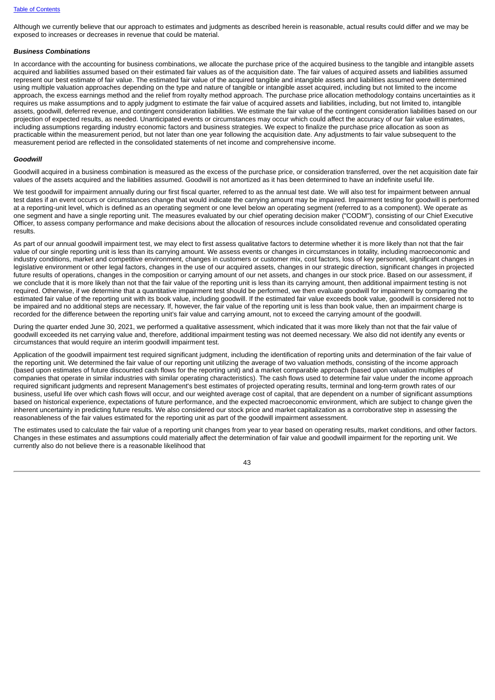Although we currently believe that our approach to estimates and judgments as described herein is reasonable, actual results could differ and we may be exposed to increases or decreases in revenue that could be material.

### *Business Combinations*

In accordance with the accounting for business combinations, we allocate the purchase price of the acquired business to the tangible and intangible assets acquired and liabilities assumed based on their estimated fair values as of the acquisition date. The fair values of acquired assets and liabilities assumed represent our best estimate of fair value. The estimated fair value of the acquired tangible and intangible assets and liabilities assumed were determined using multiple valuation approaches depending on the type and nature of tangible or intangible asset acquired, including but not limited to the income approach, the excess earnings method and the relief from royalty method approach. The purchase price allocation methodology contains uncertainties as it requires us make assumptions and to apply judgment to estimate the fair value of acquired assets and liabilities, including, but not limited to, intangible assets, goodwill, deferred revenue, and contingent consideration liabilities. We estimate the fair value of the contingent consideration liabilities based on our projection of expected results, as needed. Unanticipated events or circumstances may occur which could affect the accuracy of our fair value estimates, including assumptions regarding industry economic factors and business strategies. We expect to finalize the purchase price allocation as soon as practicable within the measurement period, but not later than one year following the acquisition date. Any adjustments to fair value subsequent to the measurement period are reflected in the consolidated statements of net income and comprehensive income.

#### *Goodwill*

Goodwill acquired in a business combination is measured as the excess of the purchase price, or consideration transferred, over the net acquisition date fair values of the assets acquired and the liabilities assumed. Goodwill is not amortized as it has been determined to have an indefinite useful life.

We test goodwill for impairment annually during our first fiscal quarter, referred to as the annual test date. We will also test for impairment between annual test dates if an event occurs or circumstances change that would indicate the carrying amount may be impaired. Impairment testing for goodwill is performed at a reporting-unit level, which is defined as an operating segment or one level below an operating segment (referred to as a component). We operate as one segment and have a single reporting unit. The measures evaluated by our chief operating decision maker ("CODM"), consisting of our Chief Executive Officer, to assess company performance and make decisions about the allocation of resources include consolidated revenue and consolidated operating results.

As part of our annual goodwill impairment test, we may elect to first assess qualitative factors to determine whether it is more likely than not that the fair value of our single reporting unit is less than its carrying amount. We assess events or changes in circumstances in totality, including macroeconomic and industry conditions, market and competitive environment, changes in customers or customer mix, cost factors, loss of key personnel, significant changes in legislative environment or other legal factors, changes in the use of our acquired assets, changes in our strategic direction, significant changes in projected future results of operations, changes in the composition or carrying amount of our net assets, and changes in our stock price. Based on our assessment, if we conclude that it is more likely than not that the fair value of the reporting unit is less than its carrying amount, then additional impairment testing is not required. Otherwise, if we determine that a quantitative impairment test should be performed, we then evaluate goodwill for impairment by comparing the estimated fair value of the reporting unit with its book value, including goodwill. If the estimated fair value exceeds book value, goodwill is considered not to be impaired and no additional steps are necessary. If, however, the fair value of the reporting unit is less than book value, then an impairment charge is recorded for the difference between the reporting unit's fair value and carrying amount, not to exceed the carrying amount of the goodwill.

During the quarter ended June 30, 2021, we performed a qualitative assessment, which indicated that it was more likely than not that the fair value of goodwill exceeded its net carrying value and, therefore, additional impairment testing was not deemed necessary. We also did not identify any events or circumstances that would require an interim goodwill impairment test.

Application of the goodwill impairment test required significant judgment, including the identification of reporting units and determination of the fair value of the reporting unit. We determined the fair value of our reporting unit utilizing the average of two valuation methods, consisting of the income approach (based upon estimates of future discounted cash flows for the reporting unit) and a market comparable approach (based upon valuation multiples of companies that operate in similar industries with similar operating characteristics). The cash flows used to determine fair value under the income approach required significant judgments and represent Management's best estimates of projected operating results, terminal and long-term growth rates of our business, useful life over which cash flows will occur, and our weighted average cost of capital, that are dependent on a number of significant assumptions based on historical experience, expectations of future performance, and the expected macroeconomic environment, which are subject to change given the inherent uncertainty in predicting future results. We also considered our stock price and market capitalization as a corroborative step in assessing the reasonableness of the fair values estimated for the reporting unit as part of the goodwill impairment assessment.

The estimates used to calculate the fair value of a reporting unit changes from year to year based on operating results, market conditions, and other factors. Changes in these estimates and assumptions could materially affect the determination of fair value and goodwill impairment for the reporting unit. We currently also do not believe there is a reasonable likelihood that

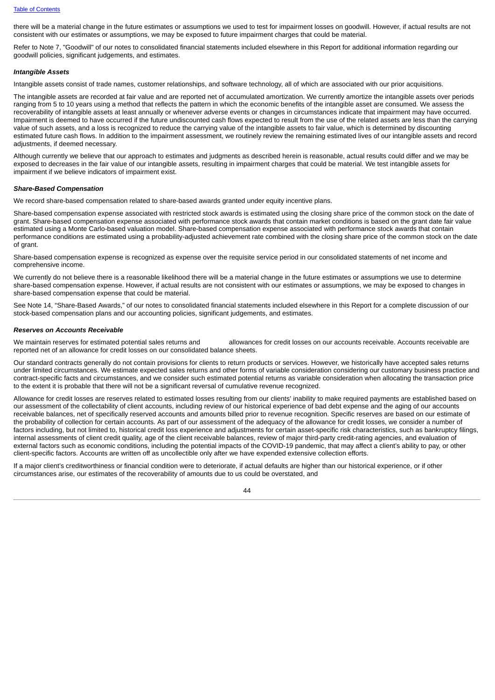there will be a material change in the future estimates or assumptions we used to test for impairment losses on goodwill. However, if actual results are not consistent with our estimates or assumptions, we may be exposed to future impairment charges that could be material.

Refer to Note 7, "Goodwill" of our notes to consolidated financial statements included elsewhere in this Report for additional information regarding our goodwill policies, significant judgements, and estimates.

#### *Intangible Assets*

Intangible assets consist of trade names, customer relationships, and software technology, all of which are associated with our prior acquisitions.

The intangible assets are recorded at fair value and are reported net of accumulated amortization. We currently amortize the intangible assets over periods ranging from 5 to 10 years using a method that reflects the pattern in which the economic benefits of the intangible asset are consumed. We assess the recoverability of intangible assets at least annually or whenever adverse events or changes in circumstances indicate that impairment may have occurred. Impairment is deemed to have occurred if the future undiscounted cash flows expected to result from the use of the related assets are less than the carrying value of such assets, and a loss is recognized to reduce the carrying value of the intangible assets to fair value, which is determined by discounting estimated future cash flows. In addition to the impairment assessment, we routinely review the remaining estimated lives of our intangible assets and record adjustments, if deemed necessary.

Although currently we believe that our approach to estimates and judgments as described herein is reasonable, actual results could differ and we may be exposed to decreases in the fair value of our intangible assets, resulting in impairment charges that could be material. We test intangible assets for impairment if we believe indicators of impairment exist.

#### *Share-Based Compensation*

We record share-based compensation related to share-based awards granted under equity incentive plans.

Share-based compensation expense associated with restricted stock awards is estimated using the closing share price of the common stock on the date of grant. Share-based compensation expense associated with performance stock awards that contain market conditions is based on the grant date fair value estimated using a Monte Carlo-based valuation model. Share-based compensation expense associated with performance stock awards that contain performance conditions are estimated using a probability-adjusted achievement rate combined with the closing share price of the common stock on the date of grant.

Share-based compensation expense is recognized as expense over the requisite service period in our consolidated statements of net income and comprehensive income.

We currently do not believe there is a reasonable likelihood there will be a material change in the future estimates or assumptions we use to determine share-based compensation expense. However, if actual results are not consistent with our estimates or assumptions, we may be exposed to changes in share-based compensation expense that could be material.

See Note 14, "Share-Based Awards," of our notes to consolidated financial statements included elsewhere in this Report for a complete discussion of our stock-based compensation plans and our accounting policies, significant judgements, and estimates.

#### *Reserves on Accounts Receivable*

We maintain reserves for estimated potential sales returns and allowances for credit losses on our accounts receivable. Accounts receivable are reported net of an allowance for credit losses on our consolidated balance sheets.

Our standard contracts generally do not contain provisions for clients to return products or services. However, we historically have accepted sales returns under limited circumstances. We estimate expected sales returns and other forms of variable consideration considering our customary business practice and contract-specific facts and circumstances, and we consider such estimated potential returns as variable consideration when allocating the transaction price to the extent it is probable that there will not be a significant reversal of cumulative revenue recognized.

Allowance for credit losses are reserves related to estimated losses resulting from our clients' inability to make required payments are established based on our assessment of the collectability of client accounts, including review of our historical experience of bad debt expense and the aging of our accounts receivable balances, net of specifically reserved accounts and amounts billed prior to revenue recognition. Specific reserves are based on our estimate of the probability of collection for certain accounts. As part of our assessment of the adequacy of the allowance for credit losses, we consider a number of factors including, but not limited to, historical credit loss experience and adjustments for certain asset-specific risk characteristics, such as bankruptcy filings, internal assessments of client credit quality, age of the client receivable balances, review of major third-party credit-rating agencies, and evaluation of external factors such as economic conditions, including the potential impacts of the COVID-19 pandemic, that may affect a client's ability to pay, or other client-specific factors. Accounts are written off as uncollectible only after we have expended extensive collection efforts.

If a major client's creditworthiness or financial condition were to deteriorate, if actual defaults are higher than our historical experience, or if other circumstances arise, our estimates of the recoverability of amounts due to us could be overstated, and

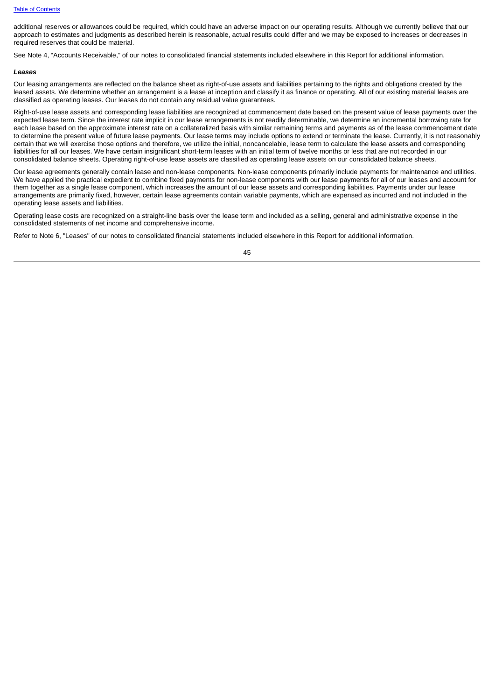additional reserves or allowances could be required, which could have an adverse impact on our operating results. Although we currently believe that our approach to estimates and judgments as described herein is reasonable, actual results could differ and we may be exposed to increases or decreases in required reserves that could be material.

See Note 4, "Accounts Receivable," of our notes to consolidated financial statements included elsewhere in this Report for additional information.

#### *Leases*

Our leasing arrangements are reflected on the balance sheet as right-of-use assets and liabilities pertaining to the rights and obligations created by the leased assets. We determine whether an arrangement is a lease at inception and classify it as finance or operating. All of our existing material leases are classified as operating leases. Our leases do not contain any residual value guarantees.

Right-of-use lease assets and corresponding lease liabilities are recognized at commencement date based on the present value of lease payments over the expected lease term. Since the interest rate implicit in our lease arrangements is not readily determinable, we determine an incremental borrowing rate for each lease based on the approximate interest rate on a collateralized basis with similar remaining terms and payments as of the lease commencement date to determine the present value of future lease payments. Our lease terms may include options to extend or terminate the lease. Currently, it is not reasonably certain that we will exercise those options and therefore, we utilize the initial, noncancelable, lease term to calculate the lease assets and corresponding liabilities for all our leases. We have certain insignificant short-term leases with an initial term of twelve months or less that are not recorded in our consolidated balance sheets. Operating right-of-use lease assets are classified as operating lease assets on our consolidated balance sheets.

Our lease agreements generally contain lease and non-lease components. Non-lease components primarily include payments for maintenance and utilities. We have applied the practical expedient to combine fixed payments for non-lease components with our lease payments for all of our leases and account for them together as a single lease component, which increases the amount of our lease assets and corresponding liabilities. Payments under our lease arrangements are primarily fixed, however, certain lease agreements contain variable payments, which are expensed as incurred and not included in the operating lease assets and liabilities.

Operating lease costs are recognized on a straight-line basis over the lease term and included as a selling, general and administrative expense in the consolidated statements of net income and comprehensive income.

Refer to Note 6, "Leases" of our notes to consolidated financial statements included elsewhere in this Report for additional information.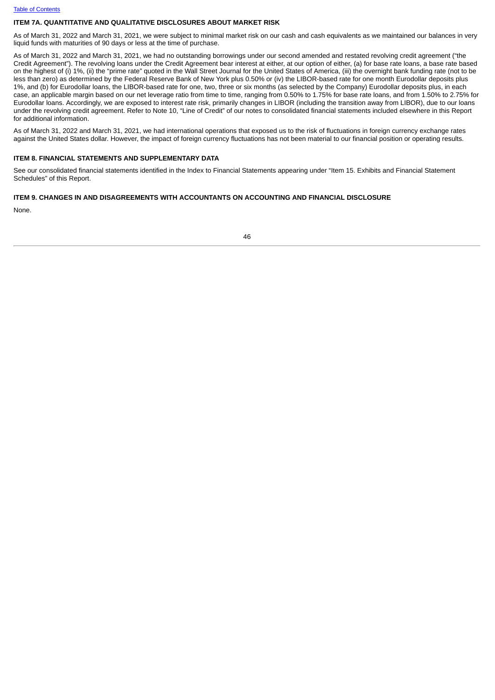## **ITEM 7A. QUANTITATIVE AND QUALITATIVE DISCLOSURES ABOUT MARKET RISK**

As of March 31, 2022 and March 31, 2021, we were subject to minimal market risk on our cash and cash equivalents as we maintained our balances in very liquid funds with maturities of 90 days or less at the time of purchase.

As of March 31, 2022 and March 31, 2021, we had no outstanding borrowings under our second amended and restated revolving credit agreement ("the Credit Agreement"). The revolving loans under the Credit Agreement bear interest at either, at our option of either, (a) for base rate loans, a base rate based on the highest of (i) 1%, (ii) the "prime rate" quoted in the Wall Street Journal for the United States of America, (iii) the overnight bank funding rate (not to be less than zero) as determined by the Federal Reserve Bank of New York plus 0.50% or (iv) the LIBOR-based rate for one month Eurodollar deposits plus 1%, and (b) for Eurodollar loans, the LIBOR-based rate for one, two, three or six months (as selected by the Company) Eurodollar deposits plus, in each case, an applicable margin based on our net leverage ratio from time to time, ranging from 0.50% to 1.75% for base rate loans, and from 1.50% to 2.75% for Eurodollar loans. Accordingly, we are exposed to interest rate risk, primarily changes in LIBOR (including the transition away from LIBOR), due to our loans under the revolving credit agreement. Refer to Note 10, "Line of Credit" of our notes to consolidated financial statements included elsewhere in this Report for additional information.

As of March 31, 2022 and March 31, 2021, we had international operations that exposed us to the risk of fluctuations in foreign currency exchange rates against the United States dollar. However, the impact of foreign currency fluctuations has not been material to our financial position or operating results.

# **ITEM 8. FINANCIAL STATEMENTS AND SUPPLEMENTARY DATA**

See our consolidated financial statements identified in the Index to Financial Statements appearing under "Item 15. Exhibits and Financial Statement Schedules" of this Report.

46

# **ITEM 9. CHANGES IN AND DISAGREEMENTS WITH ACCOUNTANTS ON ACCOUNTING AND FINANCIAL DISCLOSURE**

None.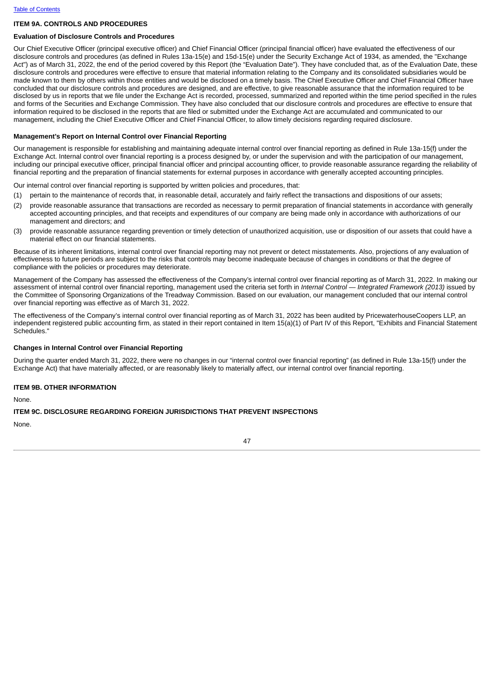# **ITEM 9A. CONTROLS AND PROCEDURES**

## **Evaluation of Disclosure Controls and Procedures**

Our Chief Executive Officer (principal executive officer) and Chief Financial Officer (principal financial officer) have evaluated the effectiveness of our disclosure controls and procedures (as defined in Rules 13a-15(e) and 15d-15(e) under the Security Exchange Act of 1934, as amended, the "Exchange Act") as of March 31, 2022, the end of the period covered by this Report (the "Evaluation Date"). They have concluded that, as of the Evaluation Date, these disclosure controls and procedures were effective to ensure that material information relating to the Company and its consolidated subsidiaries would be made known to them by others within those entities and would be disclosed on a timely basis. The Chief Executive Officer and Chief Financial Officer have concluded that our disclosure controls and procedures are designed, and are effective, to give reasonable assurance that the information required to be disclosed by us in reports that we file under the Exchange Act is recorded, processed, summarized and reported within the time period specified in the rules and forms of the Securities and Exchange Commission. They have also concluded that our disclosure controls and procedures are effective to ensure that information required to be disclosed in the reports that are filed or submitted under the Exchange Act are accumulated and communicated to our management, including the Chief Executive Officer and Chief Financial Officer, to allow timely decisions regarding required disclosure.

#### **Management's Report on Internal Control over Financial Reporting**

Our management is responsible for establishing and maintaining adequate internal control over financial reporting as defined in Rule 13a-15(f) under the Exchange Act. Internal control over financial reporting is a process designed by, or under the supervision and with the participation of our management, including our principal executive officer, principal financial officer and principal accounting officer, to provide reasonable assurance regarding the reliability of financial reporting and the preparation of financial statements for external purposes in accordance with generally accepted accounting principles.

Our internal control over financial reporting is supported by written policies and procedures, that:

- (1) pertain to the maintenance of records that, in reasonable detail, accurately and fairly reflect the transactions and dispositions of our assets;
- (2) provide reasonable assurance that transactions are recorded as necessary to permit preparation of financial statements in accordance with generally accepted accounting principles, and that receipts and expenditures of our company are being made only in accordance with authorizations of our management and directors; and
- (3) provide reasonable assurance regarding prevention or timely detection of unauthorized acquisition, use or disposition of our assets that could have a material effect on our financial statements.

Because of its inherent limitations, internal control over financial reporting may not prevent or detect misstatements. Also, projections of any evaluation of effectiveness to future periods are subject to the risks that controls may become inadequate because of changes in conditions or that the degree of compliance with the policies or procedures may deteriorate.

Management of the Company has assessed the effectiveness of the Company's internal control over financial reporting as of March 31, 2022. In making our assessment of internal control over financial reporting, management used the criteria set forth in *Internal Control — Integrated Framework (2013)* issued by the Committee of Sponsoring Organizations of the Treadway Commission. Based on our evaluation, our management concluded that our internal control over financial reporting was effective as of March 31, 2022.

The effectiveness of the Company's internal control over financial reporting as of March 31, 2022 has been audited by PricewaterhouseCoopers LLP, an independent registered public accounting firm, as stated in their report contained in Item 15(a)(1) of Part IV of this Report, "Exhibits and Financial Statement Schedules."

### **Changes in Internal Control over Financial Reporting**

During the quarter ended March 31, 2022, there were no changes in our "internal control over financial reporting" (as defined in Rule 13a-15(f) under the Exchange Act) that have materially affected, or are reasonably likely to materially affect, our internal control over financial reporting.

## **ITEM 9B. OTHER INFORMATION**

None.

#### **ITEM 9C. DISCLOSURE REGARDING FOREIGN JURISDICTIONS THAT PREVENT INSPECTIONS**

None.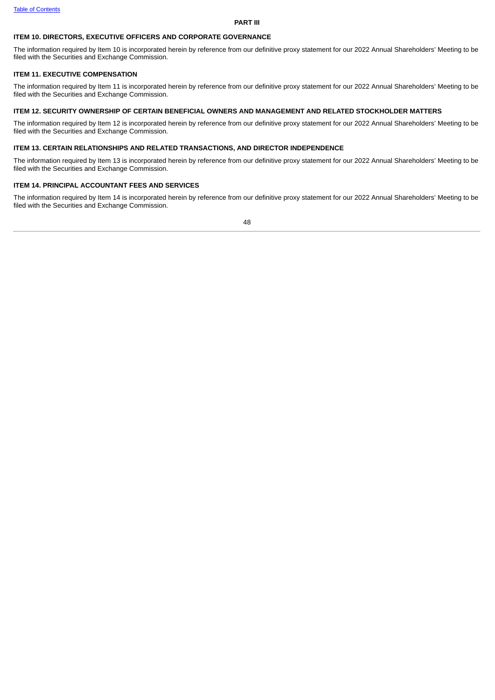## **PART III**

## **ITEM 10. DIRECTORS, EXECUTIVE OFFICERS AND CORPORATE GOVERNANCE**

The information required by Item 10 is incorporated herein by reference from our definitive proxy statement for our 2022 Annual Shareholders' Meeting to be filed with the Securities and Exchange Commission.

#### **ITEM 11. EXECUTIVE COMPENSATION**

The information required by Item 11 is incorporated herein by reference from our definitive proxy statement for our 2022 Annual Shareholders' Meeting to be filed with the Securities and Exchange Commission.

## **ITEM 12. SECURITY OWNERSHIP OF CERTAIN BENEFICIAL OWNERS AND MANAGEMENT AND RELATED STOCKHOLDER MATTERS**

The information required by Item 12 is incorporated herein by reference from our definitive proxy statement for our 2022 Annual Shareholders' Meeting to be filed with the Securities and Exchange Commission.

### **ITEM 13. CERTAIN RELATIONSHIPS AND RELATED TRANSACTIONS, AND DIRECTOR INDEPENDENCE**

The information required by Item 13 is incorporated herein by reference from our definitive proxy statement for our 2022 Annual Shareholders' Meeting to be filed with the Securities and Exchange Commission.

## **ITEM 14. PRINCIPAL ACCOUNTANT FEES AND SERVICES**

The information required by Item 14 is incorporated herein by reference from our definitive proxy statement for our 2022 Annual Shareholders' Meeting to be filed with the Securities and Exchange Commission.

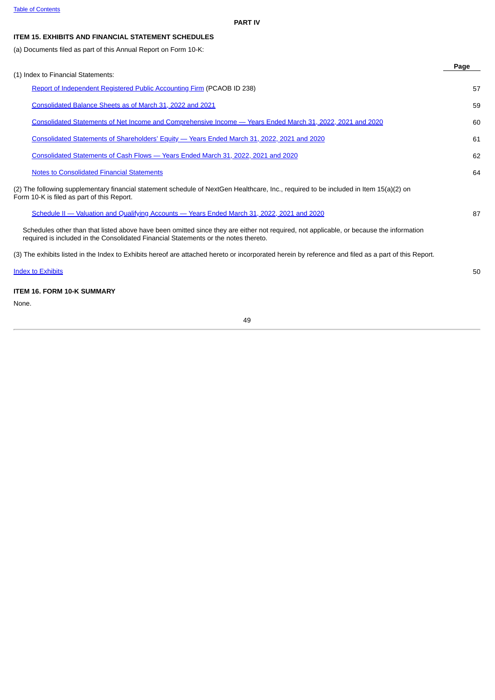**PART IV**

# **ITEM 15. EXHIBITS AND FINANCIAL STATEMENT SCHEDULES**

(a) Documents filed as part of this Annual Report on Form 10-K:

| (1) Index to Financial Statements:                                                                                                                                                                                             | Page |
|--------------------------------------------------------------------------------------------------------------------------------------------------------------------------------------------------------------------------------|------|
| Report of Independent Registered Public Accounting Firm (PCAOB ID 238)                                                                                                                                                         | 57   |
| Consolidated Balance Sheets as of March 31, 2022 and 2021                                                                                                                                                                      | 59   |
| Consolidated Statements of Net Income and Comprehensive Income — Years Ended March 31, 2022, 2021 and 2020                                                                                                                     | 60   |
| Consolidated Statements of Shareholders' Equity — Years Ended March 31, 2022, 2021 and 2020                                                                                                                                    | 61   |
| Consolidated Statements of Cash Flows - Years Ended March 31, 2022, 2021 and 2020                                                                                                                                              | 62   |
| <b>Notes to Consolidated Financial Statements</b>                                                                                                                                                                              | 64   |
| (2) The following supplementary financial statement schedule of NextGen Healthcare, Inc., required to be included in Item 15(a)(2) on<br>Form 10-K is filed as part of this Report.                                            |      |
| Schedule II - Valuation and Qualifying Accounts - Years Ended March 31, 2022, 2021 and 2020                                                                                                                                    | 87   |
| Schedules other than that listed above have been omitted since they are either not required, not applicable, or because the information<br>required is included in the Consolidated Financial Statements or the notes thereto. |      |
| (3) The exhibits listed in the Index to Exhibits hereof are attached hereto or incorporated herein by reference and filed as a part of this Report.                                                                            |      |
| <b>Index to Exhibits</b>                                                                                                                                                                                                       | 50   |
| <b>ITEM 16. FORM 10-K SUMMARY</b>                                                                                                                                                                                              |      |
| None.                                                                                                                                                                                                                          |      |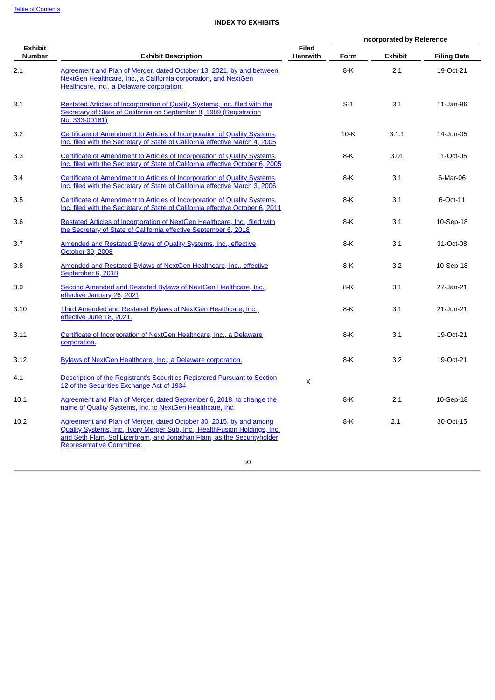# **INDEX TO EXHIBITS**

<span id="page-49-0"></span>

|                                 |                                                                                                                                                                                                                                                         |                                 | <b>Incorporated by Reference</b> |                |                    |  |
|---------------------------------|---------------------------------------------------------------------------------------------------------------------------------------------------------------------------------------------------------------------------------------------------------|---------------------------------|----------------------------------|----------------|--------------------|--|
| <b>Exhibit</b><br><b>Number</b> | <b>Exhibit Description</b>                                                                                                                                                                                                                              | <b>Filed</b><br><b>Herewith</b> | Form                             | <b>Exhibit</b> | <b>Filing Date</b> |  |
| 2.1                             | Agreement and Plan of Merger, dated October 13, 2021, by and between<br>NextGen Healthcare, Inc., a California corporation, and NextGen<br>Healthcare, Inc., a Delaware corporation.                                                                    |                                 | $8-K$                            | 2.1            | 19-Oct-21          |  |
| 3.1                             | Restated Articles of Incorporation of Quality Systems, Inc. filed with the<br>Secretary of State of California on September 8, 1989 (Registration<br>No. 333-00161)                                                                                     |                                 | $S-1$                            | 3.1            | 11-Jan-96          |  |
| 3.2                             | Certificate of Amendment to Articles of Incorporation of Quality Systems,<br>Inc. filed with the Secretary of State of California effective March 4, 2005                                                                                               |                                 | $10-K$                           | 3.1.1          | 14-Jun-05          |  |
| 3.3                             | Certificate of Amendment to Articles of Incorporation of Quality Systems,<br>Inc. filed with the Secretary of State of California effective October 6, 2005                                                                                             |                                 | $8-K$                            | 3.01           | 11-Oct-05          |  |
| 3.4                             | Certificate of Amendment to Articles of Incorporation of Quality Systems,<br>Inc. filed with the Secretary of State of California effective March 3, 2006                                                                                               |                                 | $8-K$                            | 3.1            | 6-Mar-06           |  |
| 3.5                             | Certificate of Amendment to Articles of Incorporation of Quality Systems.<br>Inc. filed with the Secretary of State of California effective October 6, 2011                                                                                             |                                 | $8-K$                            | 3.1            | $6$ -Oct-11        |  |
| 3.6                             | Restated Articles of Incorporation of NextGen Healthcare, Inc., filed with<br>the Secretary of State of California effective September 6, 2018                                                                                                          |                                 | $8-K$                            | 3.1            | 10-Sep-18          |  |
| 3.7                             | Amended and Restated Bylaws of Quality Systems, Inc., effective<br>October 30, 2008                                                                                                                                                                     |                                 | $8-K$                            | 3.1            | 31-Oct-08          |  |
| 3.8                             | Amended and Restated Bylaws of NextGen Healthcare, Inc., effective<br>September 6, 2018                                                                                                                                                                 |                                 | $8-K$                            | 3.2            | 10-Sep-18          |  |
| 3.9                             | Second Amended and Restated Bylaws of NextGen Healthcare, Inc.,<br>effective January 26, 2021                                                                                                                                                           |                                 | $8-K$                            | 3.1            | 27-Jan-21          |  |
| 3.10                            | Third Amended and Restated Bylaws of NextGen Healthcare, Inc.,<br>effective June 18, 2021.                                                                                                                                                              |                                 | $8-K$                            | 3.1            | 21-Jun-21          |  |
| 3.11                            | Certificate of Incorporation of NextGen Healthcare, Inc., a Delaware<br>corporation.                                                                                                                                                                    |                                 | $8-K$                            | 3.1            | 19-Oct-21          |  |
| 3.12                            | Bylaws of NextGen Healthcare, Inc., a Delaware corporation.                                                                                                                                                                                             |                                 | $8-K$                            | 3.2            | 19-Oct-21          |  |
| 4.1                             | Description of the Registrant's Securities Registered Pursuant to Section<br>12 of the Securities Exchange Act of 1934                                                                                                                                  | X                               |                                  |                |                    |  |
| 10.1                            | Agreement and Plan of Merger, dated September 6, 2018, to change the<br>name of Quality Systems, Inc. to NextGen Healthcare, Inc.                                                                                                                       |                                 | $8-K$                            | 2.1            | 10-Sep-18          |  |
| 10.2                            | Agreement and Plan of Merger, dated October 30, 2015, by and among<br>Quality Systems, Inc., Ivory Merger Sub, Inc., HealthFusion Holdings, Inc.<br>and Seth Flam, Sol Lizerbram, and Jonathan Flam, as the Securityholder<br>Representative Committee. |                                 | $8-K$                            | 2.1            | 30-Oct-15          |  |
|                                 | 50                                                                                                                                                                                                                                                      |                                 |                                  |                |                    |  |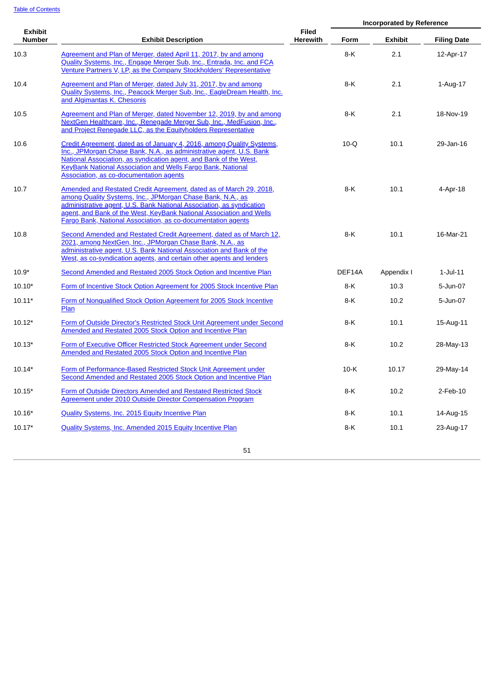Table of [Contents](#page-1-0)

|                                 |                                                                                                                                                                                                                                                                                                                                                        |                          | <b>Incorporated by Reference</b> |                |                    |  |
|---------------------------------|--------------------------------------------------------------------------------------------------------------------------------------------------------------------------------------------------------------------------------------------------------------------------------------------------------------------------------------------------------|--------------------------|----------------------------------|----------------|--------------------|--|
| <b>Exhibit</b><br><b>Number</b> | <b>Exhibit Description</b>                                                                                                                                                                                                                                                                                                                             | <b>Filed</b><br>Herewith | Form                             | <b>Exhibit</b> | <b>Filing Date</b> |  |
| 10.3                            | Agreement and Plan of Merger, dated April 11, 2017, by and among<br>Quality Systems, Inc., Engage Merger Sub, Inc., Entrada, Inc. and FCA<br>Venture Partners V, LP, as the Company Stockholders' Representative                                                                                                                                       |                          | 8-K                              | 2.1            | 12-Apr-17          |  |
| 10.4                            | Agreement and Plan of Merger, dated July 31, 2017, by and among<br>Quality Systems, Inc., Peacock Merger Sub, Inc., EagleDream Health, Inc.<br>and Algimantas K. Chesonis                                                                                                                                                                              |                          | 8-K                              | 2.1            | $1-Auq-17$         |  |
| 10.5                            | Agreement and Plan of Merger, dated November 12, 2019, by and among<br>NextGen Healthcare, Inc., Renegade Merger Sub, Inc., MedFusion, Inc.,<br>and Project Renegade LLC, as the Equityholders Representative                                                                                                                                          |                          | 8-K                              | 2.1            | 18-Nov-19          |  |
| 10.6                            | Credit Agreement, dated as of January 4, 2016, among Quality Systems,<br>Inc., JPMorgan Chase Bank, N.A., as administrative agent, U.S. Bank<br>National Association, as syndication agent, and Bank of the West,<br>KeyBank National Association and Wells Fargo Bank, National<br>Association, as co-documentation agents                            |                          | $10-°$                           | 10.1           | 29-Jan-16          |  |
| 10.7                            | Amended and Restated Credit Agreement, dated as of March 29, 2018.<br>among Quality Systems, Inc., JPMorgan Chase Bank, N.A., as<br>administrative agent, U.S. Bank National Association, as syndication<br>agent, and Bank of the West, KeyBank National Association and Wells<br><b>Fargo Bank, National Association, as co-documentation agents</b> |                          | 8-K                              | 10.1           | 4-Apr-18           |  |
| 10.8                            | Second Amended and Restated Credit Agreement, dated as of March 12,<br>2021, among NextGen, Inc., JPMorgan Chase Bank, N.A., as<br>administrative agent, U.S. Bank National Association and Bank of the<br>West, as co-syndication agents, and certain other agents and lenders                                                                        |                          | 8-K                              | 10.1           | 16-Mar-21          |  |
| $10.9*$                         | Second Amended and Restated 2005 Stock Option and Incentive Plan                                                                                                                                                                                                                                                                                       |                          | DEF14A                           | Appendix I     | $1$ -Jul- $11$     |  |
| $10.10*$                        | Form of Incentive Stock Option Agreement for 2005 Stock Incentive Plan                                                                                                                                                                                                                                                                                 |                          | 8-K                              | 10.3           | 5-Jun-07           |  |
| $10.11*$                        | Form of Nongualified Stock Option Agreement for 2005 Stock Incentive<br>Plan                                                                                                                                                                                                                                                                           |                          | 8-K                              | 10.2           | 5-Jun-07           |  |
| $10.12*$                        | Form of Outside Director's Restricted Stock Unit Agreement under Second<br>Amended and Restated 2005 Stock Option and Incentive Plan                                                                                                                                                                                                                   |                          | 8-K                              | 10.1           | 15-Aug-11          |  |
| $10.13*$                        | Form of Executive Officer Restricted Stock Agreement under Second<br>Amended and Restated 2005 Stock Option and Incentive Plan                                                                                                                                                                                                                         |                          | 8-K                              | 10.2           | 28-May-13          |  |
| $10.14*$                        | Form of Performance-Based Restricted Stock Unit Agreement under<br>Second Amended and Restated 2005 Stock Option and Incentive Plan                                                                                                                                                                                                                    |                          | $10-K$                           | 10.17          | 29-May-14          |  |
| $10.15*$                        | Form of Outside Directors Amended and Restated Restricted Stock<br><b>Agreement under 2010 Outside Director Compensation Program</b>                                                                                                                                                                                                                   |                          | 8-K                              | 10.2           | $2$ -Feb-10        |  |
| $10.16*$                        | Quality Systems, Inc. 2015 Equity Incentive Plan                                                                                                                                                                                                                                                                                                       |                          | 8-K                              | 10.1           | 14-Aug-15          |  |
| $10.17*$                        | Quality Systems, Inc. Amended 2015 Equity Incentive Plan                                                                                                                                                                                                                                                                                               |                          | $8-K$                            | 10.1           | 23-Aug-17          |  |
|                                 |                                                                                                                                                                                                                                                                                                                                                        |                          |                                  |                |                    |  |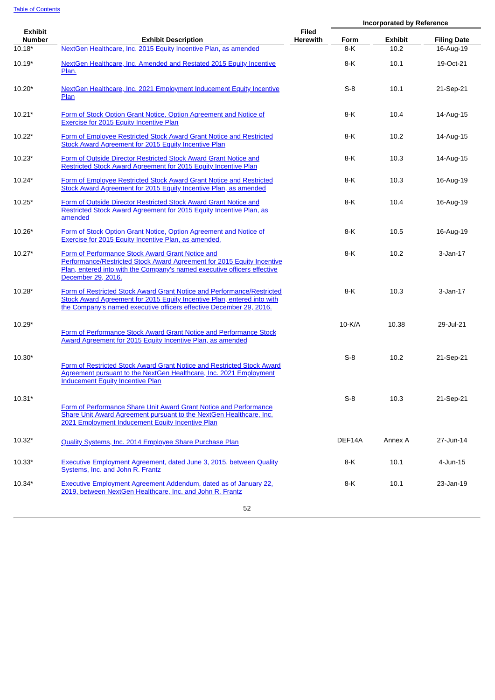|                                 |                                                                                                                                                                                                                              |                          | <b>Incorporated by Reference</b> |                |                    |  |
|---------------------------------|------------------------------------------------------------------------------------------------------------------------------------------------------------------------------------------------------------------------------|--------------------------|----------------------------------|----------------|--------------------|--|
| <b>Exhibit</b><br><b>Number</b> | <b>Exhibit Description</b>                                                                                                                                                                                                   | Filed<br><b>Herewith</b> | Form                             | <b>Exhibit</b> | <b>Filing Date</b> |  |
| $10.18*$                        | NextGen Healthcare, Inc. 2015 Equity Incentive Plan, as amended                                                                                                                                                              |                          | 8-K                              | 10.2           | 16-Aug-19          |  |
| $10.19*$                        | NextGen Healthcare, Inc. Amended and Restated 2015 Equity Incentive<br>Plan.                                                                                                                                                 |                          | $8-K$                            | 10.1           | 19-Oct-21          |  |
| $10.20*$                        | NextGen Healthcare, Inc. 2021 Employment Inducement Equity Incentive<br>Plan                                                                                                                                                 |                          | $S-8$                            | 10.1           | 21-Sep-21          |  |
| $10.21*$                        | Form of Stock Option Grant Notice, Option Agreement and Notice of<br><b>Exercise for 2015 Equity Incentive Plan</b>                                                                                                          |                          | $8-K$                            | 10.4           | 14-Aug-15          |  |
| $10.22*$                        | Form of Employee Restricted Stock Award Grant Notice and Restricted<br>Stock Award Agreement for 2015 Equity Incentive Plan                                                                                                  |                          | $8-K$                            | 10.2           | 14-Aug-15          |  |
| $10.23*$                        | Form of Outside Director Restricted Stock Award Grant Notice and<br>Restricted Stock Award Agreement for 2015 Equity Incentive Plan                                                                                          |                          | $8-K$                            | 10.3           | 14-Aug-15          |  |
| $10.24*$                        | Form of Employee Restricted Stock Award Grant Notice and Restricted<br>Stock Award Agreement for 2015 Equity Incentive Plan, as amended                                                                                      |                          | 8-K                              | 10.3           | 16-Aug-19          |  |
| $10.25*$                        | Form of Outside Director Restricted Stock Award Grant Notice and<br>Restricted Stock Award Agreement for 2015 Equity Incentive Plan, as<br>amended                                                                           |                          | $8-K$                            | 10.4           | 16-Aug-19          |  |
| $10.26*$                        | Form of Stock Option Grant Notice, Option Agreement and Notice of<br><b>Exercise for 2015 Equity Incentive Plan, as amended.</b>                                                                                             |                          | $8-K$                            | 10.5           | 16-Aug-19          |  |
| $10.27*$                        | Form of Performance Stock Award Grant Notice and<br>Performance/Restricted Stock Award Agreement for 2015 Equity Incentive<br>Plan, entered into with the Company's named executive officers effective<br>December 29, 2016. |                          | $8-K$                            | 10.2           | $3-Jan-17$         |  |
| 10.28*                          | Form of Restricted Stock Award Grant Notice and Performance/Restricted<br>Stock Award Agreement for 2015 Equity Incentive Plan, entered into with<br>the Company's named executive officers effective December 29, 2016.     |                          | $8-K$                            | 10.3           | $3-Jan-17$         |  |
| $10.29*$                        | Form of Performance Stock Award Grant Notice and Performance Stock<br>Award Agreement for 2015 Equity Incentive Plan, as amended                                                                                             |                          | 10-K/A                           | 10.38          | 29-Jul-21          |  |
| $10.30*$                        | Form of Restricted Stock Award Grant Notice and Restricted Stock Award<br>Agreement pursuant to the NextGen Healthcare, Inc. 2021 Employment<br><b>Inducement Equity Incentive Plan</b>                                      |                          | $S-8$                            | 10.2           | 21-Sep-21          |  |
| $10.31*$                        | Form of Performance Share Unit Award Grant Notice and Performance<br>Share Unit Award Agreement pursuant to the NextGen Healthcare, Inc.<br>2021 Employment Inducement Equity Incentive Plan                                 |                          | $S-8$                            | 10.3           | 21-Sep-21          |  |
| $10.32*$                        | Quality Systems, Inc. 2014 Employee Share Purchase Plan                                                                                                                                                                      |                          | DEF14A                           | Annex A        | 27-Jun-14          |  |
| $10.33*$                        | Executive Employment Agreement, dated June 3, 2015, between Quality<br>Systems, Inc. and John R. Frantz                                                                                                                      |                          | $8-K$                            | 10.1           | 4-Jun-15           |  |
| $10.34*$                        | Executive Employment Agreement Addendum, dated as of January 22,<br>2019, between NextGen Healthcare, Inc. and John R. Frantz                                                                                                |                          | $8-K$                            | 10.1           | 23-Jan-19          |  |
|                                 |                                                                                                                                                                                                                              |                          |                                  |                |                    |  |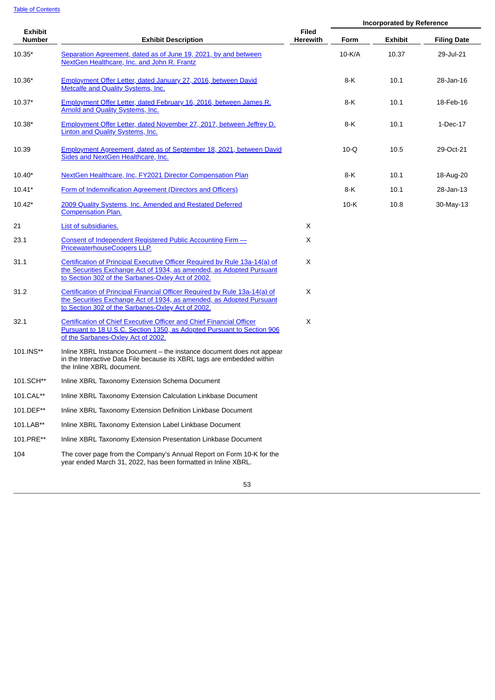|                          |                                                                                                                                                                                                         | <b>Incorporated by Reference</b> |        |                |                    |
|--------------------------|---------------------------------------------------------------------------------------------------------------------------------------------------------------------------------------------------------|----------------------------------|--------|----------------|--------------------|
| <b>Exhibit</b><br>Number | <b>Exhibit Description</b>                                                                                                                                                                              | Filed<br>Herewith                | Form   | <b>Exhibit</b> | <b>Filing Date</b> |
| $10.35*$                 | Separation Agreement, dated as of June 19, 2021, by and between<br>NextGen Healthcare, Inc. and John R. Frantz                                                                                          |                                  | 10-K/A | 10.37          | 29-Jul-21          |
| $10.36*$                 | Employment Offer Letter, dated January 27, 2016, between David<br>Metcalfe and Quality Systems, Inc.                                                                                                    |                                  | 8-K    | 10.1           | 28-Jan-16          |
| $10.37*$                 | <b>Employment Offer Letter, dated February 16, 2016, between James R.</b><br><b>Arnold and Quality Systems, Inc.</b>                                                                                    |                                  | 8-K    | 10.1           | 18-Feb-16          |
| $10.38*$                 | Employment Offer Letter, dated November 27, 2017, between Jeffrey D.<br><b>Linton and Quality Systems, Inc.</b>                                                                                         |                                  | 8-K    | 10.1           | 1-Dec-17           |
| 10.39                    | Employment Agreement, dated as of September 18, 2021, between David<br>Sides and NextGen Healthcare, Inc.                                                                                               |                                  | $10-Q$ | 10.5           | 29-Oct-21          |
| $10.40*$                 | NextGen Healthcare, Inc. FY2021 Director Compensation Plan                                                                                                                                              |                                  | 8-K    | 10.1           | 18-Aug-20          |
| $10.41*$                 | <b>Form of Indemnification Agreement (Directors and Officers)</b>                                                                                                                                       |                                  | 8-K    | 10.1           | 28-Jan-13          |
| $10.42*$                 | 2009 Quality Systems, Inc. Amended and Restated Deferred<br><b>Compensation Plan.</b>                                                                                                                   |                                  | $10-K$ | 10.8           | 30-May-13          |
| 21                       | List of subsidiaries.                                                                                                                                                                                   | X                                |        |                |                    |
| 23.1                     | Consent of Independent Registered Public Accounting Firm -<br>PricewaterhouseCoopers LLP.                                                                                                               | X                                |        |                |                    |
| 31.1                     | Certification of Principal Executive Officer Required by Rule 13a-14(a) of<br>the Securities Exchange Act of 1934, as amended, as Adopted Pursuant<br>to Section 302 of the Sarbanes-Oxley Act of 2002. | X                                |        |                |                    |
| 31.2                     | Certification of Principal Financial Officer Required by Rule 13a-14(a) of<br>the Securities Exchange Act of 1934, as amended, as Adopted Pursuant<br>to Section 302 of the Sarbanes-Oxley Act of 2002. | X                                |        |                |                    |
| 32.1                     | <b>Certification of Chief Executive Officer and Chief Financial Officer</b><br>Pursuant to 18 U.S.C. Section 1350, as Adopted Pursuant to Section 906<br>of the Sarbanes-Oxley Act of 2002.             | X                                |        |                |                    |
| 101.INS**                | Inline XBRL Instance Document – the instance document does not appear<br>in the Interactive Data File because its XBRL tags are embedded within<br>the Inline XBRL document.                            |                                  |        |                |                    |
| 101.SCH**                | Inline XBRL Taxonomy Extension Schema Document                                                                                                                                                          |                                  |        |                |                    |
| 101.CAL**                | Inline XBRL Taxonomy Extension Calculation Linkbase Document                                                                                                                                            |                                  |        |                |                    |
| 101.DEF**                | Inline XBRL Taxonomy Extension Definition Linkbase Document                                                                                                                                             |                                  |        |                |                    |
| 101.LAB**                | Inline XBRL Taxonomy Extension Label Linkbase Document                                                                                                                                                  |                                  |        |                |                    |
| 101.PRE**                | Inline XBRL Taxonomy Extension Presentation Linkbase Document                                                                                                                                           |                                  |        |                |                    |
| 104                      | The cover page from the Company's Annual Report on Form 10-K for the<br>year ended March 31, 2022, has been formatted in Inline XBRL.                                                                   |                                  |        |                |                    |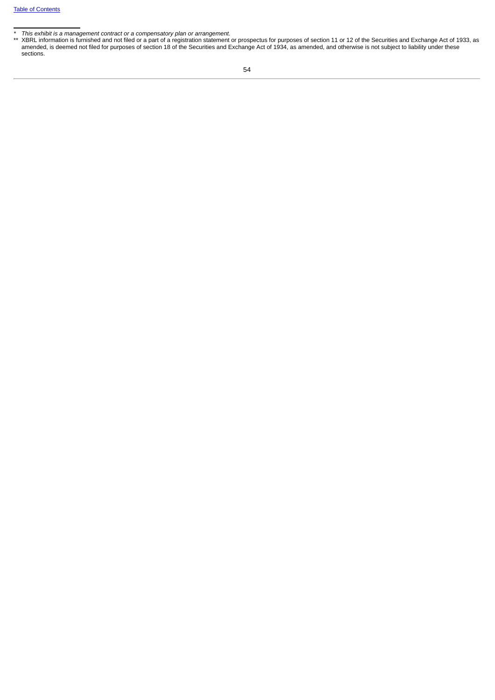- *\* This exhibit is a management contract or a compensatory plan or arrangement.*
- \*\* XBRL information is furnished and not filed or a part of a registration statement or prospectus for purposes of section 11 or 12 of the Securities and Exchange Act of 1933, as amended, is deemed not filed for purposes of section 18 of the Securities and Exchange Act of 1934, as amended, and otherwise is not subject to liability under these sections.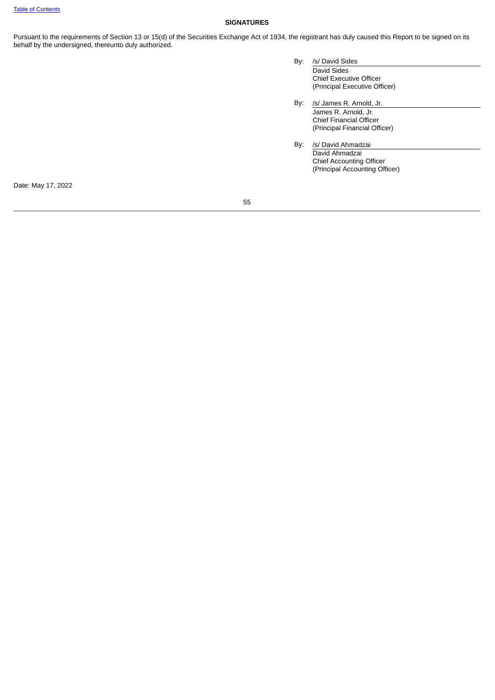# **SIGNATURES**

Pursuant to the requirements of Section 13 or 15(d) of the Securities Exchange Act of 1934, the registrant has duly caused this Report to be signed on its behalf by the undersigned, thereunto duly authorized.

- By: /s/ David Sides David Sides Chief Executive Officer (Principal Executive Officer)
- By: /s/ James R. Arnold, Jr. James R. Arnold, Jr. Chief Financial Officer (Principal Financial Officer)
- By: /s/ David Ahmadzai David Ahmadzai Chief Accounting Officer (Principal Accounting Officer)

Date: May 17, 2022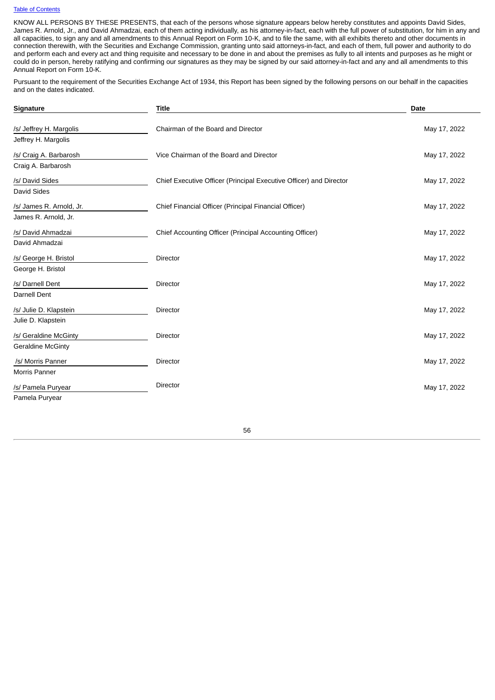#### Table of [Contents](#page-1-0)

KNOW ALL PERSONS BY THESE PRESENTS, that each of the persons whose signature appears below hereby constitutes and appoints David Sides, James R. Arnold, Jr., and David Ahmadzai, each of them acting individually, as his attorney-in-fact, each with the full power of substitution, for him in any and all capacities, to sign any and all amendments to this Annual Report on Form 10-K, and to file the same, with all exhibits thereto and other documents in connection therewith, with the Securities and Exchange Commission, granting unto said attorneys-in-fact, and each of them, full power and authority to do and perform each and every act and thing requisite and necessary to be done in and about the premises as fully to all intents and purposes as he might or could do in person, hereby ratifying and confirming our signatures as they may be signed by our said attorney-in-fact and any and all amendments to this Annual Report on Form 10-K.

Pursuant to the requirement of the Securities Exchange Act of 1934, this Report has been signed by the following persons on our behalf in the capacities and on the dates indicated.

| Signature                | <b>Title</b>                                                       | Date         |
|--------------------------|--------------------------------------------------------------------|--------------|
| /s/ Jeffrey H. Margolis  | Chairman of the Board and Director                                 | May 17, 2022 |
| Jeffrey H. Margolis      |                                                                    |              |
| /s/ Craig A. Barbarosh   | Vice Chairman of the Board and Director                            | May 17, 2022 |
| Craig A. Barbarosh       |                                                                    |              |
| /s/ David Sides          | Chief Executive Officer (Principal Executive Officer) and Director | May 17, 2022 |
| David Sides              |                                                                    |              |
| /s/ James R. Arnold, Jr. | Chief Financial Officer (Principal Financial Officer)              | May 17, 2022 |
| James R. Arnold, Jr.     |                                                                    |              |
| /s/ David Ahmadzai       | Chief Accounting Officer (Principal Accounting Officer)            | May 17, 2022 |
| David Ahmadzai           |                                                                    |              |
| /s/ George H. Bristol    | Director                                                           | May 17, 2022 |
| George H. Bristol        |                                                                    |              |
| /s/ Darnell Dent         | Director                                                           | May 17, 2022 |
| Darnell Dent             |                                                                    |              |
| /s/ Julie D. Klapstein   | Director                                                           | May 17, 2022 |
| Julie D. Klapstein       |                                                                    |              |
| /s/ Geraldine McGinty    | Director                                                           | May 17, 2022 |
| <b>Geraldine McGinty</b> |                                                                    |              |
| /s/ Morris Panner        | <b>Director</b>                                                    | May 17, 2022 |
| Morris Panner            |                                                                    |              |
| /s/ Pamela Puryear       | Director                                                           | May 17, 2022 |
| Pamela Puryear           |                                                                    |              |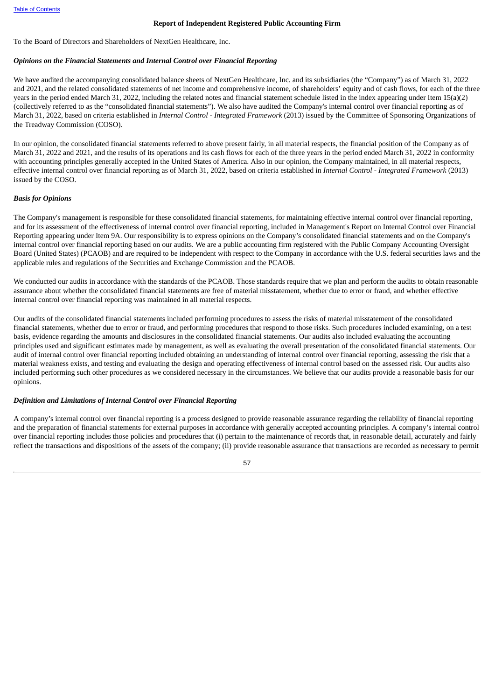## **Report of Independent Registered Public Accounting Firm**

<span id="page-56-0"></span>To the Board of Directors and Shareholders of NextGen Healthcare, Inc.

## *Opinions on the Financial Statements and Internal Control over Financial Reporting*

We have audited the accompanying consolidated balance sheets of NextGen Healthcare, Inc. and its subsidiaries (the "Company") as of March 31, 2022 and 2021, and the related consolidated statements of net income and comprehensive income, of shareholders' equity and of cash flows, for each of the three years in the period ended March 31, 2022, including the related notes and financial statement schedule listed in the index appearing under Item 15(a)(2) (collectively referred to as the "consolidated financial statements"). We also have audited the Company's internal control over financial reporting as of March 31, 2022, based on criteria established in *Internal Control - Integrated Framework* (2013) issued by the Committee of Sponsoring Organizations of the Treadway Commission (COSO).

In our opinion, the consolidated financial statements referred to above present fairly, in all material respects, the financial position of the Company as of March 31, 2022 and 2021, and the results of its operations and its cash flows for each of the three years in the period ended March 31, 2022 in conformity with accounting principles generally accepted in the United States of America. Also in our opinion, the Company maintained, in all material respects, effective internal control over financial reporting as of March 31, 2022, based on criteria established in *Internal Control - Integrated Framework* (2013) issued by the COSO.

## *Basis for Opinions*

The Company's management is responsible for these consolidated financial statements, for maintaining effective internal control over financial reporting, and for its assessment of the effectiveness of internal control over financial reporting, included in Management's Report on Internal Control over Financial Reporting appearing under Item 9A. Our responsibility is to express opinions on the Company's consolidated financial statements and on the Company's internal control over financial reporting based on our audits. We are a public accounting firm registered with the Public Company Accounting Oversight Board (United States) (PCAOB) and are required to be independent with respect to the Company in accordance with the U.S. federal securities laws and the applicable rules and regulations of the Securities and Exchange Commission and the PCAOB.

We conducted our audits in accordance with the standards of the PCAOB. Those standards require that we plan and perform the audits to obtain reasonable assurance about whether the consolidated financial statements are free of material misstatement, whether due to error or fraud, and whether effective internal control over financial reporting was maintained in all material respects.

Our audits of the consolidated financial statements included performing procedures to assess the risks of material misstatement of the consolidated financial statements, whether due to error or fraud, and performing procedures that respond to those risks. Such procedures included examining, on a test basis, evidence regarding the amounts and disclosures in the consolidated financial statements. Our audits also included evaluating the accounting principles used and significant estimates made by management, as well as evaluating the overall presentation of the consolidated financial statements. Our audit of internal control over financial reporting included obtaining an understanding of internal control over financial reporting, assessing the risk that a material weakness exists, and testing and evaluating the design and operating effectiveness of internal control based on the assessed risk. Our audits also included performing such other procedures as we considered necessary in the circumstances. We believe that our audits provide a reasonable basis for our opinions.

#### *Definition and Limitations of Internal Control over Financial Reporting*

A company's internal control over financial reporting is a process designed to provide reasonable assurance regarding the reliability of financial reporting and the preparation of financial statements for external purposes in accordance with generally accepted accounting principles. A company's internal control over financial reporting includes those policies and procedures that (i) pertain to the maintenance of records that, in reasonable detail, accurately and fairly reflect the transactions and dispositions of the assets of the company; (ii) provide reasonable assurance that transactions are recorded as necessary to permit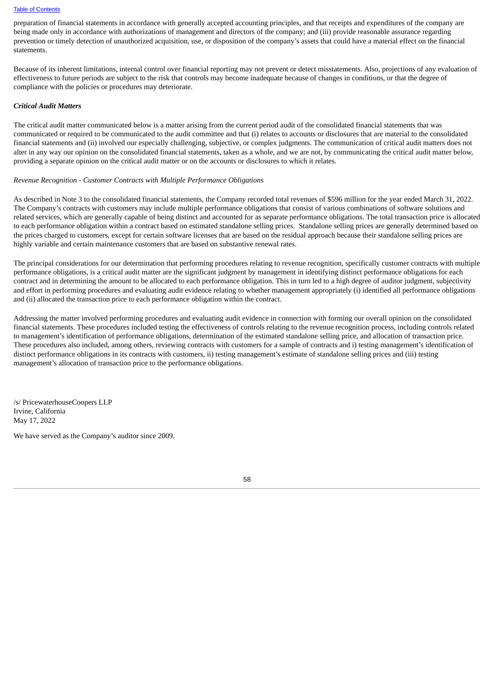#### Table of [Contents](#page-1-0)

preparation of financial statements in accordance with generally accepted accounting principles, and that receipts and expenditures of the company are being made only in accordance with authorizations of management and directors of the company; and (iii) provide reasonable assurance regarding prevention or timely detection of unauthorized acquisition, use, or disposition of the company's assets that could have a material effect on the financial statements.

Because of its inherent limitations, internal control over financial reporting may not prevent or detect misstatements. Also, projections of any evaluation of effectiveness to future periods are subject to the risk that controls may become inadequate because of changes in conditions, or that the degree of compliance with the policies or procedures may deteriorate.

## *Critical Audit Matters*

The critical audit matter communicated below is a matter arising from the current period audit of the consolidated financial statements that was communicated or required to be communicated to the audit committee and that (i) relates to accounts or disclosures that are material to the consolidated financial statements and (ii) involved our especially challenging, subjective, or complex judgments. The communication of critical audit matters does not alter in any way our opinion on the consolidated financial statements, taken as a whole, and we are not, by communicating the critical audit matter below, providing a separate opinion on the critical audit matter or on the accounts or disclosures to which it relates.

## *Revenue Recognition - Customer Contracts with Multiple Performance Obligations*

As described in Note 3 to the consolidated financial statements, the Company recorded total revenues of \$596 million for the year ended March 31, 2022. The Company's contracts with customers may include multiple performance obligations that consist of various combinations of software solutions and related services, which are generally capable of being distinct and accounted for as separate performance obligations. The total transaction price is allocated to each performance obligation within a contract based on estimated standalone selling prices. Standalone selling prices are generally determined based on the prices charged to customers, except for certain software licenses that are based on the residual approach because their standalone selling prices are highly variable and certain maintenance customers that are based on substantive renewal rates.

The principal considerations for our determination that performing procedures relating to revenue recognition, specifically customer contracts with multiple performance obligations, is a critical audit matter are the significant judgment by management in identifying distinct performance obligations for each contract and in determining the amount to be allocated to each performance obligation. This in turn led to a high degree of auditor judgment, subjectivity and effort in performing procedures and evaluating audit evidence relating to whether management appropriately (i) identified all performance obligations and (ii) allocated the transaction price to each performance obligation within the contract.

Addressing the matter involved performing procedures and evaluating audit evidence in connection with forming our overall opinion on the consolidated financial statements. These procedures included testing the effectiveness of controls relating to the revenue recognition process, including controls related to management's identification of performance obligations, determination of the estimated standalone selling price, and allocation of transaction price. These procedures also included, among others, reviewing contracts with customers for a sample of contracts and i) testing management's identification of distinct performance obligations in its contracts with customers, ii) testing management's estimate of standalone selling prices and (iii) testing management's allocation of transaction price to the performance obligations.

/s/ PricewaterhouseCoopers LLP Irvine, California May 17, 2022

We have served as the Company's auditor since 2009.

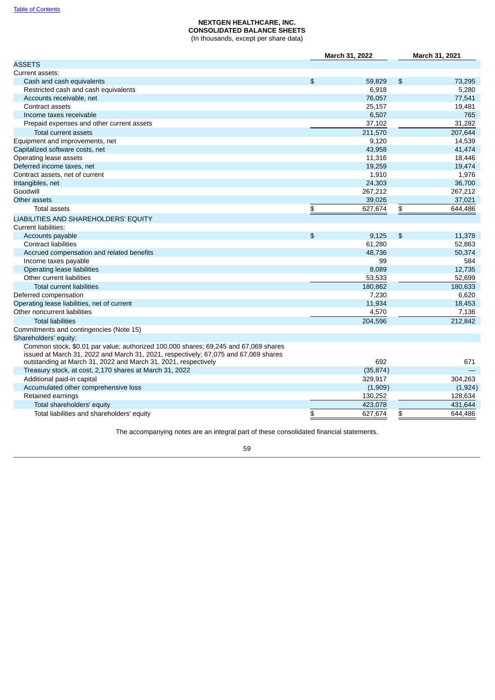# **NEXTGEN HEALTHCARE, INC. CONSOLIDATED BALANCE SHEETS**

(In thousands, except per share data)

<span id="page-58-0"></span>

|                                                                                                                                                                            | March 31, 2022 |           | March 31, 2021 |         |
|----------------------------------------------------------------------------------------------------------------------------------------------------------------------------|----------------|-----------|----------------|---------|
| <b>ASSETS</b>                                                                                                                                                              |                |           |                |         |
| Current assets:                                                                                                                                                            |                |           |                |         |
| Cash and cash equivalents                                                                                                                                                  | $\mathfrak{L}$ | 59,829    | \$             | 73,295  |
| Restricted cash and cash equivalents                                                                                                                                       |                | 6,918     |                | 5,280   |
| Accounts receivable, net                                                                                                                                                   |                | 76,057    |                | 77,541  |
| Contract assets                                                                                                                                                            |                | 25,157    |                | 19,481  |
| Income taxes receivable                                                                                                                                                    |                | 6,507     |                | 765     |
| Prepaid expenses and other current assets                                                                                                                                  |                | 37,102    |                | 31,282  |
| <b>Total current assets</b>                                                                                                                                                |                | 211.570   |                | 207.644 |
| Equipment and improvements, net                                                                                                                                            |                | 9,120     |                | 14,539  |
| Capitalized software costs, net                                                                                                                                            |                | 43,958    |                | 41,474  |
| Operating lease assets                                                                                                                                                     |                | 11,316    |                | 18,446  |
| Deferred income taxes, net                                                                                                                                                 |                | 19,259    |                | 19,474  |
| Contract assets, net of current                                                                                                                                            |                | 1,910     |                | 1,976   |
| Intangibles, net                                                                                                                                                           |                | 24,303    |                | 36,700  |
| Goodwill                                                                                                                                                                   |                | 267,212   |                | 267,212 |
| Other assets                                                                                                                                                               |                | 39,026    |                | 37,021  |
| <b>Total assets</b>                                                                                                                                                        | \$             | 627,674   | \$             | 644,486 |
| LIABILITIES AND SHAREHOLDERS' EQUITY                                                                                                                                       |                |           |                |         |
| <b>Current liabilities:</b>                                                                                                                                                |                |           |                |         |
| Accounts payable                                                                                                                                                           | \$             | 9,125     | \$             | 11,378  |
| <b>Contract liabilities</b>                                                                                                                                                |                | 61,280    |                | 52,863  |
| Accrued compensation and related benefits                                                                                                                                  |                | 48,736    |                | 50,374  |
| Income taxes payable                                                                                                                                                       |                | 99        |                | 584     |
| Operating lease liabilities                                                                                                                                                |                | 8,089     |                | 12.735  |
| Other current liabilities                                                                                                                                                  |                | 53,533    |                | 52,699  |
| <b>Total current liabilities</b>                                                                                                                                           |                | 180,862   |                | 180,633 |
| Deferred compensation                                                                                                                                                      |                | 7,230     |                | 6,620   |
| Operating lease liabilities, net of current                                                                                                                                |                | 11,934    |                | 18,453  |
| Other noncurrent liabilities                                                                                                                                               |                | 4,570     |                | 7,136   |
| <b>Total liabilities</b>                                                                                                                                                   |                | 204,596   |                | 212,842 |
| Commitments and contingencies (Note 15)                                                                                                                                    |                |           |                |         |
| Shareholders' equity:                                                                                                                                                      |                |           |                |         |
| Common stock, \$0.01 par value; authorized 100,000 shares; 69,245 and 67,069 shares<br>issued at March 31, 2022 and March 31, 2021, respectively; 67,075 and 67,069 shares |                |           |                |         |
| outstanding at March 31, 2022 and March 31, 2021, respectively                                                                                                             |                | 692       |                | 671     |
| Treasury stock, at cost, 2,170 shares at March 31, 2022                                                                                                                    |                | (35, 874) |                |         |
| Additional paid-in capital                                                                                                                                                 |                | 329,917   |                | 304.263 |
| Accumulated other comprehensive loss                                                                                                                                       |                | (1,909)   |                | (1,924) |
| Retained earnings                                                                                                                                                          |                | 130,252   |                | 128,634 |
| Total shareholders' equity                                                                                                                                                 |                | 423,078   |                | 431.644 |
| Total liabilities and shareholders' equity                                                                                                                                 | \$             | 627,674   | \$             | 644,486 |

The accompanying notes are an integral part of these consolidated financial statements.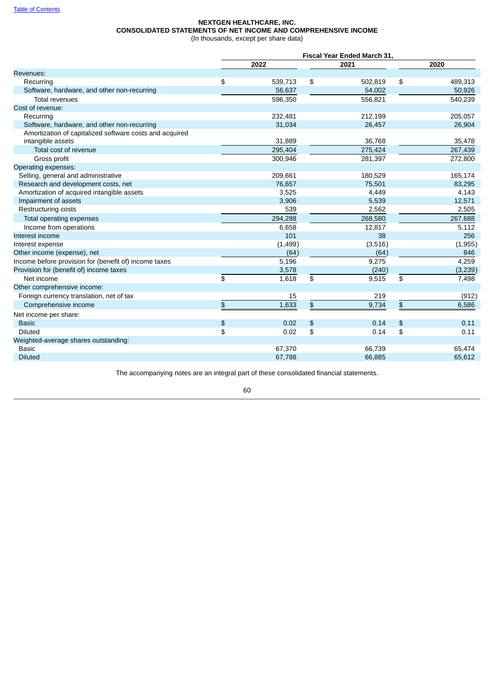## **NEXTGEN HEALTHCARE, INC. CONSOLIDATED STATEMENTS OF NET INCOME AND COMPREHENSIVE INCOME** (In thousands, except per share data)

<span id="page-59-0"></span>

|                                                                              | Fiscal Year Ended March 31, |          |               |         |    |          |
|------------------------------------------------------------------------------|-----------------------------|----------|---------------|---------|----|----------|
|                                                                              |                             | 2022     |               | 2021    |    | 2020     |
| Revenues:                                                                    |                             |          |               |         |    |          |
| Recurring                                                                    | \$                          | 539,713  | \$            | 502,819 | \$ | 489,313  |
| Software, hardware, and other non-recurring                                  |                             | 56,637   |               | 54,002  |    | 50,926   |
| Total revenues                                                               |                             | 596,350  |               | 556,821 |    | 540,239  |
| Cost of revenue:                                                             |                             |          |               |         |    |          |
| Recurring                                                                    |                             | 232,481  |               | 212,199 |    | 205,057  |
| Software, hardware, and other non-recurring                                  |                             | 31,034   |               | 26,457  |    | 26,904   |
| Amortization of capitalized software costs and acquired<br>intangible assets |                             | 31,889   |               | 36,768  |    | 35,478   |
| Total cost of revenue                                                        |                             | 295,404  |               | 275,424 |    | 267,439  |
| Gross profit                                                                 |                             | 300,946  |               | 281,397 |    | 272,800  |
| Operating expenses:                                                          |                             |          |               |         |    |          |
| Selling, general and administrative                                          |                             | 209,661  |               | 180,529 |    | 165,174  |
| Research and development costs, net                                          |                             | 76,657   |               | 75,501  |    | 83,295   |
| Amortization of acquired intangible assets                                   |                             | 3,525    |               | 4,449   |    | 4,143    |
| Impairment of assets                                                         |                             | 3,906    |               | 5,539   |    | 12,571   |
| Restructuring costs                                                          |                             | 539      |               | 2,562   |    | 2,505    |
| Total operating expenses                                                     |                             | 294,288  |               | 268,580 |    | 267,688  |
| Income from operations                                                       |                             | 6,658    |               | 12,817  |    | 5,112    |
| Interest income                                                              |                             | 101      |               | 38      |    | 256      |
| Interest expense                                                             |                             | (1, 499) |               | (3,516) |    | (1,955)  |
| Other income (expense), net                                                  |                             | (64)     |               | (64)    |    | 846      |
| Income before provision for (benefit of) income taxes                        |                             | 5,196    |               | 9,275   |    | 4,259    |
| Provision for (benefit of) income taxes                                      |                             | 3,578    |               | (240)   |    | (3, 239) |
| Net income                                                                   | \$                          | 1,618    | \$            | 9,515   | \$ | 7,498    |
| Other comprehensive income:                                                  |                             |          |               |         |    |          |
| Foreign currency translation, net of tax                                     |                             | 15       |               | 219     |    | (912)    |
| Comprehensive income                                                         | \$                          | 1,633    | $\frac{2}{3}$ | 9,734   | \$ | 6,586    |
| Net income per share:                                                        |                             |          |               |         |    |          |
| <b>Basic</b>                                                                 | \$                          | 0.02     | \$            | 0.14    | \$ | 0.11     |
| <b>Diluted</b>                                                               | \$                          | 0.02     | \$            | 0.14    | \$ | 0.11     |
| Weighted-average shares outstanding:                                         |                             |          |               |         |    |          |
| <b>Basic</b>                                                                 |                             | 67,370   |               | 66,739  |    | 65,474   |
| <b>Diluted</b>                                                               |                             | 67,788   |               | 66,885  |    | 65,612   |
|                                                                              |                             |          |               |         |    |          |

The accompanying notes are an integral part of these consolidated financial statements.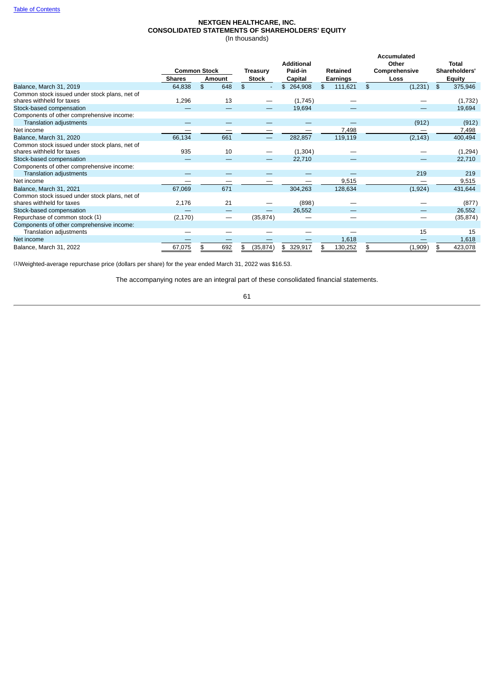## **NEXTGEN HEALTHCARE, INC. CONSOLIDATED STATEMENTS OF SHAREHOLDERS' EQUITY** (In thousands)

<span id="page-60-0"></span>

|                                                                            |               |                       |                                 |                              |               | <b>Accumulated</b>     |                               |  |
|----------------------------------------------------------------------------|---------------|-----------------------|---------------------------------|------------------------------|---------------|------------------------|-------------------------------|--|
|                                                                            |               | <b>Common Stock</b>   |                                 | <b>Additional</b><br>Paid-in | Retained      | Other<br>Comprehensive | <b>Total</b><br>Shareholders' |  |
|                                                                            | <b>Shares</b> | Amount                | <b>Treasury</b><br><b>Stock</b> | Capital                      | Earnings      | Loss                   | <b>Equity</b>                 |  |
| Balance, March 31, 2019                                                    | 64,838        | $\mathfrak{S}$<br>648 | \$<br>$\sim$                    | \$<br>264,908                | 111,621<br>\$ | (1,231)<br>\$          | 375,946<br>$\frac{2}{3}$      |  |
| Common stock issued under stock plans, net of                              |               |                       |                                 |                              |               |                        |                               |  |
| shares withheld for taxes                                                  | 1,296         | 13                    |                                 | (1,745)                      |               |                        | (1,732)                       |  |
| Stock-based compensation                                                   |               |                       | —                               | 19,694                       |               |                        | 19,694                        |  |
| Components of other comprehensive income:                                  |               |                       |                                 |                              |               |                        |                               |  |
| Translation adjustments                                                    |               |                       |                                 |                              |               | (912)                  | (912)                         |  |
| Net income                                                                 |               |                       |                                 |                              | 7,498         |                        | 7,498                         |  |
| Balance, March 31, 2020                                                    | 66,134        | 661                   |                                 | 282,857                      | 119,119       | (2, 143)               | 400,494                       |  |
| Common stock issued under stock plans, net of<br>shares withheld for taxes | 935           | 10                    |                                 | (1,304)                      |               |                        | (1,294)                       |  |
| Stock-based compensation                                                   |               |                       |                                 | 22,710                       |               |                        | 22,710                        |  |
| Components of other comprehensive income:                                  |               |                       |                                 |                              |               |                        |                               |  |
| <b>Translation adjustments</b>                                             |               |                       |                                 |                              |               | 219                    | 219                           |  |
| Net income                                                                 |               |                       |                                 |                              | 9,515         |                        | 9,515                         |  |
| Balance, March 31, 2021                                                    | 67,069        | 671                   |                                 | 304,263                      | 128,634       | (1,924)                | 431,644                       |  |
| Common stock issued under stock plans, net of<br>shares withheld for taxes | 2,176         | 21                    |                                 | (898)                        |               |                        | (877)                         |  |
| Stock-based compensation                                                   |               |                       | —                               | 26,552                       |               |                        | 26,552                        |  |
| Repurchase of common stock (1)                                             | (2, 170)      |                       | (35, 874)                       |                              |               |                        | (35, 874)                     |  |
| Components of other comprehensive income:                                  |               |                       |                                 |                              |               |                        |                               |  |
| Translation adjustments                                                    |               |                       |                                 |                              |               | 15                     | 15                            |  |
| Net income                                                                 |               |                       |                                 |                              | 1,618         |                        | 1,618                         |  |
| Balance. March 31, 2022                                                    | 67,075        | 692<br>£.             | (35, 874)<br>\$.                | 329,917<br>\$                | 130,252       | (1,909)                | 423,078<br>\$.                |  |

(1)Weighted-average repurchase price (dollars per share) for the year ended March 31, 2022 was \$16.53.

The accompanying notes are an integral part of these consolidated financial statements.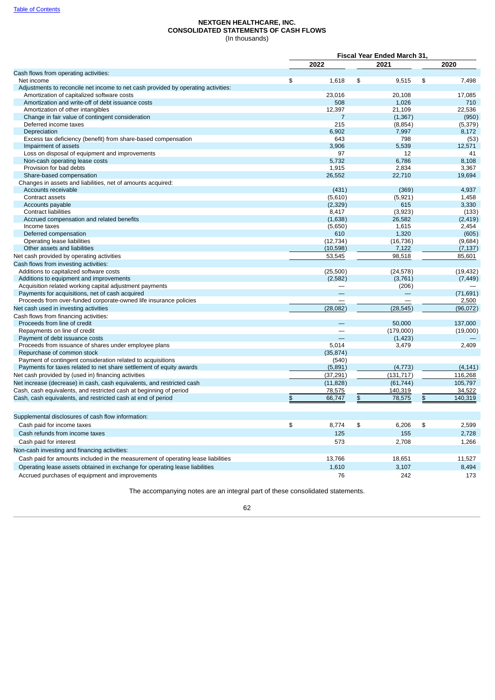## **NEXTGEN HEALTHCARE, INC. CONSOLIDATED STATEMENTS OF CASH FLOWS** (In thousands)

<span id="page-61-0"></span>

|                                                                                   | Fiscal Year Ended March 31, |    |            |    |           |
|-----------------------------------------------------------------------------------|-----------------------------|----|------------|----|-----------|
|                                                                                   | 2022                        |    | 2021       |    | 2020      |
| Cash flows from operating activities:                                             |                             |    |            |    |           |
| Net income                                                                        | \$<br>1,618                 | \$ | 9,515      | \$ | 7,498     |
| Adjustments to reconcile net income to net cash provided by operating activities: |                             |    |            |    |           |
| Amortization of capitalized software costs                                        | 23,016                      |    | 20,108     |    | 17,085    |
| Amortization and write-off of debt issuance costs                                 | 508                         |    | 1,026      |    | 710       |
| Amortization of other intangibles                                                 | 12,397                      |    | 21,109     |    | 22,536    |
| Change in fair value of contingent consideration                                  | 7                           |    | (1, 367)   |    | (950)     |
| Deferred income taxes                                                             | 215                         |    | (8, 854)   |    | (5, 379)  |
| Depreciation                                                                      | 6,902                       |    | 7,997      |    | 8,172     |
| Excess tax deficiency (benefit) from share-based compensation                     | 643                         |    | 798        |    | (53)      |
| Impairment of assets                                                              | 3,906                       |    | 5,539      |    | 12,571    |
| Loss on disposal of equipment and improvements                                    | 97                          |    | 12         |    | 41        |
| Non-cash operating lease costs                                                    | 5,732                       |    | 6,786      |    | 8,108     |
| Provision for bad debts                                                           | 1,915                       |    | 2,834      |    | 3,367     |
| Share-based compensation                                                          | 26,552                      |    | 22,710     |    | 19,694    |
| Changes in assets and liabilities, net of amounts acquired:                       |                             |    |            |    |           |
| Accounts receivable                                                               | (431)                       |    | (369)      |    | 4,937     |
| Contract assets                                                                   | (5,610)                     |    | (5,921)    |    | 1,458     |
| Accounts payable                                                                  | (2,329)                     |    | 615        |    | 3,330     |
| <b>Contract liabilities</b>                                                       | 8,417                       |    | (3,923)    |    | (133)     |
| Accrued compensation and related benefits                                         | (1,638)                     |    | 26,582     |    | (2, 419)  |
| Income taxes                                                                      | (5,650)                     |    | 1,615      |    | 2,454     |
| Deferred compensation                                                             | 610                         |    | 1,320      |    | (605)     |
| Operating lease liabilities                                                       | (12, 734)                   |    | (16, 736)  |    | (9,684)   |
| Other assets and liabilities                                                      | (10, 598)                   |    | 7,122      |    | (7, 137)  |
| Net cash provided by operating activities                                         | 53,545                      |    | 98,518     |    | 85,601    |
| Cash flows from investing activities:                                             |                             |    |            |    |           |
| Additions to capitalized software costs                                           | (25,500)                    |    | (24, 578)  |    | (19, 432) |
| Additions to equipment and improvements                                           | (2,582)                     |    | (3,761)    |    | (7, 449)  |
| Acquisition related working capital adjustment payments                           |                             |    | (206)      |    |           |
| Payments for acquisitions, net of cash acquired                                   |                             |    |            |    | (71, 691) |
| Proceeds from over-funded corporate-owned life insurance policies                 |                             |    |            |    | 2,500     |
| Net cash used in investing activities                                             | (28,082)                    |    | (28, 545)  |    | (96, 072) |
| Cash flows from financing activities:                                             |                             |    |            |    |           |
| Proceeds from line of credit                                                      |                             |    | 50,000     |    | 137,000   |
| Repayments on line of credit                                                      |                             |    | (179,000)  |    | (19,000)  |
| Payment of debt issuance costs                                                    |                             |    | (1, 423)   |    |           |
| Proceeds from issuance of shares under employee plans                             | 5,014                       |    | 3,479      |    | 2,409     |
| Repurchase of common stock                                                        | (35, 874)                   |    |            |    |           |
| Payment of contingent consideration related to acquisitions                       | (540)                       |    |            |    |           |
|                                                                                   |                             |    |            |    | (4, 141)  |
| Payments for taxes related to net share settlement of equity awards               | (5,891)                     |    | (4, 773)   |    |           |
| Net cash provided by (used in) financing activities                               | (37, 291)                   |    | (131, 717) |    | 116,268   |
| Net increase (decrease) in cash, cash equivalents, and restricted cash            | (11, 828)                   |    | (61, 744)  |    | 105,797   |
| Cash, cash equivalents, and restricted cash at beginning of period                | 78,575                      |    | 140,319    |    | 34,522    |
| Cash, cash equivalents, and restricted cash at end of period                      | \$<br>66,747                | \$ | 78,575     | \$ | 140,319   |
| Supplemental disclosures of cash flow information:                                |                             |    |            |    |           |
| Cash paid for income taxes                                                        | \$<br>8,774                 | \$ | 6,206      | \$ | 2,599     |
| Cash refunds from income taxes                                                    | 125                         |    | 155        |    | 2,728     |
| Cash paid for interest                                                            | 573                         |    | 2,708      |    | 1,266     |
|                                                                                   |                             |    |            |    |           |
| Non-cash investing and financing activities:                                      |                             |    |            |    |           |
| Cash paid for amounts included in the measurement of operating lease liabilities  | 13,766                      |    | 18,651     |    | 11,527    |
| Operating lease assets obtained in exchange for operating lease liabilities       | 1,610                       |    | 3,107      |    | 8,494     |
| Accrued purchases of equipment and improvements                                   | 76                          |    | 242        |    | 173       |

The accompanying notes are an integral part of these consolidated statements.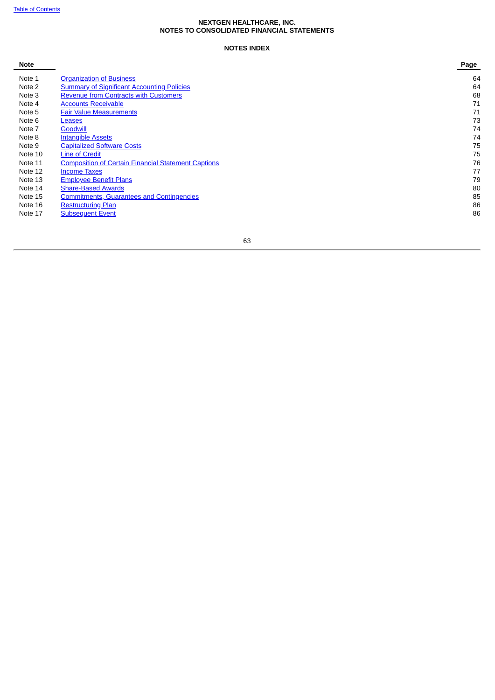## **NEXTGEN HEALTHCARE, INC. NOTES TO CONSOLIDATED FINANCIAL STATEMENTS**

# **NOTES INDEX**

| 64<br>Note 1<br><b>Organization of Business</b><br><b>Summary of Significant Accounting Policies</b><br>64<br>Note 2<br><b>Revenue from Contracts with Customers</b><br>68<br>Note 3<br>Note 4<br>71<br><b>Accounts Receivable</b><br>Note 5<br>71<br><b>Fair Value Measurements</b><br>73<br>Note 6<br>Leases |
|----------------------------------------------------------------------------------------------------------------------------------------------------------------------------------------------------------------------------------------------------------------------------------------------------------------|
|                                                                                                                                                                                                                                                                                                                |
|                                                                                                                                                                                                                                                                                                                |
|                                                                                                                                                                                                                                                                                                                |
|                                                                                                                                                                                                                                                                                                                |
|                                                                                                                                                                                                                                                                                                                |
|                                                                                                                                                                                                                                                                                                                |
| 74<br>Note 7<br>Goodwill                                                                                                                                                                                                                                                                                       |
| 74<br>Note 8<br><b>Intangible Assets</b>                                                                                                                                                                                                                                                                       |
| 75<br><b>Capitalized Software Costs</b><br>Note 9                                                                                                                                                                                                                                                              |
| 75<br>Note 10<br><b>Line of Credit</b>                                                                                                                                                                                                                                                                         |
| <b>Composition of Certain Financial Statement Captions</b><br>76<br>Note 11                                                                                                                                                                                                                                    |
| 77<br>Note 12<br><b>Income Taxes</b>                                                                                                                                                                                                                                                                           |
| 79<br>Note 13<br><b>Employee Benefit Plans</b>                                                                                                                                                                                                                                                                 |
| 80<br>Note 14<br><b>Share-Based Awards</b>                                                                                                                                                                                                                                                                     |
| 85<br><b>Commitments, Guarantees and Contingencies</b><br>Note 15                                                                                                                                                                                                                                              |
| 86<br>Note 16<br><b>Restructuring Plan</b>                                                                                                                                                                                                                                                                     |
| 86<br><b>Subsequent Event</b><br>Note 17                                                                                                                                                                                                                                                                       |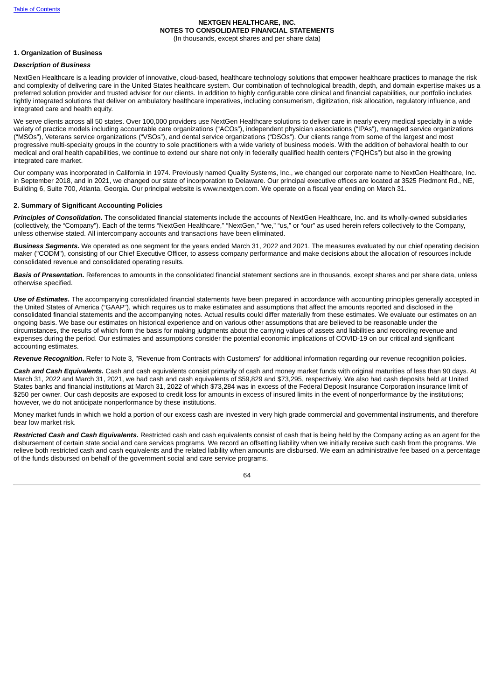#### **NEXTGEN HEALTHCARE, INC. NOTES TO CONSOLIDATED FINANCIAL STATEMENTS** (In thousands, except shares and per share data)

### <span id="page-63-1"></span><span id="page-63-0"></span>**1. Organization of Business**

#### *Description of Business*

NextGen Healthcare is a leading provider of innovative, cloud-based, healthcare technology solutions that empower healthcare practices to manage the risk and complexity of delivering care in the United States healthcare system. Our combination of technological breadth, depth, and domain expertise makes us a preferred solution provider and trusted advisor for our clients. In addition to highly configurable core clinical and financial capabilities, our portfolio includes tightly integrated solutions that deliver on ambulatory healthcare imperatives, including consumerism, digitization, risk allocation, regulatory influence, and integrated care and health equity.

We serve clients across all 50 states. Over 100,000 providers use NextGen Healthcare solutions to deliver care in nearly every medical specialty in a wide variety of practice models including accountable care organizations ("ACOs"), independent physician associations ("IPAs"), managed service organizations ("MSOs"), Veterans service organizations ("VSOs"), and dental service organizations ("DSOs"). Our clients range from some of the largest and most progressive multi-specialty groups in the country to sole practitioners with a wide variety of business models. With the addition of behavioral health to our medical and oral health capabilities, we continue to extend our share not only in federally qualified health centers ("FQHCs") but also in the growing integrated care market.

Our company was incorporated in California in 1974. Previously named Quality Systems, Inc., we changed our corporate name to NextGen Healthcare, Inc. in September 2018, and in 2021, we changed our state of incorporation to Delaware. Our principal executive offices are located at 3525 Piedmont Rd., NE, Building 6, Suite 700, Atlanta, Georgia. Our principal website is www.nextgen.com. We operate on a fiscal year ending on March 31.

## <span id="page-63-2"></span>**2. Summary of Significant Accounting Policies**

**Principles of Consolidation.** The consolidated financial statements include the accounts of NextGen Healthcare, Inc. and its wholly-owned subsidiaries (collectively, the "Company"). Each of the terms "NextGen Healthcare," "NextGen," "we," "us," or "our" as used herein refers collectively to the Company, unless otherwise stated. All intercompany accounts and transactions have been eliminated.

*Business Segments.* We operated as one segment for the years ended March 31, 2022 and 2021. The measures evaluated by our chief operating decision maker ("CODM"), consisting of our Chief Executive Officer, to assess company performance and make decisions about the allocation of resources include consolidated revenue and consolidated operating results.

**Basis of Presentation.** References to amounts in the consolidated financial statement sections are in thousands, except shares and per share data, unless otherwise specified.

*Use of Estimates.* The accompanying consolidated financial statements have been prepared in accordance with accounting principles generally accepted in the United States of America ("GAAP"), which requires us to make estimates and assumptions that affect the amounts reported and disclosed in the consolidated financial statements and the accompanying notes. Actual results could differ materially from these estimates. We evaluate our estimates on an ongoing basis. We base our estimates on historical experience and on various other assumptions that are believed to be reasonable under the circumstances, the results of which form the basis for making judgments about the carrying values of assets and liabilities and recording revenue and expenses during the period. Our estimates and assumptions consider the potential economic implications of COVID-19 on our critical and significant accounting estimates.

*Revenue Recognition***.** Refer to Note 3, "Revenue from Contracts with Customers" for additional information regarding our revenue recognition policies.

*Cash and Cash Equivalents.* Cash and cash equivalents consist primarily of cash and money market funds with original maturities of less than 90 days. At March 31, 2022 and March 31, 2021, we had cash and cash equivalents of \$59,829 and \$73,295, respectively. We also had cash deposits held at United States banks and financial institutions at March 31, 2022 of which \$73,284 was in excess of the Federal Deposit Insurance Corporation insurance limit of \$250 per owner. Our cash deposits are exposed to credit loss for amounts in excess of insured limits in the event of nonperformance by the institutions; however, we do not anticipate nonperformance by these institutions.

Money market funds in which we hold a portion of our excess cash are invested in very high grade commercial and governmental instruments, and therefore bear low market risk.

*Restricted Cash and Cash Equivalents.* Restricted cash and cash equivalents consist of cash that is being held by the Company acting as an agent for the disbursement of certain state social and care services programs. We record an offsetting liability when we initially receive such cash from the programs. We relieve both restricted cash and cash equivalents and the related liability when amounts are disbursed. We earn an administrative fee based on a percentage of the funds disbursed on behalf of the government social and care service programs.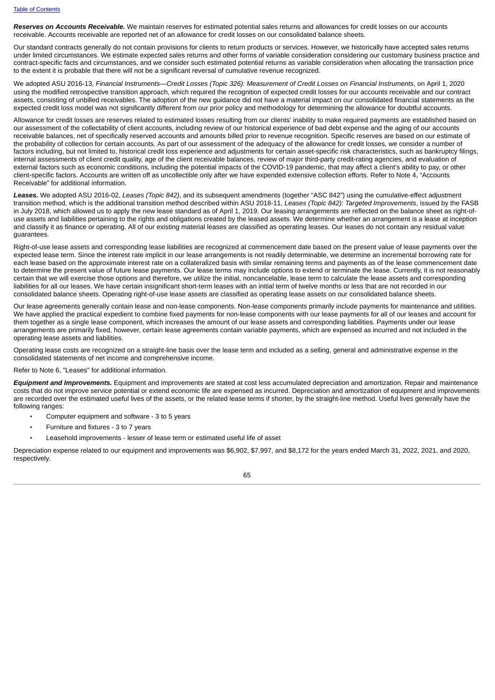*Reserves on Accounts Receivable.* We maintain reserves for estimated potential sales returns and allowances for credit losses on our accounts receivable. Accounts receivable are reported net of an allowance for credit losses on our consolidated balance sheets.

Our standard contracts generally do not contain provisions for clients to return products or services. However, we historically have accepted sales returns under limited circumstances. We estimate expected sales returns and other forms of variable consideration considering our customary business practice and contract-specific facts and circumstances, and we consider such estimated potential returns as variable consideration when allocating the transaction price to the extent it is probable that there will not be a significant reversal of cumulative revenue recognized.

We adopted ASU 2016-13, *Financial Instruments—Credit Losses (Topic 326): Measurement of Credit Losses on Financial Instruments*, on April 1, 2020 using the modified retrospective transition approach, which required the recognition of expected credit losses for our accounts receivable and our contract assets, consisting of unbilled receivables. The adoption of the new guidance did not have a material impact on our consolidated financial statements as the expected credit loss model was not significantly different from our prior policy and methodology for determining the allowance for doubtful accounts.

Allowance for credit losses are reserves related to estimated losses resulting from our clients' inability to make required payments are established based on our assessment of the collectability of client accounts, including review of our historical experience of bad debt expense and the aging of our accounts receivable balances, net of specifically reserved accounts and amounts billed prior to revenue recognition. Specific reserves are based on our estimate of the probability of collection for certain accounts. As part of our assessment of the adequacy of the allowance for credit losses, we consider a number of factors including, but not limited to, historical credit loss experience and adjustments for certain asset-specific risk characteristics, such as bankruptcy filings, internal assessments of client credit quality, age of the client receivable balances, review of major third-party credit-rating agencies, and evaluation of external factors such as economic conditions, including the potential impacts of the COVID-19 pandemic, that may affect a client's ability to pay, or other client-specific factors. Accounts are written off as uncollectible only after we have expended extensive collection efforts. Refer to Note 4, "Accounts Receivable" for additional information.

*Leases.* We adopted ASU 2016-02, *Leases (Topic 842)*, and its subsequent amendments (together "ASC 842") using the cumulative-effect adjustment transition method, which is the additional transition method described within ASU 2018-11, *Leases (Topic 842): Targeted Improvements*, issued by the FASB in July 2018, which allowed us to apply the new lease standard as of April 1, 2019. Our leasing arrangements are reflected on the balance sheet as right-ofuse assets and liabilities pertaining to the rights and obligations created by the leased assets. We determine whether an arrangement is a lease at inception and classify it as finance or operating. All of our existing material leases are classified as operating leases. Our leases do not contain any residual value guarantees.

Right-of-use lease assets and corresponding lease liabilities are recognized at commencement date based on the present value of lease payments over the expected lease term. Since the interest rate implicit in our lease arrangements is not readily determinable, we determine an incremental borrowing rate for each lease based on the approximate interest rate on a collateralized basis with similar remaining terms and payments as of the lease commencement date to determine the present value of future lease payments. Our lease terms may include options to extend or terminate the lease. Currently, it is not reasonably certain that we will exercise those options and therefore, we utilize the initial, noncancelable, lease term to calculate the lease assets and corresponding liabilities for all our leases. We have certain insignificant short-term leases with an initial term of twelve months or less that are not recorded in our consolidated balance sheets. Operating right-of-use lease assets are classified as operating lease assets on our consolidated balance sheets.

Our lease agreements generally contain lease and non-lease components. Non-lease components primarily include payments for maintenance and utilities. We have applied the practical expedient to combine fixed payments for non-lease components with our lease payments for all of our leases and account for them together as a single lease component, which increases the amount of our lease assets and corresponding liabilities. Payments under our lease arrangements are primarily fixed, however, certain lease agreements contain variable payments, which are expensed as incurred and not included in the operating lease assets and liabilities.

Operating lease costs are recognized on a straight-line basis over the lease term and included as a selling, general and administrative expense in the consolidated statements of net income and comprehensive income.

Refer to Note 6, "Leases" for additional information.

*Equipment and Improvements.* Equipment and improvements are stated at cost less accumulated depreciation and amortization. Repair and maintenance costs that do not improve service potential or extend economic life are expensed as incurred. Depreciation and amortization of equipment and improvements are recorded over the estimated useful lives of the assets, or the related lease terms if shorter, by the straight-line method. Useful lives generally have the following ranges:

- Computer equipment and software 3 to 5 years
- Furniture and fixtures 3 to 7 years
- Leasehold improvements lesser of lease term or estimated useful life of asset

Depreciation expense related to our equipment and improvements was \$6,902, \$7,997, and \$8,172 for the years ended March 31, 2022, 2021, and 2020, respectively.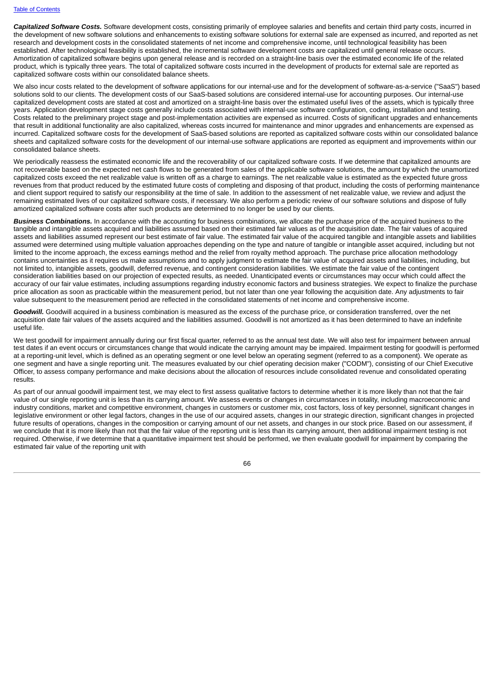*Capitalized Software Costs.* Software development costs, consisting primarily of employee salaries and benefits and certain third party costs, incurred in the development of new software solutions and enhancements to existing software solutions for external sale are expensed as incurred, and reported as net research and development costs in the consolidated statements of net income and comprehensive income, until technological feasibility has been established. After technological feasibility is established, the incremental software development costs are capitalized until general release occurs. Amortization of capitalized software begins upon general release and is recorded on a straight-line basis over the estimated economic life of the related product, which is typically three years. The total of capitalized software costs incurred in the development of products for external sale are reported as capitalized software costs within our consolidated balance sheets.

We also incur costs related to the development of software applications for our internal-use and for the development of software-as-a-service ("SaaS") based solutions sold to our clients. The development costs of our SaaS-based solutions are considered internal-use for accounting purposes. Our internal-use capitalized development costs are stated at cost and amortized on a straight-line basis over the estimated useful lives of the assets, which is typically three years. Application development stage costs generally include costs associated with internal-use software configuration, coding, installation and testing. Costs related to the preliminary project stage and post-implementation activities are expensed as incurred. Costs of significant upgrades and enhancements that result in additional functionality are also capitalized, whereas costs incurred for maintenance and minor upgrades and enhancements are expensed as incurred. Capitalized software costs for the development of SaaS-based solutions are reported as capitalized software costs within our consolidated balance sheets and capitalized software costs for the development of our internal-use software applications are reported as equipment and improvements within our consolidated balance sheets.

We periodically reassess the estimated economic life and the recoverability of our capitalized software costs. If we determine that capitalized amounts are not recoverable based on the expected net cash flows to be generated from sales of the applicable software solutions, the amount by which the unamortized capitalized costs exceed the net realizable value is written off as a charge to earnings. The net realizable value is estimated as the expected future gross revenues from that product reduced by the estimated future costs of completing and disposing of that product, including the costs of performing maintenance and client support required to satisfy our responsibility at the time of sale. In addition to the assessment of net realizable value, we review and adjust the remaining estimated lives of our capitalized software costs, if necessary. We also perform a periodic review of our software solutions and dispose of fully amortized capitalized software costs after such products are determined to no longer be used by our clients.

*Business Combinations.* In accordance with the accounting for business combinations, we allocate the purchase price of the acquired business to the tangible and intangible assets acquired and liabilities assumed based on their estimated fair values as of the acquisition date. The fair values of acquired assets and liabilities assumed represent our best estimate of fair value. The estimated fair value of the acquired tangible and intangible assets and liabilities assumed were determined using multiple valuation approaches depending on the type and nature of tangible or intangible asset acquired, including but not limited to the income approach, the excess earnings method and the relief from royalty method approach. The purchase price allocation methodology contains uncertainties as it requires us make assumptions and to apply judgment to estimate the fair value of acquired assets and liabilities, including, but not limited to, intangible assets, goodwill, deferred revenue, and contingent consideration liabilities. We estimate the fair value of the contingent consideration liabilities based on our projection of expected results, as needed. Unanticipated events or circumstances may occur which could affect the accuracy of our fair value estimates, including assumptions regarding industry economic factors and business strategies. We expect to finalize the purchase price allocation as soon as practicable within the measurement period, but not later than one year following the acquisition date. Any adjustments to fair value subsequent to the measurement period are reflected in the consolidated statements of net income and comprehensive income.

Goodwill. Goodwill acquired in a business combination is measured as the excess of the purchase price, or consideration transferred, over the net acquisition date fair values of the assets acquired and the liabilities assumed. Goodwill is not amortized as it has been determined to have an indefinite useful life.

We test goodwill for impairment annually during our first fiscal quarter, referred to as the annual test date. We will also test for impairment between annual test dates if an event occurs or circumstances change that would indicate the carrying amount may be impaired. Impairment testing for goodwill is performed at a reporting-unit level, which is defined as an operating segment or one level below an operating segment (referred to as a component). We operate as one segment and have a single reporting unit. The measures evaluated by our chief operating decision maker ("CODM"), consisting of our Chief Executive Officer, to assess company performance and make decisions about the allocation of resources include consolidated revenue and consolidated operating results.

As part of our annual goodwill impairment test, we may elect to first assess qualitative factors to determine whether it is more likely than not that the fair value of our single reporting unit is less than its carrying amount. We assess events or changes in circumstances in totality, including macroeconomic and industry conditions, market and competitive environment, changes in customers or customer mix, cost factors, loss of key personnel, significant changes in legislative environment or other legal factors, changes in the use of our acquired assets, changes in our strategic direction, significant changes in projected future results of operations, changes in the composition or carrying amount of our net assets, and changes in our stock price. Based on our assessment, if we conclude that it is more likely than not that the fair value of the reporting unit is less than its carrying amount, then additional impairment testing is not required. Otherwise, if we determine that a quantitative impairment test should be performed, we then evaluate goodwill for impairment by comparing the estimated fair value of the reporting unit with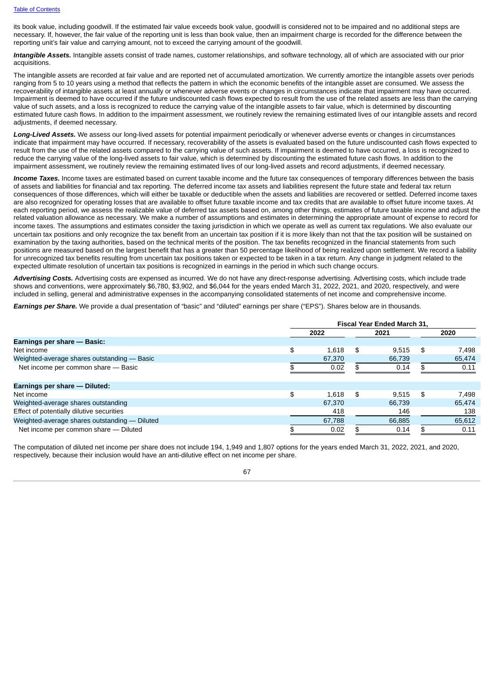its book value, including goodwill. If the estimated fair value exceeds book value, goodwill is considered not to be impaired and no additional steps are necessary. If, however, the fair value of the reporting unit is less than book value, then an impairment charge is recorded for the difference between the reporting unit's fair value and carrying amount, not to exceed the carrying amount of the goodwill.

*Intangible Assets.* Intangible assets consist of trade names, customer relationships, and software technology, all of which are associated with our prior acquisitions.

The intangible assets are recorded at fair value and are reported net of accumulated amortization. We currently amortize the intangible assets over periods ranging from 5 to 10 years using a method that reflects the pattern in which the economic benefits of the intangible asset are consumed. We assess the recoverability of intangible assets at least annually or whenever adverse events or changes in circumstances indicate that impairment may have occurred. Impairment is deemed to have occurred if the future undiscounted cash flows expected to result from the use of the related assets are less than the carrying value of such assets, and a loss is recognized to reduce the carrying value of the intangible assets to fair value, which is determined by discounting estimated future cash flows. In addition to the impairment assessment, we routinely review the remaining estimated lives of our intangible assets and record adjustments, if deemed necessary.

*Long-Lived Assets.* We assess our long-lived assets for potential impairment periodically or whenever adverse events or changes in circumstances indicate that impairment may have occurred. If necessary, recoverability of the assets is evaluated based on the future undiscounted cash flows expected to result from the use of the related assets compared to the carrying value of such assets. If impairment is deemed to have occurred, a loss is recognized to reduce the carrying value of the long-lived assets to fair value, which is determined by discounting the estimated future cash flows. In addition to the impairment assessment, we routinely review the remaining estimated lives of our long-lived assets and record adjustments, if deemed necessary.

*Income Taxes.* Income taxes are estimated based on current taxable income and the future tax consequences of temporary differences between the basis of assets and liabilities for financial and tax reporting. The deferred income tax assets and liabilities represent the future state and federal tax return consequences of those differences, which will either be taxable or deductible when the assets and liabilities are recovered or settled. Deferred income taxes are also recognized for operating losses that are available to offset future taxable income and tax credits that are available to offset future income taxes. At each reporting period, we assess the realizable value of deferred tax assets based on, among other things, estimates of future taxable income and adjust the related valuation allowance as necessary. We make a number of assumptions and estimates in determining the appropriate amount of expense to record for income taxes. The assumptions and estimates consider the taxing jurisdiction in which we operate as well as current tax regulations. We also evaluate our uncertain tax positions and only recognize the tax benefit from an uncertain tax position if it is more likely than not that the tax position will be sustained on examination by the taxing authorities, based on the technical merits of the position. The tax benefits recognized in the financial statements from such positions are measured based on the largest benefit that has a greater than 50 percentage likelihood of being realized upon settlement. We record a liability for unrecognized tax benefits resulting from uncertain tax positions taken or expected to be taken in a tax return. Any change in judgment related to the expected ultimate resolution of uncertain tax positions is recognized in earnings in the period in which such change occurs.

*Advertising Costs.* Advertising costs are expensed as incurred. We do not have any direct-response advertising. Advertising costs, which include trade shows and conventions, were approximately \$6,780, \$3,902, and \$6,044 for the years ended March 31, 2022, 2021, and 2020, respectively, and were included in selling, general and administrative expenses in the accompanying consolidated statements of net income and comprehensive income.

*Earnings per Share.* We provide a dual presentation of "basic" and "diluted" earnings per share ("EPS"). Shares below are in thousands.

|                                               | <b>Fiscal Year Ended March 31.</b> |        |    |        |    |        |
|-----------------------------------------------|------------------------------------|--------|----|--------|----|--------|
|                                               |                                    | 2022   |    | 2021   |    | 2020   |
| Earnings per share - Basic:                   |                                    |        |    |        |    |        |
| Net income                                    | \$                                 | 1,618  | \$ | 9.515  | \$ | 7,498  |
| Weighted-average shares outstanding — Basic   |                                    | 67,370 |    | 66,739 |    | 65,474 |
| Net income per common share - Basic           |                                    | 0.02   |    | 0.14   | \$ | 0.11   |
|                                               |                                    |        |    |        |    |        |
| Earnings per share - Diluted:                 |                                    |        |    |        |    |        |
| Net income                                    | \$                                 | 1.618  | \$ | 9.515  | \$ | 7,498  |
| Weighted-average shares outstanding           |                                    | 67.370 |    | 66.739 |    | 65.474 |
| Effect of potentially dilutive securities     |                                    | 418    |    | 146    |    | 138    |
| Weighted-average shares outstanding - Diluted |                                    | 67,788 |    | 66,885 |    | 65,612 |
| Net income per common share - Diluted         |                                    | 0.02   |    | 0.14   | ፍ  | 0.11   |

The computation of diluted net income per share does not include 194, 1,949 and 1,807 options for the years ended March 31, 2022, 2021, and 2020, respectively, because their inclusion would have an anti-dilutive effect on net income per share.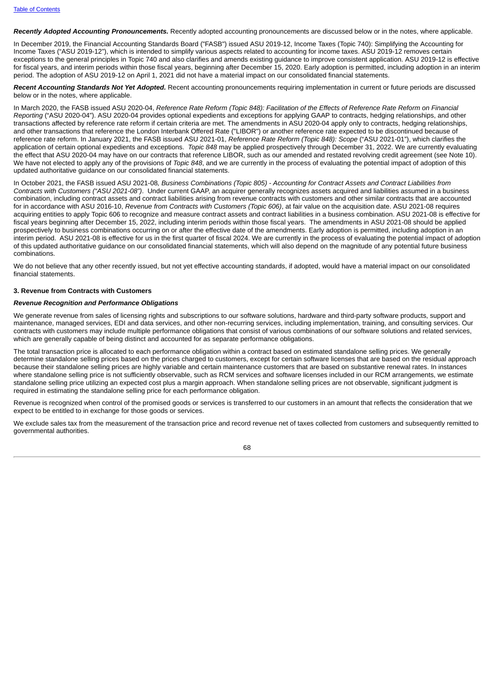*Recently Adopted Accounting Pronouncements.* Recently adopted accounting pronouncements are discussed below or in the notes, where applicable.

In December 2019, the Financial Accounting Standards Board ("FASB") issued ASU 2019-12, Income Taxes (Topic 740): Simplifying the Accounting for Income Taxes ("ASU 2019-12"), which is intended to simplify various aspects related to accounting for income taxes. ASU 2019-12 removes certain exceptions to the general principles in Topic 740 and also clarifies and amends existing guidance to improve consistent application. ASU 2019-12 is effective for fiscal years, and interim periods within those fiscal years, beginning after December 15, 2020. Early adoption is permitted, including adoption in an interim period. The adoption of ASU 2019-12 on April 1, 2021 did not have a material impact on our consolidated financial statements.

*Recent Accounting Standards Not Yet Adopted.* Recent accounting pronouncements requiring implementation in current or future periods are discussed below or in the notes, where applicable.

In March 2020, the FASB issued ASU 2020-04, *Reference Rate Reform (Topic 848): Facilitation of the Effects of Reference Rate Reform on Financial Reporting* ("ASU 2020-04"). ASU 2020-04 provides optional expedients and exceptions for applying GAAP to contracts, hedging relationships, and other transactions affected by reference rate reform if certain criteria are met. The amendments in ASU 2020-04 apply only to contracts, hedging relationships, and other transactions that reference the London Interbank Offered Rate ("LIBOR") or another reference rate expected to be discontinued because of reference rate reform. In January 2021, the FASB issued ASU 2021-01, *Reference Rate Reform (Topic 848): Scope* ("ASU 2021-01"), which clarifies the application of certain optional expedients and exceptions. *Topic 848* may be applied prospectively through December 31, 2022. We are currently evaluating the effect that ASU 2020-04 may have on our contracts that reference LIBOR, such as our amended and restated revolving credit agreement (see Note 10). We have not elected to apply any of the provisions of *Topic 848*, and we are currently in the process of evaluating the potential impact of adoption of this updated authoritative guidance on our consolidated financial statements.

In October 2021, the FASB issued ASU 2021-08*, Business Combinations (Topic 805) - Accounting for Contract Assets and Contract Liabilities from Contracts with Customers ("ASU 2021-08")*. Under current GAAP, an acquirer generally recognizes assets acquired and liabilities assumed in a business combination, including contract assets and contract liabilities arising from revenue contracts with customers and other similar contracts that are accounted for in accordance with ASU 2016-10, *Revenue from Contracts with Customers (Topic 606)*, at fair value on the acquisition date. ASU 2021-08 requires acquiring entities to apply Topic 606 to recognize and measure contract assets and contract liabilities in a business combination. ASU 2021-08 is effective for fiscal years beginning after December 15, 2022, including interim periods within those fiscal years. The amendments in ASU 2021-08 should be applied prospectively to business combinations occurring on or after the effective date of the amendments. Early adoption is permitted, including adoption in an interim period. ASU 2021-08 is effective for us in the first quarter of fiscal 2024. We are currently in the process of evaluating the potential impact of adoption of this updated authoritative guidance on our consolidated financial statements, which will also depend on the magnitude of any potential future business combinations.

We do not believe that any other recently issued, but not yet effective accounting standards, if adopted, would have a material impact on our consolidated financial statements.

## <span id="page-67-0"></span>**3. Revenue from Contracts with Customers**

#### *Revenue Recognition and Performance Obligations*

We generate revenue from sales of licensing rights and subscriptions to our software solutions, hardware and third-party software products, support and maintenance, managed services, EDI and data services, and other non-recurring services, including implementation, training, and consulting services. Our contracts with customers may include multiple performance obligations that consist of various combinations of our software solutions and related services, which are generally capable of being distinct and accounted for as separate performance obligations.

The total transaction price is allocated to each performance obligation within a contract based on estimated standalone selling prices. We generally determine standalone selling prices based on the prices charged to customers, except for certain software licenses that are based on the residual approach because their standalone selling prices are highly variable and certain maintenance customers that are based on substantive renewal rates. In instances where standalone selling price is not sufficiently observable, such as RCM services and software licenses included in our RCM arrangements, we estimate standalone selling price utilizing an expected cost plus a margin approach. When standalone selling prices are not observable, significant judgment is required in estimating the standalone selling price for each performance obligation.

Revenue is recognized when control of the promised goods or services is transferred to our customers in an amount that reflects the consideration that we expect to be entitled to in exchange for those goods or services.

We exclude sales tax from the measurement of the transaction price and record revenue net of taxes collected from customers and subsequently remitted to governmental authorities.

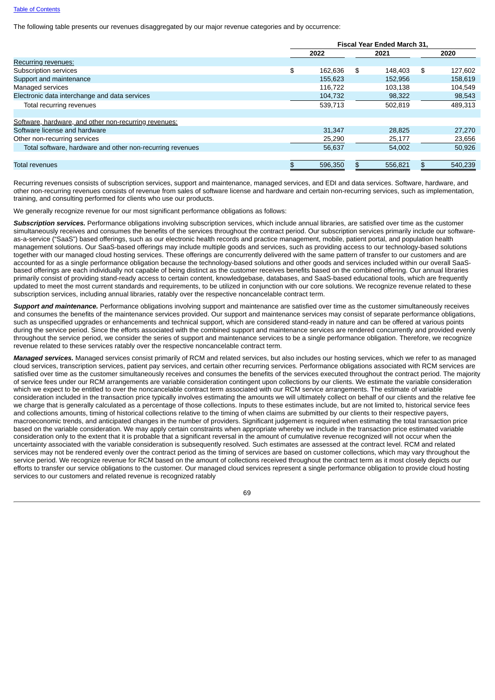The following table presents our revenues disaggregated by our major revenue categories and by occurrence:

|                                                           | Fiscal Year Ended March 31, |      |         |    |         |  |
|-----------------------------------------------------------|-----------------------------|------|---------|----|---------|--|
|                                                           | 2022                        | 2021 |         |    | 2020    |  |
| Recurring revenues:                                       |                             |      |         |    |         |  |
| Subscription services                                     | \$<br>162,636               | \$   | 148,403 | \$ | 127,602 |  |
| Support and maintenance                                   | 155,623                     |      | 152.956 |    | 158,619 |  |
| Managed services                                          | 116.722                     |      | 103.138 |    | 104.549 |  |
| Electronic data interchange and data services             | 104,732                     |      | 98,322  |    | 98,543  |  |
| Total recurring revenues                                  | 539.713                     |      | 502,819 |    | 489,313 |  |
|                                                           |                             |      |         |    |         |  |
| Software, hardware, and other non-recurring revenues:     |                             |      |         |    |         |  |
| Software license and hardware                             | 31.347                      |      | 28.825  |    | 27,270  |  |
| Other non-recurring services                              | 25,290                      |      | 25,177  |    | 23,656  |  |
| Total software, hardware and other non-recurring revenues | 56,637                      |      | 54.002  |    | 50.926  |  |
|                                                           |                             |      |         |    |         |  |
| <b>Total revenues</b>                                     | 596.350                     | æ.   | 556.821 | \$ | 540.239 |  |

Recurring revenues consists of subscription services, support and maintenance, managed services, and EDI and data services. Software, hardware, and other non-recurring revenues consists of revenue from sales of software license and hardware and certain non-recurring services, such as implementation, training, and consulting performed for clients who use our products.

We generally recognize revenue for our most significant performance obligations as follows:

*Subscription services.* Performance obligations involving subscription services, which include annual libraries, are satisfied over time as the customer simultaneously receives and consumes the benefits of the services throughout the contract period. Our subscription services primarily include our softwareas-a-service ("SaaS") based offerings, such as our electronic health records and practice management, mobile, patient portal, and population health management solutions. Our SaaS-based offerings may include multiple goods and services, such as providing access to our technology-based solutions together with our managed cloud hosting services. These offerings are concurrently delivered with the same pattern of transfer to our customers and are accounted for as a single performance obligation because the technology-based solutions and other goods and services included within our overall SaaSbased offerings are each individually not capable of being distinct as the customer receives benefits based on the combined offering. Our annual libraries primarily consist of providing stand-ready access to certain content, knowledgebase, databases, and SaaS-based educational tools, which are frequently updated to meet the most current standards and requirements, to be utilized in conjunction with our core solutions. We recognize revenue related to these subscription services, including annual libraries, ratably over the respective noncancelable contract term.

*Support and maintenance.* Performance obligations involving support and maintenance are satisfied over time as the customer simultaneously receives and consumes the benefits of the maintenance services provided. Our support and maintenance services may consist of separate performance obligations, such as unspecified upgrades or enhancements and technical support, which are considered stand-ready in nature and can be offered at various points during the service period. Since the efforts associated with the combined support and maintenance services are rendered concurrently and provided evenly throughout the service period, we consider the series of support and maintenance services to be a single performance obligation. Therefore, we recognize revenue related to these services ratably over the respective noncancelable contract term.

*Managed services.* Managed services consist primarily of RCM and related services, but also includes our hosting services, which we refer to as managed cloud services, transcription services, patient pay services, and certain other recurring services. Performance obligations associated with RCM services are satisfied over time as the customer simultaneously receives and consumes the benefits of the services executed throughout the contract period. The majority of service fees under our RCM arrangements are variable consideration contingent upon collections by our clients. We estimate the variable consideration which we expect to be entitled to over the noncancelable contract term associated with our RCM service arrangements. The estimate of variable consideration included in the transaction price typically involves estimating the amounts we will ultimately collect on behalf of our clients and the relative fee we charge that is generally calculated as a percentage of those collections. Inputs to these estimates include, but are not limited to, historical service fees and collections amounts, timing of historical collections relative to the timing of when claims are submitted by our clients to their respective payers, macroeconomic trends, and anticipated changes in the number of providers. Significant judgement is required when estimating the total transaction price based on the variable consideration. We may apply certain constraints when appropriate whereby we include in the transaction price estimated variable consideration only to the extent that it is probable that a significant reversal in the amount of cumulative revenue recognized will not occur when the uncertainty associated with the variable consideration is subsequently resolved. Such estimates are assessed at the contract level. RCM and related services may not be rendered evenly over the contract period as the timing of services are based on customer collections, which may vary throughout the service period. We recognize revenue for RCM based on the amount of collections received throughout the contract term as it most closely depicts our efforts to transfer our service obligations to the customer. Our managed cloud services represent a single performance obligation to provide cloud hosting services to our customers and related revenue is recognized ratably

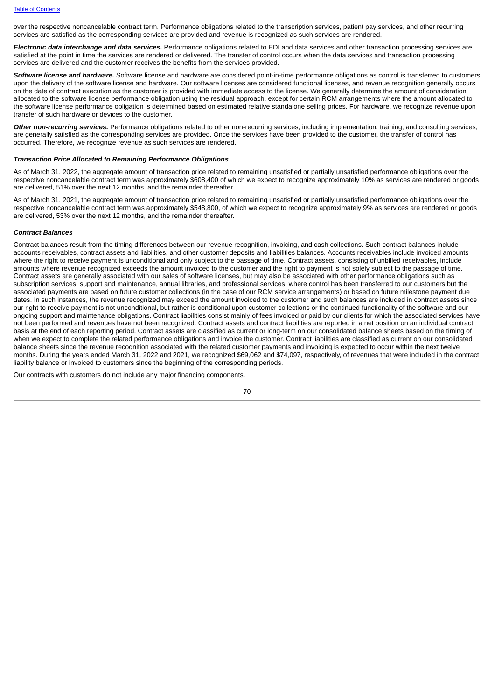over the respective noncancelable contract term. Performance obligations related to the transcription services, patient pay services, and other recurring services are satisfied as the corresponding services are provided and revenue is recognized as such services are rendered.

*Electronic data interchange and data services.* Performance obligations related to EDI and data services and other transaction processing services are satisfied at the point in time the services are rendered or delivered. The transfer of control occurs when the data services and transaction processing services are delivered and the customer receives the benefits from the services provided.

*Software license and hardware.* Software license and hardware are considered point-in-time performance obligations as control is transferred to customers upon the delivery of the software license and hardware. Our software licenses are considered functional licenses, and revenue recognition generally occurs on the date of contract execution as the customer is provided with immediate access to the license. We generally determine the amount of consideration allocated to the software license performance obligation using the residual approach, except for certain RCM arrangements where the amount allocated to the software license performance obligation is determined based on estimated relative standalone selling prices. For hardware, we recognize revenue upon transfer of such hardware or devices to the customer.

*Other non-recurring services.* Performance obligations related to other non-recurring services, including implementation, training, and consulting services, are generally satisfied as the corresponding services are provided. Once the services have been provided to the customer, the transfer of control has occurred. Therefore, we recognize revenue as such services are rendered.

#### *Transaction Price Allocated to Remaining Performance Obligations*

As of March 31, 2022, the aggregate amount of transaction price related to remaining unsatisfied or partially unsatisfied performance obligations over the respective noncancelable contract term was approximately \$608,400 of which we expect to recognize approximately 10% as services are rendered or goods are delivered, 51% over the next 12 months, and the remainder thereafter.

As of March 31, 2021, the aggregate amount of transaction price related to remaining unsatisfied or partially unsatisfied performance obligations over the respective noncancelable contract term was approximately \$548,800, of which we expect to recognize approximately 9% as services are rendered or goods are delivered, 53% over the next 12 months, and the remainder thereafter.

## *Contract Balances*

Contract balances result from the timing differences between our revenue recognition, invoicing, and cash collections. Such contract balances include accounts receivables, contract assets and liabilities, and other customer deposits and liabilities balances. Accounts receivables include invoiced amounts where the right to receive payment is unconditional and only subject to the passage of time. Contract assets, consisting of unbilled receivables, include amounts where revenue recognized exceeds the amount invoiced to the customer and the right to payment is not solely subject to the passage of time. Contract assets are generally associated with our sales of software licenses, but may also be associated with other performance obligations such as subscription services, support and maintenance, annual libraries, and professional services, where control has been transferred to our customers but the associated payments are based on future customer collections (in the case of our RCM service arrangements) or based on future milestone payment due dates. In such instances, the revenue recognized may exceed the amount invoiced to the customer and such balances are included in contract assets since our right to receive payment is not unconditional, but rather is conditional upon customer collections or the continued functionality of the software and our ongoing support and maintenance obligations. Contract liabilities consist mainly of fees invoiced or paid by our clients for which the associated services have not been performed and revenues have not been recognized. Contract assets and contract liabilities are reported in a net position on an individual contract basis at the end of each reporting period. Contract assets are classified as current or long-term on our consolidated balance sheets based on the timing of when we expect to complete the related performance obligations and invoice the customer. Contract liabilities are classified as current on our consolidated balance sheets since the revenue recognition associated with the related customer payments and invoicing is expected to occur within the next twelve months. During the years ended March 31, 2022 and 2021, we recognized \$69,062 and \$74,097, respectively, of revenues that were included in the contract liability balance or invoiced to customers since the beginning of the corresponding periods.

Our contracts with customers do not include any major financing components.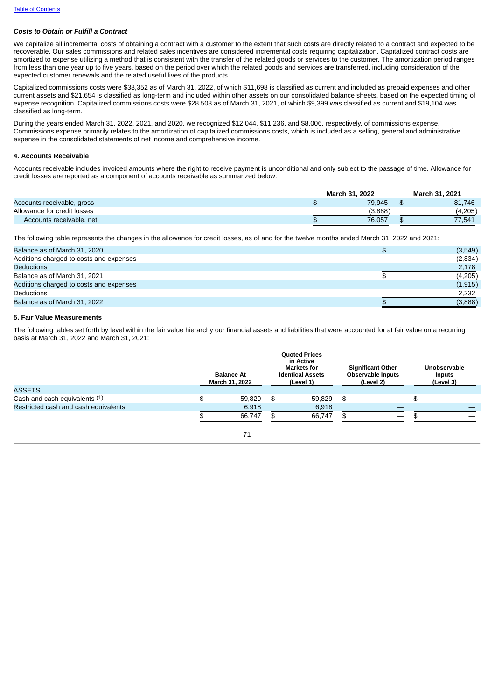# *Costs to Obtain or Fulfill a Contract*

We capitalize all incremental costs of obtaining a contract with a customer to the extent that such costs are directly related to a contract and expected to be recoverable. Our sales commissions and related sales incentives are considered incremental costs requiring capitalization. Capitalized contract costs are amortized to expense utilizing a method that is consistent with the transfer of the related goods or services to the customer. The amortization period ranges from less than one year up to five years, based on the period over which the related goods and services are transferred, including consideration of the expected customer renewals and the related useful lives of the products.

Capitalized commissions costs were \$33,352 as of March 31, 2022, of which \$11,698 is classified as current and included as prepaid expenses and other current assets and \$21,654 is classified as long-term and included within other assets on our consolidated balance sheets, based on the expected timing of expense recognition. Capitalized commissions costs were \$28,503 as of March 31, 2021, of which \$9,399 was classified as current and \$19,104 was classified as long-term.

During the years ended March 31, 2022, 2021, and 2020, we recognized \$12,044, \$11,236, and \$8,006, respectively, of commissions expense. Commissions expense primarily relates to the amortization of capitalized commissions costs, which is included as a selling, general and administrative expense in the consolidated statements of net income and comprehensive income.

### <span id="page-70-0"></span>**4. Accounts Receivable**

Accounts receivable includes invoiced amounts where the right to receive payment is unconditional and only subject to the passage of time. Allowance for credit losses are reported as a component of accounts receivable as summarized below:

|                             |   | <b>March 31, 2022</b> | <b>March 31, 2021</b> |  |  |
|-----------------------------|---|-----------------------|-----------------------|--|--|
| Accounts receivable, gross  | Ф | 79.945                | 81,746                |  |  |
| Allowance for credit losses |   | (3,888)               | (4,205)               |  |  |
| Accounts receivable, net    |   | 76.057                | 77.541                |  |  |

The following table represents the changes in the allowance for credit losses, as of and for the twelve months ended March 31, 2022 and 2021:

| Balance as of March 31, 2020            | £. | (3,549)  |
|-----------------------------------------|----|----------|
| Additions charged to costs and expenses |    | (2,834)  |
| Deductions                              |    | 2,178    |
| Balance as of March 31, 2021            |    | (4,205)  |
| Additions charged to costs and expenses |    | (1, 915) |
| Deductions                              |    | 2,232    |
| Balance as of March 31, 2022            |    | (3,888)  |
|                                         |    |          |

## <span id="page-70-1"></span>**5. Fair Value Measurements**

The following tables set forth by level within the fair value hierarchy our financial assets and liabilities that were accounted for at fair value on a recurring basis at March 31, 2022 and March 31, 2021:

|                                      | <b>Balance At</b><br>March 31, 2022 |     | <b>Ouoted Prices</b><br>in Active<br><b>Markets for</b><br><b>Identical Assets</b><br>(Level 1) | <b>Significant Other</b><br><b>Observable Inputs</b><br>(Level 2) | <b>Unobservable</b><br>Inputs<br>(Level 3) |
|--------------------------------------|-------------------------------------|-----|-------------------------------------------------------------------------------------------------|-------------------------------------------------------------------|--------------------------------------------|
| <b>ASSETS</b>                        |                                     |     |                                                                                                 |                                                                   |                                            |
| Cash and cash equivalents (1)        | \$<br>59,829                        | -\$ | 59,829                                                                                          | \$                                                                |                                            |
| Restricted cash and cash equivalents | 6,918                               |     | 6,918                                                                                           |                                                                   |                                            |
|                                      | 66,747                              |     | 66,747                                                                                          |                                                                   |                                            |
|                                      | 71                                  |     |                                                                                                 |                                                                   |                                            |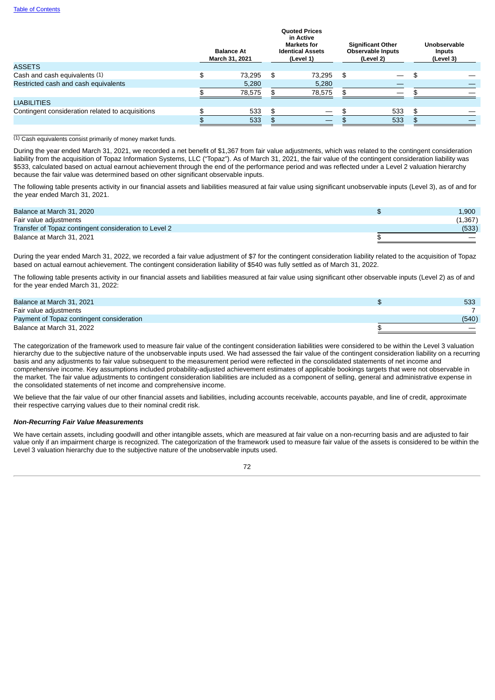|                                                  |     | <b>Ouoted Prices</b><br>in Active<br><b>Markets for</b><br><b>Identical Assets</b><br><b>Balance At</b><br>March 31, 2021<br>(Level 1) |      |        | <b>Significant Other</b><br><b>Observable Inputs</b><br>(Level 2) |     | <b>Unobservable</b><br><b>Inputs</b><br>(Level 3) |  |
|--------------------------------------------------|-----|----------------------------------------------------------------------------------------------------------------------------------------|------|--------|-------------------------------------------------------------------|-----|---------------------------------------------------|--|
| <b>ASSETS</b>                                    |     |                                                                                                                                        |      |        |                                                                   |     |                                                   |  |
| Cash and cash equivalents (1)                    | \$. | 73,295                                                                                                                                 | - \$ | 73,295 | - \$                                                              |     |                                                   |  |
| Restricted cash and cash equivalents             |     | 5,280                                                                                                                                  |      | 5,280  |                                                                   |     |                                                   |  |
|                                                  |     | 78,575                                                                                                                                 |      | 78,575 |                                                                   |     |                                                   |  |
| <b>LIABILITIES</b>                               |     |                                                                                                                                        |      |        |                                                                   |     |                                                   |  |
| Contingent consideration related to acquisitions |     | 533                                                                                                                                    | - \$ |        |                                                                   | 533 | \$                                                |  |
|                                                  |     | 533                                                                                                                                    |      |        |                                                                   | 533 |                                                   |  |
|                                                  |     |                                                                                                                                        |      |        |                                                                   |     |                                                   |  |

 $(1)$  Cash equivalents consist primarily of money market funds.

During the year ended March 31, 2021, we recorded a net benefit of \$1,367 from fair value adjustments, which was related to the contingent consideration liability from the acquisition of Topaz Information Systems, LLC ("Topaz"). As of March 31, 2021, the fair value of the contingent consideration liability was \$533, calculated based on actual earnout achievement through the end of the performance period and was reflected under a Level 2 valuation hierarchy because the fair value was determined based on other significant observable inputs.

The following table presents activity in our financial assets and liabilities measured at fair value using significant unobservable inputs (Level 3), as of and for the year ended March 31, 2021.

| Balance at March 31, 2020                             | 1.900   |
|-------------------------------------------------------|---------|
| Fair value adjustments                                | (1,367) |
| Transfer of Topaz contingent consideration to Level 2 | (533)   |
| Balance at March 31, 2021                             |         |

During the year ended March 31, 2022, we recorded a fair value adjustment of \$7 for the contingent consideration liability related to the acquisition of Topaz based on actual earnout achievement. The contingent consideration liability of \$540 was fully settled as of March 31, 2022.

The following table presents activity in our financial assets and liabilities measured at fair value using significant other observable inputs (Level 2) as of and for the year ended March 31, 2022:

| Balance at March 31, 2021                 | 533   |
|-------------------------------------------|-------|
| Fair value adjustments                    |       |
| Payment of Topaz contingent consideration | (540) |
| Balance at March 31, 2022                 |       |

The categorization of the framework used to measure fair value of the contingent consideration liabilities were considered to be within the Level 3 valuation hierarchy due to the subjective nature of the unobservable inputs used. We had assessed the fair value of the contingent consideration liability on a recurring basis and any adjustments to fair value subsequent to the measurement period were reflected in the consolidated statements of net income and comprehensive income. Key assumptions included probability-adjusted achievement estimates of applicable bookings targets that were not observable in the market. The fair value adjustments to contingent consideration liabilities are included as a component of selling, general and administrative expense in the consolidated statements of net income and comprehensive income.

We believe that the fair value of our other financial assets and liabilities, including accounts receivable, accounts payable, and line of credit, approximate their respective carrying values due to their nominal credit risk.

## *Non-Recurring Fair Value Measurements*

We have certain assets, including goodwill and other intangible assets, which are measured at fair value on a non-recurring basis and are adjusted to fair value only if an impairment charge is recognized. The categorization of the framework used to measure fair value of the assets is considered to be within the Level 3 valuation hierarchy due to the subjective nature of the unobservable inputs used.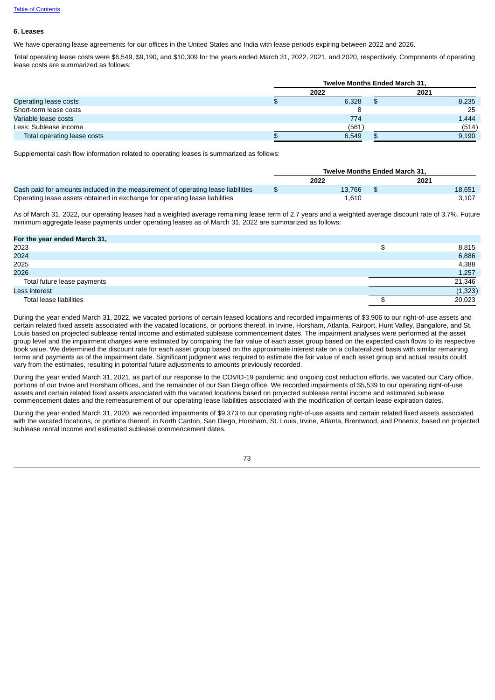## **6. Leases**

We have operating lease agreements for our offices in the United States and India with lease periods expiring between 2022 and 2026.

Total operating lease costs were \$6,549, \$9,190, and \$10,309 for the years ended March 31, 2022, 2021, and 2020, respectively. Components of operating lease costs are summarized as follows:

|                             | <b>Twelve Months Ended March 31,</b> |      |       |  |  |  |
|-----------------------------|--------------------------------------|------|-------|--|--|--|
| Operating lease costs       | 2022                                 | 2021 |       |  |  |  |
|                             | 6,328                                |      | 8,235 |  |  |  |
| Short-term lease costs      |                                      |      | 25    |  |  |  |
| Variable lease costs        | 774                                  |      | 1,444 |  |  |  |
| Less: Sublease income       | (561)                                |      | (514) |  |  |  |
| Total operating lease costs | 6,549                                |      | 9,190 |  |  |  |

Supplemental cash flow information related to operating leases is summarized as follows:

|                                                                                  | <b>Twelve Months Ended March 31.</b> |  |        |  |  |  |
|----------------------------------------------------------------------------------|--------------------------------------|--|--------|--|--|--|
|                                                                                  | 2022                                 |  | 2021   |  |  |  |
| Cash paid for amounts included in the measurement of operating lease liabilities | 13.766                               |  | 18.651 |  |  |  |
| Operating lease assets obtained in exchange for operating lease liabilities      | 1.610                                |  | 3.107  |  |  |  |

As of March 31, 2022, our operating leases had a weighted average remaining lease term of 2.7 years and a weighted average discount rate of 3.7%. Future minimum aggregate lease payments under operating leases as of March 31, 2022 are summarized as follows:

| For the year ended March 31, |          |
|------------------------------|----------|
| 2023                         | 8,815    |
| 2024                         | 6,886    |
| 2025                         | 4,388    |
| 2026                         | 1,257    |
| Total future lease payments  | 21,346   |
| Less interest                | (1, 323) |
| Total lease liabilities      | 20,023   |

During the year ended March 31, 2022, we vacated portions of certain leased locations and recorded impairments of \$3,906 to our right-of-use assets and certain related fixed assets associated with the vacated locations, or portions thereof, in Irvine, Horsham, Atlanta, Fairport, Hunt Valley, Bangalore, and St. Louis based on projected sublease rental income and estimated sublease commencement dates. The impairment analyses were performed at the asset group level and the impairment charges were estimated by comparing the fair value of each asset group based on the expected cash flows to its respective book value. We determined the discount rate for each asset group based on the approximate interest rate on a collateralized basis with similar remaining terms and payments as of the impairment date. Significant judgment was required to estimate the fair value of each asset group and actual results could vary from the estimates, resulting in potential future adjustments to amounts previously recorded.

During the year ended March 31, 2021, as part of our response to the COVID-19 pandemic and ongoing cost reduction efforts, we vacated our Cary office, portions of our Irvine and Horsham offices, and the remainder of our San Diego office. We recorded impairments of \$5,539 to our operating right-of-use assets and certain related fixed assets associated with the vacated locations based on projected sublease rental income and estimated sublease commencement dates and the remeasurement of our operating lease liabilities associated with the modification of certain lease expiration dates.

During the year ended March 31, 2020, we recorded impairments of \$9,373 to our operating right-of-use assets and certain related fixed assets associated with the vacated locations, or portions thereof, in North Canton, San Diego, Horsham, St. Louis, Irvine, Atlanta, Brentwood, and Phoenix, based on projected sublease rental income and estimated sublease commencement dates.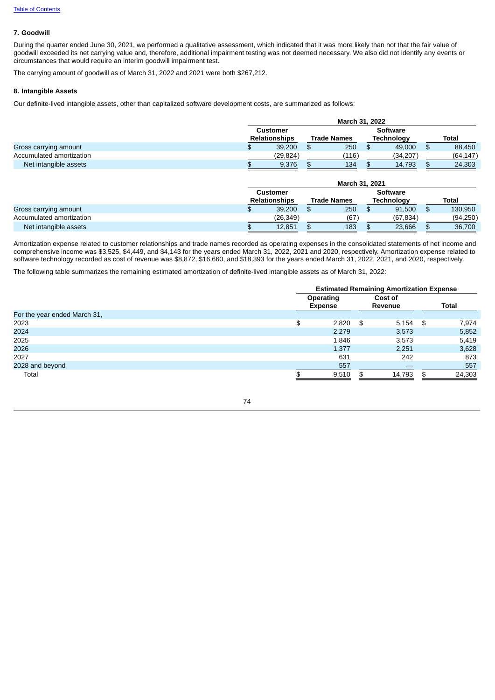# **7. Goodwill**

During the quarter ended June 30, 2021, we performed a qualitative assessment, which indicated that it was more likely than not that the fair value of goodwill exceeded its net carrying value and, therefore, additional impairment testing was not deemed necessary. We also did not identify any events or circumstances that would require an interim goodwill impairment test.

The carrying amount of goodwill as of March 31, 2022 and 2021 were both \$267,212.

## **8. Intangible Assets**

Our definite-lived intangible assets, other than capitalized software development costs, are summarized as follows:

|                          | <b>March 31, 2022</b>                   |           |                                              |       |  |           |              |           |  |
|--------------------------|-----------------------------------------|-----------|----------------------------------------------|-------|--|-----------|--------------|-----------|--|
|                          | <b>Customer</b><br><b>Relationships</b> |           | Software<br><b>Trade Names</b><br>Technology |       |  |           | <b>Total</b> |           |  |
| Gross carrying amount    | Ф                                       | 39,200    | \$                                           | 250   |  | 49,000    |              | 88,450    |  |
| Accumulated amortization |                                         | (29, 824) |                                              | (116) |  | (34, 207) |              | (64, 147) |  |
| Net intangible assets    |                                         | 9,376     |                                              | 134   |  | 14.793    |              | 24,303    |  |

|                          |   | <b>March 31, 2021</b>                                         |    |                        |  |           |              |           |
|--------------------------|---|---------------------------------------------------------------|----|------------------------|--|-----------|--------------|-----------|
|                          |   | <b>Customer</b><br><b>Relationships</b><br><b>Trade Names</b> |    | Software<br>Technology |  |           | <b>Total</b> |           |
| Gross carrying amount    | Ф | 39,200                                                        |    | 250                    |  | 91.500    |              | 130,950   |
| Accumulated amortization |   | (26, 349)                                                     |    | (67)                   |  | (67, 834) |              | (94, 250) |
| Net intangible assets    |   | 12,851                                                        | \$ | 183                    |  | 23,666    |              | 36,700    |

Amortization expense related to customer relationships and trade names recorded as operating expenses in the consolidated statements of net income and comprehensive income was \$3,525, \$4,449, and \$4,143 for the years ended March 31, 2022, 2021 and 2020, respectively. Amortization expense related to software technology recorded as cost of revenue was \$8,872, \$16,660, and \$18,393 for the years ended March 31, 2022, 2021, and 2020, respectively.

The following table summarizes the remaining estimated amortization of definite-lived intangible assets as of March 31, 2022:

|                              | <b>Estimated Remaining Amortization Expense</b>   |       |      |            |              |        |  |
|------------------------------|---------------------------------------------------|-------|------|------------|--------------|--------|--|
|                              | Cost of<br>Operating<br>Revenue<br><b>Expense</b> |       |      |            | <b>Total</b> |        |  |
| For the year ended March 31, |                                                   |       |      |            |              |        |  |
| 2023                         | \$                                                | 2,820 | - \$ | $5,154$ \$ |              | 7,974  |  |
| 2024                         |                                                   | 2,279 |      | 3,573      |              | 5,852  |  |
| 2025                         |                                                   | 1,846 |      | 3,573      |              | 5,419  |  |
| 2026                         |                                                   | 1,377 |      | 2,251      |              | 3,628  |  |
| 2027                         |                                                   | 631   |      | 242        |              | 873    |  |
| 2028 and beyond              |                                                   | 557   |      |            |              | 557    |  |
| Total                        |                                                   | 9,510 | £.   | 14,793     | \$.          | 24,303 |  |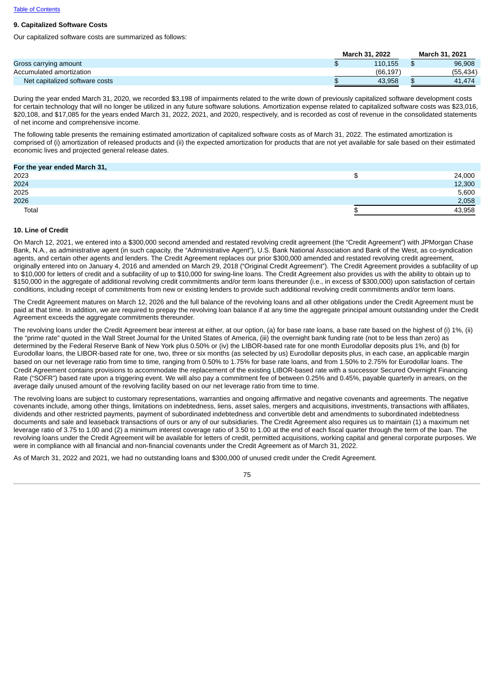# **9. Capitalized Software Costs**

Our capitalized software costs are summarized as follows:

|                                | <b>March 31, 2022</b> | <b>March 31, 2021</b> |          |  |
|--------------------------------|-----------------------|-----------------------|----------|--|
| Gross carrying amount          | 110.155               |                       | 96.908   |  |
| Accumulated amortization       | (66, 197)             |                       | (55,434) |  |
| Net capitalized software costs | 43.958                |                       | 41.474   |  |

During the year ended March 31, 2020, we recorded \$3,198 of impairments related to the write down of previously capitalized software development costs for certain technology that will no longer be utilized in any future software solutions. Amortization expense related to capitalized software costs was \$23,016, \$20,108, and \$17,085 for the years ended March 31, 2022, 2021, and 2020, respectively, and is recorded as cost of revenue in the consolidated statements of net income and comprehensive income.

The following table presents the remaining estimated amortization of capitalized software costs as of March 31, 2022. The estimated amortization is comprised of (i) amortization of released products and (ii) the expected amortization for products that are not yet available for sale based on their estimated economic lives and projected general release dates.

## **For the year ended March 31,**

| ۰D | 24,000 |
|----|--------|
|    | 12,300 |
|    | 5,600  |
|    | 2,058  |
|    | 43,958 |
|    |        |

### **10. Line of Credit**

On March 12, 2021, we entered into a \$300,000 second amended and restated revolving credit agreement (the "Credit Agreement") with JPMorgan Chase Bank, N.A., as administrative agent (in such capacity, the "Administrative Agent"), U.S. Bank National Association and Bank of the West, as co-syndication agents, and certain other agents and lenders. The Credit Agreement replaces our prior \$300,000 amended and restated revolving credit agreement, originally entered into on January 4, 2016 and amended on March 29, 2018 ("Original Credit Agreement"). The Credit Agreement provides a subfacility of up to \$10,000 for letters of credit and a subfacility of up to \$10,000 for swing-line loans. The Credit Agreement also provides us with the ability to obtain up to \$150,000 in the aggregate of additional revolving credit commitments and/or term loans thereunder (i.e., in excess of \$300,000) upon satisfaction of certain conditions, including receipt of commitments from new or existing lenders to provide such additional revolving credit commitments and/or term loans.

The Credit Agreement matures on March 12, 2026 and the full balance of the revolving loans and all other obligations under the Credit Agreement must be paid at that time. In addition, we are required to prepay the revolving loan balance if at any time the aggregate principal amount outstanding under the Credit Agreement exceeds the aggregate commitments thereunder.

The revolving loans under the Credit Agreement bear interest at either, at our option, (a) for base rate loans, a base rate based on the highest of (i) 1%, (ii) the "prime rate" quoted in the Wall Street Journal for the United States of America, (iii) the overnight bank funding rate (not to be less than zero) as determined by the Federal Reserve Bank of New York plus 0.50% or (iv) the LIBOR-based rate for one month Eurodollar deposits plus 1%, and (b) for Eurodollar loans, the LIBOR-based rate for one, two, three or six months (as selected by us) Eurodollar deposits plus, in each case, an applicable margin based on our net leverage ratio from time to time, ranging from 0.50% to 1.75% for base rate loans, and from 1.50% to 2.75% for Eurodollar loans. The Credit Agreement contains provisions to accommodate the replacement of the existing LIBOR-based rate with a successor Secured Overnight Financing Rate ("SOFR") based rate upon a triggering event. We will also pay a commitment fee of between 0.25% and 0.45%, payable quarterly in arrears, on the average daily unused amount of the revolving facility based on our net leverage ratio from time to time.

The revolving loans are subject to customary representations, warranties and ongoing affirmative and negative covenants and agreements. The negative covenants include, among other things, limitations on indebtedness, liens, asset sales, mergers and acquisitions, investments, transactions with affiliates, dividends and other restricted payments, payment of subordinated indebtedness and convertible debt and amendments to subordinated indebtedness documents and sale and leaseback transactions of ours or any of our subsidiaries. The Credit Agreement also requires us to maintain (1) a maximum net leverage ratio of 3.75 to 1.00 and (2) a minimum interest coverage ratio of 3.50 to 1.00 at the end of each fiscal quarter through the term of the loan. The revolving loans under the Credit Agreement will be available for letters of credit, permitted acquisitions, working capital and general corporate purposes. We were in compliance with all financial and non-financial covenants under the Credit Agreement as of March 31, 2022.

As of March 31, 2022 and 2021, we had no outstanding loans and \$300,000 of unused credit under the Credit Agreement.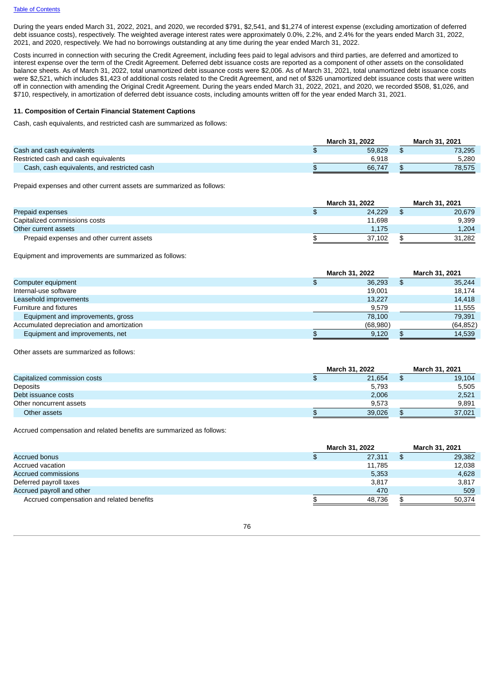During the years ended March 31, 2022, 2021, and 2020, we recorded \$791, \$2,541, and \$1,274 of interest expense (excluding amortization of deferred debt issuance costs), respectively. The weighted average interest rates were approximately 0.0%, 2.2%, and 2.4% for the years ended March 31, 2022, 2021, and 2020, respectively. We had no borrowings outstanding at any time during the year ended March 31, 2022.

Costs incurred in connection with securing the Credit Agreement, including fees paid to legal advisors and third parties, are deferred and amortized to interest expense over the term of the Credit Agreement. Deferred debt issuance costs are reported as a component of other assets on the consolidated balance sheets. As of March 31, 2022, total unamortized debt issuance costs were \$2,006. As of March 31, 2021, total unamortized debt issuance costs were \$2,521, which includes \$1,423 of additional costs related to the Credit Agreement, and net of \$326 unamortized debt issuance costs that were written off in connection with amending the Original Credit Agreement. During the years ended March 31, 2022, 2021, and 2020, we recorded \$508, \$1,026, and \$710, respectively, in amortization of deferred debt issuance costs, including amounts written off for the year ended March 31, 2021.

### **11. Composition of Certain Financial Statement Captions**

Cash, cash equivalents, and restricted cash are summarized as follows:

|                                             | March 31, 2022 |        |  | <b>March 31, 2021</b> |  |  |
|---------------------------------------------|----------------|--------|--|-----------------------|--|--|
| Cash and cash equivalents                   |                | 59.829 |  | 73.295                |  |  |
| Restricted cash and cash equivalents        |                | 6.918  |  | 5.280                 |  |  |
| Cash, cash equivalents, and restricted cash |                | 66.747 |  | 78.575                |  |  |

Prepaid expenses and other current assets are summarized as follows:

|                                           | <b>March 31, 2022</b> |  |        | <b>March 31, 2021</b> |        |  |  |
|-------------------------------------------|-----------------------|--|--------|-----------------------|--------|--|--|
| Prepaid expenses                          |                       |  | 24.229 |                       | 20.679 |  |  |
| Capitalized commissions costs             |                       |  | 11.698 |                       | 9.399  |  |  |
| Other current assets                      |                       |  | 1.175  |                       | 1.204  |  |  |
| Prepaid expenses and other current assets |                       |  | 37.102 |                       | 31.282 |  |  |

Equipment and improvements are summarized as follows:

|                                           |   | <b>March 31, 2022</b> |           | <b>March 31, 2021</b> |
|-------------------------------------------|---|-----------------------|-----------|-----------------------|
| Computer equipment                        | Ф | 36,293                | <b>\$</b> | 35,244                |
| Internal-use software                     |   | 19.001                |           | 18.174                |
| Leasehold improvements                    |   | 13,227                |           | 14,418                |
| Furniture and fixtures                    |   | 9,579                 |           | 11,555                |
| Equipment and improvements, gross         |   | 78.100                |           | 79.391                |
| Accumulated depreciation and amortization |   | (68,980)              |           | (64, 852)             |
| Equipment and improvements, net           |   | 9,120                 |           | 14,539                |

Other assets are summarized as follows:

|                              | <b>March 31, 2022</b> | <b>March 31, 2021</b> |        |  |
|------------------------------|-----------------------|-----------------------|--------|--|
| Capitalized commission costs |                       | 21.654                | 19,104 |  |
| Deposits                     |                       | 5.793                 | 5,505  |  |
| Debt issuance costs          |                       | 2,006                 | 2,521  |  |
| Other noncurrent assets      |                       | 9.573                 | 9.891  |  |
| Other assets                 |                       | 39,026                | 37,021 |  |

Accrued compensation and related benefits are summarized as follows:

|                                           | March 31, 2022 |        |  | <b>March 31, 2021</b> |
|-------------------------------------------|----------------|--------|--|-----------------------|
| <b>Accrued bonus</b>                      |                | 27,311 |  | 29,382                |
| Accrued vacation                          |                | 11,785 |  | 12,038                |
| <b>Accrued commissions</b>                |                | 5,353  |  | 4,628                 |
| Deferred payroll taxes                    |                | 3.817  |  | 3,817                 |
| Accrued payroll and other                 |                | 470    |  | 509                   |
| Accrued compensation and related benefits |                | 48,736 |  | 50,374                |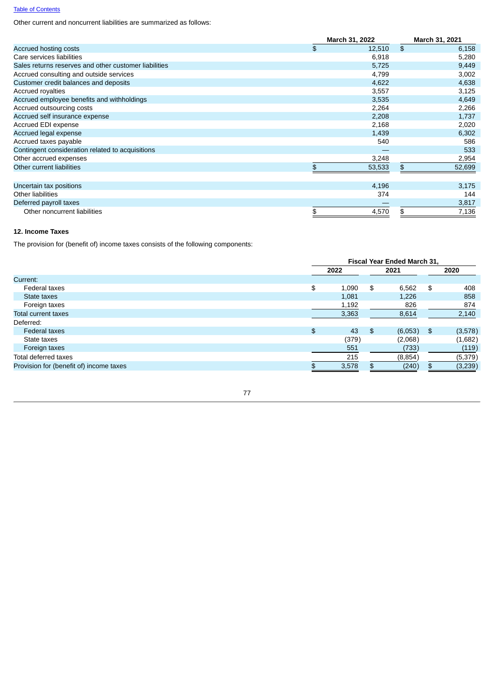## Table of [Contents](#page-1-0)

Other current and noncurrent liabilities are summarized as follows:

|                                                       | March 31, 2022 |                | March 31, 2021 |
|-------------------------------------------------------|----------------|----------------|----------------|
| Accrued hosting costs                                 | \$<br>12,510   | $\mathfrak{L}$ | 6,158          |
| Care services liabilities                             | 6,918          |                | 5,280          |
| Sales returns reserves and other customer liabilities | 5,725          |                | 9,449          |
| Accrued consulting and outside services               | 4,799          |                | 3,002          |
| Customer credit balances and deposits                 | 4,622          |                | 4,638          |
| Accrued royalties                                     | 3,557          |                | 3,125          |
| Accrued employee benefits and withholdings            | 3,535          |                | 4,649          |
| Accrued outsourcing costs                             | 2,264          |                | 2,266          |
| Accrued self insurance expense                        | 2,208          |                | 1,737          |
| Accrued EDI expense                                   | 2,168          |                | 2,020          |
| Accrued legal expense                                 | 1,439          |                | 6,302          |
| Accrued taxes payable                                 | 540            |                | 586            |
| Contingent consideration related to acquisitions      |                |                | 533            |
| Other accrued expenses                                | 3,248          |                | 2,954          |
| Other current liabilities                             | 53,533         |                | 52,699         |
|                                                       |                |                |                |
| Uncertain tax positions                               | 4,196          |                | 3,175          |
| Other liabilities                                     | 374            |                | 144            |
| Deferred payroll taxes                                |                |                | 3,817          |
| Other noncurrent liabilities                          | \$<br>4,570    | \$             | 7,136          |

# **12. Income Taxes**

The provision for (benefit of) income taxes consists of the following components:

|                                         | Fiscal Year Ended March 31, |       |    |         |      |          |
|-----------------------------------------|-----------------------------|-------|----|---------|------|----------|
|                                         |                             | 2022  |    | 2021    |      | 2020     |
| Current:                                |                             |       |    |         |      |          |
| Federal taxes                           | \$                          | 1,090 | \$ | 6,562   | \$   | 408      |
| State taxes                             |                             | 1,081 |    | 1,226   |      | 858      |
| Foreign taxes                           |                             | 1,192 |    | 826     |      | 874      |
| Total current taxes                     |                             | 3,363 |    | 8,614   |      | 2,140    |
| Deferred:                               |                             |       |    |         |      |          |
| <b>Federal taxes</b>                    | \$                          | 43    | \$ | (6,053) | - \$ | (3,578)  |
| State taxes                             |                             | (379) |    | (2,068) |      | (1,682)  |
| Foreign taxes                           |                             | 551   |    | (733)   |      | (119)    |
| Total deferred taxes                    |                             | 215   |    | (8,854) |      | (5, 379) |
| Provision for (benefit of) income taxes |                             | 3,578 |    | (240)   |      | (3, 239) |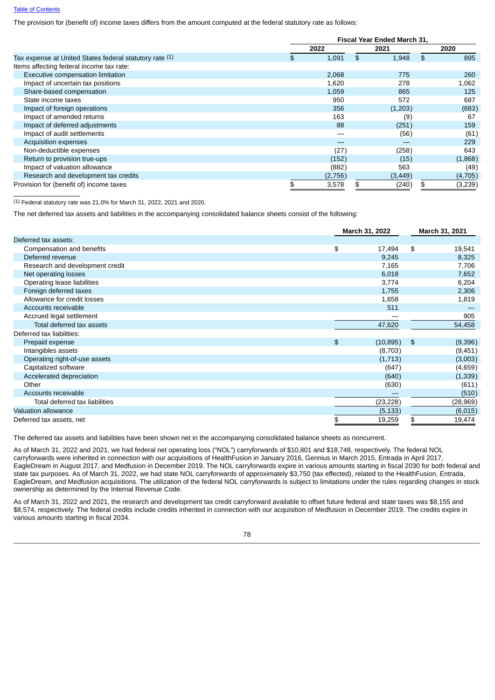### Table of [Contents](#page-1-0)

The provision for (benefit of) income taxes differs from the amount computed at the federal statutory rate as follows:

|                                                         | Fiscal Year Ended March 31, |         |                       |    |         |  |  |
|---------------------------------------------------------|-----------------------------|---------|-----------------------|----|---------|--|--|
|                                                         |                             | 2022    | 2021                  |    | 2020    |  |  |
| Tax expense at United States federal statutory rate (1) | \$.                         | 1,091   | $\mathbf{f}$<br>1,948 | \$ | 895     |  |  |
| Items affecting federal income tax rate:                |                             |         |                       |    |         |  |  |
| Executive compensation limitation                       |                             | 2,068   | 775                   |    | 260     |  |  |
| Impact of uncertain tax positions                       |                             | 1,620   | 278                   |    | 1,062   |  |  |
| Share-based compensation                                |                             | 1,059   | 865                   |    | 125     |  |  |
| State income taxes                                      |                             | 950     | 572                   |    | 687     |  |  |
| Impact of foreign operations                            |                             | 356     | (1,203)               |    | (683)   |  |  |
| Impact of amended returns                               |                             | 163     | (9)                   |    | 67      |  |  |
| Impact of deferred adjustments                          |                             | 88      | (251)                 |    | 159     |  |  |
| Impact of audit settlements                             |                             |         | (56)                  |    | (61)    |  |  |
| Acquisition expenses                                    |                             |         |                       |    | 229     |  |  |
| Non-deductible expenses                                 |                             | (27)    | (258)                 |    | 643     |  |  |
| Return to provision true-ups                            |                             | (152)   | (15)                  |    | (1,868) |  |  |
| Impact of valuation allowance                           |                             | (882)   | 563                   |    | (49)    |  |  |
| Research and development tax credits                    |                             | (2,756) | (3, 449)              |    | (4,705) |  |  |
| Provision for (benefit of) income taxes                 |                             | 3,578   | (240)                 | \$ | (3,239) |  |  |

(1) Federal statutory rate was 21.0% for March 31, 2022, 2021 and 2020.

The net deferred tax assets and liabilities in the accompanying consolidated balance sheets consist of the following:

|                                 | March 31, 2022  | March 31, 2021 |           |  |
|---------------------------------|-----------------|----------------|-----------|--|
| Deferred tax assets:            |                 |                |           |  |
| Compensation and benefits       | \$<br>17,494    | \$             | 19,541    |  |
| Deferred revenue                | 9,245           |                | 8,325     |  |
| Research and development credit | 7,165           |                | 7,706     |  |
| Net operating losses            | 6,018           |                | 7,652     |  |
| Operating lease liabilities     | 3,774           |                | 6,204     |  |
| Foreign deferred taxes          | 1,755           |                | 2,306     |  |
| Allowance for credit losses     | 1,658           |                | 1,819     |  |
| Accounts receivable             | 511             |                |           |  |
| Accrued legal settlement        |                 |                | 905       |  |
| Total deferred tax assets       | 47,620          |                | 54,458    |  |
| Deferred tax liabilities:       |                 |                |           |  |
| Prepaid expense                 | \$<br>(10, 895) | \$             | (9,396)   |  |
| Intangibles assets              | (8,703)         |                | (9, 451)  |  |
| Operating right-of-use assets   | (1,713)         |                | (3,003)   |  |
| Capitalized software            | (647)           |                | (4,659)   |  |
| Accelerated depreciation        | (640)           |                | (1, 339)  |  |
| Other                           | (630)           |                | (611)     |  |
| Accounts receivable             |                 |                | (510)     |  |
| Total deferred tax liabilities  | (23, 228)       |                | (28, 969) |  |
| <b>Valuation allowance</b>      | (5, 133)        |                | (6,015)   |  |
| Deferred tax assets, net        | \$<br>19,259    | \$             | 19,474    |  |

The deferred tax assets and liabilities have been shown net in the accompanying consolidated balance sheets as noncurrent.

As of March 31, 2022 and 2021, we had federal net operating loss ("NOL") carryforwards of \$10,801 and \$18,748, respectively. The federal NOL carryforwards were inherited in connection with our acquisitions of HealthFusion in January 2016, Gennius in March 2015, Entrada in April 2017, EagleDream in August 2017, and Medfusion in December 2019. The NOL carryforwards expire in various amounts starting in fiscal 2030 for both federal and state tax purposes. As of March 31, 2022, we had state NOL carryforwards of approximately \$3,750 (tax effected), related to the HealthFusion, Entrada, EagleDream, and Medfusion acquisitions. The utilization of the federal NOL carryforwards is subject to limitations under the rules regarding changes in stock ownership as determined by the Internal Revenue Code.

As of March 31, 2022 and 2021, the research and development tax credit carryforward available to offset future federal and state taxes was \$8,155 and \$8,574, respectively. The federal credits include credits inherited in connection with our acquisition of Medfusion in December 2019. The credits expire in various amounts starting in fiscal 2034.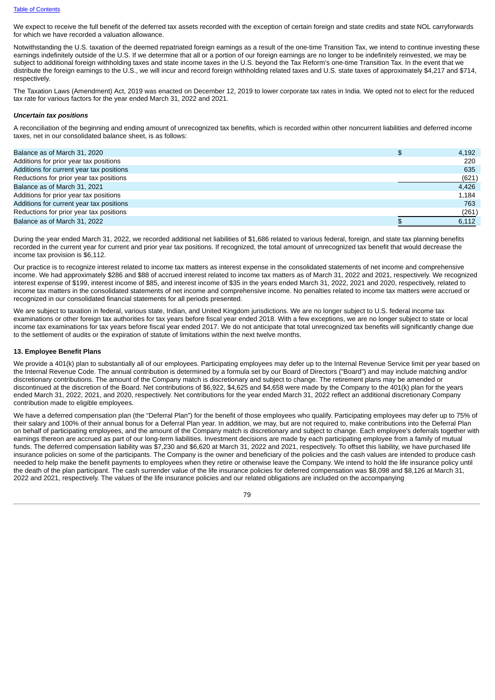We expect to receive the full benefit of the deferred tax assets recorded with the exception of certain foreign and state credits and state NOL carryforwards for which we have recorded a valuation allowance.

Notwithstanding the U.S. taxation of the deemed repatriated foreign earnings as a result of the one-time Transition Tax, we intend to continue investing these earnings indefinitely outside of the U.S. If we determine that all or a portion of our foreign earnings are no longer to be indefinitely reinvested, we may be subject to additional foreign withholding taxes and state income taxes in the U.S. beyond the Tax Reform's one-time Transition Tax. In the event that we distribute the foreign earnings to the U.S., we will incur and record foreign withholding related taxes and U.S. state taxes of approximately \$4,217 and \$714. respectively.

The Taxation Laws (Amendment) Act, 2019 was enacted on December 12, 2019 to lower corporate tax rates in India. We opted not to elect for the reduced tax rate for various factors for the year ended March 31, 2022 and 2021.

#### *Uncertain tax positions*

A reconciliation of the beginning and ending amount of unrecognized tax benefits, which is recorded within other noncurrent liabilities and deferred income taxes, net in our consolidated balance sheet, is as follows:

| Balance as of March 31, 2020             | 4.192 |
|------------------------------------------|-------|
| Additions for prior year tax positions   | 220   |
| Additions for current year tax positions | 635   |
| Reductions for prior year tax positions  | (621) |
| Balance as of March 31, 2021             | 4.426 |
| Additions for prior year tax positions   | 1,184 |
| Additions for current year tax positions | 763   |
| Reductions for prior year tax positions  | (261) |
| Balance as of March 31, 2022             | 6.112 |
|                                          |       |

During the year ended March 31, 2022, we recorded additional net liabilities of \$1,686 related to various federal, foreign, and state tax planning benefits recorded in the current year for current and prior year tax positions. If recognized, the total amount of unrecognized tax benefit that would decrease the income tax provision is \$6,112.

Our practice is to recognize interest related to income tax matters as interest expense in the consolidated statements of net income and comprehensive income. We had approximately \$286 and \$88 of accrued interest related to income tax matters as of March 31, 2022 and 2021, respectively. We recognized interest expense of \$199, interest income of \$85, and interest income of \$35 in the years ended March 31, 2022, 2021 and 2020, respectively, related to income tax matters in the consolidated statements of net income and comprehensive income. No penalties related to income tax matters were accrued or recognized in our consolidated financial statements for all periods presented.

We are subject to taxation in federal, various state, Indian, and United Kingdom jurisdictions. We are no longer subject to U.S. federal income tax examinations or other foreign tax authorities for tax years before fiscal year ended 2018. With a few exceptions, we are no longer subject to state or local income tax examinations for tax years before fiscal year ended 2017. We do not anticipate that total unrecognized tax benefits will significantly change due to the settlement of audits or the expiration of statute of limitations within the next twelve months.

### **13. Employee Benefit Plans**

We provide a 401(k) plan to substantially all of our employees. Participating employees may defer up to the Internal Revenue Service limit per year based on the Internal Revenue Code. The annual contribution is determined by a formula set by our Board of Directors ("Board") and may include matching and/or discretionary contributions. The amount of the Company match is discretionary and subject to change. The retirement plans may be amended or discontinued at the discretion of the Board. Net contributions of \$6,922, \$4,625 and \$4,658 were made by the Company to the 401(k) plan for the years ended March 31, 2022, 2021, and 2020, respectively. Net contributions for the year ended March 31, 2022 reflect an additional discretionary Company contribution made to eligible employees.

We have a deferred compensation plan (the "Deferral Plan") for the benefit of those employees who qualify. Participating employees may defer up to 75% of their salary and 100% of their annual bonus for a Deferral Plan year. In addition, we may, but are not required to, make contributions into the Deferral Plan on behalf of participating employees, and the amount of the Company match is discretionary and subject to change. Each employee's deferrals together with earnings thereon are accrued as part of our long-term liabilities. Investment decisions are made by each participating employee from a family of mutual funds. The deferred compensation liability was \$7,230 and \$6,620 at March 31, 2022 and 2021, respectively. To offset this liability, we have purchased life insurance policies on some of the participants. The Company is the owner and beneficiary of the policies and the cash values are intended to produce cash needed to help make the benefit payments to employees when they retire or otherwise leave the Company. We intend to hold the life insurance policy until the death of the plan participant. The cash surrender value of the life insurance policies for deferred compensation was \$8,098 and \$8,126 at March 31, 2022 and 2021, respectively. The values of the life insurance policies and our related obligations are included on the accompanying

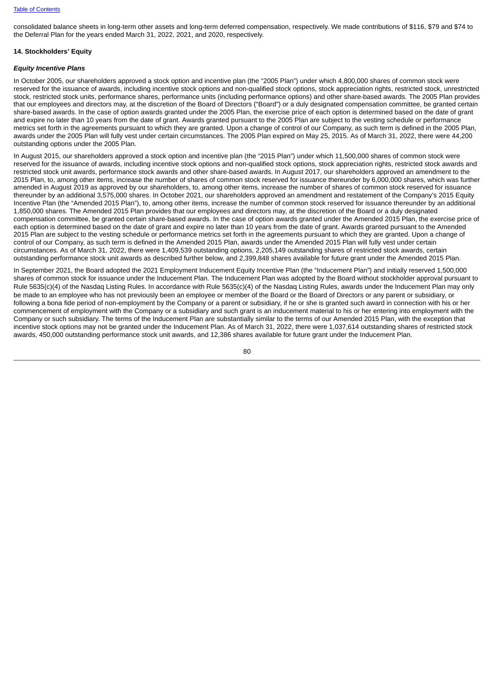consolidated balance sheets in long-term other assets and long-term deferred compensation, respectively. We made contributions of \$116, \$79 and \$74 to the Deferral Plan for the years ended March 31, 2022, 2021, and 2020, respectively.

#### **14. Stockholders' Equity**

#### *Equity Incentive Plans*

In October 2005, our shareholders approved a stock option and incentive plan (the "2005 Plan") under which 4,800,000 shares of common stock were reserved for the issuance of awards, including incentive stock options and non-qualified stock options, stock appreciation rights, restricted stock, unrestricted stock, restricted stock units, performance shares, performance units (including performance options) and other share-based awards. The 2005 Plan provides that our employees and directors may, at the discretion of the Board of Directors ("Board") or a duly designated compensation committee, be granted certain share-based awards. In the case of option awards granted under the 2005 Plan, the exercise price of each option is determined based on the date of grant and expire no later than 10 years from the date of grant. Awards granted pursuant to the 2005 Plan are subject to the vesting schedule or performance metrics set forth in the agreements pursuant to which they are granted. Upon a change of control of our Company, as such term is defined in the 2005 Plan, awards under the 2005 Plan will fully vest under certain circumstances. The 2005 Plan expired on May 25, 2015. As of March 31, 2022, there were 44,200 outstanding options under the 2005 Plan.

In August 2015, our shareholders approved a stock option and incentive plan (the "2015 Plan") under which 11,500,000 shares of common stock were reserved for the issuance of awards, including incentive stock options and non-qualified stock options, stock appreciation rights, restricted stock awards and restricted stock unit awards, performance stock awards and other share-based awards. In August 2017, our shareholders approved an amendment to the 2015 Plan, to, among other items, increase the number of shares of common stock reserved for issuance thereunder by 6,000,000 shares, which was further amended in August 2019 as approved by our shareholders, to, among other items, increase the number of shares of common stock reserved for issuance thereunder by an additional 3,575,000 shares. In October 2021, our shareholders approved an amendment and restatement of the Company's 2015 Equity Incentive Plan (the "Amended 2015 Plan"), to, among other items, increase the number of common stock reserved for issuance thereunder by an additional 1,850,000 shares. The Amended 2015 Plan provides that our employees and directors may, at the discretion of the Board or a duly designated compensation committee, be granted certain share-based awards. In the case of option awards granted under the Amended 2015 Plan, the exercise price of each option is determined based on the date of grant and expire no later than 10 years from the date of grant. Awards granted pursuant to the Amended 2015 Plan are subject to the vesting schedule or performance metrics set forth in the agreements pursuant to which they are granted. Upon a change of control of our Company, as such term is defined in the Amended 2015 Plan, awards under the Amended 2015 Plan will fully vest under certain circumstances. As of March 31, 2022, there were 1,409,539 outstanding options, 2,205,149 outstanding shares of restricted stock awards, certain outstanding performance stock unit awards as described further below, and 2,399,848 shares available for future grant under the Amended 2015 Plan.

In September 2021, the Board adopted the 2021 Employment Inducement Equity Incentive Plan (the "Inducement Plan") and initially reserved 1,500,000 shares of common stock for issuance under the Inducement Plan. The Inducement Plan was adopted by the Board without stockholder approval pursuant to Rule 5635(c)(4) of the Nasdaq Listing Rules. In accordance with Rule 5635(c)(4) of the Nasdaq Listing Rules, awards under the Inducement Plan may only be made to an employee who has not previously been an employee or member of the Board or the Board of Directors or any parent or subsidiary, or following a bona fide period of non-employment by the Company or a parent or subsidiary, if he or she is granted such award in connection with his or her commencement of employment with the Company or a subsidiary and such grant is an inducement material to his or her entering into employment with the Company or such subsidiary. The terms of the Inducement Plan are substantially similar to the terms of our Amended 2015 Plan, with the exception that incentive stock options may not be granted under the Inducement Plan. As of March 31, 2022, there were 1,037,614 outstanding shares of restricted stock awards, 450,000 outstanding performance stock unit awards, and 12,386 shares available for future grant under the Inducement Plan.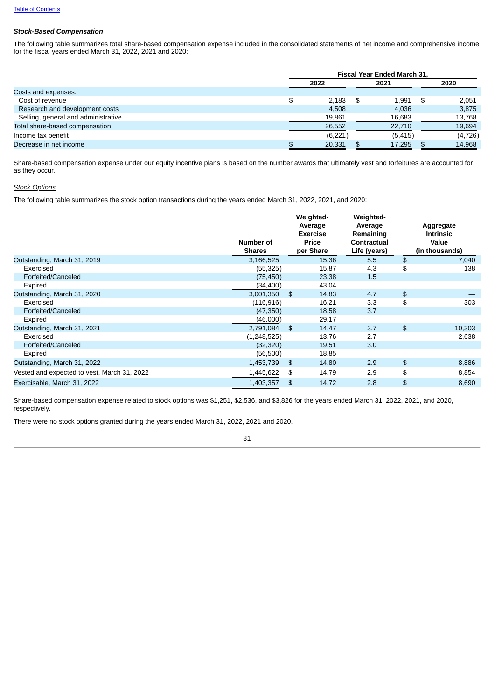# *Stock-Based Compensation*

The following table summarizes total share-based compensation expense included in the consolidated statements of net income and comprehensive income for the fiscal years ended March 31, 2022, 2021 and 2020:

|                                     | Fiscal Year Ended March 31, |          |      |          |     |          |  |  |  |
|-------------------------------------|-----------------------------|----------|------|----------|-----|----------|--|--|--|
|                                     | 2022                        |          | 2021 |          |     | 2020     |  |  |  |
| Costs and expenses:                 |                             |          |      |          |     |          |  |  |  |
| Cost of revenue                     | \$                          | 2,183    | \$   | 1.991    | -\$ | 2.051    |  |  |  |
| Research and development costs      |                             | 4.508    |      | 4.036    |     | 3.875    |  |  |  |
| Selling, general and administrative |                             | 19,861   |      | 16,683   |     | 13,768   |  |  |  |
| Total share-based compensation      |                             | 26,552   |      | 22,710   |     | 19,694   |  |  |  |
| Income tax benefit                  |                             | (6, 221) |      | (5, 415) |     | (4, 726) |  |  |  |
| Decrease in net income              |                             | 20,331   |      | 17,295   |     | 14,968   |  |  |  |

Share-based compensation expense under our equity incentive plans is based on the number awards that ultimately vest and forfeitures are accounted for as they occur.

# *Stock Options*

The following table summarizes the stock option transactions during the years ended March 31, 2022, 2021, and 2020:

|                                             | Number of<br><b>Shares</b> | Weighted-<br>Average<br>Exercise<br>Price<br>per Share | Weighted-<br>Average<br>Remaining<br>Contractual<br>Life (years) | Aggregate<br><b>Intrinsic</b><br>Value<br>(in thousands) |
|---------------------------------------------|----------------------------|--------------------------------------------------------|------------------------------------------------------------------|----------------------------------------------------------|
| Outstanding, March 31, 2019                 | 3,166,525                  | 15.36                                                  | 5.5                                                              | \$<br>7,040                                              |
| Exercised                                   | (55, 325)                  | 15.87                                                  | 4.3                                                              | \$<br>138                                                |
| Forfeited/Canceled                          | (75, 450)                  | 23.38                                                  | 1.5                                                              |                                                          |
| Expired                                     | (34, 400)                  | 43.04                                                  |                                                                  |                                                          |
| Outstanding, March 31, 2020                 | 3,001,350                  | \$<br>14.83                                            | 4.7                                                              | \$                                                       |
| Exercised                                   | (116, 916)                 | 16.21                                                  | 3.3                                                              | \$<br>303                                                |
| Forfeited/Canceled                          | (47, 350)                  | 18.58                                                  | 3.7                                                              |                                                          |
| Expired                                     | (46,000)                   | 29.17                                                  |                                                                  |                                                          |
| Outstanding, March 31, 2021                 | 2,791,084                  | \$<br>14.47                                            | 3.7                                                              | \$<br>10,303                                             |
| Exercised                                   | (1,248,525)                | 13.76                                                  | 2.7                                                              | 2,638                                                    |
| Forfeited/Canceled                          | (32, 320)                  | 19.51                                                  | 3.0                                                              |                                                          |
| Expired                                     | (56, 500)                  | 18.85                                                  |                                                                  |                                                          |
| Outstanding, March 31, 2022                 | 1,453,739                  | \$<br>14.80                                            | 2.9                                                              | \$<br>8,886                                              |
| Vested and expected to vest, March 31, 2022 | 1,445,622                  | \$<br>14.79                                            | 2.9                                                              | \$<br>8,854                                              |
| Exercisable, March 31, 2022                 | 1,403,357                  | \$<br>14.72                                            | 2.8                                                              | \$<br>8,690                                              |

Share-based compensation expense related to stock options was \$1,251, \$2,536, and \$3,826 for the years ended March 31, 2022, 2021, and 2020, respectively.

There were no stock options granted during the years ended March 31, 2022, 2021 and 2020.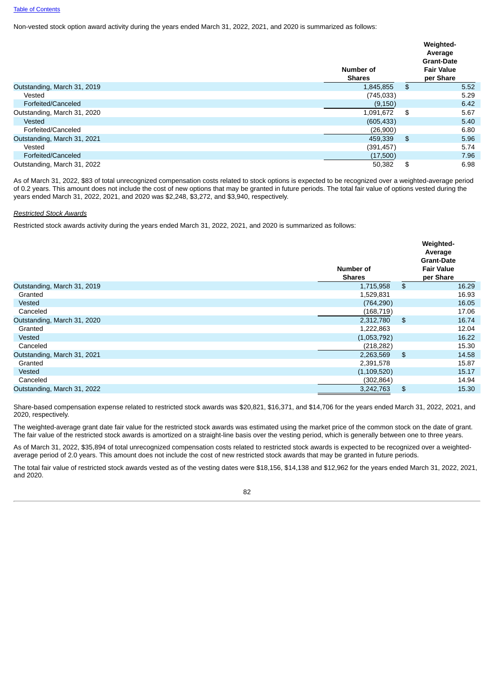Non-vested stock option award activity during the years ended March 31, 2022, 2021, and 2020 is summarized as follows:

| Number of<br><b>Shares</b> | Weighted-<br>Average<br><b>Grant-Date</b><br><b>Fair Value</b><br>per Share |
|----------------------------|-----------------------------------------------------------------------------|
| 1,845,855                  | \$<br>5.52                                                                  |
| (745, 033)                 | 5.29                                                                        |
| (9,150)                    | 6.42                                                                        |
| 1,091,672                  | \$<br>5.67                                                                  |
| (605, 433)                 | 5.40                                                                        |
| (26,900)                   | 6.80                                                                        |
| 459,339                    | \$<br>5.96                                                                  |
| (391, 457)                 | 5.74                                                                        |
| (17,500)                   | 7.96                                                                        |
| 50,382                     | \$<br>6.98                                                                  |
|                            |                                                                             |

As of March 31, 2022, \$83 of total unrecognized compensation costs related to stock options is expected to be recognized over a weighted-average period of 0.2 years. This amount does not include the cost of new options that may be granted in future periods. The total fair value of options vested during the years ended March 31, 2022, 2021, and 2020 was \$2,248, \$3,272, and \$3,940, respectively.

## *Restricted Stock Awards*

Restricted stock awards activity during the years ended March 31, 2022, 2021, and 2020 is summarized as follows:

|                             | Number of<br><b>Shares</b> |               | Weighted-<br>Average<br><b>Grant-Date</b><br><b>Fair Value</b><br>per Share |
|-----------------------------|----------------------------|---------------|-----------------------------------------------------------------------------|
| Outstanding, March 31, 2019 | 1,715,958                  | \$            | 16.29                                                                       |
| Granted                     | 1,529,831                  |               | 16.93                                                                       |
| Vested                      | (764, 290)                 |               | 16.05                                                                       |
| Canceled                    | (168, 719)                 |               | 17.06                                                                       |
| Outstanding, March 31, 2020 | 2,312,780                  | \$            | 16.74                                                                       |
| Granted                     | 1,222,863                  |               | 12.04                                                                       |
| Vested                      | (1,053,792)                |               | 16.22                                                                       |
| Canceled                    | (218, 282)                 |               | 15.30                                                                       |
| Outstanding, March 31, 2021 | 2,263,569                  | $\frac{3}{2}$ | 14.58                                                                       |
| Granted                     | 2,391,578                  |               | 15.87                                                                       |
| Vested                      | (1,109,520)                |               | 15.17                                                                       |
| Canceled                    | (302, 864)                 |               | 14.94                                                                       |
| Outstanding, March 31, 2022 | 3,242,763                  | $\frac{3}{2}$ | 15.30                                                                       |

Share-based compensation expense related to restricted stock awards was \$20,821, \$16,371, and \$14,706 for the years ended March 31, 2022, 2021, and 2020, respectively.

The weighted-average grant date fair value for the restricted stock awards was estimated using the market price of the common stock on the date of grant. The fair value of the restricted stock awards is amortized on a straight-line basis over the vesting period, which is generally between one to three years.

As of March 31, 2022, \$35,894 of total unrecognized compensation costs related to restricted stock awards is expected to be recognized over a weightedaverage period of 2.0 years. This amount does not include the cost of new restricted stock awards that may be granted in future periods.

The total fair value of restricted stock awards vested as of the vesting dates were \$18,156, \$14,138 and \$12,962 for the years ended March 31, 2022, 2021, and 2020.

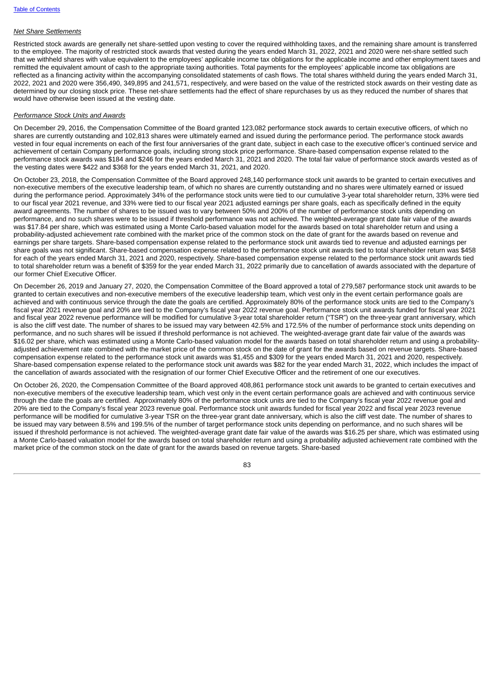# *Net Share Settlements*

Restricted stock awards are generally net share-settled upon vesting to cover the required withholding taxes, and the remaining share amount is transferred to the employee. The majority of restricted stock awards that vested during the years ended March 31, 2022, 2021 and 2020 were net-share settled such that we withheld shares with value equivalent to the employees' applicable income tax obligations for the applicable income and other employment taxes and remitted the equivalent amount of cash to the appropriate taxing authorities. Total payments for the employees' applicable income tax obligations are reflected as a financing activity within the accompanying consolidated statements of cash flows. The total shares withheld during the years ended March 31, 2022, 2021 and 2020 were 356,490, 349,895 and 241,571, respectively, and were based on the value of the restricted stock awards on their vesting date as determined by our closing stock price. These net-share settlements had the effect of share repurchases by us as they reduced the number of shares that would have otherwise been issued at the vesting date.

### *Performance Stock Units and Awards*

On December 29, 2016, the Compensation Committee of the Board granted 123,082 performance stock awards to certain executive officers, of which no shares are currently outstanding and 102,813 shares were ultimately earned and issued during the performance period. The performance stock awards vested in four equal increments on each of the first four anniversaries of the grant date, subject in each case to the executive officer's continued service and achievement of certain Company performance goals, including strong stock price performance. Share-based compensation expense related to the performance stock awards was \$184 and \$246 for the years ended March 31, 2021 and 2020. The total fair value of performance stock awards vested as of the vesting dates were \$422 and \$368 for the years ended March 31, 2021, and 2020.

On October 23, 2018, the Compensation Committee of the Board approved 248,140 performance stock unit awards to be granted to certain executives and non-executive members of the executive leadership team, of which no shares are currently outstanding and no shares were ultimately earned or issued during the performance period. Approximately 34% of the performance stock units were tied to our cumulative 3-year total shareholder return, 33% were tied to our fiscal year 2021 revenue, and 33% were tied to our fiscal year 2021 adjusted earnings per share goals, each as specifically defined in the equity award agreements. The number of shares to be issued was to vary between 50% and 200% of the number of performance stock units depending on performance, and no such shares were to be issued if threshold performance was not achieved. The weighted-average grant date fair value of the awards was \$17.84 per share, which was estimated using a Monte Carlo-based valuation model for the awards based on total shareholder return and using a probability-adjusted achievement rate combined with the market price of the common stock on the date of grant for the awards based on revenue and earnings per share targets. Share-based compensation expense related to the performance stock unit awards tied to revenue and adjusted earnings per share goals was not significant. Share-based compensation expense related to the performance stock unit awards tied to total shareholder return was \$458 for each of the years ended March 31, 2021 and 2020, respectively. Share-based compensation expense related to the performance stock unit awards tied to total shareholder return was a benefit of \$359 for the year ended March 31, 2022 primarily due to cancellation of awards associated with the departure of our former Chief Executive Officer.

On December 26, 2019 and January 27, 2020, the Compensation Committee of the Board approved a total of 279,587 performance stock unit awards to be granted to certain executives and non-executive members of the executive leadership team, which vest only in the event certain performance goals are achieved and with continuous service through the date the goals are certified. Approximately 80% of the performance stock units are tied to the Company's fiscal year 2021 revenue goal and 20% are tied to the Company's fiscal year 2022 revenue goal. Performance stock unit awards funded for fiscal year 2021 and fiscal year 2022 revenue performance will be modified for cumulative 3-year total shareholder return ("TSR") on the three-year grant anniversary, which is also the cliff vest date. The number of shares to be issued may vary between 42.5% and 172.5% of the number of performance stock units depending on performance, and no such shares will be issued if threshold performance is not achieved. The weighted-average grant date fair value of the awards was \$16.02 per share, which was estimated using a Monte Carlo-based valuation model for the awards based on total shareholder return and using a probabilityadjusted achievement rate combined with the market price of the common stock on the date of grant for the awards based on revenue targets. Share-based compensation expense related to the performance stock unit awards was \$1,455 and \$309 for the years ended March 31, 2021 and 2020, respectively. Share-based compensation expense related to the performance stock unit awards was \$82 for the year ended March 31, 2022, which includes the impact of the cancellation of awards associated with the resignation of our former Chief Executive Officer and the retirement of one our executives.

On October 26, 2020, the Compensation Committee of the Board approved 408,861 performance stock unit awards to be granted to certain executives and non-executive members of the executive leadership team, which vest only in the event certain performance goals are achieved and with continuous service through the date the goals are certified. Approximately 80% of the performance stock units are tied to the Company's fiscal year 2022 revenue goal and 20% are tied to the Company's fiscal year 2023 revenue goal. Performance stock unit awards funded for fiscal year 2022 and fiscal year 2023 revenue performance will be modified for cumulative 3-year TSR on the three-year grant date anniversary, which is also the cliff vest date. The number of shares to be issued may vary between 8.5% and 199.5% of the number of target performance stock units depending on performance, and no such shares will be issued if threshold performance is not achieved. The weighted-average grant date fair value of the awards was \$16.25 per share, which was estimated using a Monte Carlo-based valuation model for the awards based on total shareholder return and using a probability adjusted achievement rate combined with the market price of the common stock on the date of grant for the awards based on revenue targets. Share-based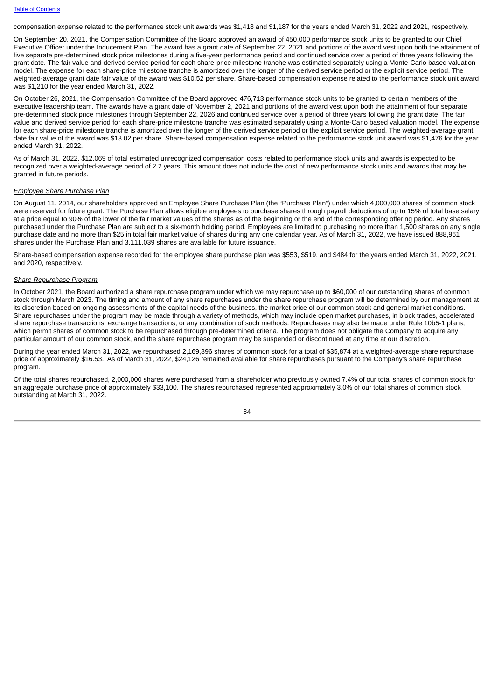compensation expense related to the performance stock unit awards was \$1,418 and \$1,187 for the years ended March 31, 2022 and 2021, respectively.

On September 20, 2021, the Compensation Committee of the Board approved an award of 450,000 performance stock units to be granted to our Chief Executive Officer under the Inducement Plan. The award has a grant date of September 22, 2021 and portions of the award vest upon both the attainment of five separate pre-determined stock price milestones during a five-year performance period and continued service over a period of three years following the grant date. The fair value and derived service period for each share-price milestone tranche was estimated separately using a Monte-Carlo based valuation model. The expense for each share-price milestone tranche is amortized over the longer of the derived service period or the explicit service period. The weighted-average grant date fair value of the award was \$10.52 per share. Share-based compensation expense related to the performance stock unit award was \$1,210 for the year ended March 31, 2022.

On October 26, 2021, the Compensation Committee of the Board approved 476,713 performance stock units to be granted to certain members of the executive leadership team. The awards have a grant date of November 2, 2021 and portions of the award vest upon both the attainment of four separate pre-determined stock price milestones through September 22, 2026 and continued service over a period of three years following the grant date. The fair value and derived service period for each share-price milestone tranche was estimated separately using a Monte-Carlo based valuation model. The expense for each share-price milestone tranche is amortized over the longer of the derived service period or the explicit service period. The weighted-average grant date fair value of the award was \$13.02 per share. Share-based compensation expense related to the performance stock unit award was \$1,476 for the year ended March 31, 2022.

As of March 31, 2022, \$12,069 of total estimated unrecognized compensation costs related to performance stock units and awards is expected to be recognized over a weighted-average period of 2.2 years. This amount does not include the cost of new performance stock units and awards that may be granted in future periods.

### *Employee Share Purchase Plan*

On August 11, 2014, our shareholders approved an Employee Share Purchase Plan (the "Purchase Plan") under which 4,000,000 shares of common stock were reserved for future grant. The Purchase Plan allows eligible employees to purchase shares through payroll deductions of up to 15% of total base salary at a price equal to 90% of the lower of the fair market values of the shares as of the beginning or the end of the corresponding offering period. Any shares purchased under the Purchase Plan are subject to a six-month holding period. Employees are limited to purchasing no more than 1,500 shares on any single purchase date and no more than \$25 in total fair market value of shares during any one calendar year. As of March 31, 2022, we have issued 888,961 shares under the Purchase Plan and 3,111,039 shares are available for future issuance.

Share-based compensation expense recorded for the employee share purchase plan was \$553, \$519, and \$484 for the years ended March 31, 2022, 2021, and 2020, respectively.

#### *Share Repurchase Program*

In October 2021, the Board authorized a share repurchase program under which we may repurchase up to \$60,000 of our outstanding shares of common stock through March 2023. The timing and amount of any share repurchases under the share repurchase program will be determined by our management at its discretion based on ongoing assessments of the capital needs of the business, the market price of our common stock and general market conditions. Share repurchases under the program may be made through a variety of methods, which may include open market purchases, in block trades, accelerated share repurchase transactions, exchange transactions, or any combination of such methods. Repurchases may also be made under Rule 10b5-1 plans, which permit shares of common stock to be repurchased through pre-determined criteria. The program does not obligate the Company to acquire any particular amount of our common stock, and the share repurchase program may be suspended or discontinued at any time at our discretion.

During the year ended March 31, 2022, we repurchased 2,169,896 shares of common stock for a total of \$35,874 at a weighted-average share repurchase price of approximately \$16.53. As of March 31, 2022, \$24,126 remained available for share repurchases pursuant to the Company's share repurchase program.

Of the total shares repurchased, 2,000,000 shares were purchased from a shareholder who previously owned 7.4% of our total shares of common stock for an aggregate purchase price of approximately \$33,100. The shares repurchased represented approximately 3.0% of our total shares of common stock outstanding at March 31, 2022.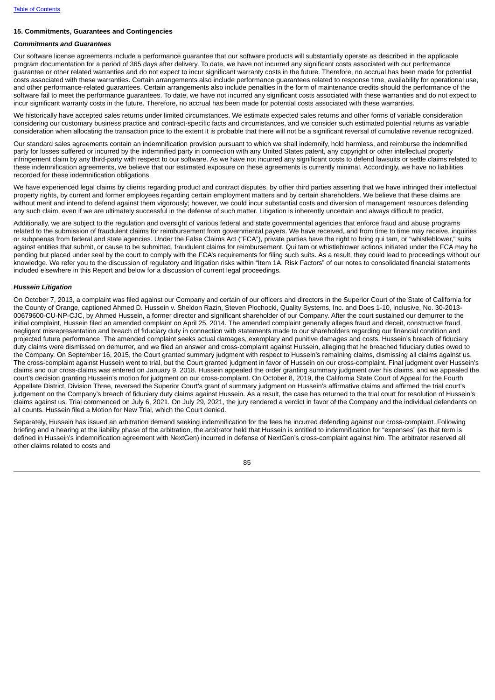# **15. Commitments, Guarantees and Contingencies**

# *Commitments and Guarantees*

Our software license agreements include a performance guarantee that our software products will substantially operate as described in the applicable program documentation for a period of 365 days after delivery. To date, we have not incurred any significant costs associated with our performance guarantee or other related warranties and do not expect to incur significant warranty costs in the future. Therefore, no accrual has been made for potential costs associated with these warranties. Certain arrangements also include performance guarantees related to response time, availability for operational use, and other performance-related guarantees. Certain arrangements also include penalties in the form of maintenance credits should the performance of the software fail to meet the performance guarantees. To date, we have not incurred any significant costs associated with these warranties and do not expect to incur significant warranty costs in the future. Therefore, no accrual has been made for potential costs associated with these warranties.

We historically have accepted sales returns under limited circumstances. We estimate expected sales returns and other forms of variable consideration considering our customary business practice and contract-specific facts and circumstances, and we consider such estimated potential returns as variable consideration when allocating the transaction price to the extent it is probable that there will not be a significant reversal of cumulative revenue recognized.

Our standard sales agreements contain an indemnification provision pursuant to which we shall indemnify, hold harmless, and reimburse the indemnified party for losses suffered or incurred by the indemnified party in connection with any United States patent, any copyright or other intellectual property infringement claim by any third-party with respect to our software. As we have not incurred any significant costs to defend lawsuits or settle claims related to these indemnification agreements, we believe that our estimated exposure on these agreements is currently minimal. Accordingly, we have no liabilities recorded for these indemnification obligations.

We have experienced legal claims by clients regarding product and contract disputes, by other third parties asserting that we have infringed their intellectual property rights, by current and former employees regarding certain employment matters and by certain shareholders. We believe that these claims are without merit and intend to defend against them vigorously; however, we could incur substantial costs and diversion of management resources defending any such claim, even if we are ultimately successful in the defense of such matter. Litigation is inherently uncertain and always difficult to predict.

Additionally, we are subject to the regulation and oversight of various federal and state governmental agencies that enforce fraud and abuse programs related to the submission of fraudulent claims for reimbursement from governmental payers. We have received, and from time to time may receive, inquiries or subpoenas from federal and state agencies. Under the False Claims Act ("FCA"), private parties have the right to bring qui tam, or "whistleblower," suits against entities that submit, or cause to be submitted, fraudulent claims for reimbursement. Qui tam or whistleblower actions initiated under the FCA may be pending but placed under seal by the court to comply with the FCA's requirements for filing such suits. As a result, they could lead to proceedings without our knowledge. We refer you to the discussion of regulatory and litigation risks within "Item 1A. Risk Factors" of our notes to consolidated financial statements included elsewhere in this Report and below for a discussion of current legal proceedings.

### *Hussein Litigation*

On October 7, 2013, a complaint was filed against our Company and certain of our officers and directors in the Superior Court of the State of California for the County of Orange, captioned Ahmed D. Hussein v. Sheldon Razin, Steven Plochocki, Quality Systems, Inc. and Does 1-10, inclusive, No. 30-2013- 00679600-CU-NP-CJC, by Ahmed Hussein, a former director and significant shareholder of our Company. After the court sustained our demurrer to the initial complaint, Hussein filed an amended complaint on April 25, 2014. The amended complaint generally alleges fraud and deceit, constructive fraud, negligent misrepresentation and breach of fiduciary duty in connection with statements made to our shareholders regarding our financial condition and projected future performance. The amended complaint seeks actual damages, exemplary and punitive damages and costs. Hussein's breach of fiduciary duty claims were dismissed on demurrer, and we filed an answer and cross-complaint against Hussein, alleging that he breached fiduciary duties owed to the Company. On September 16, 2015, the Court granted summary judgment with respect to Hussein's remaining claims, dismissing all claims against us. The cross-complaint against Hussein went to trial, but the Court granted judgment in favor of Hussein on our cross-complaint. Final judgment over Hussein's claims and our cross-claims was entered on January 9, 2018. Hussein appealed the order granting summary judgment over his claims, and we appealed the court's decision granting Hussein's motion for judgment on our cross-complaint. On October 8, 2019, the California State Court of Appeal for the Fourth Appellate District, Division Three, reversed the Superior Court's grant of summary judgment on Hussein's affirmative claims and affirmed the trial court's judgement on the Company's breach of fiduciary duty claims against Hussein. As a result, the case has returned to the trial court for resolution of Hussein's claims against us. Trial commenced on July 6, 2021. On July 29, 2021, the jury rendered a verdict in favor of the Company and the individual defendants on all counts. Hussein filed a Motion for New Trial, which the Court denied.

Separately, Hussein has issued an arbitration demand seeking indemnification for the fees he incurred defending against our cross-complaint. Following briefing and a hearing at the liability phase of the arbitration, the arbitrator held that Hussein is entitled to indemnification for "expenses" (as that term is defined in Hussein's indemnification agreement with NextGen) incurred in defense of NextGen's cross-complaint against him. The arbitrator reserved all other claims related to costs and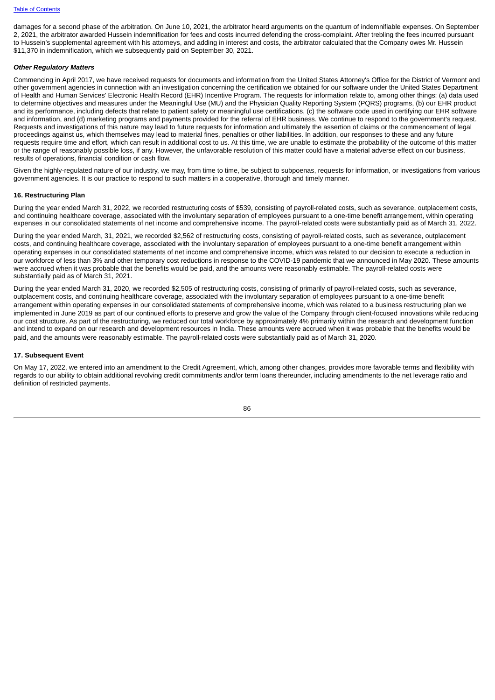damages for a second phase of the arbitration. On June 10, 2021, the arbitrator heard arguments on the quantum of indemnifiable expenses. On September 2, 2021, the arbitrator awarded Hussein indemnification for fees and costs incurred defending the cross-complaint. After trebling the fees incurred pursuant to Hussein's supplemental agreement with his attorneys, and adding in interest and costs, the arbitrator calculated that the Company owes Mr. Hussein \$11,370 in indemnification, which we subsequently paid on September 30, 2021.

### *Other Regulatory Matters*

Commencing in April 2017, we have received requests for documents and information from the United States Attorney's Office for the District of Vermont and other government agencies in connection with an investigation concerning the certification we obtained for our software under the United States Department of Health and Human Services' Electronic Health Record (EHR) Incentive Program. The requests for information relate to, among other things: (a) data used to determine objectives and measures under the Meaningful Use (MU) and the Physician Quality Reporting System (PQRS) programs, (b) our EHR product and its performance, including defects that relate to patient safety or meaningful use certifications, (c) the software code used in certifying our EHR software and information, and (d) marketing programs and payments provided for the referral of EHR business. We continue to respond to the government's request. Requests and investigations of this nature may lead to future requests for information and ultimately the assertion of claims or the commencement of legal proceedings against us, which themselves may lead to material fines, penalties or other liabilities. In addition, our responses to these and any future requests require time and effort, which can result in additional cost to us. At this time, we are unable to estimate the probability of the outcome of this matter or the range of reasonably possible loss, if any. However, the unfavorable resolution of this matter could have a material adverse effect on our business, results of operations, financial condition or cash flow.

Given the highly-regulated nature of our industry, we may, from time to time, be subject to subpoenas, requests for information, or investigations from various government agencies. It is our practice to respond to such matters in a cooperative, thorough and timely manner.

#### **16. Restructuring Plan**

During the year ended March 31, 2022, we recorded restructuring costs of \$539, consisting of payroll-related costs, such as severance, outplacement costs, and continuing healthcare coverage, associated with the involuntary separation of employees pursuant to a one-time benefit arrangement, within operating expenses in our consolidated statements of net income and comprehensive income. The payroll-related costs were substantially paid as of March 31, 2022.

During the year ended March, 31, 2021, we recorded \$2,562 of restructuring costs, consisting of payroll-related costs, such as severance, outplacement costs, and continuing healthcare coverage, associated with the involuntary separation of employees pursuant to a one-time benefit arrangement within operating expenses in our consolidated statements of net income and comprehensive income, which was related to our decision to execute a reduction in our workforce of less than 3% and other temporary cost reductions in response to the COVID-19 pandemic that we announced in May 2020. These amounts were accrued when it was probable that the benefits would be paid, and the amounts were reasonably estimable. The payroll-related costs were substantially paid as of March 31, 2021.

During the year ended March 31, 2020, we recorded \$2,505 of restructuring costs, consisting of primarily of payroll-related costs, such as severance, outplacement costs, and continuing healthcare coverage, associated with the involuntary separation of employees pursuant to a one-time benefit arrangement within operating expenses in our consolidated statements of comprehensive income, which was related to a business restructuring plan we implemented in June 2019 as part of our continued efforts to preserve and grow the value of the Company through client-focused innovations while reducing our cost structure. As part of the restructuring, we reduced our total workforce by approximately 4% primarily within the research and development function and intend to expand on our research and development resources in India. These amounts were accrued when it was probable that the benefits would be paid, and the amounts were reasonably estimable. The payroll-related costs were substantially paid as of March 31, 2020.

## **17. Subsequent Event**

On May 17, 2022, we entered into an amendment to the Credit Agreement, which, among other changes, provides more favorable terms and flexibility with regards to our ability to obtain additional revolving credit commitments and/or term loans thereunder, including amendments to the net leverage ratio and definition of restricted payments.

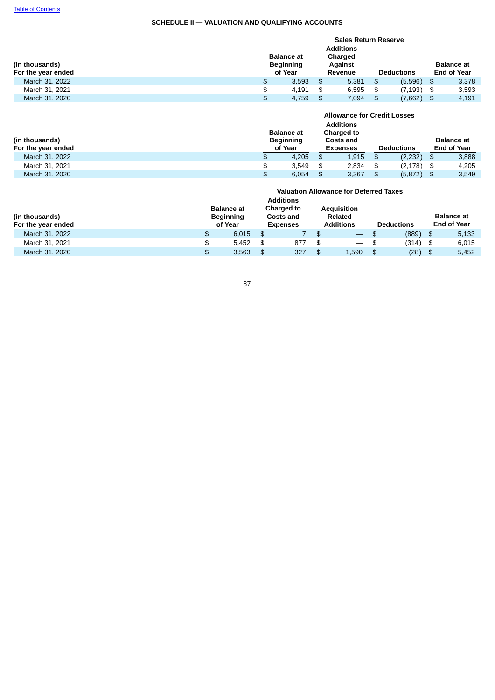# **SCHEDULE II — VALUATION AND QUALIFYING ACCOUNTS**

|                                      |    | <b>Sales Return Reserve</b>                      |    |                                                          |      |                   |    |                                         |  |  |  |
|--------------------------------------|----|--------------------------------------------------|----|----------------------------------------------------------|------|-------------------|----|-----------------------------------------|--|--|--|
| (in thousands)<br>For the year ended |    | <b>Balance at</b><br><b>Beginning</b><br>of Year |    | <b>Additions</b><br>Charged<br><b>Against</b><br>Revenue |      | <b>Deductions</b> |    | <b>Balance</b> at<br><b>End of Year</b> |  |  |  |
| March 31, 2022                       | \$ | 3,593                                            | \$ | 5,381                                                    | -\$  | (5,596)           | \$ | 3,378                                   |  |  |  |
| March 31, 2021                       | \$ | 4,191                                            | \$ | 6.595                                                    | \$   | $(7, 193)$ \$     |    | 3,593                                   |  |  |  |
| March 31, 2020                       | \$ | 4,759                                            | \$ | 7,094                                                    | - \$ | $(7,662)$ \$      |    | 4,191                                   |  |  |  |
|                                      |    |                                                  |    | <b>Allowance for Credit Losses</b>                       |      |                   |    |                                         |  |  |  |

|                    | Allowance for Orean Ecsses |    |                   |    |                   |                    |                   |
|--------------------|----------------------------|----|-------------------|----|-------------------|--------------------|-------------------|
|                    | <b>Additions</b>           |    |                   |    |                   |                    |                   |
|                    | <b>Balance at</b>          |    | <b>Charged to</b> |    |                   |                    |                   |
| (in thousands)     | <b>Beginning</b>           |    | Costs and         |    |                   |                    | <b>Balance</b> at |
| For the year ended | of Year                    |    | <b>Expenses</b>   |    | <b>Deductions</b> | <b>End of Year</b> |                   |
| March 31, 2022     | \$<br>4.205                | \$ | 1,915             |    | (2,232)           | \$                 | 3,888             |
| March 31, 2021     | \$<br>3.549                | \$ | 2.834             | \$ | (2, 178)          | \$                 | 4,205             |
| March 31, 2020     | \$<br>6.054                |    | 3,367             |    | (5,872)           |                    | 3,549             |

|                                      | <b>Valuation Allowance for Deferred Taxes</b>    |       |                                                                       |     |                                                          |                   |                   |       |                                         |       |
|--------------------------------------|--------------------------------------------------|-------|-----------------------------------------------------------------------|-----|----------------------------------------------------------|-------------------|-------------------|-------|-----------------------------------------|-------|
| (in thousands)<br>For the year ended | <b>Balance</b> at<br><b>Beginning</b><br>of Year |       | <b>Additions</b><br><b>Charged to</b><br>Costs and<br><b>Expenses</b> |     | <b>Acquisition</b><br><b>Related</b><br><b>Additions</b> |                   | <b>Deductions</b> |       | <b>Balance</b> at<br><b>End of Year</b> |       |
| March 31, 2022                       | \$                                               | 6.015 | - \$                                                                  |     |                                                          |                   | $\mathsf{S}$      | (889) | \$                                      | 5,133 |
| March 31, 2021                       | \$                                               | 5.452 | \$                                                                    | 877 |                                                          | $\hspace{0.05cm}$ | \$                | (314) | - \$                                    | 6,015 |
| March 31, 2020                       | \$                                               | 3,563 | $\mathfrak{F}$                                                        | 327 |                                                          | 1,590             | \$                | (28)  | -\$                                     | 5,452 |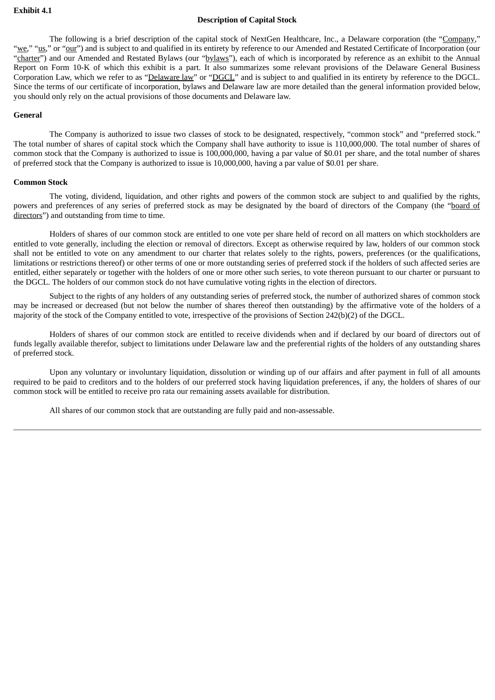# **Description of Capital Stock**

The following is a brief description of the capital stock of NextGen Healthcare, Inc., a Delaware corporation (the "Company," "we," "us," or "our") and is subject to and qualified in its entirety by reference to our Amended and Restated Certificate of Incorporation (our "charter") and our Amended and Restated Bylaws (our "bylaws"), each of which is incorporated by reference as an exhibit to the Annual Report on Form 10-K of which this exhibit is a part. It also summarizes some relevant provisions of the Delaware General Business Corporation Law, which we refer to as "Delaware law" or "DGCL" and is subject to and qualified in its entirety by reference to the DGCL. Since the terms of our certificate of incorporation, bylaws and Delaware law are more detailed than the general information provided below, you should only rely on the actual provisions of those documents and Delaware law.

## **General**

The Company is authorized to issue two classes of stock to be designated, respectively, "common stock" and "preferred stock." The total number of shares of capital stock which the Company shall have authority to issue is 110,000,000. The total number of shares of common stock that the Company is authorized to issue is 100,000,000, having a par value of \$0.01 per share, and the total number of shares of preferred stock that the Company is authorized to issue is 10,000,000, having a par value of \$0.01 per share.

## **Common Stock**

The voting, dividend, liquidation, and other rights and powers of the common stock are subject to and qualified by the rights, powers and preferences of any series of preferred stock as may be designated by the board of directors of the Company (the "board of directors") and outstanding from time to time.

Holders of shares of our common stock are entitled to one vote per share held of record on all matters on which stockholders are entitled to vote generally, including the election or removal of directors. Except as otherwise required by law, holders of our common stock shall not be entitled to vote on any amendment to our charter that relates solely to the rights, powers, preferences (or the qualifications, limitations or restrictions thereof) or other terms of one or more outstanding series of preferred stock if the holders of such affected series are entitled, either separately or together with the holders of one or more other such series, to vote thereon pursuant to our charter or pursuant to the DGCL. The holders of our common stock do not have cumulative voting rights in the election of directors.

Subject to the rights of any holders of any outstanding series of preferred stock, the number of authorized shares of common stock may be increased or decreased (but not below the number of shares thereof then outstanding) by the affirmative vote of the holders of a majority of the stock of the Company entitled to vote, irrespective of the provisions of Section 242(b)(2) of the DGCL.

Holders of shares of our common stock are entitled to receive dividends when and if declared by our board of directors out of funds legally available therefor, subject to limitations under Delaware law and the preferential rights of the holders of any outstanding shares of preferred stock.

Upon any voluntary or involuntary liquidation, dissolution or winding up of our affairs and after payment in full of all amounts required to be paid to creditors and to the holders of our preferred stock having liquidation preferences, if any, the holders of shares of our common stock will be entitled to receive pro rata our remaining assets available for distribution.

All shares of our common stock that are outstanding are fully paid and non-assessable.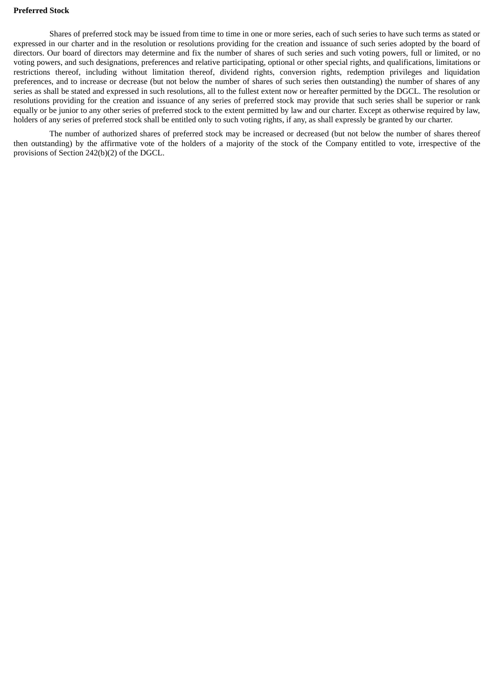# **Preferred Stock**

Shares of preferred stock may be issued from time to time in one or more series, each of such series to have such terms as stated or expressed in our charter and in the resolution or resolutions providing for the creation and issuance of such series adopted by the board of directors. Our board of directors may determine and fix the number of shares of such series and such voting powers, full or limited, or no voting powers, and such designations, preferences and relative participating, optional or other special rights, and qualifications, limitations or restrictions thereof, including without limitation thereof, dividend rights, conversion rights, redemption privileges and liquidation preferences, and to increase or decrease (but not below the number of shares of such series then outstanding) the number of shares of any series as shall be stated and expressed in such resolutions, all to the fullest extent now or hereafter permitted by the DGCL. The resolution or resolutions providing for the creation and issuance of any series of preferred stock may provide that such series shall be superior or rank equally or be junior to any other series of preferred stock to the extent permitted by law and our charter. Except as otherwise required by law, holders of any series of preferred stock shall be entitled only to such voting rights, if any, as shall expressly be granted by our charter.

The number of authorized shares of preferred stock may be increased or decreased (but not below the number of shares thereof then outstanding) by the affirmative vote of the holders of a majority of the stock of the Company entitled to vote, irrespective of the provisions of Section 242(b)(2) of the DGCL.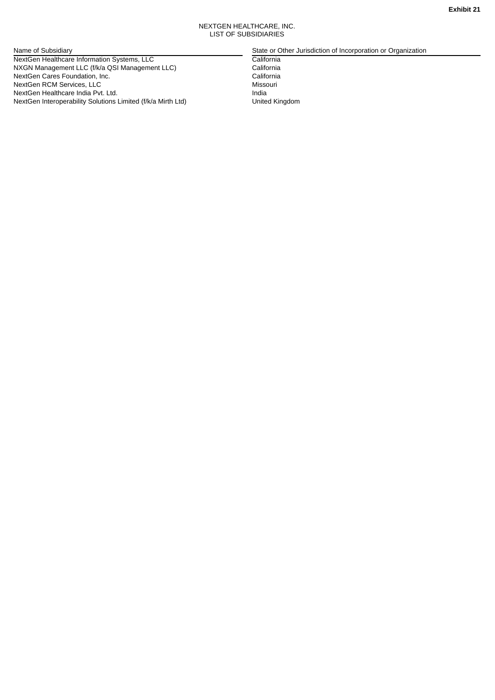## NEXTGEN HEALTHCARE, INC. LIST OF SUBSIDIARIES

NextGen Healthcare Information Systems, LLC<br>NXGN Management LLC (f/k/a QSI Management LLC) California NXGN Management LLC (f/k/a QSI Management LLC) California<br>
NextGen Cares Foundation, Inc. California NextGen Cares Foundation, Inc. California<br>
NextGen RCM Services, LLC<br>
Missouri NextGen RCM Services, LLC<br>
NextGen Healthcare India Pvt. Ltd.<br>
India NextGen Healthcare India Pvt. Ltd.<br>
NextGen Interoperability Solutions Limited (f/k/a Mirth Ltd) United Kingdom NextGen Interoperability Solutions Limited (f/k/a Mirth Ltd)

Name of Subsidiary<br>NextGen Healthcare Information Systems, LLC<br>
NextGen Healthcare Information Systems, LLC<br>
California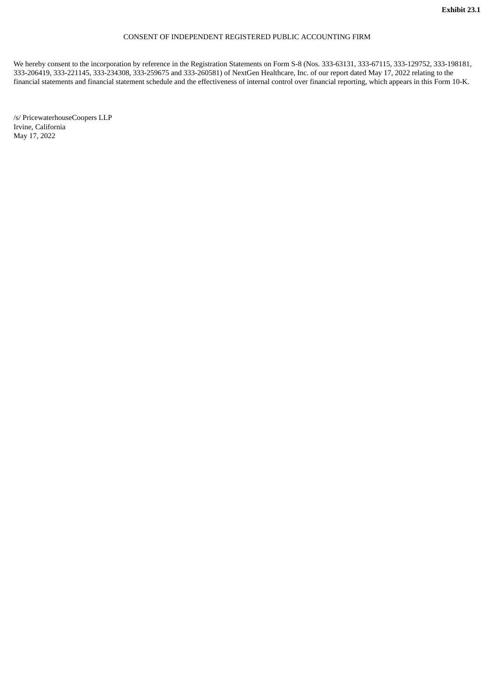# CONSENT OF INDEPENDENT REGISTERED PUBLIC ACCOUNTING FIRM

We hereby consent to the incorporation by reference in the Registration Statements on Form S-8 (Nos. 333-63131, 333-67115, 333-129752, 333-198181, 333-206419, 333-221145, 333-234308, 333-259675 and 333-260581) of NextGen Healthcare, Inc. of our report dated May 17, 2022 relating to the financial statements and financial statement schedule and the effectiveness of internal control over financial reporting, which appears in this Form 10-K.

/s/ PricewaterhouseCoopers LLP Irvine, California May 17, 2022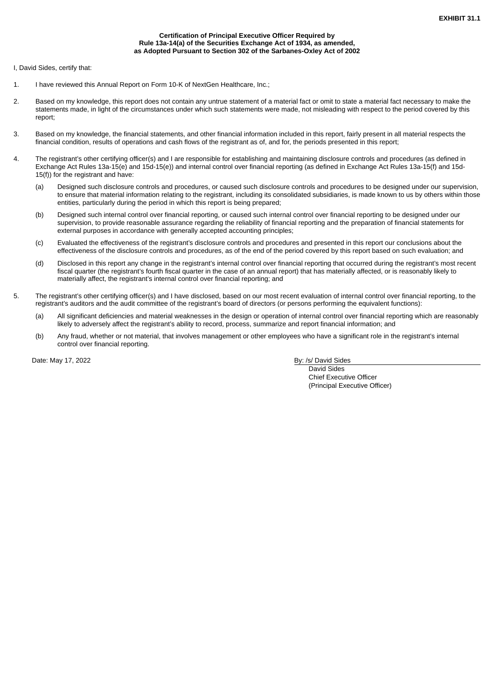### **Certification of Principal Executive Officer Required by Rule 13a-14(a) of the Securities Exchange Act of 1934, as amended, as Adopted Pursuant to Section 302 of the Sarbanes-Oxley Act of 2002**

I, David Sides, certify that:

- 1. I have reviewed this Annual Report on Form 10-K of NextGen Healthcare, Inc.;
- 2. Based on my knowledge, this report does not contain any untrue statement of a material fact or omit to state a material fact necessary to make the statements made, in light of the circumstances under which such statements were made, not misleading with respect to the period covered by this report;
- 3. Based on my knowledge, the financial statements, and other financial information included in this report, fairly present in all material respects the financial condition, results of operations and cash flows of the registrant as of, and for, the periods presented in this report;
- 4. The registrant's other certifying officer(s) and I are responsible for establishing and maintaining disclosure controls and procedures (as defined in Exchange Act Rules 13a-15(e) and 15d-15(e)) and internal control over financial reporting (as defined in Exchange Act Rules 13a-15(f) and 15d-15(f)) for the registrant and have:
	- (a) Designed such disclosure controls and procedures, or caused such disclosure controls and procedures to be designed under our supervision, to ensure that material information relating to the registrant, including its consolidated subsidiaries, is made known to us by others within those entities, particularly during the period in which this report is being prepared;
	- (b) Designed such internal control over financial reporting, or caused such internal control over financial reporting to be designed under our supervision, to provide reasonable assurance regarding the reliability of financial reporting and the preparation of financial statements for external purposes in accordance with generally accepted accounting principles;
	- (c) Evaluated the effectiveness of the registrant's disclosure controls and procedures and presented in this report our conclusions about the effectiveness of the disclosure controls and procedures, as of the end of the period covered by this report based on such evaluation; and
	- (d) Disclosed in this report any change in the registrant's internal control over financial reporting that occurred during the registrant's most recent fiscal quarter (the registrant's fourth fiscal quarter in the case of an annual report) that has materially affected, or is reasonably likely to materially affect, the registrant's internal control over financial reporting; and
- 5. The registrant's other certifying officer(s) and I have disclosed, based on our most recent evaluation of internal control over financial reporting, to the registrant's auditors and the audit committee of the registrant's board of directors (or persons performing the equivalent functions):
	- (a) All significant deficiencies and material weaknesses in the design or operation of internal control over financial reporting which are reasonably likely to adversely affect the registrant's ability to record, process, summarize and report financial information; and
	- (b) Any fraud, whether or not material, that involves management or other employees who have a significant role in the registrant's internal control over financial reporting.

Date: May 17, 2022 By: /s/ David Sides

David Sides Chief Executive Officer (Principal Executive Officer)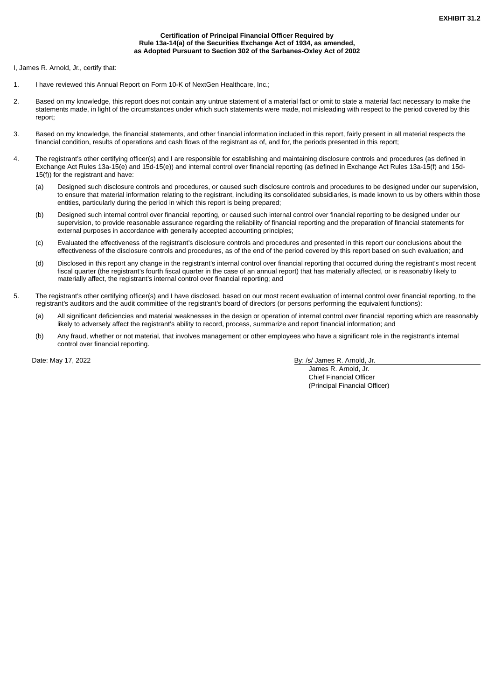### **Certification of Principal Financial Officer Required by Rule 13a-14(a) of the Securities Exchange Act of 1934, as amended, as Adopted Pursuant to Section 302 of the Sarbanes-Oxley Act of 2002**

I, James R. Arnold, Jr., certify that:

- 1. I have reviewed this Annual Report on Form 10-K of NextGen Healthcare, Inc.;
- 2. Based on my knowledge, this report does not contain any untrue statement of a material fact or omit to state a material fact necessary to make the statements made, in light of the circumstances under which such statements were made, not misleading with respect to the period covered by this report;
- 3. Based on my knowledge, the financial statements, and other financial information included in this report, fairly present in all material respects the financial condition, results of operations and cash flows of the registrant as of, and for, the periods presented in this report;
- 4. The registrant's other certifying officer(s) and I are responsible for establishing and maintaining disclosure controls and procedures (as defined in Exchange Act Rules 13a-15(e) and 15d-15(e)) and internal control over financial reporting (as defined in Exchange Act Rules 13a-15(f) and 15d-15(f)) for the registrant and have:
	- (a) Designed such disclosure controls and procedures, or caused such disclosure controls and procedures to be designed under our supervision, to ensure that material information relating to the registrant, including its consolidated subsidiaries, is made known to us by others within those entities, particularly during the period in which this report is being prepared;
	- (b) Designed such internal control over financial reporting, or caused such internal control over financial reporting to be designed under our supervision, to provide reasonable assurance regarding the reliability of financial reporting and the preparation of financial statements for external purposes in accordance with generally accepted accounting principles;
	- (c) Evaluated the effectiveness of the registrant's disclosure controls and procedures and presented in this report our conclusions about the effectiveness of the disclosure controls and procedures, as of the end of the period covered by this report based on such evaluation; and
	- (d) Disclosed in this report any change in the registrant's internal control over financial reporting that occurred during the registrant's most recent fiscal quarter (the registrant's fourth fiscal quarter in the case of an annual report) that has materially affected, or is reasonably likely to materially affect, the registrant's internal control over financial reporting; and
- 5. The registrant's other certifying officer(s) and I have disclosed, based on our most recent evaluation of internal control over financial reporting, to the registrant's auditors and the audit committee of the registrant's board of directors (or persons performing the equivalent functions):
	- (a) All significant deficiencies and material weaknesses in the design or operation of internal control over financial reporting which are reasonably likely to adversely affect the registrant's ability to record, process, summarize and report financial information; and
	- (b) Any fraud, whether or not material, that involves management or other employees who have a significant role in the registrant's internal control over financial reporting.

Date: May 17, 2022 **By: /s/ James R. Arnold, Jr. By: /s/ James R. Arnold, Jr.** James R. Arnold, Jr.

Chief Financial Officer (Principal Financial Officer)